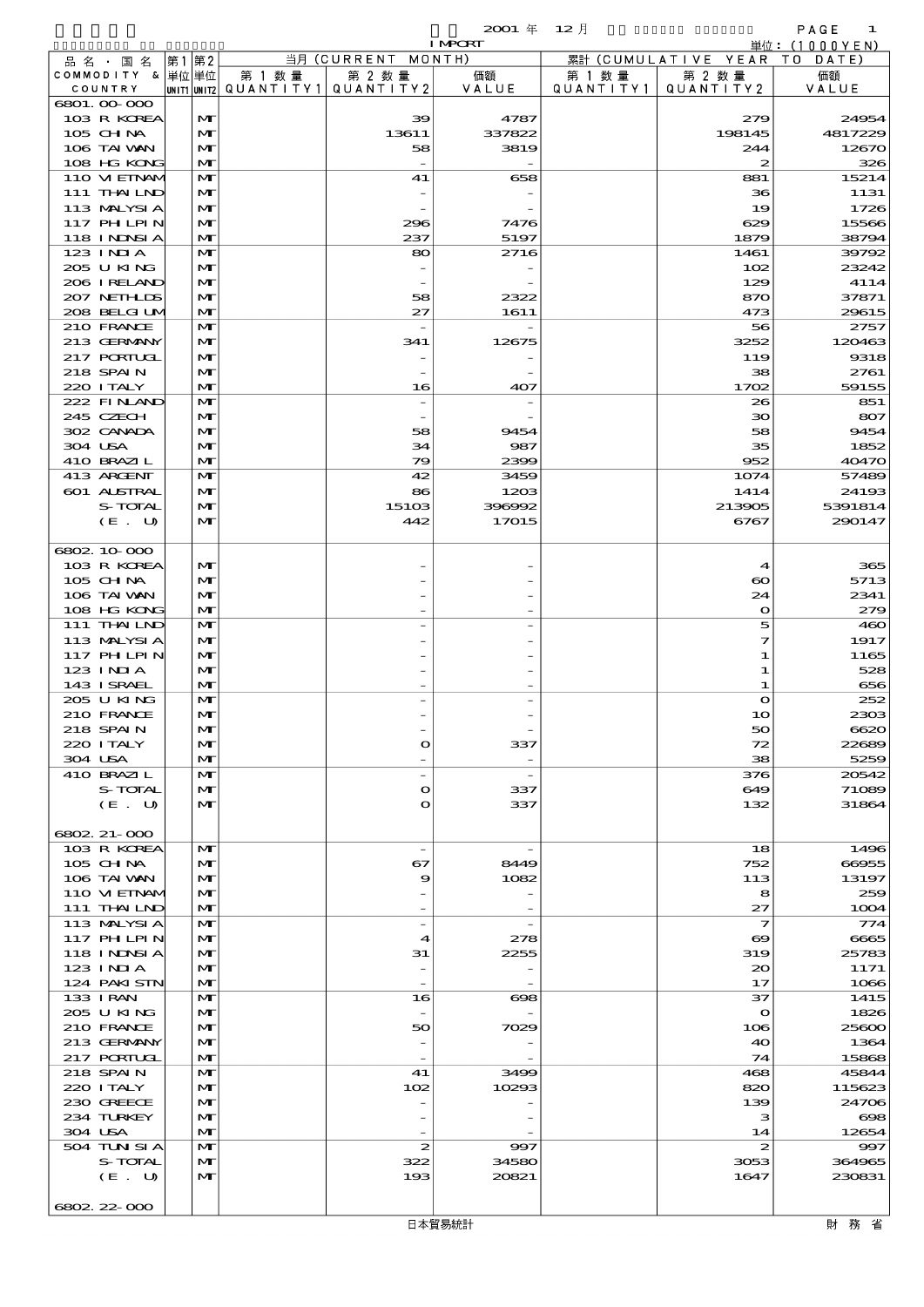$2001 \quad \text{if} \quad 12 \quad \text{if} \quad 12 \quad \text{else}$ 

|                            |      |                              |        |                                | ~~~<br><b>I MPORT</b>    | $\sim$ $\sim$ $\sim$ |                                           | .<br>単位:(1000YEN) |
|----------------------------|------|------------------------------|--------|--------------------------------|--------------------------|----------------------|-------------------------------------------|-------------------|
| 品 名 ・ 国 名                  | 第1第2 |                              |        | 当月 (CURRENT MONTH)             |                          |                      | 累計 (CUMULATIVE YEAR                       | TO DATE)          |
| COMMODITY & 単位単位           |      |                              | 第 1 数量 | 第 2 数量                         | 価額                       | 第 1 数 量              | 第 2 数量                                    | 価額                |
| COUNTRY                    |      | UNIT1 UNIT2                  |        | QUANTITY1 QUANTITY2            | VALUE                    | QUANTITY1            | QUANTITY 2                                | VALUE             |
| 6801.00-000<br>103 R KOREA |      | $\mathbf{M}$                 |        |                                | 4787                     |                      | 279                                       | 24954             |
| $105$ CHNA                 |      | $\mathbf{M}$                 |        | 39<br>13611                    | 337822                   |                      | 198145                                    | 4817229           |
| 106 TAI VAN                |      | $\mathbf{M}$                 |        | 58                             | 3819                     |                      | 244                                       | 12670             |
| 108 HG KONG                |      | $\mathbf{M}$                 |        |                                |                          |                      | 2                                         | 326               |
| 110 VIEINAM                |      | $\mathbf{M}$                 |        | 41                             | 658                      |                      | 881                                       | 15214             |
| 111 THAILND                |      | $\mathbf{M}$                 |        |                                |                          |                      | 36                                        | 1131              |
| 113 MALYSIA                |      | $\mathbf{M}$                 |        |                                |                          |                      | 19                                        | 1726              |
| 117 PHLPIN                 |      | $\mathbf{M}$                 |        | 296                            | 7476                     |                      | 629                                       | 15566             |
| <b>118 INNSI A</b>         |      | $\mathbf{M}$                 |        | 237                            | 5197                     |                      | 1879                                      | 38794             |
| 123 INIA<br>205 U KING     |      | $\mathbf{M}$<br>$\mathbf{M}$ |        | 80                             | 2716                     |                      | 1461                                      | 39792<br>23242    |
| 206 IRELAND                |      | $\mathbf{M}$                 |        |                                |                          |                      | 102<br>129                                | 4114              |
| 207 NETHLIS                |      | $\mathbf{M}$                 |        | 58                             | 2322                     |                      | 870                                       | 37871             |
| 208 BELGI UM               |      | $\mathbf{M}$                 |        | 27                             | 1611                     |                      | 473                                       | 29615             |
| 210 FRANCE                 |      | $\mathbf{M}$                 |        |                                |                          |                      | 56                                        | 2757              |
| 213 GERMANY                |      | $\mathbf{M}$                 |        | 341                            | 12675                    |                      | 3252                                      | 120463            |
| 217 PORIUGL                |      | $\mathbf{M}$                 |        |                                |                          |                      | 119                                       | 9318              |
| 218 SPAIN                  |      | M                            |        |                                |                          |                      | 38                                        | 2761              |
| 220 I TALY                 |      | $\mathbf{M}$                 |        | 16                             | 407                      |                      | 1702                                      | 59155             |
| 222 FINAND<br>245 CZECH    |      | $\mathbf{M}$<br>$\mathbf{M}$ |        |                                |                          |                      | 26<br>$\infty$                            | 851<br>807        |
| 302 CANADA                 |      | $\mathbf{M}$                 |        | 58                             | 9454                     |                      | 58                                        | 9454              |
| 304 USA                    |      | M                            |        | 34                             | 987                      |                      | 35                                        | 1852              |
| 410 BRAZIL                 |      | $\mathbf{M}$                 |        | 79                             | 2399                     |                      | 952                                       | 40470             |
| 413 ARCENT                 |      | $\mathbf{M}$                 |        | 42                             | 3459                     |                      | 1074                                      | 57489             |
| 601 ALSTRAL                |      | $\mathbf{M}$                 |        | 86                             | 1203                     |                      | 1414                                      | 24193             |
| S-TOTAL                    |      | $\mathbf{M}$                 |        | 15103                          | 396992                   |                      | 213905                                    | 5391814           |
| (E. U)                     |      | $\mathbf{M}$                 |        | 442                            | 17015                    |                      | 6767                                      | 290147            |
|                            |      |                              |        |                                |                          |                      |                                           |                   |
| 6802 10 000                |      |                              |        |                                |                          |                      |                                           |                   |
| 103 R KOREA<br>105 CHNA    |      | $\mathbf{M}$<br>$\mathbf{M}$ |        |                                |                          |                      | $\boldsymbol{4}$<br>$\boldsymbol{\infty}$ | 365<br>5713       |
| 106 TAI VAN                |      | M                            |        |                                |                          |                      | 24                                        | 2341              |
| 108 HG KONG                |      | $\mathbf{M}$                 |        |                                |                          |                      | $\mathbf o$                               | 279               |
| 111 THAILND                |      | $\mathbf{M}$                 |        |                                |                          |                      | 5                                         | 460               |
| 113 MALYSIA                |      | $\mathbf{M}$                 |        |                                |                          |                      | 7                                         | 1917              |
| 117 PHLPIN                 |      | $\mathbf{M}$                 |        |                                |                          |                      | 1                                         | 1165              |
| 123 INIA                   |      | M                            |        |                                |                          |                      | 1                                         | 528               |
| 143 I SRAEL                |      | $\mathbf{M}$                 |        |                                |                          |                      | 1                                         | 656               |
| 205 U KING                 |      | M                            |        |                                |                          |                      | $\bullet$                                 | 252<br>2303       |
| 210 FRANCE<br>218 SPAIN    |      | $\mathbf{M}$<br>$\mathbf{M}$ |        |                                |                          |                      | 10<br>50                                  | 6620              |
| 220 I TALY                 |      | M                            |        | $\Omega$                       | 337                      |                      | 72                                        | 22689             |
| 304 USA                    |      | $\mathbf{M}$                 |        |                                |                          |                      | 38                                        | 5259              |
| 410 BRAZIL                 |      | $\mathbf{M}$                 |        | $\overline{\phantom{a}}$       | $\overline{\phantom{a}}$ |                      | 376                                       | 20542             |
| <b>S-TOTAL</b>             |      | M                            |        | $\Omega$                       | 337                      |                      | 649                                       | 71089             |
| (E. U)                     |      | $\mathbf{M}$                 |        | $\Omega$                       | 337                      |                      | 132                                       | 31864             |
|                            |      |                              |        |                                |                          |                      |                                           |                   |
| 6802 21-000                |      |                              |        |                                |                          |                      |                                           |                   |
| 103 R KOREA<br>$105$ CHNA  |      | $\mathbf{M}$<br>M            |        | $\overline{\phantom{a}}$<br>67 | 8449                     |                      | 18<br>752                                 | 1496<br>66955     |
| 106 TAI VAN                |      | $\mathbf{M}$                 |        | 9                              | 1082                     |                      | 113                                       | 13197             |
| 110 VI EINAM               |      | M                            |        |                                |                          |                      | 8                                         | 259               |
| 111 THAILND                |      | $\mathbf{M}$                 |        |                                |                          |                      | 27                                        | 1004              |
| 113 MALYSIA                |      | $\mathbf{M}$                 |        | $\overline{\phantom{a}}$       |                          |                      | $\mathcal I$                              | 774               |
| 117 PHLPIN                 |      | M                            |        | $\boldsymbol{\mathcal{A}}$     | 278                      |                      | $\boldsymbol{\infty}$                     | 6665              |
| 118 I NDSI A               |      | $\mathbf{M}$                 |        | 31                             | 2255                     |                      | 319                                       | 25783             |
| 123 INIA                   |      | M                            |        | $\overline{\phantom{0}}$       |                          |                      | $_{\infty}$                               | 1171              |
| 124 PAKI STN               |      | $\mathbf{M}$                 |        |                                |                          |                      | 17                                        | 1066              |
| 133 I RAN<br>205 U KING    |      | $\mathbf{M}$<br>M            |        | 16<br>$\overline{\phantom{a}}$ | $\bf{608}$               |                      | 37<br>$\mathbf o$                         | 1415<br>1826      |
| 210 FRANCE                 |      | M                            |        | 50                             | 7029                     |                      | 106                                       | 25600             |
| 213 GERMANY                |      | M                            |        |                                |                          |                      | 40                                        | 1364              |
| <b>217 PORTUGL</b>         |      | $\mathbf{M}$                 |        |                                |                          |                      | 74                                        | 15868             |
| 218 SPAIN                  |      | $\mathbf{M}$                 |        | 41                             | 3499                     |                      | 468                                       | 45844             |
| 220 I TALY                 |      | M                            |        | 102                            | 10293                    |                      | 820                                       | 115623            |
| 230 GREECE                 |      | M                            |        |                                |                          |                      | 139                                       | 24706             |
| 234 TURKEY                 |      | M                            |        |                                |                          |                      | з                                         | $\infty$          |
| 304 USA                    |      | $\mathbf{M}$                 |        |                                |                          |                      | 14                                        | 12654             |
| 504 TUN SI A<br>S-TOTAL    |      | $\mathbf{M}$<br>$\mathbf{M}$ |        | $\boldsymbol{z}$<br>322        | 997<br>34580             |                      | $\boldsymbol{z}$<br>3053                  | 997<br>364965     |
| (E. U)                     |      | $\mathbf{M}$                 |        | 193                            | 20821                    |                      | 1647                                      | 230831            |

6802.22-000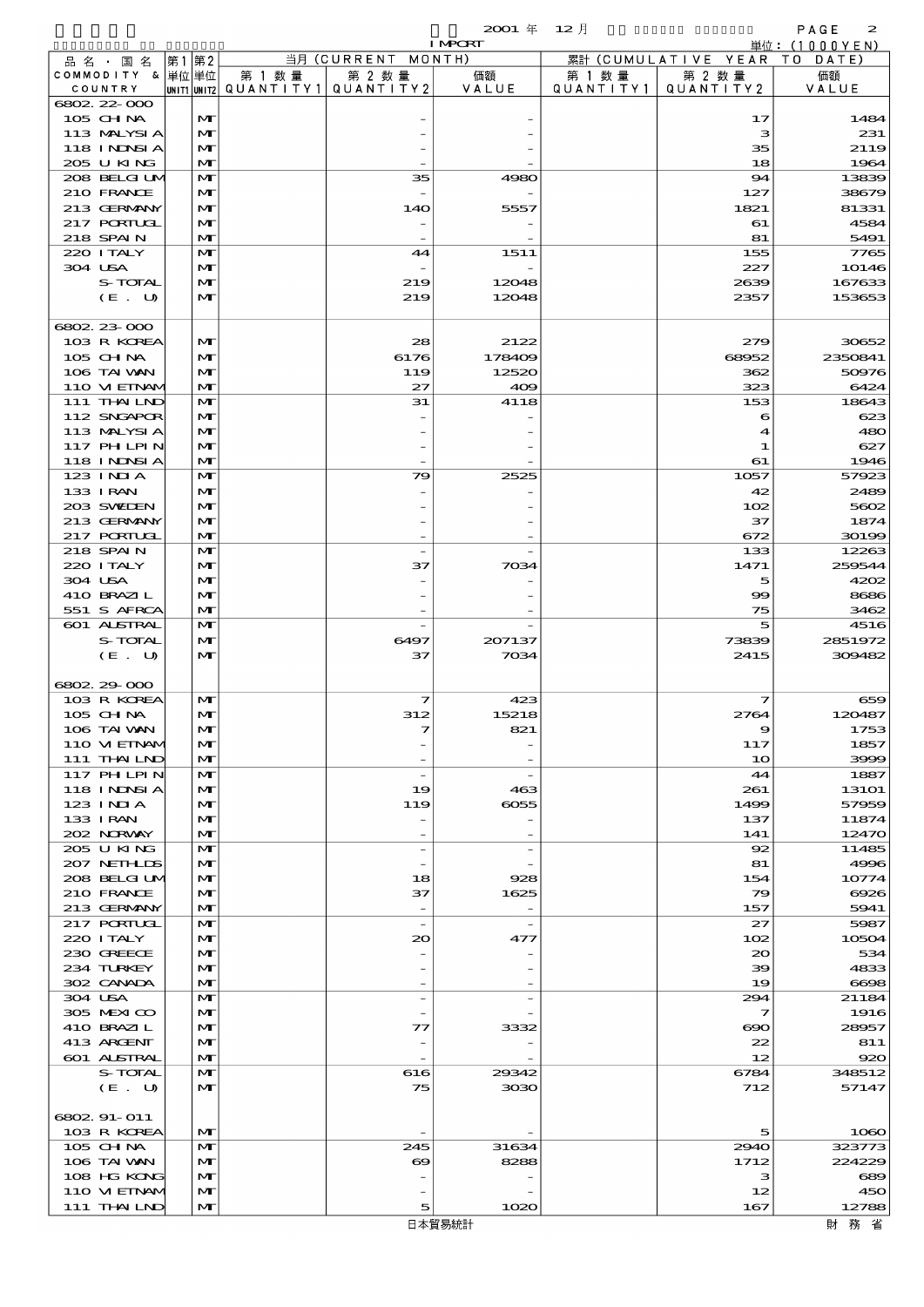|         |                                   |       |                   |                                       |                                | $2001$ $\#$    | $12 \text{ H}$ |                      | PAGE<br>2                 |
|---------|-----------------------------------|-------|-------------------|---------------------------------------|--------------------------------|----------------|----------------|----------------------|---------------------------|
|         | 品 名 ・ 国 名                         | 第1 第2 |                   |                                       | 当月 (CURRENT MONTH)             | <b>I MPORT</b> |                | 累計 (CUMULATIVE YEAR) | 単位: (1000YEN)<br>TO DATE) |
|         | COMMODITY & 単位単位                  |       |                   | 第 1 数量                                | 第 2 数量                         | 価額             | 第 1 数 量        | 第 2 数量               | 価額                        |
|         | COUNTRY                           |       |                   | unit1 unit2  QUANT   TY1  QUANT   TY2 |                                | VALUE          | QUANTITY1      | QUANTITY 2           | VALUE                     |
|         | $6802.22 \cdot 000$<br>$105$ CHNA |       | M                 |                                       |                                |                |                | 17                   | 1484                      |
|         | 113 MALYSIA                       |       | M                 |                                       |                                |                |                | з                    | 231                       |
|         | <b>118 INDSIA</b>                 |       | M                 |                                       |                                |                |                | 35                   | 2119                      |
|         | 205 U KING<br>208 BELGI UM        |       | $\mathbf{M}$<br>M |                                       | 35                             | 4980           |                | 18<br>94             | 1964<br>13839             |
|         | 210 FRANCE                        |       | M                 |                                       |                                |                |                | 127                  | 38679                     |
|         | 213 GERMANY                       |       | $\mathbf{M}$      |                                       | 14O                            | 5557           |                | 1821                 | 81331                     |
|         | <b>217 PORTUGL</b>                |       | M                 |                                       |                                |                |                | 61                   | 4584                      |
|         | 218 SPAIN<br>220 I TALY           |       | M<br>M            |                                       | $\overline{\phantom{a}}$<br>44 | 1511           |                | 81<br>155            | 5491<br>7765              |
| 304 USA |                                   |       | M                 |                                       |                                |                |                | 227                  | 10146                     |
|         | S-TOTAL                           |       | $\mathbf{M}$      |                                       | 219                            | 12048          |                | 2639                 | 167633                    |
|         | (E. U)                            |       | M                 |                                       | 219                            | 12048          |                | 2357                 | 153653                    |
|         | 6802 23 000                       |       |                   |                                       |                                |                |                |                      |                           |
|         | 103 R KOREA                       |       | M                 |                                       | 28                             | 2122           |                | 279                  | 30652                     |
|         | 105 CH NA                         |       | M                 |                                       | 6176                           | 178409         |                | 68952                | 2350841                   |
|         | 106 TAI WAN<br>110 VIEINAM        |       | M<br>M            |                                       | 119<br>27                      | 12520<br>409   |                | 362<br>323           | 50976<br>6424             |
|         | 111 THAILND                       |       | M                 |                                       | 31                             | 4118           |                | 153                  | 18643                     |
|         | 112 SNGAPOR                       |       | M                 |                                       |                                |                |                | 6                    | 623                       |
|         | 113 MALYSIA                       |       | $\mathbf{M}$      |                                       |                                |                |                | 4                    | 480                       |
|         | <b>117 PHLPIN</b><br>118 INNSI A  |       | M<br>M            |                                       |                                |                |                | 1<br>61              | 627<br>1946               |
|         | $123$ INJA                        |       | M                 |                                       | 79                             | 2525           |                | 1057                 | 57923                     |
|         | 133 I RAN                         |       | M                 |                                       |                                |                |                | 42                   | 2489                      |
|         | 203 SWIEN                         |       | M                 |                                       |                                |                |                | 102                  | 5602                      |
|         | 213 GERMANY<br>217 PORIUGI        |       | M<br>M            |                                       |                                |                |                | 37                   | 1874                      |
|         | 218 SPAIN                         |       | M                 |                                       |                                |                |                | 672<br>133           | 30199<br>12263            |
|         | 220 I TALY                        |       | M                 |                                       | 37                             | 7034           |                | 1471                 | 259544                    |
| 304 USA |                                   |       | $\mathbf{M}$      |                                       |                                |                |                | 5                    | 4202                      |
|         | 410 BRAZIL                        |       | M                 |                                       |                                |                |                | $\infty$             | 8686                      |
|         | 551 S AFRCA<br><b>601 ALSTRAL</b> |       | M<br>M            |                                       |                                |                |                | 75<br>5              | 3462<br>4516              |
|         | S-TOTAL                           |       | M                 |                                       | 6497                           | 207137         |                | 73839                | 2851972                   |
|         | (E. U)                            |       | $\mathbf{M}$      |                                       | 37                             | 7034           |                | 2415                 | 309482                    |
|         | 6802 29 000                       |       |                   |                                       |                                |                |                |                      |                           |
|         | 103 R KOREA                       |       | M                 |                                       | 7                              | 423            |                | 7                    | 659                       |
|         | 105 CHNA                          |       | $\mathbf{M}$      |                                       | 312                            | 15218          |                | 2764                 | 120487                    |
|         | 106 TAI VAN                       |       | M                 |                                       | 7                              | 821            |                | 9                    | 1753                      |
|         | 110 VI EINAM<br>111 THAILND       |       | M<br>M            |                                       |                                |                |                | 117<br>10            | 1857<br>3999              |
|         | 117 PHLPIN                        |       | M                 |                                       |                                |                |                | 44                   | 1887                      |
|         | 118 I NDSI A                      |       | M                 |                                       | 19                             | 463            |                | 261                  | <b>13101</b>              |
|         | 123 INIA                          |       | M                 |                                       | 119                            | 6055           |                | 1499                 | 57959                     |
|         | 133 I RAN<br>202 NORWAY           |       | M<br>$\mathbf{M}$ |                                       |                                |                |                | 137<br>141           | 11874<br>12470            |
|         | 205 U KING                        |       | M                 |                                       |                                |                |                | 92                   | 11485                     |
|         | 207 NETHLIS                       |       | M                 |                                       |                                |                |                | 81                   | 4996                      |
|         | 208 BELGI UM                      |       | M                 |                                       | 18                             | 928            |                | 154                  | 10774                     |
|         | 210 FRANCE<br>213 GERMANY         |       | M<br>M            |                                       | 37<br>$\overline{\phantom{a}}$ | 1625           |                | 79<br>157            | 6926<br>5941              |
|         | <b>217 PORTUGL</b>                |       | M                 |                                       | $\overline{\phantom{a}}$       |                |                | 27                   | 5987                      |
|         | 220 I TALY                        |       | M                 |                                       | 20                             | 477            |                | 102                  | 10504                     |
|         | 230 GREECE                        |       | M                 |                                       |                                |                |                | 20                   | 534                       |
|         | 234 TURKEY<br>302 CANADA          |       | M<br>$\mathbf{M}$ |                                       |                                |                |                | 39<br>19             | 4833<br>6698              |
| 304 USA |                                   |       | M                 |                                       |                                |                |                | 294                  | 21184                     |
|         | 305 MEXICO                        |       | M                 |                                       |                                |                |                | 7                    | 1916                      |
|         | 410 BRAZIL                        |       | M                 |                                       | 77                             | 3332           |                | ൈ                    | 28957                     |
|         | 413 ARGENT<br>601 ALSTRAL         |       | M<br>M            |                                       |                                |                |                | 22<br>12             | 811<br>920                |
|         | S-TOTAL                           |       | M                 |                                       | 616                            | 29342          |                | 6784                 | 348512                    |
|         | (E. U)                            |       | M                 |                                       | 75                             | 3030           |                | 712                  | 57147                     |
|         |                                   |       |                   |                                       |                                |                |                |                      |                           |
|         | 6802 91-011<br>103 R KOREA        |       | M                 |                                       |                                |                |                | 5                    | 1080                      |
|         | 105 CH NA                         |       | M                 |                                       | 245                            | 31634          |                | 2940                 | 323773                    |
|         | 106 TAI VAN                       |       | M                 |                                       | ಱ                              | 8288           |                | 1712                 | 224229                    |
|         | 108 HG KONG                       |       | M                 |                                       |                                |                |                | з                    | 689                       |
|         | 110 VIEINAM<br>111 THAILND        |       | M<br>M            |                                       | 5                              | 1020           |                | 12<br>167            | 450<br>12788              |
|         |                                   |       |                   |                                       |                                | 日本貿易統計         |                |                      | 財務省                       |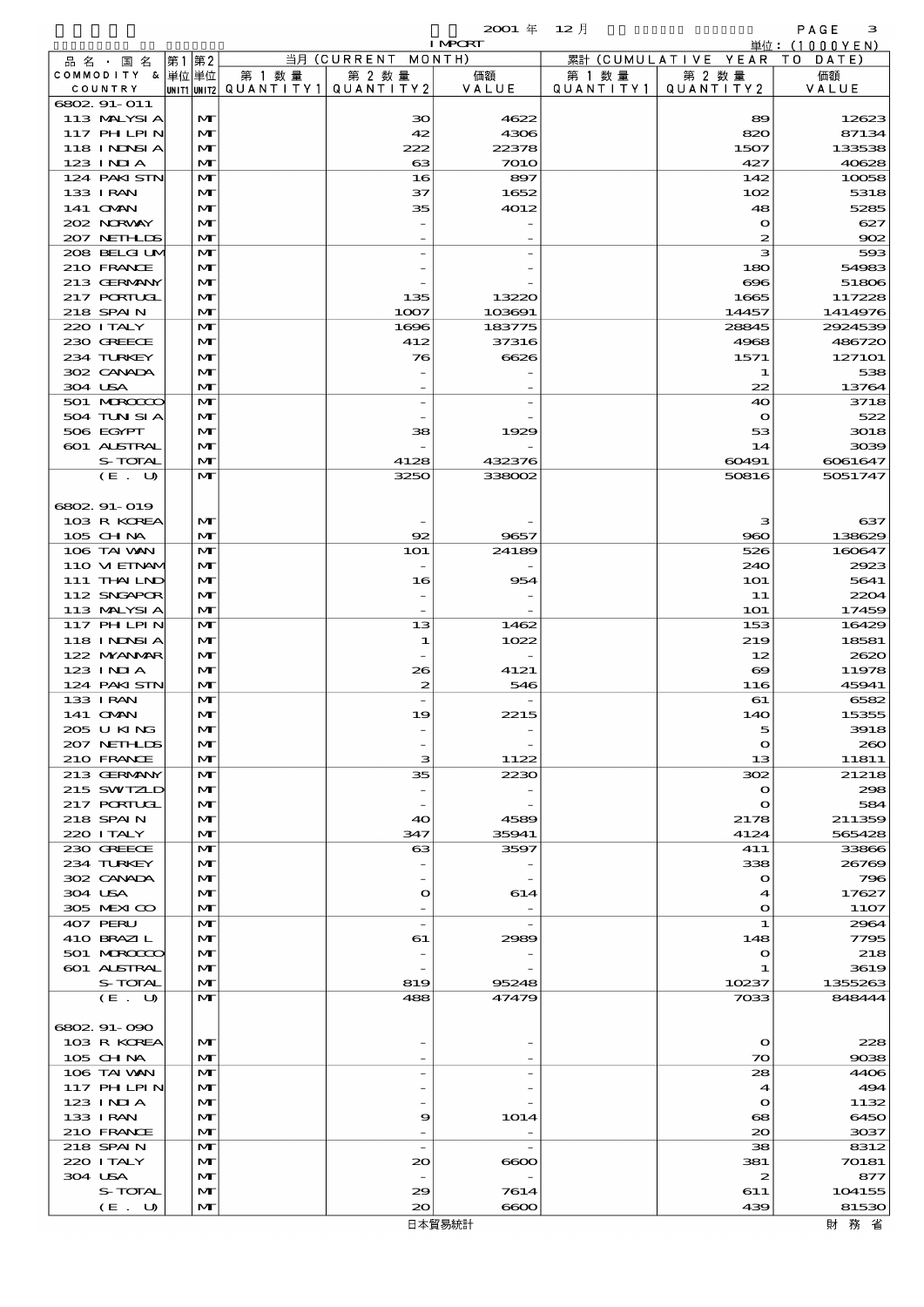|                                  |                   |                      |                          | $2001 \text{ } \#$ | $12$ 月               |                     | PAGE<br>з         |
|----------------------------------|-------------------|----------------------|--------------------------|--------------------|----------------------|---------------------|-------------------|
|                                  |                   |                      |                          | <b>I MPORT</b>     |                      |                     | 単位: $(1000YEN)$   |
| 品 名 ・ 国 名                        | 第1 第2             |                      | 当月 (CURRENT MONTH)       |                    |                      | 累計 (CUMULATIVE YEAR | T O<br>DATE       |
| COMMODITY & 単位単位<br>COUNTRY      | UNIT1 UNIT2       | 第 1 数 量<br>QUANTITY1 | 第 2 数量<br>QUANTITY 2     | 価額<br>VALUE        | 第 1 数 量<br>QUANTITY1 | 第 2 数量<br>QUANTITY2 | 価額<br>VALUE       |
| 6802 91-011                      |                   |                      |                          |                    |                      |                     |                   |
| 113 MALYSIA                      | M                 |                      | 30                       | 4622               |                      | 89                  | 12623             |
| <b>117 PHLPIN</b>                | $\mathbf{M}$      |                      | 42                       | 4306               |                      | 820                 | 87134             |
| 118 I NJNSI A                    | $\mathbf{M}$      |                      | 222                      | 22378              |                      | 1507                | 133538            |
| $123$ $1$ NIA                    | $\mathbf{M}$      |                      | 63                       | 7010               |                      | 427                 | 40628             |
| 124 PAKI STN<br><b>133 I RAN</b> | $\mathbf{M}$      |                      | 16                       | 897                |                      | 142                 | 10058<br>5318     |
| 141 <b>OMN</b>                   | M<br>$\mathbf{M}$ |                      | 37<br>35                 | 1652<br>4012       |                      | 102<br>48           | 5285              |
| 202 NORWAY                       | $\mathbf{M}$      |                      |                          |                    |                      | $\mathbf o$         | 627               |
| 207 NETHLIS                      | M                 |                      |                          |                    |                      | $\boldsymbol{z}$    | 902               |
| 208 BELGI UM                     | $\mathbf{M}$      |                      |                          |                    |                      | з                   | 593               |
| 210 FRANCE                       | $\mathbf{M}$      |                      |                          |                    |                      | 180                 | 54983             |
| 213 GERMANY                      | $\mathbf{M}$      |                      |                          |                    |                      | 696                 | 51806             |
| 217 PORTUGL                      | $\mathbf{M}$      |                      | 135                      | 13220              |                      | 1665                | 117228            |
| 218 SPAIN<br>220 I TALY          | M<br>M            |                      | 1007                     | 103691             |                      | 14457               | 1414976           |
| 230 GREECE                       | M                 |                      | 1696<br>412              | 183775<br>37316    |                      | 28845<br>4968       | 2924539<br>486720 |
| 234 TURKEY                       | M                 |                      | 76                       | 6626               |                      | 1571                | 127101            |
| 302 CANADA                       | $\mathbf{M}$      |                      |                          |                    |                      | 1                   | 538               |
| 304 USA                          | M                 |                      |                          |                    |                      | 22                  | 13764             |
| 501 MERCECO                      | $\mathbf{M}$      |                      | $\overline{\phantom{0}}$ |                    |                      | 40                  | 3718              |
| 504 TUN SI A                     | M                 |                      |                          |                    |                      | $\bullet$           | 522               |
| 506 EGYPT                        | $\mathbf{M}$      |                      | 38                       | 1929               |                      | 53                  | 3018              |
| <b>601 ALSTRAL</b>               | $\mathbf{M}$      |                      |                          |                    |                      | 14                  | 3039              |
| S-TOTAL                          | M<br>$\mathbf{M}$ |                      | 4128<br>3250             | 432376<br>338002   |                      | 60491               | 6061647           |
| (E. U)                           |                   |                      |                          |                    |                      | 50816               | 5051747           |
| 6802 91-019                      |                   |                      |                          |                    |                      |                     |                   |
| 103 R KOREA                      | M                 |                      |                          |                    |                      | з                   | 637               |
| $105$ CHNA                       | $\mathbf{M}$      |                      | 92                       | 9657               |                      | 960                 | 138629            |
| 106 TAI VAN                      | M                 |                      | <b>1O1</b>               | 24189              |                      | 526                 | 160647            |
| 110 VIEINAM                      | $\mathbf{M}$      |                      |                          |                    |                      | 240                 | 2923              |
| 111 THAILND                      | M                 |                      | 16                       | 954                |                      | <b>1O1</b>          | 5641              |
| 112 SNGAPOR                      | $\mathbf{M}$      |                      |                          |                    |                      | 11                  | 2204              |
| 113 MALYSIA<br>117 PHLPIN        | M<br>$\mathbf{M}$ |                      |                          |                    |                      | <b>1O1</b>          | 17459             |
| 118 I NDSI A                     | M                 |                      | 13<br>1                  | 1462<br>1022       |                      | 153<br>219          | 16429<br>18581    |
| 122 MYANAR                       | M                 |                      |                          |                    |                      | 12                  | 2620              |
| 123 INIA                         | M                 |                      | 26                       | 4121               |                      | $\infty$            | 11978             |
| 124 PAKISTN                      | M                 |                      | 2                        | 546                |                      | 116                 | 45941             |
| 133 I RAN                        | M                 |                      |                          |                    |                      | 61                  | 6582              |
| 141 OMN                          | $\mathbf{M}$      |                      | .,                       | 2215               |                      | 14C                 | 15355             |
| 205 U KING                       | $\mathbf{M}$      |                      |                          |                    |                      | 5                   | 3918              |
| 207 NETHLIS                      | M                 |                      |                          |                    |                      | $\mathbf o$         | 260               |
| 210 FRANCE<br>213 GERMANY        | M<br>M            |                      | з<br>35                  | 1122<br>2230       |                      | 13<br>302           | 11811<br>21218    |
| 215 SWIZLD                       | M                 |                      |                          |                    |                      | $\mathbf o$         | 298               |
| 217 PORIUGI                      | M                 |                      |                          |                    |                      | $\mathbf o$         | 584               |
| 218 SPAIN                        | M                 |                      | 40                       | 4589               |                      | 2178                | 211359            |
| 220 I TALY                       | M                 |                      | 347                      | 35941              |                      | 4124                | 565428            |
| 230 GREECE                       | M                 |                      | $\boldsymbol{\alpha}$    | 3597               |                      | 411                 | 33866             |
| 234 TURKEY                       | M                 |                      |                          |                    |                      | 338                 | 26769             |
| 302 CANADA                       | M                 |                      |                          |                    |                      | $\mathbf o$         | 796               |
| 304 USA<br>305 MEXICO            | M<br>M            |                      | $\mathbf o$              | 614                |                      | 4<br>$\bullet$      | 17627<br>11O7     |
| 407 PERU                         | M                 |                      | $\overline{\phantom{a}}$ |                    |                      | 1                   | 2964              |
| 410 BRAZIL                       | M                 |                      | 61                       | 2989               |                      | 148                 | 7795              |
| 501 MRODO                        | M                 |                      |                          |                    |                      | $\mathbf o$         | 218               |
| 601 ALSTRAL                      | M                 |                      |                          |                    |                      | 1                   | 3619              |
| S-TOTAL                          | M                 |                      | 819                      | 95248              |                      | 10237               | 1355263           |
| (E. U)                           | $\mathbf{M}$      |                      | 488                      | 47479              |                      | 7033                | 848444            |
|                                  |                   |                      |                          |                    |                      |                     |                   |
| 6802.91-090<br>103 R KOREA       | M                 |                      |                          |                    |                      | $\mathbf{o}$        | 228               |
| 105 CH NA                        | $\mathbf{M}$      |                      |                          |                    |                      | 70                  | 9038              |
| 106 TAI VAN                      | M                 |                      |                          |                    |                      | 28                  | 4406              |
| 117 PH LPIN                      | M                 |                      |                          |                    |                      | $\boldsymbol{4}$    | 494               |
| 123 INIA                         | M                 |                      |                          |                    |                      | $\mathbf o$         | 1132              |
| 133 I RAN                        | M                 |                      | 9                        | 1014               |                      | 68                  | 6450              |
| 210 FRANCE                       | M                 |                      |                          |                    |                      | $\infty$            | 3037              |
| 218 SPAIN                        | M                 |                      | $\overline{\phantom{a}}$ |                    |                      | 38                  | 8312              |
| 220 I TALY<br>304 USA            | M<br>M            |                      | $_{\infty}$              | $\infty$           |                      | 381<br>2            | 70181<br>877      |
| S-TOTAL                          | M                 |                      | 29                       | 7614               |                      | 611                 | 104155            |
| (E. U)                           | M                 |                      | 20                       | $\infty$           |                      | 439                 | 81530             |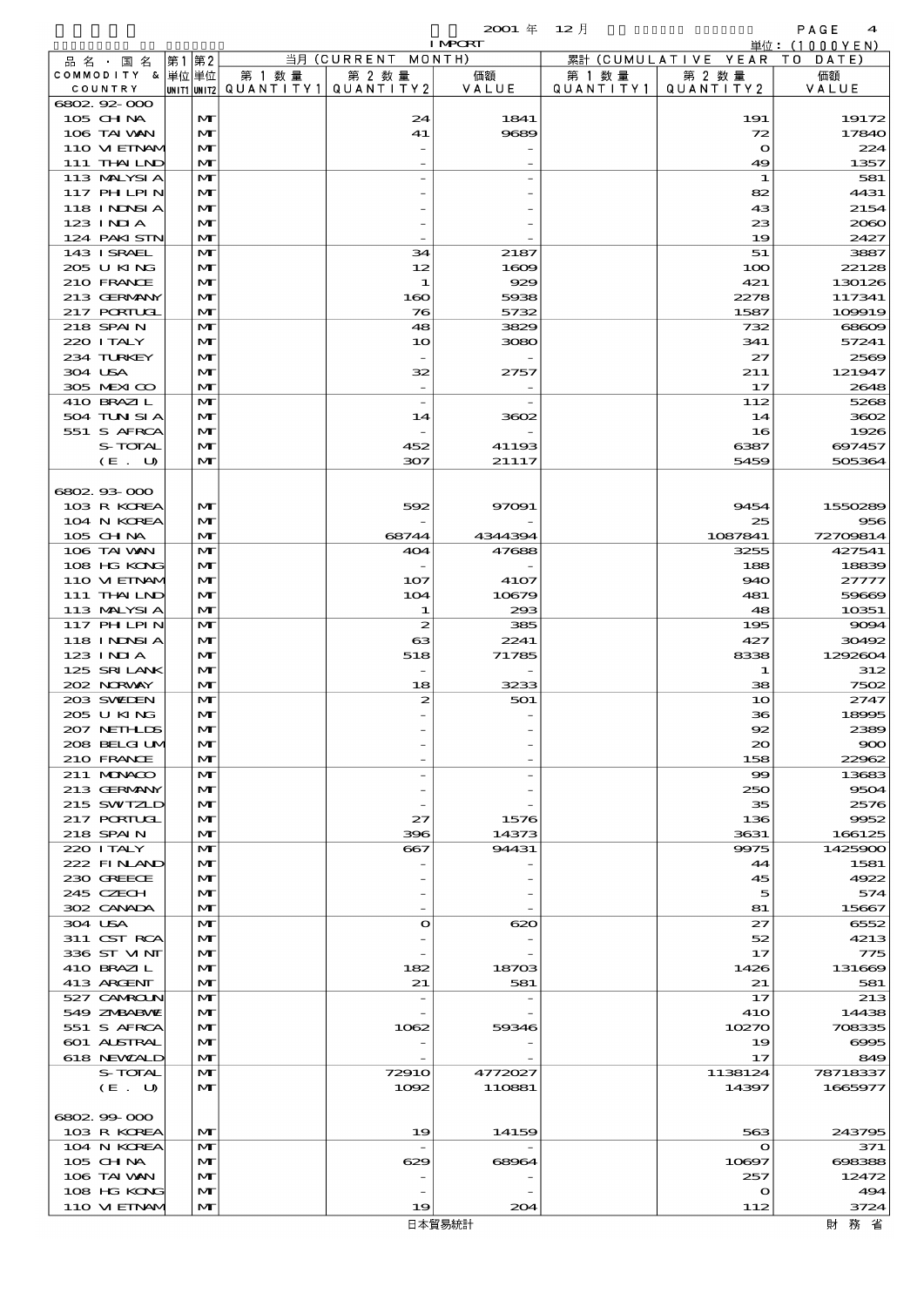|                             |       |                              |                                                  |                       | <b>I MPORT</b>   |                      |                              | 単位: (1000 Y E N )  |
|-----------------------------|-------|------------------------------|--------------------------------------------------|-----------------------|------------------|----------------------|------------------------------|--------------------|
| 品 名 ・ 国 名                   | 第1 第2 |                              |                                                  | 当月 (CURRENT MONTH)    |                  |                      | 累計 (CUMULATIVE YEAR TO DATE) |                    |
| COMMODITY & 単位単位<br>COUNTRY |       |                              | 第 1 数量<br> unit1 unit2  QUANT   TY1  QUANT   TY2 | 第 2 数量                | 価額<br>VALUE      | 第 1 数 量<br>QUANTITY1 | 第 2 数量<br>QUANTITY 2         | 価額                 |
| 6802.92-000                 |       |                              |                                                  |                       |                  |                      |                              | VALUE              |
| 105 CH NA                   |       | M                            |                                                  | 24                    | 1841             |                      | 191                          | 19172              |
| 106 TAI VAN                 |       | $\mathbf{M}$                 |                                                  | 41                    | 9689             |                      | 72                           | 17840              |
| 110 VI EINAM                |       | M                            |                                                  |                       |                  |                      | $\mathbf o$                  | 224                |
| 111 THAILND                 |       | $\mathbf{M}$                 |                                                  |                       |                  |                      | 49                           | 1357               |
| 113 MALYSIA<br>117 PHLPIN   |       | M<br>M                       |                                                  |                       |                  |                      | 1<br>82                      | 581<br>4431        |
| 118 INNSI A                 |       | M                            |                                                  |                       |                  |                      | 43                           | 2154               |
| $123$ INJA                  |       | M                            |                                                  |                       |                  |                      | 23                           | 2060               |
| 124 PAKI STN                |       | M                            |                                                  |                       |                  |                      | 19                           | 2427               |
| 143 ISRAEL                  |       | M                            |                                                  | 34                    | 2187             |                      | 51                           | 3887               |
| 205 U KING                  |       | M                            |                                                  | 12                    | 1609             |                      | 100                          | 22128              |
| 210 FRANCE                  |       | $\mathbf{M}$                 |                                                  | 1                     | 929              |                      | 421                          | 130126             |
| 213 GERMANY<br>217 PORTUGL  |       | M<br>M                       |                                                  | 160<br>76             | 5938<br>5732     |                      | 2278<br>1587                 | 117341<br>109919   |
| 218 SPAIN                   |       | M                            |                                                  | 48                    | 3829             |                      | 732                          | 68609              |
| 220 I TALY                  |       | M                            |                                                  | 10                    | 3080             |                      | 341                          | 57241              |
| 234 TURKEY                  |       | $\mathbf{M}$                 |                                                  |                       |                  |                      | 27                           | 2569               |
| 304 USA                     |       | M                            |                                                  | 32                    | 2757             |                      | 211                          | 121947             |
| 305 MEXICO                  |       | M                            |                                                  |                       |                  |                      | 17                           | 2648               |
| 410 BRAZIL                  |       | M                            |                                                  |                       |                  |                      | 112                          | 5268               |
| 504 TUN SI A<br>551 S AFRCA |       | M<br>M                       |                                                  | 14                    | 3602             |                      | 14<br>16                     | 3602<br>1926       |
| S-TOTAL                     |       | M                            |                                                  | 452                   | 41193            |                      | 6387                         | 697457             |
| (E. U)                      |       | $\mathbf{M}$                 |                                                  | 307                   | 21117            |                      | 5459                         | 505364             |
|                             |       |                              |                                                  |                       |                  |                      |                              |                    |
| 6802.93-000                 |       |                              |                                                  |                       |                  |                      |                              |                    |
| 103 R KOREA                 |       | $\mathbf{M}$                 |                                                  | 592                   | 97091            |                      | 9454                         | 1550289            |
| 104 N KOREA                 |       | M                            |                                                  |                       |                  |                      | 25                           | 956                |
| 105 CH NA<br>106 TAI VAN    |       | M<br>M                       |                                                  | 68744<br>404          | 4344394<br>47688 |                      | 1087841<br>3255              | 72709814<br>427541 |
| 108 HG KONG                 |       | M                            |                                                  |                       |                  |                      | 188                          | 18839              |
| 110 VIEINAM                 |       | M                            |                                                  | 107                   | 4107             |                      | 940                          | 27777              |
| 111 THAILND                 |       | M                            |                                                  | 104                   | 10679            |                      | 481                          | 59669              |
| 113 MALYSIA                 |       | M                            |                                                  | 1                     | 293              |                      | 48                           | 10351              |
| 117 PHLPIN                  |       | M                            |                                                  | $\boldsymbol{z}$      | 385              |                      | 195                          | 9094               |
| 118 INNSI A<br>123 INIA     |       | $\mathbf{M}$<br>$\mathbf{M}$ |                                                  | $\boldsymbol{\alpha}$ | 2241             |                      | 427                          | 30492              |
| 125 SRILANK                 |       | M                            |                                                  | 518                   | 71785            |                      | 8338<br>-1                   | 1292604<br>312     |
| 202 NRWAY                   |       | M                            |                                                  | 18                    | 3233             |                      | 38                           | 7502               |
| 203 SWIDEN                  |       | M                            |                                                  | 2                     | 501              |                      | 10                           | 2747               |
| 205 U KING                  |       | M                            |                                                  |                       |                  |                      | 36                           | 18995              |
| 207 NETHLIS                 |       | $\mathbf{M}$                 |                                                  |                       |                  |                      | 92                           | 2389               |
| 208 BELGI UM                |       | M                            |                                                  |                       |                  |                      | $\infty$                     | 900                |
| 210 FRANCE<br>211 MUNACO    |       | M<br>$\mathbf{M}$            |                                                  |                       |                  |                      | 158<br>99                    | 22962<br>13683     |
| 213 GERMANY                 |       | $\mathbf{M}$                 |                                                  |                       |                  |                      | 250                          | 9504               |
| 215 SWIZLD                  |       | M                            |                                                  |                       |                  |                      | 35                           | 2576               |
| <b>217 PORTUGL</b>          |       | M                            |                                                  | 27                    | 1576             |                      | 136                          | 9952               |
| 218 SPAIN                   |       | M                            |                                                  | 396                   | 14373            |                      | 3631                         | 166125             |
| 220 I TALY                  |       | $\mathbf{M}$                 |                                                  | $-667$                | 94431            |                      | 9975                         | 1425900            |
| 222 FINAND                  |       | $\mathbf{M}$                 |                                                  |                       |                  |                      | 44                           | 1581               |
| 230 GREECE<br>245 CZECH     |       | M<br>M                       |                                                  |                       |                  |                      | 45<br>5                      | 4922<br>574        |
| 302 CANADA                  |       | M                            |                                                  |                       |                  |                      | 81                           | 15667              |
| 304 USA                     |       | M                            |                                                  | $\mathbf{o}$          | 620              |                      | 27                           | 6552               |
| 311 CST RCA                 |       | $\mathbf{M}$                 |                                                  |                       |                  |                      | 52                           | 4213               |
| 336 ST VINT                 |       | M                            |                                                  |                       |                  |                      | 17                           | 775                |
| 410 BRAZIL                  |       | M                            |                                                  | 182                   | 18703            |                      | 1426                         | 131669             |
| 413 ARGENT<br>527 CAMROLN   |       | M<br>M                       |                                                  | 21                    | 581              |                      | 21<br>17                     | 581<br>213         |
| 549 ZNBABVIE                |       | $\mathbf{M}$                 |                                                  |                       |                  |                      | 41O                          | 14438              |
| 551 S AFRCA                 |       | M                            |                                                  | 1062                  | 59346            |                      | 10270                        | 708335             |
| 601 ALSTRAL                 |       | M                            |                                                  |                       |                  |                      | 19                           | 6995               |
| 618 NEWALD                  |       | M                            |                                                  |                       |                  |                      | 17                           | 849                |
| S-TOTAL                     |       | M                            |                                                  | 72910                 | 4772027          |                      | 1138124                      | 78718337           |
| (E. U)                      |       | $\mathbf{M}$                 |                                                  | 1002                  | 110881           |                      | 14397                        | 1665977            |
| 6802.99-000                 |       |                              |                                                  |                       |                  |                      |                              |                    |
| 103 R KOREA                 |       | $\mathbf{M}$                 |                                                  | 19                    | 14159            |                      | 563                          | 243795             |
| 104 N KOREA                 |       | M                            |                                                  |                       |                  |                      | $\mathbf o$                  | 371                |
| $105$ CHNA                  |       | M                            |                                                  | 629                   | 68964            |                      | 10897                        | 698388             |
| 106 TAI VAN                 |       | M                            |                                                  |                       |                  |                      | 257                          | 12472<br>494       |
| 108 HG KONG<br>110 VIEINAM  |       | M<br>M                       |                                                  | 19                    | 204              |                      | $\mathbf o$<br>112           | 3724               |
|                             |       |                              |                                                  |                       |                  |                      |                              |                    |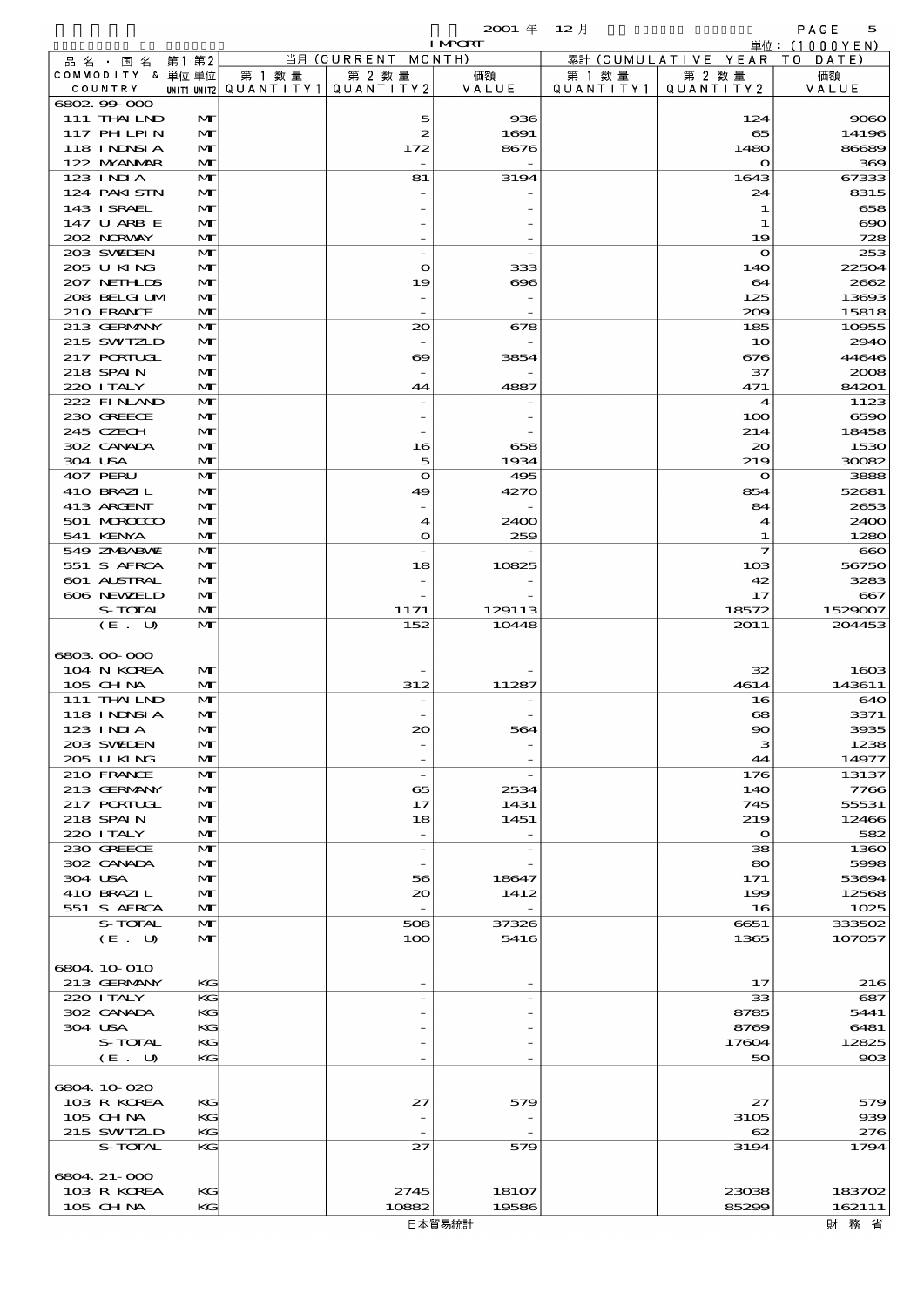|                             |       |              |        |                                                  | <b>I MPCRT</b> |           |                              | 単位: (1000YEN)  |
|-----------------------------|-------|--------------|--------|--------------------------------------------------|----------------|-----------|------------------------------|----------------|
| 品 名 ・ 国 名                   | 第1 第2 |              |        | 当月 (CURRENT MONTH)                               |                |           | 累計 (CUMULATIVE YEAR TO DATE) |                |
| COMMODITY & 単位単位<br>COUNTRY |       |              | 第 1 数量 | 第 2 数量<br> unit1 unit2  Q∪ANT   TY1  Q∪ANT   TY2 | 価額<br>VALUE    | 第 1 数 量   | 第 2 数量<br>QUANTITY 2         | 価額             |
| 6802.99-000                 |       |              |        |                                                  |                | QUANTITY1 |                              | VALUE          |
| 111 THAILND                 |       | M            |        | 5                                                | 936            |           | 124                          | 9080           |
| 117 PHLPIN                  |       | M            |        | 2                                                | 1691           |           | 65                           | 14196          |
| 118 I NDSI A                |       | M            |        | 172                                              | 8676           |           | 1480                         | 86689          |
| 122 NYANAR                  |       | M<br>M       |        |                                                  |                |           | $\bullet$                    | 369            |
| 123 INIA<br>124 PAKI STN    |       | M            |        | 81                                               | 3194           |           | 1643<br>24                   | 67333<br>8315  |
| 143 I SRAEL                 |       | M            |        |                                                  |                |           | 1                            | 658            |
| 147 U ARB E                 |       | $\mathbf{M}$ |        |                                                  |                |           | 1                            | $\infty$       |
| 202 NORWAY                  |       | $\mathbf{M}$ |        |                                                  |                |           | 19                           | 728            |
| 203 SWIEN                   |       | M            |        |                                                  |                |           | $\mathbf o$                  | 253            |
| 205 U KING<br>207 NETHLIS   |       | M<br>M       |        | $\bullet$<br>19                                  | 333<br>ങ്ങ     |           | 140<br>64                    | 22504<br>2662  |
| 208 BELGI UM                |       | $\mathbf{M}$ |        |                                                  |                |           | 125                          | 13693          |
| 210 FRANCE                  |       | $\mathbf{M}$ |        |                                                  |                |           | 200                          | 15818          |
| 213 GERMANY                 |       | M            |        | 20                                               | 678            |           | 185                          | 10955          |
| 215 SWIZLD                  |       | M            |        |                                                  |                |           | 10                           | 2940           |
| 217 PORTUGL<br>218 SPAIN    |       | M<br>M       |        | ಱ                                                | 3854           |           | 676<br>37                    | 44646<br>2008  |
| 220 I TALY                  |       | M            |        | 44                                               | 4887           |           | 471                          | 84201          |
| 222 FINAND                  |       | M            |        |                                                  |                |           | $\boldsymbol{4}$             | 1123           |
| 230 GREECE                  |       | M            |        |                                                  |                |           | 100                          | 6590           |
| 245 CZECH                   |       | M            |        |                                                  |                |           | 214                          | 18458          |
| 302 CANADA                  |       | M            |        | 16                                               | 658            |           | $\infty$                     | 1530           |
| 304 USA<br>407 PERU         |       | M<br>M       |        | 5<br>$\mathbf{o}$                                | 1934<br>495    |           | 219<br>$\mathbf o$           | 30082<br>3888  |
| 410 BRAZIL                  |       | M            |        | 49                                               | 4270           |           | 854                          | 52681          |
| 413 ARCENT                  |       | M            |        |                                                  |                |           | 84                           | 2653           |
| 501 MROCCO                  |       | $\mathbf{M}$ |        | 4                                                | 2400           |           | 4                            | 2400           |
| 541 KENYA                   |       | M            |        | O                                                | 259            |           | 1                            | 1280           |
| 549 ZNBABVE                 |       | M            |        |                                                  |                |           | $\overline{\mathbf{z}}$      | $\infty$       |
| 551 S AFRCA<br>601 ALSTRAL  |       | M<br>M       |        | 18                                               | 10825          |           | 103<br>42                    | 56750<br>3283  |
| 606 NEWELD                  |       | $\mathbf{M}$ |        |                                                  |                |           | 17                           | $-667$         |
| S-TOTAL                     |       | $\mathbf{M}$ |        | 1171                                             | 129113         |           | 18572                        | 1529007        |
| (E. U)                      |       | $\mathbf{M}$ |        | 152                                              | 10448          |           | 2011                         | 204453         |
|                             |       |              |        |                                                  |                |           |                              |                |
| 680300000<br>104 N KOREA    |       | M            |        |                                                  |                |           | 32                           | 1603           |
| 105 CHNA                    |       | M            |        | 312                                              | 11287          |           | 4614                         | 143611         |
| 111 THAILND                 |       | M            |        |                                                  |                |           | 16                           | 640            |
| 118 INNSI A                 |       | M            |        |                                                  |                |           | $\mathbf{g}$                 | 3371           |
| 123 INIA                    |       | $\mathbf{M}$ |        |                                                  | 56             |           | $\infty$                     | 3935           |
| 203 SWIDEN                  |       | M            |        |                                                  |                |           | з                            | 1238           |
| 205 U KING<br>210 FRANCE    |       | M<br>M       |        | $\overline{\phantom{a}}$                         |                |           | 44<br>176                    | 14977<br>13137 |
| 213 GERMANY                 |       | M            |        | 65                                               | 2534           |           | 14O                          | 7766           |
| <b>217 PORTUGL</b>          |       | $\mathbf{M}$ |        | 17                                               | 1431           |           | 745                          | 55531          |
| 218 SPAIN                   |       | $\mathbf{M}$ |        | 18                                               | 1451           |           | 219                          | 12466          |
| 220 I TALY                  |       | M            |        |                                                  |                |           | $\Omega$                     | 582            |
| 230 GREECE<br>302 CANADA    |       | M            |        | $\overline{a}$                                   |                |           | 38                           | 1360           |
| 304 USA                     |       | M<br>M       |        | 56                                               | 18647          |           | 80<br>171                    | 5998<br>53694  |
| 410 BRAZIL                  |       | M            |        | 20                                               | 1412           |           | 199                          | 12568          |
| 551 S AFRCA                 |       | M            |        | $\overline{\phantom{a}}$                         |                |           | 16                           | 1025           |
| S-TOTAL                     |       | $\mathbf{M}$ |        | 508                                              | 37326          |           | 6651                         | 333502         |
| (E. U)                      |       | $\mathbf{M}$ |        | 100                                              | 5416           |           | 1365                         | 107057         |
| 6804 10 010                 |       |              |        |                                                  |                |           |                              |                |
| 213 GERMANY                 |       | KG           |        |                                                  |                |           | 17                           | 216            |
| 220 I TALY                  |       | KG           |        |                                                  |                |           | 33                           | 687            |
| 302 CANADA                  |       | KG           |        |                                                  |                |           | 8785                         | 5441           |
| 304 USA                     |       | KG           |        |                                                  |                |           | 8769                         | 6481           |
| S-TOTAL<br>(E. U)           |       | KG<br>KG     |        |                                                  |                |           | 17604<br>50                  | 12825<br>903   |
|                             |       |              |        |                                                  |                |           |                              |                |
| 6804 10 020                 |       |              |        |                                                  |                |           |                              |                |
| 103 R KOREA                 |       | KG           |        | 27                                               | 579            |           | 27                           | 579            |
| 105 CHNA                    |       | KG           |        |                                                  |                |           | 3105                         | 939            |
| 215 SWIZLD                  |       | KG           |        |                                                  |                |           | 62                           | 276            |
| S-TOTAL                     |       | КC           |        | 27                                               | 579            |           | 3194                         | 1794           |
| 6804 21-000                 |       |              |        |                                                  |                |           |                              |                |
| 103 R KOREA                 |       | KG           |        | 2745                                             | 18107          |           | 23038                        | 183702         |
| 105 CHNA                    |       | KG           |        | 10882                                            | 19586          |           | 85299                        | 162111         |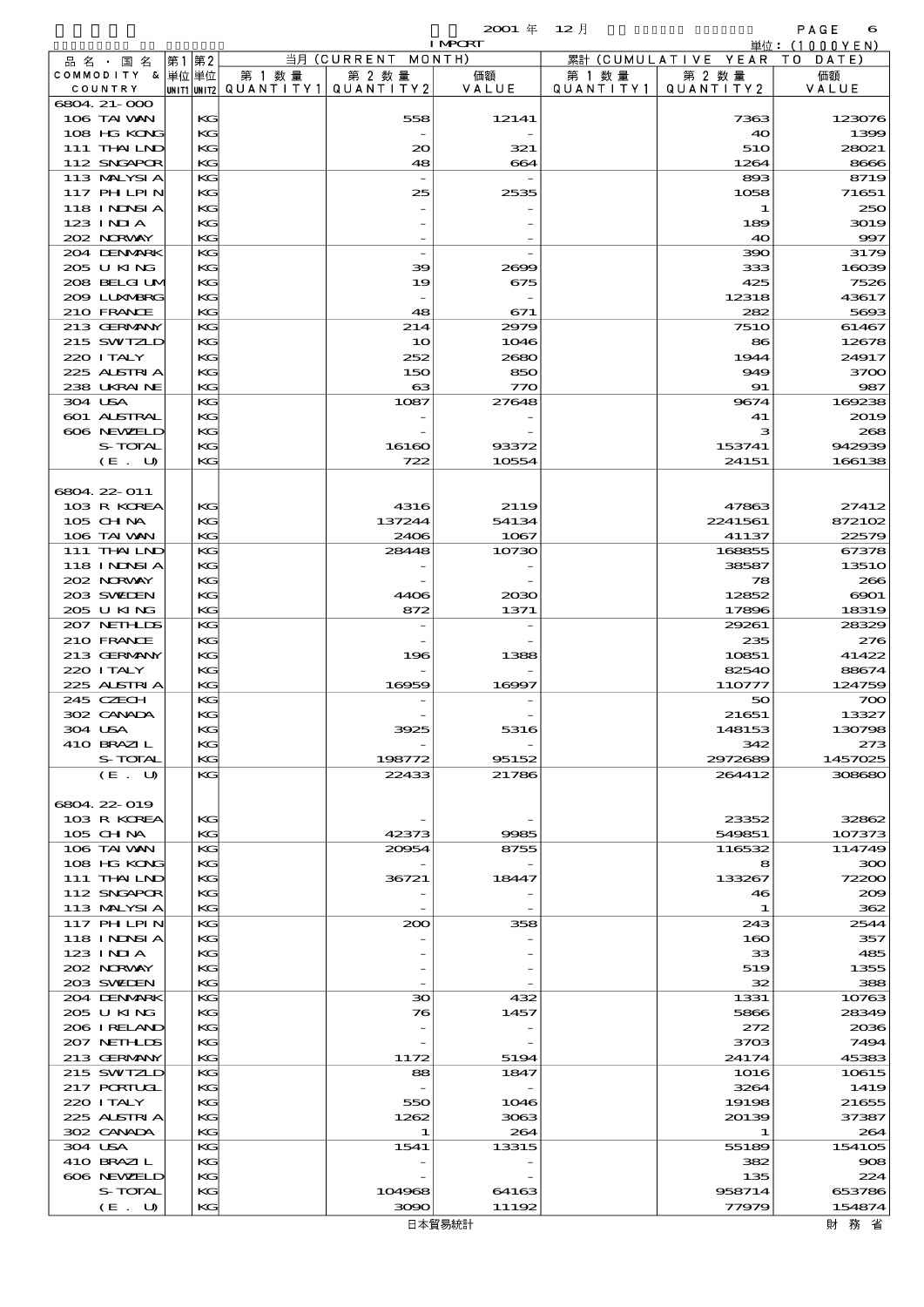$2001 \quad \text{if} \quad 12 \quad \text{if} \quad \text{PAGE} \quad \text{6}$ 

|                   |      |                                         |                    | <b>I MPORT</b> |           |                              | 単位:(1000YEN) |
|-------------------|------|-----------------------------------------|--------------------|----------------|-----------|------------------------------|--------------|
| 品 名 · 国 名         | 第1第2 |                                         | 当月 (CURRENT MONTH) |                |           | 累計 (CUMULATIVE YEAR TO DATE) |              |
| COMMODITY & 単位単位  |      | 第 1 数 量                                 | 第 2 数量             | 価額             | 第 1 数 量   | 第 2 数量                       | 価額           |
| COUNTRY           |      | UNIT1 UNIT2   QUANT   TY1   QUANT   TY2 |                    | VALUE          | QUANTITY1 | QUANTITY 2                   | VALUE        |
| 6804 21-000       |      |                                         |                    |                |           |                              |              |
| 106 TAI VAN       | KG   |                                         | 558                | 12141          |           | 7363                         | 123076       |
| 108 HG KONG       | KG   |                                         |                    |                |           | 40                           | 1399         |
| 111 THAILND       | KG   |                                         | $\infty$           | 321            |           | 51O                          | 28021        |
| 112 SNGAPOR       | KG   |                                         | 48                 | 664            |           | 1264                         | 8666         |
| 113 MALYSIA       | KG   |                                         |                    |                |           | 893                          | 8719         |
| 117 PHLPIN        | KG   |                                         |                    |                |           |                              |              |
|                   |      |                                         | 25                 | 2535           |           | 1058                         | 71651        |
| <b>118 INNSIA</b> | KG   |                                         |                    |                |           | 1                            | 250          |
| 123 INIA          | KG   |                                         |                    |                |           | 189                          | 3019         |
| 202 NORWAY        | KG   |                                         |                    |                |           | 40                           | 997          |
| 204 DENMARK       | KG   |                                         |                    |                |           | 390                          | 3179         |
| 205 U KING        | KG   |                                         | 39                 | 2699           |           | 333                          | 16039        |
| 208 BELGI UM      | KG   |                                         | 19                 | 675            |           | 425                          | 7526         |
| 2009 LUXMBRG      | KG   |                                         |                    |                |           | 12318                        | 43617        |
| 210 FRANCE        | KG   |                                         | 48                 | 671            |           | 282                          | 5693         |
| 213 GERMANY       | KG   |                                         | 214                | 2979           |           | <b>7510</b>                  | 61467        |
| 215 SWIZLD        | KG   |                                         | 10                 | 1046           |           | 86                           | 12678        |
| 220 I TALY        | KG   |                                         | 252                | 2680           |           | 1944                         | 24917        |
| 225 ALSTRIA       | KG   |                                         | 150                | 850            |           | 949                          | 3700         |
| 238 UKRAINE       | KG   |                                         | $\mathbf{G}$       | 770            |           | 91                           | 987          |
| 304 USA           | KG   |                                         | 1087               | 27648          |           | 9674                         | 169238       |
|                   |      |                                         |                    |                |           |                              |              |
| 601 ALSTRAL       | KG   |                                         |                    |                |           | 41                           | 2019         |
| 606 NEWELD        | KG   |                                         |                    |                |           | з                            | 268          |
| S-TOTAL           | KG   |                                         | 16160              | 93372          |           | 153741                       | 942939       |
| (E. U)            | KG   |                                         | 722                | 10554          |           | 24151                        | 166138       |
|                   |      |                                         |                    |                |           |                              |              |
| 6804 22 011       |      |                                         |                    |                |           |                              |              |
| 103 R KOREA       | КG   |                                         | 4316               | 2119           |           | 47863                        | 27412        |
| 105 CH NA         | KG   |                                         | 137244             | 54134          |           | 2241561                      | 872102       |
| 106 TAI VAN       | KG   |                                         | 2406               | 1067           |           | 41137                        | 22579        |
| 111 THAILND       | KG   |                                         | 28448              | 10730          |           | 168855                       | 67378        |
| 118 I NDSI A      | KG   |                                         |                    |                |           | 38587                        | <b>13510</b> |
| 202 NORVAY        | KG   |                                         |                    |                |           | 78                           | 266          |
| 203 SWIDEN        | KG   |                                         | 4406               | 2030           |           | 12852                        | 6001         |
| 205 U KING        | KG   |                                         | 872                | 1371           |           | 17896                        | 18319        |
| 207 NETHLIS       | KG   |                                         |                    |                |           | 29261                        | 28329        |
| 210 FRANCE        | KG   |                                         |                    |                |           | 235                          | 276          |
|                   |      |                                         |                    |                |           |                              |              |
| 213 GERMANY       | KG   |                                         | 196                | 1388           |           | 10851                        | 41422        |
| 220 ITALY         | KG   |                                         |                    |                |           | 82540                        | 88674        |
| 225 ALSTRIA       | KG   |                                         | 16959              | 16997          |           | 110777                       | 124759       |
| 245 CZECH         | KG   |                                         |                    |                |           | 50                           | 700          |
| 302 CANADA        | KG   |                                         |                    |                |           | 21651                        | 13327        |
| 304 USA           | KG   |                                         | $-1$               | 5316           |           | 148153                       | 130798       |
| 410 BRAZIL        | KG   |                                         |                    |                |           | 342                          | 273          |
| S-TOTAL           | КG   |                                         | 198772             | 95152          |           | 2972689                      | 1457025      |
| (E. U)            | KG   |                                         | 22433              | 21786          |           | 264412                       | 308680       |
|                   |      |                                         |                    |                |           |                              |              |
| 6804 22 019       |      |                                         |                    |                |           |                              |              |
| 103 R KOREA       | KG   |                                         |                    |                |           | 23352                        | 32862        |
| 105 CH NA         | КG   |                                         | 42373              | 9985           |           | 549851                       | 107373       |
| 106 TAI VAN       | KG   |                                         | 20054              | 8755           |           | 116532                       | 114749       |
| 108 HG KONG       | KG   |                                         |                    |                |           | 8                            | 300          |
| 111 THAILND       | KС   |                                         | 36721              | 18447          |           | 133267                       | 72200        |
| 112 SNGAPOR       |      |                                         |                    |                |           |                              |              |
|                   | KG   |                                         |                    |                |           | 46                           | 209          |
| 113 MALYSIA       | КG   |                                         |                    |                |           | 1                            | 362          |
| 117 PHLPIN        | KG   |                                         | 200                | 358            |           | 243                          | 2544         |
| 118 I NDSI A      | KG   |                                         |                    |                |           | 160                          | 357          |
| 123 INIA          | KС   |                                         |                    |                |           | 33                           | 485          |
| 202 NORWAY        | KG   |                                         |                    |                |           | 519                          | 1355         |
| 203 SWIDEN        | КG   |                                         |                    |                |           | 32                           | 388          |
| 204 DENMARK       | KG   |                                         | 30                 | 432            |           | 1331                         | 10763        |
| 205 U KING        | KG   |                                         | 76                 | 1457           |           | 5866                         | 28349        |
| 206 I RELAND      | KG   |                                         |                    |                |           | 272                          | 2036         |
| 207 NETHLIS       | KG   |                                         |                    |                |           | 3703                         | 7494         |
| 213 GERMANY       | КG   |                                         | 1172               | 5194           |           | 24174                        | 45383        |
| 215 SWIZLD        | KG   |                                         | 88                 | 1847           |           | 1016                         | 10615        |
| 217 PORTUGL       | KG   |                                         |                    |                |           | 3264                         | 1419         |
| 220 I TALY        | KG   |                                         | 550                | 1046           |           | 19198                        | 21655        |
|                   |      |                                         |                    |                |           |                              |              |
| 225 ALSTRIA       | KG   |                                         | 1262               | 3063           |           | 20139                        | 37387        |
| 302 CANADA        | КG   |                                         | 1                  | 264            |           | 1                            | 264          |
| 304 USA           | KG   |                                         | 1541               | 13315          |           | 55189                        | 154105       |
| 410 BRAZIL        | KG   |                                         |                    |                |           | 382                          | 908          |
| 606 NEWELD        | KG   |                                         |                    |                |           | 135                          | 224          |
| S-TOTAL           | KG   |                                         | 104968             | 64163          |           | 958714                       | 653786       |
| (E. U)            | KG   |                                         | 3090               | 11192          |           | 77979                        | 154874       |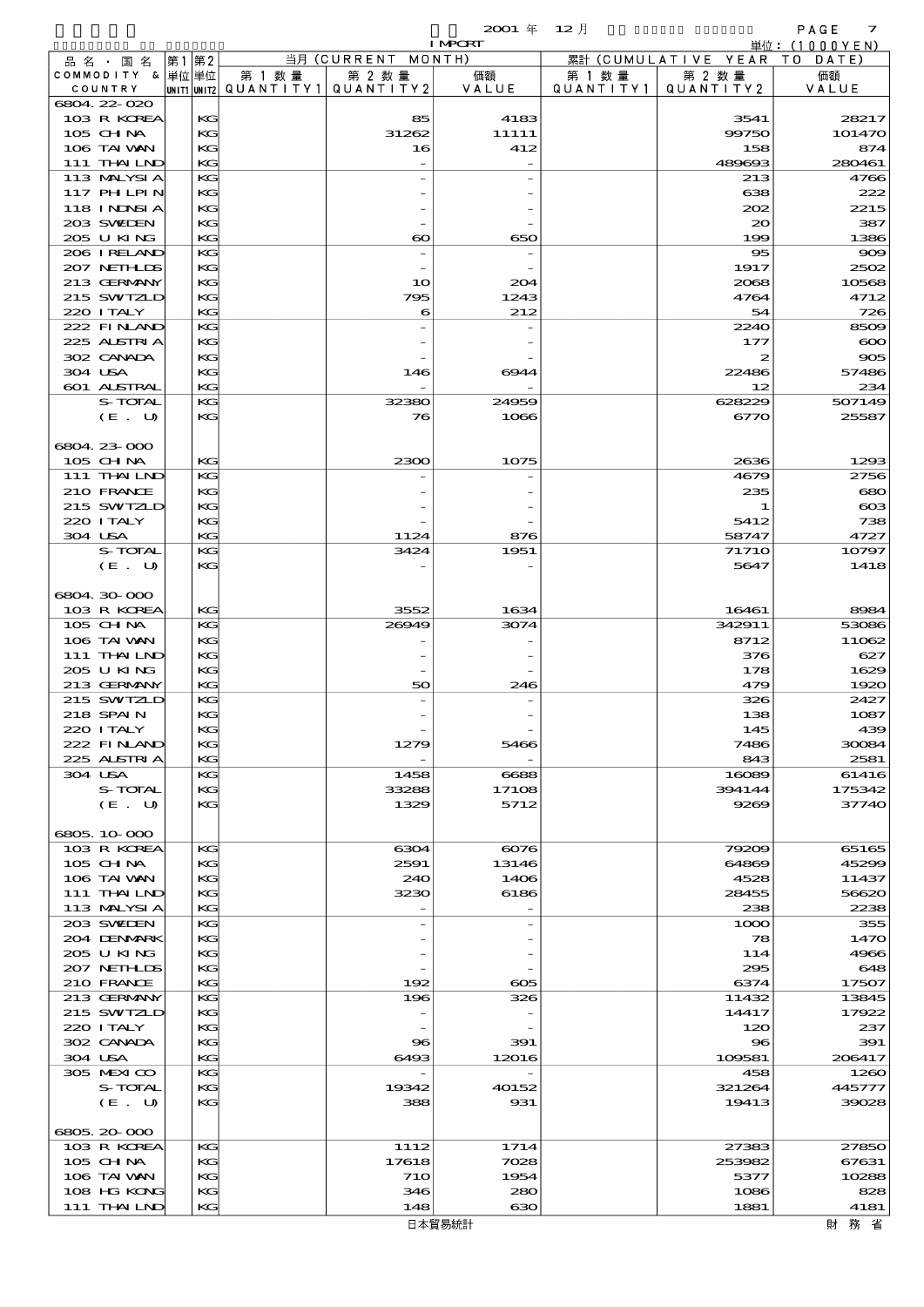|         |                            |       |          |        |                                          | <b>I MPCRT</b> |           |                              | 単位: (1000 Y E N ) |
|---------|----------------------------|-------|----------|--------|------------------------------------------|----------------|-----------|------------------------------|-------------------|
|         | 品名・国名                      | 第1 第2 |          |        | 当月 (CURRENT MONTH)                       |                |           | 累計 (CUMULATIVE YEAR TO DATE) |                   |
|         | COMMODITY & 単位単位           |       |          | 第 1 数量 | 第 2 数量                                   | 価額             | 第 1 数 量   | 第 2 数量                       | 価額                |
|         | COUNTRY                    |       |          |        | UNIT1 UNIT2  QUANT I TY 1   QUANT I TY 2 | VALUE          | QUANTITY1 | QUANTITY 2                   | VALUE             |
|         | 6804.22-020<br>103 R KOREA |       | KG       |        | 85                                       | 4183           |           | 3541                         | 28217             |
|         | 105 CHNA                   |       | KG       |        | 31262                                    | 11111          |           | 99750                        | 101470            |
|         | 106 TAI VAN                |       | KG       |        | 16                                       | 412            |           | 158                          | 874               |
|         | 111 THAILND                |       | KG       |        |                                          |                |           | 489693                       | 280461            |
|         | 113 MALYSIA                |       | KG       |        |                                          |                |           | 213                          | 4766              |
|         | 117 PHLPIN                 |       | KG       |        |                                          |                |           | 638                          | 222               |
|         | 118 I NDSI A               |       | KG       |        |                                          |                |           | 202                          | 2215              |
|         | 203 SWIDEN                 |       | KG       |        |                                          |                |           | $\infty$                     | 387               |
|         | 205 U KING<br>206 IRELAND  |       | KG<br>KG |        | $\boldsymbol{\infty}$                    | 650            |           | 199<br>95                    | 1386<br>$\infty$  |
|         | 207 NETHLIS                |       | KG       |        |                                          |                |           | 1917                         | 2502              |
|         | 213 GERMANY                |       | KG       |        | 10                                       | 204            |           | 2068                         | 10568             |
|         | 215 SWIZLD                 |       | KG       |        | 795                                      | 1243           |           | 4764                         | 4712              |
|         | 220 I TALY                 |       | KG       |        | 6                                        | 212            |           | 54                           | 726               |
|         | 222 FINAND                 |       | KG       |        |                                          |                |           | 2240                         | 8509              |
|         | 225 ALSTRIA                |       | KG       |        |                                          |                |           | 177                          | $\infty$          |
|         | 302 CANADA                 |       | KG       |        |                                          |                |           | 2                            | 905               |
|         | 304 USA<br>601 ALSTRAL     |       | KG<br>KG |        | 146                                      | 6944           |           | 22486<br>12                  | 57486<br>234      |
|         | S-TOTAL                    |       | KG       |        | 32380                                    | 24959          |           | 628229                       | 507149            |
|         | (E. U)                     |       | KG       |        | 76                                       | 1066           |           | 6770                         | 25587             |
|         |                            |       |          |        |                                          |                |           |                              |                   |
|         | 6804.23-000                |       |          |        |                                          |                |           |                              |                   |
|         | 105 CHNA                   |       | KG       |        | 2300                                     | 1075           |           | 2636                         | 1293              |
|         | 111 THAILND                |       | KG       |        |                                          |                |           | 4679                         | 2756              |
|         | 210 FRANCE                 |       | KG       |        |                                          |                |           | 235                          | 680               |
|         | 215 SWIZLD                 |       | KG       |        |                                          |                |           | 1                            | $\infty$          |
| 304 USA | 220 I TALY                 |       | KG<br>KG |        | 1124                                     | 876            |           | 5412<br>58747                | 738<br>4727       |
|         | S-TOTAL                    |       | KG       |        | 3424                                     | 1951           |           | <b>71710</b>                 | 10797             |
|         | (E. U)                     |       | KG       |        |                                          |                |           | 5647                         | 1418              |
|         |                            |       |          |        |                                          |                |           |                              |                   |
|         | 6804.30-000                |       |          |        |                                          |                |           |                              |                   |
|         | 103 R KOREA                |       | KG       |        | 3552                                     | 1634           |           | 16461                        | 8984              |
|         | 105 CHNA                   |       | KG       |        | 26949                                    | 3074           |           | 342911                       | 53086             |
|         | 106 TAI VAN                |       | KG       |        |                                          |                |           | 8712                         | 11062             |
|         | 111 THAILND                |       | KG       |        |                                          |                |           | 376                          | 627               |
|         | 205 U KING<br>213 GERMANY  |       | KG<br>KG |        | 50                                       | 246            |           | 178<br>479                   | 1629<br>1920      |
|         | 215 SWIZLD                 |       | KG       |        |                                          |                |           | 326                          | 2427              |
|         | 218 SPAIN                  |       | KG       |        |                                          |                |           | 138                          | 1087              |
|         | 220 I TALY                 |       | KG       |        |                                          |                |           | 145                          | 439               |
|         | 222 FINAND                 |       | KG       |        | 1279                                     | 5466           |           | 7486                         | 30084             |
|         | 225 ALSTRIA                |       | KG       |        |                                          |                |           | 843                          | 2581              |
|         | 304 USA                    |       | KG       |        | 1458                                     | 6688           |           | 16089                        | 61416             |
|         | S-TOTAL                    |       | KG       |        | 33288                                    | 17108          |           | 394144                       | 175342            |
|         | (E. U)                     |       | KG       |        | 1329                                     | 5712           |           | 9269                         | 37740             |
|         | 6805.10.000                |       |          |        |                                          |                |           |                              |                   |
|         | 103 R KOREA                |       | KG       |        | 6304                                     | 6076           |           | 79209                        | 65165             |
|         | $105$ CHNA                 |       | KG       |        | 2591                                     | 13146          |           | 64869                        | 45299             |
|         | 106 TAI VAN                |       | KG       |        | 240                                      | 1406           |           | 4528                         | 11437             |
|         | 111 THAILND                |       | КC       |        | 3230                                     | 6186           |           | 28455                        | 56620             |
|         | 113 MALYSIA                |       | KG       |        |                                          |                |           | 238                          | 2238              |
|         | 203 SWIDEN                 |       | KG       |        |                                          |                |           | 1000                         | 355               |
|         | 204 DENMARK<br>205 U KING  |       | KG<br>KG |        |                                          |                |           | 78<br>114                    | 1470<br>4966      |
|         | 207 NETHLIS                |       | КC       |        |                                          |                |           | 295                          | 648               |
|         | 210 FRANCE                 |       | KG       |        | 192                                      | $\infty$       |           | 6374                         | 17507             |
|         | 213 GERMANY                |       | KG       |        | 196                                      | 326            |           | 11432                        | 13845             |
|         | 215 SWIZLD                 |       | KG       |        |                                          |                |           | 14417                        | 17922             |
|         | 220 I TALY                 |       | KG       |        |                                          |                |           | 120                          | 237               |
|         | 302 CANADA                 |       | KG       |        | $\mathbf{S}$                             | 391            |           | $\bf{S}$                     | 391               |
|         | 304 USA                    |       | KG       |        | 6493                                     | 12016          |           | 109581                       | 206417            |
|         | 305 MEXICO                 |       | KG       |        |                                          |                |           | 458                          | 1260              |
|         | S-TOTAL<br>(E. U)          |       | KG<br>KG |        | 19342<br>388                             | 40152<br>931   |           | 321264<br>19413              | 445777<br>39028   |
|         |                            |       |          |        |                                          |                |           |                              |                   |
|         | 6805.20-000                |       |          |        |                                          |                |           |                              |                   |
|         | 103 R KOREA                |       | KG       |        | 1112                                     | 1714           |           | 27383                        | 27850             |
|         | 105 CH NA                  |       | KG       |        | 17618                                    | 7028           |           | 253982                       | 67631             |
|         | 106 TAI VAN                |       | KG       |        | <b>710</b>                               | 1954           |           | 5377                         | 10288             |
|         | 108 HG KONG                |       | KG       |        | 346                                      | 280            |           | 1086                         | 828               |
|         | 111 THAILND                |       | KG       |        | 148                                      | ഓ              |           | 1881                         | 4181              |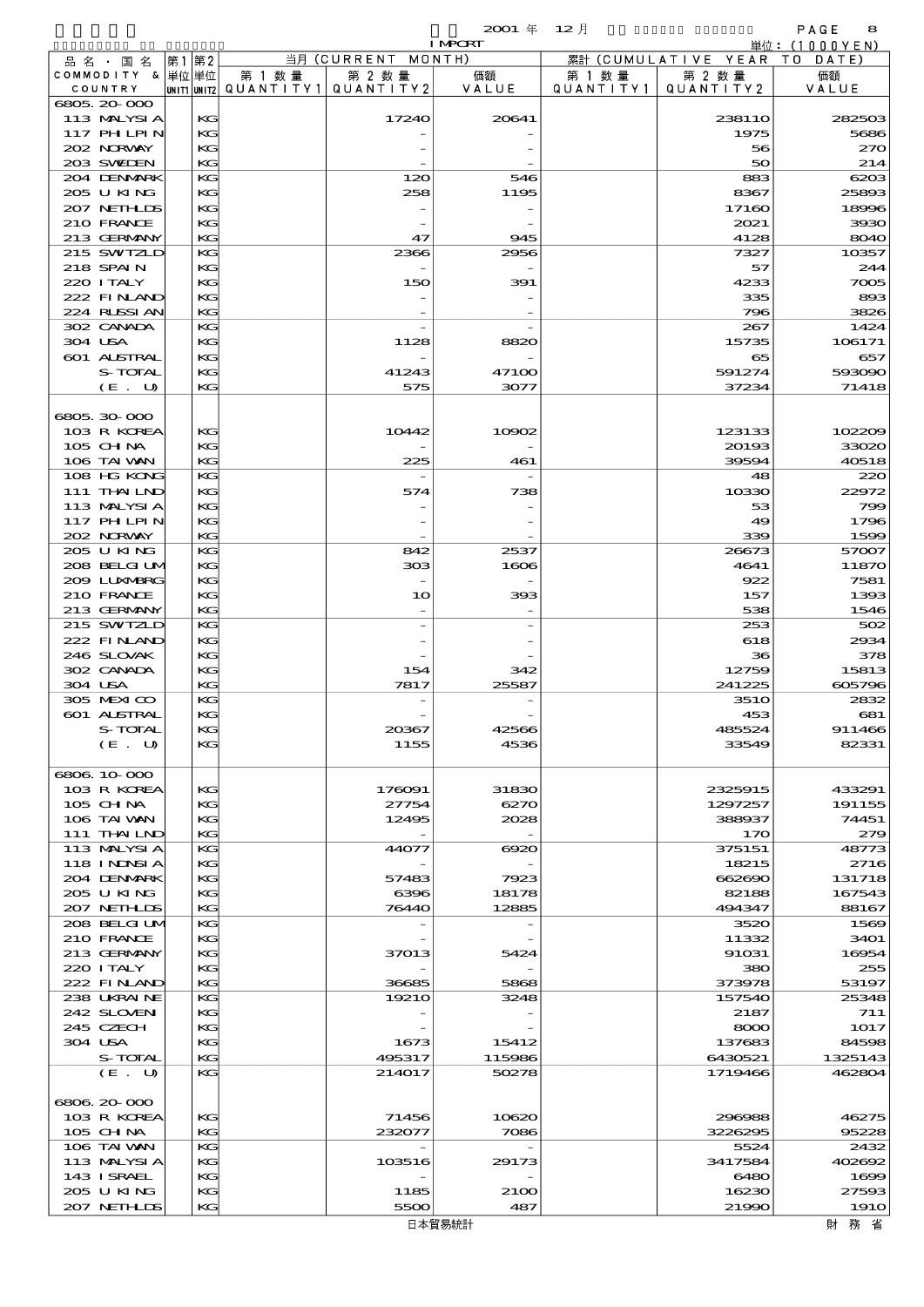|             |                                 |             |          |                      |                                                         | $2001 \text{ } \#$       | $12$ 月               |                      | PAGE<br>8                   |
|-------------|---------------------------------|-------------|----------|----------------------|---------------------------------------------------------|--------------------------|----------------------|----------------------|-----------------------------|
|             |                                 |             |          |                      | $\overline{\mathbb{H}}\overline{\mathfrak{H}}$ (CURRENT | <b>I MPORT</b><br>MONTH) |                      | 累計 (CUMULATIVE YEAR) | 単位:(1000YEN)<br>T O<br>DATE |
| COUNTRY     | 品名・国名<br>COMMODITY & 単位単位       | 第1 第2       |          | 第 1 数 量<br>QUANTITY1 | 第 2 数量<br>QUANTITY2                                     | 価額<br>VALUE              | 第 1 数 量<br>QUANTITY1 | 第 2 数量<br>QUANTITY2  | 価額<br>VALUE                 |
| 6805 20 000 |                                 | UNIT1 UNIT2 |          |                      |                                                         |                          |                      |                      |                             |
|             | 113 MALYSIA                     |             | KG       |                      | 17240                                                   | 20641                    |                      | 238110               | 282503                      |
|             | 117 PH LPIN                     |             | KG       |                      |                                                         |                          |                      | 1975                 | 5686                        |
|             | 202 NRWAY                       |             | KG       |                      |                                                         |                          |                      | 56                   | 27C                         |
|             | 203 SWIEN                       |             | KG       |                      |                                                         |                          |                      | 50                   | 214                         |
|             | 204 DENMARK                     |             | KG       |                      | 120                                                     | 546                      |                      | 883                  | 6203                        |
|             | 205 U KING                      |             | KG       |                      | 258                                                     | 1195                     |                      | 8367                 | 25893                       |
|             | 207 NETHLIS<br>210 FRANCE       |             | KG<br>KG |                      |                                                         |                          |                      | 17160<br>2021        | 18996<br>3930               |
|             | 213 GERMANY                     |             | KG       |                      | 47                                                      | 945                      |                      | 4128                 | 804C                        |
|             | 215 SWIZLD                      |             | KG       |                      | 2366                                                    | 2956                     |                      | 7327                 | 10357                       |
| 218 SPAIN   |                                 |             | KG       |                      |                                                         |                          |                      | 57                   | 244                         |
| 220 I TALY  |                                 |             | KG       |                      | 150                                                     | 391                      |                      | 4233                 | 7005                        |
|             | 222 FINAND                      |             | KG       |                      |                                                         |                          |                      | 335                  | 893                         |
|             | 224 RUSSIAN                     |             | KG       |                      |                                                         |                          |                      | 796                  | 3826                        |
|             | 302 CANADA                      |             | KG       |                      |                                                         |                          |                      | 267                  | 1424                        |
| 304 USA     |                                 |             | KG       |                      | 1128                                                    | 8820                     |                      | 15735                | 106171                      |
|             | 601 ALSTRAL<br>S-TOTAL          |             | KG<br>KG |                      |                                                         | 47100                    |                      | 65<br>591274         | 657<br>593090               |
|             | (E. U)                          |             | KG       |                      | 41243<br>575                                            | 3077                     |                      | 37234                | 71418                       |
|             |                                 |             |          |                      |                                                         |                          |                      |                      |                             |
| 6805.30-000 |                                 |             |          |                      |                                                         |                          |                      |                      |                             |
|             | 103 R KOREA                     |             | KG       |                      | 10442                                                   | 10002                    |                      | 123133               | 102209                      |
| $105$ CHNA  |                                 |             | KG       |                      |                                                         |                          |                      | 20193                | 3302C                       |
|             | 106 TAI VAN                     |             | KG       |                      | 225                                                     | 461                      |                      | 39594                | 40518                       |
|             | 108 HG KONG                     |             | KG       |                      |                                                         |                          |                      | 48                   | 22C                         |
|             | 111 <b>THAILND</b>              |             | KG       |                      | 574                                                     | 738                      |                      | 10330                | 22972                       |
|             | 113 MALYSIA                     |             | KG       |                      |                                                         |                          |                      | 53                   | 790                         |
|             | <b>117 PHLPIN</b><br>202 NORWAY |             | KG<br>KG |                      |                                                         |                          |                      | 49<br>339            | 1796<br>1599                |
|             | 205 U KING                      |             | KG       |                      | 842                                                     | 2537                     |                      | 26673                | 57007                       |
|             | 208 BELGI UM                    |             | KG       |                      | ാാദ                                                     | 1606                     |                      | 4641                 | 1187C                       |
|             | 2009 LUXMBRG                    |             | KG       |                      |                                                         |                          |                      | 922                  | 7581                        |
|             | 210 FRANCE                      |             | KG       |                      | 10                                                      | 393                      |                      | 157                  | 1393                        |
|             | 213 GERMANY                     |             | KG       |                      |                                                         |                          |                      | 538                  | 1546                        |
|             | 215 SWIZLD                      |             | KG       |                      |                                                         |                          |                      | 253                  | 502                         |
|             | 222 FINAND                      |             | KG       |                      |                                                         |                          |                      | 618                  | 2934                        |
|             | 246 SLOVAK                      |             | KG       |                      |                                                         |                          |                      | 36                   | 378                         |
|             | 302 CANADA                      |             | KG       |                      | 154                                                     | 342                      |                      | 12759                | 15813                       |
| 304 USA     |                                 |             | KG       |                      | 7817                                                    | 25587                    |                      | 241225               | 605796                      |
|             | 305 MEXICO<br>601 ALSTRAL       |             | KG<br>KG |                      |                                                         |                          |                      | <b>3510</b><br>453   | 2832<br>681                 |
|             | S-TOTAL                         |             | KG       |                      | 20367                                                   | 42566                    |                      | 485524               | 911466                      |
|             | (E. U)                          |             | KG       |                      | 1155                                                    | 4536                     |                      | 33549                | 82331                       |
|             |                                 |             |          |                      |                                                         |                          |                      |                      |                             |
| 6806 10 000 |                                 |             |          |                      |                                                         |                          |                      |                      |                             |
|             | 103 R KOREA                     |             | KG       |                      | 176091                                                  | 31830                    |                      | 2325915              | 433291                      |
| 105 CH NA   |                                 |             | KG       |                      | 27754                                                   | 6270                     |                      | 1297257              | 191155                      |
|             | 106 TAI VAN                     |             | KG       |                      | 12495                                                   | 2028                     |                      | 388937               | 74451                       |
|             | 111 THAILND                     |             | KG       |                      |                                                         |                          |                      | 170                  | 279                         |
|             | 113 MALYSIA                     |             | KG       |                      | 44077                                                   | $\Theta$ 20              |                      | 375151               | 48773                       |
|             | <b>118 INNSIA</b>               |             | KG<br>KG |                      | 57483                                                   |                          |                      | 18215<br>662690      | 271 <sub>e</sub><br>131718  |
|             | 204 DENMARK<br>205 U KING       |             | KG       |                      | 6396                                                    | 7923<br>18178            |                      | 82188                | 167543                      |
|             | 207 NETHLIS                     |             | KG       |                      | 76440                                                   | 12885                    |                      | 494347               | 88167                       |
|             | 208 BELGI UM                    |             | KG       |                      |                                                         |                          |                      | 3520                 | 1569                        |
|             | 210 FRANCE                      |             | KG       |                      |                                                         |                          |                      | 11332                | 3401                        |
|             | 213 GERMANY                     |             | KG       |                      | 37013                                                   | 5424                     |                      | 91031                | 16954                       |
| 220 I TALY  |                                 |             | KG       |                      |                                                         |                          |                      | 380                  | 255                         |
|             | 222 FINAND                      |             | KG       |                      | 36685                                                   | 5868                     |                      | 373978               | 53197                       |
|             | 238 UKRAINE                     |             | KG       |                      | 19210                                                   | 3248                     |                      | 157540               | 25348                       |
|             | 242 SLOVEN                      |             | KG       |                      |                                                         |                          |                      | 2187                 | 711                         |
| 245 CZECH   |                                 |             | KG       |                      |                                                         |                          |                      | 8000                 | 1017                        |
| 304 USA     | S-TOTAL                         |             | KG<br>KG |                      | 1673<br>495317                                          | 15412<br>115986          |                      | 137683<br>6430521    | 84598<br>1325143            |
|             | (E. U)                          |             | KG       |                      | 214017                                                  | 50278                    |                      | 1719466              | 462804                      |
|             |                                 |             |          |                      |                                                         |                          |                      |                      |                             |
| 6806 20 000 |                                 |             |          |                      |                                                         |                          |                      |                      |                             |
|             | 103 R KOREA                     |             | KG       |                      | 71456                                                   | 10620                    |                      | 296988               | 46275                       |
| 105 CH NA   |                                 |             | KG       |                      | 232077                                                  | 7086                     |                      | 3226295              | 95228                       |
|             | 106 TAI VAN                     |             | KG       |                      |                                                         |                          |                      | 5524                 | 2432                        |
|             | 113 MALYSIA                     |             | KG       |                      | 103516                                                  | 29173                    |                      | 3417584              | 402692                      |
|             | 143 I SRAEL                     |             | KG       |                      |                                                         |                          |                      | 6480                 | 1698                        |
|             | 205 U KING<br>207 NETHLIS       |             | KG<br>KG |                      | 1185<br>5500                                            | 21 <sub>0</sub><br>487   |                      | 16230<br>21990       | 27593<br><b>1910</b>        |
|             |                                 |             |          |                      |                                                         |                          |                      |                      |                             |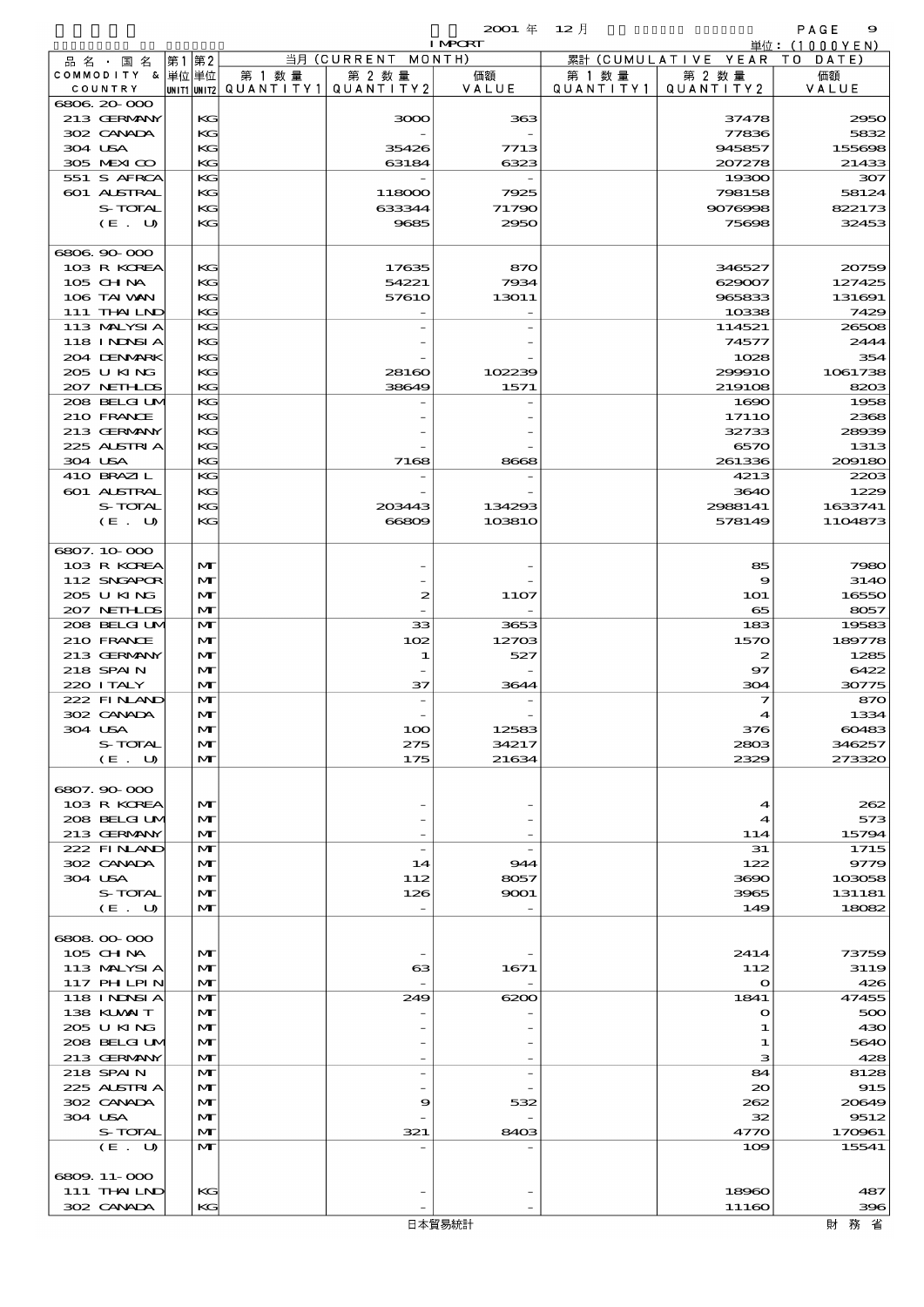|                             |                   |        |                                       | <b>I MPORT</b> |           |                              | 単位:(1000YEN)   |
|-----------------------------|-------------------|--------|---------------------------------------|----------------|-----------|------------------------------|----------------|
| 品名・国名                       | 第1第2              |        | 当月 (CURRENT MONTH)                    |                |           | 累計 (CUMULATIVE YEAR TO DATE) |                |
| COMMODITY & 単位単位            |                   | 第 1 数量 | 第 2 数量                                | 価額             | 第 1 数 量   | 第 2 数量                       | 価額             |
| COUNTRY                     |                   |        | UNIT1 UNIT2  QUANT I TY1  QUANT I TY2 | VALUE          | QUANTITY1 | QUANTITY 2                   | VALUE          |
| 6806.20-000<br>213 GERMANY  | KG                |        |                                       |                |           |                              | 2950           |
| 302 CANADA                  | KG                |        | 3000                                  | 363            |           | 37478<br>77836               | 5832           |
| 304 USA                     | KG                |        | 35426                                 | 7713           |           | 945857                       | 155698         |
| 305 MEXICO                  | KG                |        | 63184                                 | 6323           |           | 207278                       | 21433          |
| 551 S AFRCA                 | KG                |        |                                       |                |           | 19300                        | 307            |
| 601 ALSTRAL                 | KG                |        | 118000                                | 7925           |           | 798158                       | 58124          |
| S-TOTAL                     | KG                |        | 633344                                | 71790          |           | 9076998                      | 822173         |
| (E. U)                      | KG                |        | 9685                                  | 2950           |           | 75698                        | 32453          |
|                             |                   |        |                                       |                |           |                              |                |
| 6806.90-000                 |                   |        |                                       |                |           |                              |                |
| 103 R KOREA                 | KG                |        | 17635                                 | 870            |           | 346527                       | 20759          |
| 105 CHNA                    | KG                |        | 54221                                 | 7934           |           | 629007                       | 127425         |
| 106 TAI VAN                 | KG                |        | 5761O                                 | 13011          |           | 965833                       | 131691         |
| 111 THAILND                 | KG                |        |                                       |                |           | 10338                        | 7429           |
| 113 MALYSIA                 | KG                |        |                                       |                |           | 114521                       | 26508          |
| 118 I NDSI A<br>204 DENMARK | KG                |        |                                       |                |           | 74577                        | 2444           |
| 205 U KING                  | KC<br>KG          |        | 28160                                 | 102239         |           | 1028<br>299910               | 354<br>1061738 |
| 207 NETHLIS                 | KG                |        | 38649                                 | 1571           |           | 219108                       | 8203           |
| 208 BELGI UM                | KG                |        |                                       |                |           | 1690                         | 1958           |
| 210 FRANCE                  | KG                |        |                                       |                |           | 1711O                        | 2368           |
| 213 GERMANY                 | KC                |        |                                       |                |           | 32733                        | 28939          |
| 225 ALSTRIA                 | KG                |        |                                       |                |           | 6570                         | 1313           |
| 304 USA                     | KG                |        | 7168                                  | 8668           |           | 261336                       | 209180         |
| 410 BRAZIL                  | KG                |        |                                       |                |           | 4213                         | 2203           |
| 601 ALSTRAL                 | KG                |        |                                       |                |           | 3640                         | 1229           |
| S-TOTAL                     | KG                |        | 203443                                | 134293         |           | 2988141                      | 1633741        |
| (E. U)                      | KG                |        | 66809                                 | 103810         |           | 578149                       | 1104873        |
|                             |                   |        |                                       |                |           |                              |                |
| 6807.10.000                 |                   |        |                                       |                |           |                              |                |
| 103 R KOREA                 | $\mathbf{M}$      |        |                                       |                |           | 85                           | 7980           |
| 112 SNGAPOR                 | $\mathbf{M}$      |        |                                       |                |           | $\boldsymbol{\Theta}$        | 3140           |
| 205 U KING<br>207 NETHLIS   | M<br>$\mathbf{M}$ |        | 2                                     | 11O7           |           | <b>1O1</b><br>65             | 16550<br>8057  |
| 208 BELGI UM                | $\mathbf{M}$      |        | 33                                    | 3653           |           | 183                          | 19583          |
| 210 FRANCE                  | $\mathbf{M}$      |        | 102                                   | 12703          |           | 1570                         | 189778         |
| 213 GERMANY                 | $\mathbf{M}$      |        | 1                                     | 527            |           | 2                            | 1285           |
| 218 SPAIN                   | M                 |        |                                       |                |           | $\mathbf{97}$                | 6422           |
| 220 I TALY                  | $\mathbf{M}$      |        | 37                                    | 3644           |           | 304                          | 30775          |
| 222 FINAND                  | $\mathbf{M}$      |        |                                       |                |           | 7                            | 870            |
| 302 CANADA                  | $\mathbf{M}$      |        |                                       |                |           | 4                            | 1334           |
| 304 USA                     | $\mathbf{M}$      |        | 100                                   | 12583          |           | 376                          | 60483          |
| S-TOTAL                     | $\mathbf{M}$      |        | 275                                   | 34217          |           | 2803                         | 346257         |
| (E. U)                      | $\mathbf{M}$      |        | 175                                   | 21634          |           | 2329                         | 273320         |
|                             |                   |        |                                       |                |           |                              |                |
| 6807.90-000                 |                   |        |                                       |                |           |                              |                |
| 103 R KOREA<br>208 BELGI UM | $\mathbf{M}$<br>M |        |                                       |                |           | $\blacktriangleleft$<br>4    | 262<br>573     |
| 213 GERMANY                 | $\mathbf{M}$      |        |                                       |                |           | 114                          | 15794          |
| 222 FINAND                  | $\mathbf{M}$      |        | $\overline{\phantom{a}}$              |                |           | 31                           | 1715           |
| 302 CANADA                  | $\mathbf{M}$      |        | 14                                    | 944            |           | 122                          | 9779           |
| 304 USA                     | M                 |        | 112                                   | 8057           |           | 3690                         | 103058         |
| S-TOTAL                     | M                 |        | 126                                   | 9001           |           | 3965                         | 131181         |
| (E. U)                      | $\mathbf{M}$      |        |                                       |                |           | 149                          | 18082          |
|                             |                   |        |                                       |                |           |                              |                |
| 6808 00 000                 |                   |        |                                       |                |           |                              |                |
| 105 CHNA                    | $\mathbf{M}$      |        |                                       |                |           | 2414                         | 73759          |
| 113 MALYSIA                 | M                 |        | $\mathbf{G}$                          | 1671           |           | 112                          | 3119           |
| 117 PHLPIN                  | $\mathbf{M}$      |        |                                       |                |           | $\mathbf{o}$                 | 426            |
| 118 I NDSI A                | $\mathbf{M}$      |        | 249                                   | 6200           |           | 1841                         | 47455          |
| 138 KUWAIT<br>205 U KING    | $\mathbf{M}$<br>M |        |                                       |                |           | $\mathbf o$                  | 500            |
| 208 BELGI UM                | M                 |        |                                       |                |           | 1<br>1                       | 430<br>5640    |
| 213 GERMANY                 | $\mathbf{M}$      |        |                                       |                |           | з                            | 428            |
| 218 SPAIN                   | $\mathbf{M}$      |        |                                       |                |           | 84                           | 8128           |
| 225 ALSTRIA                 | $\mathbf{M}$      |        |                                       |                |           | $\infty$                     | 915            |
| 302 CANADA                  | M                 |        | 9                                     | 532            |           | 262                          | 20649          |
| 304 USA                     | M                 |        |                                       |                |           | 32                           | 9512           |
| S-TOTAL                     | $\mathbf{M}$      |        | 321                                   | 8403           |           | 4770                         | 170961         |
| (E. U)                      | $\mathbf{M}$      |        |                                       |                |           | 109                          | 15541          |
|                             |                   |        |                                       |                |           |                              |                |
| 6809.11-000                 |                   |        |                                       |                |           |                              |                |
| 111 THAILND                 | KG                |        |                                       |                |           | 18960                        | 487            |
| 302 CANADA                  | KG                |        |                                       |                |           | 11160                        | 396            |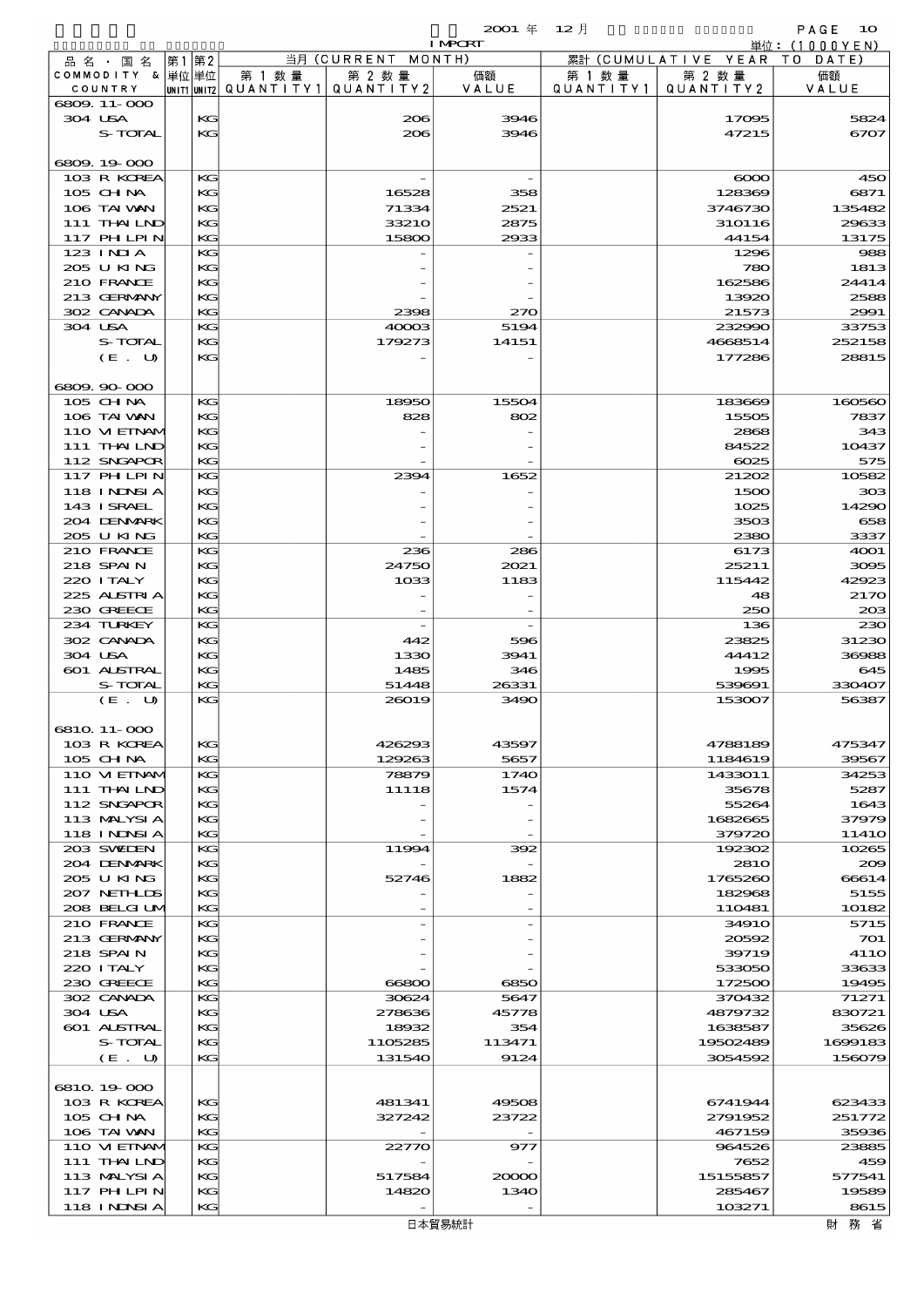$2001 \quad \text{if} \quad 12 \quad \text{if} \quad \text{PAGE} \quad 10$ 

|         |                          |          |                                       |                    | <b>I MPORT</b> |           |                              | 単位: (1000YEN)  |
|---------|--------------------------|----------|---------------------------------------|--------------------|----------------|-----------|------------------------------|----------------|
|         | 品名・国名                    | 第1 第2    |                                       | 当月 (CURRENT MONTH) |                |           | 累計 (CUMULATIVE YEAR TO DATE) |                |
|         | COMMODITY & 単位単位         |          | 第 1 数量                                | 第 2 数量             | 価額             | 第 1 数 量   | 第 2 数量                       | 価額             |
|         | COUNTRY                  |          | unit1 unit2  QUANT   TY1  QUANT   TY2 |                    | VALUE          | QUANTITY1 | QUANTITY 2                   | VALUE          |
| 304 USA | 6809.11-000              | KG       |                                       | 206                | 3946           |           | 17095                        | 5824           |
|         | S-TOTAL                  | KG       |                                       | 206                | 3946           |           | 47215                        | 6707           |
|         |                          |          |                                       |                    |                |           |                              |                |
|         | 6809.19-000              |          |                                       |                    |                |           |                              |                |
|         | 103 R KOREA              | KG       |                                       |                    |                |           | $\infty$                     | 450            |
|         | 105 CH NA                | KG       |                                       | 16528              | 358            |           | 128369                       | 6871           |
|         | 106 TAI VAN              | KG       |                                       | 71334              | 2521           |           | 3746730                      | 135482         |
|         | 111 THAILND              | KG       |                                       | 33210              | 2875           |           | 310116                       | 29633          |
|         | <b>117 PHLPIN</b>        | KG       |                                       | 15800              | 2933           |           | 44154                        | 13175          |
|         | 123 INIA                 | KG       |                                       |                    |                |           | 1296                         | 988            |
|         | 205 U KING               | KG       |                                       |                    |                |           | 780                          | 1813           |
|         | 210 FRANCE               | KG       |                                       |                    |                |           | 162586                       | 24414          |
|         | 213 GERMANY              | KG       |                                       |                    |                |           | 13920                        | 2588           |
|         | 302 CANADA               | KG       |                                       | 2398               | 270            |           | 21573                        | 2991           |
| 304 USA |                          | KG       |                                       | 40003              | 5194           |           | 232990                       | 33753          |
|         | S-TOTAL                  | KG       |                                       | 179273             | 14151          |           | 4668514                      | 252158         |
|         | (E. U)                   | KG       |                                       |                    |                |           | 177286                       | 28815          |
|         | 6809.90-000              |          |                                       |                    |                |           |                              |                |
|         | 105 CH NA                | KG       |                                       | 18950              | 15504          |           | 183669                       | 160560         |
|         | 106 TAI VAN              | KG       |                                       | 828                | 802            |           | 15505                        | 7837           |
|         | 110 VI EINAM             | KG       |                                       |                    |                |           | 2868                         | 343            |
|         | 111 THAILND              | KG       |                                       |                    |                |           | 84522                        | 10437          |
|         | 112 SNGAPOR              | KG       |                                       |                    |                |           | 6025                         | 575            |
|         | 117 PHLPIN               | KG       |                                       | 2394               | 1652           |           | 21202                        | 10582          |
|         | <b>118 INNSIA</b>        | KG       |                                       |                    |                |           | 1500                         | 303            |
|         | 143 I SRAEL              | KG       |                                       |                    |                |           | 1025                         | 14290          |
|         | 204 DENMARK              | KG       |                                       |                    |                |           | 3503                         | 658            |
|         | 205 U KING               | KG       |                                       |                    |                |           | 2380                         | 3337           |
|         | 210 FRANCE               | KG       |                                       | 236                | 286            |           | 6173                         | 4001           |
|         | 218 SPAIN                | KG       |                                       | 24750              | 2021           |           | 25211                        | 3095           |
|         | 220 I TALY               | KG       |                                       | 1033               | 1183           |           | 115442                       | 42923          |
|         | 225 ALSTRIA              | KG       |                                       |                    |                |           | 48                           | 2170           |
|         | 230 GREECE               | KG       |                                       |                    |                |           | 250                          | 20B            |
|         | 234 TURKEY               | KG       |                                       |                    |                |           | 136                          | 230            |
|         | 302 CANADA               | KG       |                                       | 442                | 596            |           | 23825                        | 31230          |
| 304 USA |                          | KG       |                                       | 1330               | 3941           |           | 44412                        | 36988          |
|         | 601 ALSTRAL              | KG       |                                       | 1485               | 346            |           | 1995                         | 645            |
|         | S-TOTAL                  | KG       |                                       | 51448              | 26331          |           | 539691                       | 330407         |
|         | (E. U)                   | KG       |                                       | 26019              | 3490           |           | 153007                       | 56387          |
|         | 6810 11-000              |          |                                       |                    |                |           |                              |                |
|         | 103 R KOREA              | КG       |                                       | 426293             | 43597          |           | 4788189                      | 475347         |
|         | $105$ CHNA               | KG       |                                       | 129263             | 5657           |           | 1184619                      | 39567          |
|         | 110 VIEINAM              | KG       |                                       | 78879              | 1740           |           | 1433011                      | 34253          |
|         | 111 THAILND              | KG       |                                       | 11118              | 1574           |           | 35678                        | 5287           |
|         | 112 SNGAPOR              | KG       |                                       |                    |                |           | 55264                        | 1643           |
|         | 113 MALYSIA              | KG       |                                       |                    |                |           | 1682665                      | 37979          |
|         | 118 I NDSI A             | KG       |                                       |                    |                |           | 379720                       | 1141O          |
|         | 203 SWIDEN               | KG       |                                       | 11994              | 392            |           | 192302                       | 10265          |
|         | 204 DENMARK              | KG       |                                       |                    |                |           | <b>2810</b>                  | 209            |
|         | 205 U KING               | KG       |                                       | 52746              | 1882           |           | 1765260                      | 66614          |
|         | 207 NETHLIS              | KG       |                                       |                    |                |           | 182968                       | 5155           |
|         | 208 BELGI UM             | KG       |                                       |                    |                |           | 110481                       | 10182          |
|         | 210 FRANCE               | KG       |                                       |                    |                |           | 3491O                        | 5715           |
|         | 213 GERMANY              | KG       |                                       |                    |                |           | 20592                        | 701            |
|         | 218 SPAIN                | KG       |                                       |                    |                |           | 39719                        | <b>4110</b>    |
|         | 220 I TALY<br>230 GREECE | KG<br>KG |                                       |                    |                |           | 533050                       | 33633          |
|         | 302 CANADA               | KG       |                                       | 66800              | 6850           |           | 172500                       | 19495<br>71271 |
| 304 USA |                          | KG       |                                       | 30624<br>278636    | 5647<br>45778  |           | 370432<br>4879732            | 830721         |
|         | 601 ALSTRAL              | KG       |                                       | 18932              | 354            |           | 1638587                      | 35626          |
|         | <b>S-TOTAL</b>           | KG       |                                       | 1105285            | 113471         |           | 19502489                     | 1699183        |
|         | (E. U)                   | KG       |                                       | 131540             | 9124           |           | 3054592                      | 156079         |
|         |                          |          |                                       |                    |                |           |                              |                |
|         | 6810 19000               |          |                                       |                    |                |           |                              |                |
|         | 103 R KOREA              | KC       |                                       | 481341             | 49508          |           | 6741944                      | 623433         |
|         | 105 CH NA                | KG       |                                       | 327242             | 23722          |           | 2791952                      | 251772         |
|         | 106 TAI VAN              | KG       |                                       |                    |                |           | 467159                       | 35936          |
|         | 110 VIEINAM              | KG       |                                       | 22770              | 977            |           | 964526                       | 23885          |
|         | 111 THAILND              | KG       |                                       |                    |                |           | 7652                         | 459            |
|         | 113 MALYSIA              | KG       |                                       | 517584             | 20000          |           | 15155857                     | 577541         |
|         | 117 PHLPIN               | KG       |                                       | 14820              | 1340           |           | 285467                       | 19589          |
|         | 118 I NDSI A             | KG       |                                       |                    |                |           | 103271                       | 8615           |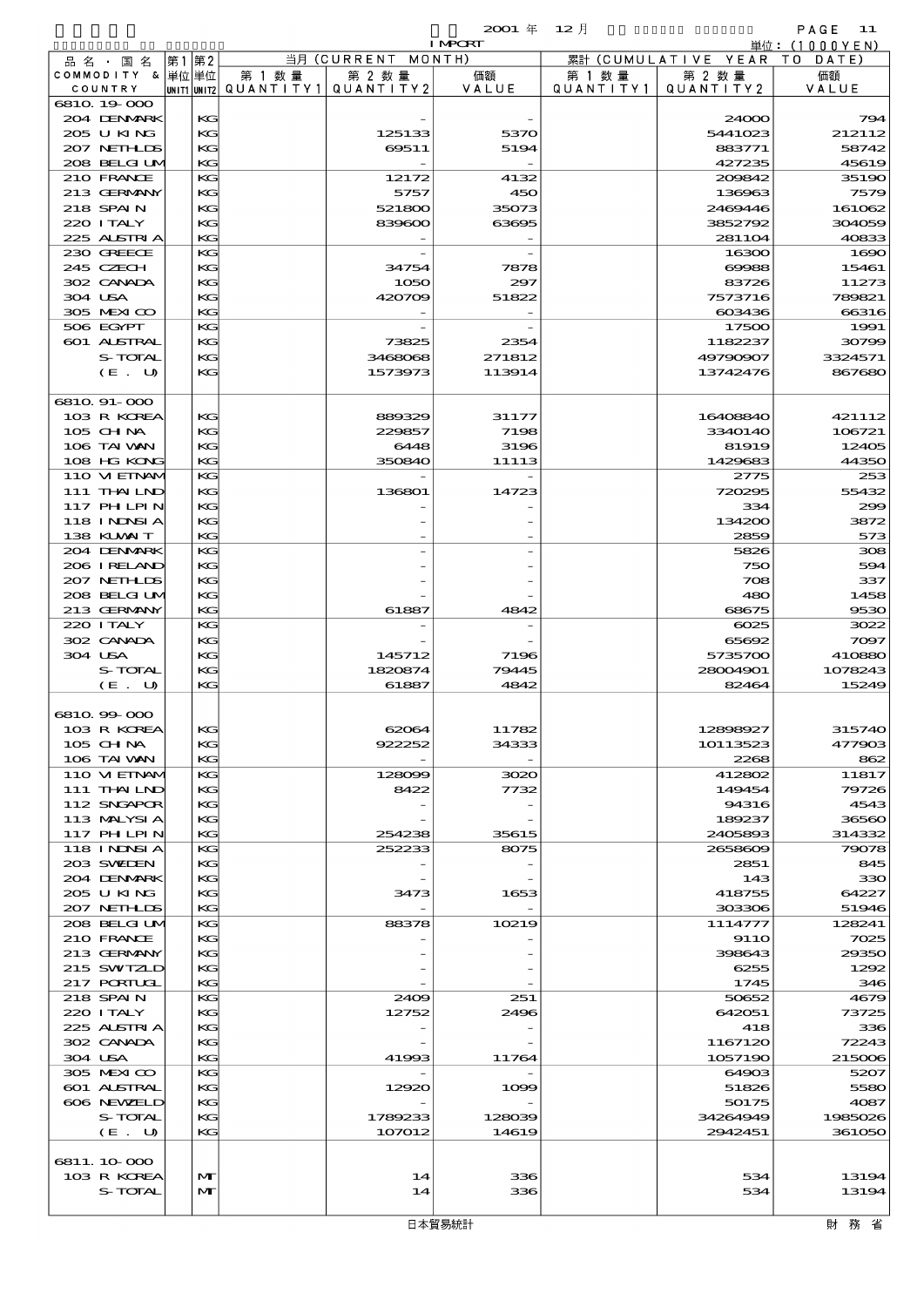| . .<br>.,<br>- 11<br>., |  |
|-------------------------|--|
|                         |  |

|                   |       |        |                                       | <b>I MPORT</b> |           |                              | 単位: (1000YEN) |
|-------------------|-------|--------|---------------------------------------|----------------|-----------|------------------------------|---------------|
| 品名・国名             | 第1 第2 |        | 当月 (CURRENT MONTH)                    |                |           | 累計 (CUMULATIVE YEAR TO DATE) |               |
| COMMODITY & 単位単位  |       | 第 1 数量 | 第 2 数量                                | 価額             | 第 1 数量    | 第 2 数量                       | 価額            |
| COUNTRY           |       |        | unit1 unit2  QUANT   TY1  QUANT   TY2 | VALUE          | QUANTITY1 | QUANTITY2                    | VALUE         |
| 6810 19 000       |       |        |                                       |                |           |                              |               |
| 204 DENMARK       | KG    |        |                                       |                |           | 24000                        | 794           |
| 205 U KING        | KG    |        | 125133                                | 5370           |           | 5441023                      | 212112        |
| 207 NETHLIS       | KG    |        | 69511                                 | 5194           |           | 883771                       | 58742         |
| 208 BELGI UM      | KG    |        |                                       |                |           | 427235                       | 45619         |
| 210 FRANCE        | KG    |        | 12172                                 | 4132           |           | 200842                       | 35190         |
| 213 GERMANY       | КG    |        | 5757                                  | 450            |           | 136963                       | 7579          |
| 218 SPAIN         | KG    |        | 521800                                | 35073          |           | 2469446                      | 161062        |
| 220 ITALY         | KG    |        | 839600                                | 63695          |           | 3852792                      | 304059        |
| 225 ALSTRIA       | KG    |        |                                       |                |           | 281104                       | 40833         |
| 230 GREECE        | KG    |        |                                       |                |           | 16300                        | 1690          |
| 245 CZECH         | КG    |        | 34754                                 | 7878           |           | 69988                        | 15461         |
| 302 CANADA        | KG    |        | 1050                                  | 297            |           | 83726                        | 11273         |
| 304 USA           | KG    |        | 420709                                | 51822          |           | 7573716                      | 789821        |
| 305 MEXICO        | KG    |        |                                       |                |           | 603436                       | 66316         |
| 506 EGYPT         | KG    |        |                                       |                |           | 17500                        | 1991          |
| 601 ALSTRAL       | KG    |        | 73825                                 | 2354           |           | 1182237                      | 30799         |
| S-TOTAL           | KG    |        | 3468068                               | 271812         |           | 49790907                     | 3324571       |
| (E. U)            | KG    |        | 1573973                               | 113914         |           | 13742476                     | 867680        |
|                   |       |        |                                       |                |           |                              |               |
| 6810 91-000       |       |        |                                       |                |           |                              |               |
| 103 R KOREA       | КG    |        | 889329                                | 31177          |           | 16408840                     | 421112        |
| 105 CH NA         | KG    |        | 229857                                | 7198           |           | 3340140                      | 106721        |
| 106 TAI VAN       | KG    |        | 6448                                  | 3196           |           | 81919                        | 12405         |
| 108 HG KONG       | KG    |        | 350840                                | 11113          |           | 1429683                      | 44350         |
| 110 VIEINAM       | KG    |        |                                       |                |           | 2775                         | 253           |
| 111 THAILND       | KG    |        | 136801                                | 14723          |           | 720295                       | 55432         |
| 117 PHLPIN        | KG    |        |                                       |                |           | 334                          | 299           |
| <b>118 INNSIA</b> | KG    |        |                                       |                |           | 134200                       | 3872          |
| 138 KUWAIT        | KG    |        |                                       |                |           | 2859                         | 573           |
| 204 DENMARK       | KG    |        |                                       |                |           | 5826                         | 308           |
| 206 IRELAND       | KG    |        |                                       |                |           | 750                          | 594           |
| 207 NETHLIS       | KG    |        |                                       |                |           | 708                          | 337           |
|                   |       |        |                                       |                |           |                              |               |
| 208 BELGI UM      | KG    |        |                                       |                |           | 480                          | 1458          |
| 213 GERMANY       | KG    |        | 61887                                 | 4842           |           | 68675                        | 9530          |
| 220 I TALY        | KG    |        |                                       |                |           | 6025                         | 3022          |
| 302 CANADA        | KG    |        |                                       |                |           | 65692                        | 7097          |
| 304 USA           | KG    |        | 145712                                | 7196           |           | 5735700                      | 410880        |
| S-TOTAL           | KG    |        | 1820874                               | 79445          |           | 28004901                     | 1078243       |
| (E. U)            | KG    |        | 61887                                 | 4842           |           | 82464                        | 15249         |
|                   |       |        |                                       |                |           |                              |               |
| 6810.99-000       |       |        |                                       |                |           |                              |               |
| 103 R KOREA       | KG    |        | 62064                                 | 11782          |           | 1289892                      | 315740        |
| 105 CH NA         | KG    |        | 922252                                | 34333          |           | 10113523                     | 477903        |
| 106 TAI VAN       | KG    |        |                                       |                |           | 2268                         | 862           |
| 110 VI EINAM      | KG    |        | 128099                                | 3020           |           | 412802                       | 11817         |
| 111 THAILND       | KG    |        | 8422                                  | 7732           |           | 149454                       | 79726         |
| 112 SNGAPOR       | KG    |        |                                       |                |           | 94316                        | 4543          |
| 113 MALYSIA       | KG    |        |                                       |                |           | 189237                       | 36560         |
| <b>117 PHLPIN</b> | KG    |        | 254238                                | 35615          |           | 2405893                      | 314332        |
| <b>118 INNSIA</b> | KG    |        | 252233                                | 8075           |           | 2658609                      | 79078         |
| 203 SVEDEN        | KG    |        |                                       |                |           | 2851                         | 845           |
| 204 DENMARK       | KG    |        |                                       |                |           | 143                          | 330           |
| 2005 U KING       | KG    |        | 3473                                  | 1653           |           | 418755                       | 64227         |
| 207 NETHLIS       | KG    |        |                                       |                |           | 303306                       | 51946         |
| 208 BELGI UM      | KG    |        | 88378                                 | 10219          |           | 1114777                      | 128241        |
| 210 FRANCE        | KG    |        |                                       |                |           | <b>9110</b>                  | 7025          |
| 213 GERMANY       | KG    |        |                                       |                |           | 398643                       | 29350         |
| 215 SWIZLD        | KG    |        |                                       |                |           | 6255                         | 1292          |
| 217 PORTUGL       | KG    |        |                                       |                |           | 1745                         | 346           |
| 218 SPAIN         | KG    |        | 2409                                  | 251            |           | 50652                        | 4679          |
| 220 I TALY        | KG    |        | 12752                                 | 2496           |           | 642051                       | 73725         |
| 225 ALSTRIA       | KG    |        |                                       |                |           | 418                          | 336           |
| 302 CANADA        | KG    |        |                                       |                |           | 1167120                      | 72243         |
| 304 USA           | KG    |        | 41993                                 | 11764          |           | 1057190                      | 215006        |
| 305 MEXICO        | KG    |        |                                       |                |           | 64903                        | 5207          |
| 601 ALSTRAL       | KG    |        | 12920                                 | 1000           |           | 51826                        | 5580          |
| 606 NEWELD        | KG    |        |                                       |                |           | 50175                        | 4087          |
| S-TOTAL           | KG    |        | 1789233                               | 128039         |           | 34264949                     | 1985026       |
| (E. U)            | KG    |        | 107012                                | 14619          |           | 2942451                      | 361050        |
|                   |       |        |                                       |                |           |                              |               |
| 6811.10.000       |       |        |                                       |                |           |                              |               |
| 103 R KOREA       | M     |        | 14                                    | 336            |           | 534                          | 13194         |
| S-TOTAL           | M     |        | 14                                    | 336            |           | 534                          | 13194         |
|                   |       |        |                                       |                |           |                              |               |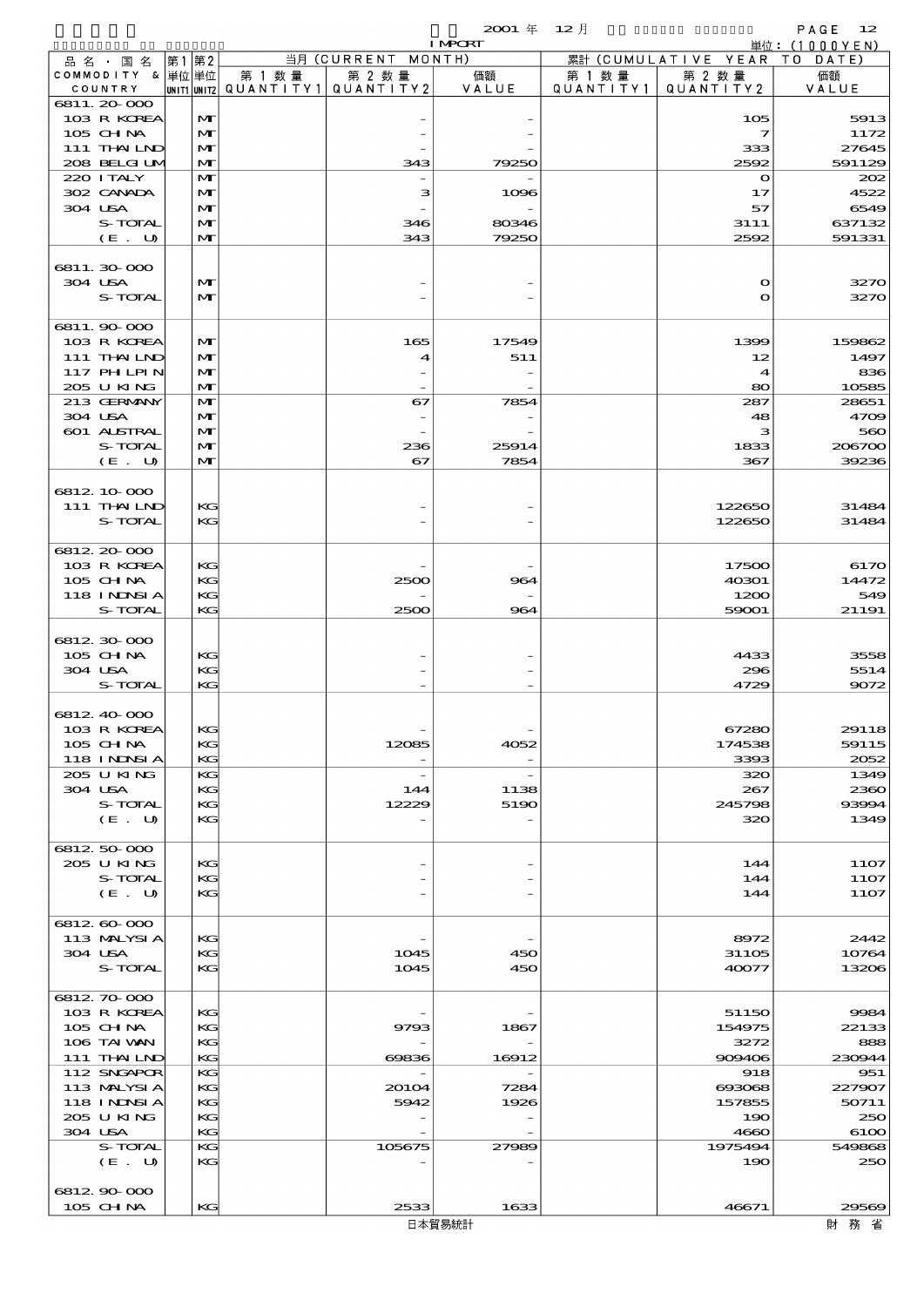|                            |                   |           |                          | ~~~<br><b>I MPORT</b>    | $\sim$ $\sim$ $\prime$ $\sim$ |                              | . <u>.</u><br>単位: (1000YEN) |
|----------------------------|-------------------|-----------|--------------------------|--------------------------|-------------------------------|------------------------------|-----------------------------|
| 品名·国名                      | 第1第2              |           | 当月 (CURRENT MONTH)       |                          |                               | 累計 (CUMULATIVE YEAR TO DATE) |                             |
| COMMODITY & 単位単位           |                   | 第 1 数量    | 第 2 数量                   | 価額                       | 第 1 数 量                       | 第 2 数量                       | 価額                          |
| COUNTRY<br>6811.20-000     | UNIT1 UNIT2       | QUANTITY1 | QUANTITY 2               | VALUE                    | QUANTITY1                     | QUANTITY 2                   | VALUE                       |
| 103 R KOREA                | M                 |           |                          |                          |                               | 105                          | 5913                        |
| 105 CHNA                   | M                 |           |                          |                          |                               | $\overline{\mathbf{z}}$      | 1172                        |
| 111 THAILND                | M                 |           |                          |                          |                               | 333                          | 27645                       |
| 208 BELGI UM               | $\mathbf{M}$      |           | 343                      | 79250                    |                               | 2592                         | 591129                      |
| 220 I TALY                 | M                 |           |                          |                          |                               | $\mathbf{o}$                 | 202                         |
| 302 CANADA                 | M                 |           | з                        | 1096                     |                               | 17                           | 4522                        |
| 304 USA                    | M                 |           |                          |                          |                               | 57                           | 6549                        |
| S-TOTAL<br>(E. U)          | M<br>$\mathbf{M}$ |           | 346<br>343               | 80346<br>79250           |                               | 3111<br>2592                 | 637132<br>591331            |
|                            |                   |           |                          |                          |                               |                              |                             |
| 6811.30000                 |                   |           |                          |                          |                               |                              |                             |
| 304 USA                    | M                 |           |                          |                          |                               | $\mathbf{\Omega}$            | 3270                        |
| S-TOTAL                    | $\mathbf{M}$      |           |                          |                          |                               | $\mathbf o$                  | 3270                        |
|                            |                   |           |                          |                          |                               |                              |                             |
| 6811.90 000                |                   |           |                          |                          |                               |                              |                             |
| 103 R KOREA<br>111 THAILND | M                 |           | 165                      | 17549                    |                               | 1399                         | 159862                      |
| 117 PHLPIN                 | M<br>M            |           | 4                        | 511                      |                               | 12<br>4                      | 1497<br>836                 |
| 205 U KING                 | M                 |           |                          |                          |                               | 80                           | 10585                       |
| 213 GERMANY                | M                 |           | 67                       | 7854                     |                               | 287                          | 28651                       |
| 304 USA                    | M                 |           |                          |                          |                               | 48                           | 4709                        |
| 601 ALSTRAL                | M                 |           |                          |                          |                               | з                            | 560                         |
| S-TOTAL                    | M                 |           | 236                      | 25914                    |                               | 1833                         | 206700                      |
| (E. U)                     | $\mathbf{M}$      |           | 67                       | 7854                     |                               | 367                          | 39236                       |
|                            |                   |           |                          |                          |                               |                              |                             |
| 6812 10 000<br>111 THAILND | KG                |           |                          |                          |                               | 122650                       | 31484                       |
| S-TOTAL                    | КC                |           |                          |                          |                               | 122650                       | 31484                       |
|                            |                   |           |                          |                          |                               |                              |                             |
| 6812 20 000                |                   |           |                          |                          |                               |                              |                             |
| 103 R KOREA                | KG                |           |                          |                          |                               | 17500                        | 6170                        |
| 105 CH NA                  | KG                |           | 2500                     | 964                      |                               | 40301                        | 14472                       |
| 118 I NDSI A               | KG                |           |                          |                          |                               | 1200                         | 549                         |
| S-TOTAL                    | KG                |           | 2500                     | 964                      |                               | 59001                        | 21191                       |
| 6812.30.000                |                   |           |                          |                          |                               |                              |                             |
| 105 CH NA                  | KG                |           |                          |                          |                               | 4433                         | 3558                        |
| 304 USA                    | KG                |           |                          |                          |                               | 296                          | 5514                        |
| S-TOTAL                    | KG                |           |                          |                          |                               | 4729                         | 9072                        |
|                            |                   |           |                          |                          |                               |                              |                             |
| 6812 40 000                |                   |           |                          |                          |                               |                              |                             |
| 103 R KOREA<br>105 CH NA   | ĸG<br>KG          |           |                          |                          |                               | 6/280                        | 29118<br>59115              |
| 118 I NDSI A               | KG                |           | 12085                    | 4052                     |                               | 174538<br>3393               | 2052                        |
| 205 U KING                 | KG                |           | $\overline{\phantom{a}}$ | $\overline{\phantom{a}}$ |                               | 320                          | 1349                        |
| 304 USA                    | KG                |           | 144                      | 1138                     |                               | 267                          | 2360                        |
| S-TOTAL                    | KG                |           | 12229                    | 5190                     |                               | 245798                       | 93994                       |
| (E. U)                     | KG                |           |                          |                          |                               | 320                          | 1349                        |
|                            |                   |           |                          |                          |                               |                              |                             |
| 6812 50 000<br>205 U KING  | KG                |           |                          |                          |                               |                              |                             |
| S-TOTAL                    | KG                |           |                          |                          |                               | 144<br>144                   | 11O7<br>1107                |
| (E. U)                     | KG                |           |                          |                          |                               | 144                          | 1107                        |
|                            |                   |           |                          |                          |                               |                              |                             |
| 6812 60 000                |                   |           |                          |                          |                               |                              |                             |
| 113 MALYSIA                | KG                |           |                          |                          |                               | 8972                         | 2442                        |
| 304 USA                    | KG                |           | 1045                     | 450                      |                               | 31105                        | 10764                       |
| S-TOTAL                    | KG                |           | 1045                     | 450                      |                               | 40077                        | 13206                       |
| 6812.70.000                |                   |           |                          |                          |                               |                              |                             |
| 103 R KOREA                | КG                |           |                          |                          |                               | 51150                        | 9984                        |
| $105$ CHNA                 | KG                |           | 9793                     | 1867                     |                               | 154975                       | 22133                       |
| 106 TAI VAN                | KG                |           |                          |                          |                               | 3272                         | 888                         |
| 111 THAILND                | КC                |           | 69836                    | 16912                    |                               | 909406                       | 230944                      |
| 112 SNGAPOR                | KG                |           |                          |                          |                               | 918                          | 951                         |
| 113 MALYSIA                | KG                |           | 20104                    | 7284                     |                               | 693068                       | 227907                      |
| 118 INNSI A<br>205 U KING  | KG<br>KG          |           | 5942                     | 1926                     |                               | 157855<br>190                | 50711<br>250                |
| 304 USA                    | KG                |           |                          |                          |                               | 4660                         | 6100                        |
| S-TOTAL                    | KG                |           | 105675                   | 27989                    |                               | 1975494                      | 549868                      |
| (E. U)                     | KG                |           |                          |                          |                               | 190                          | 250                         |
|                            |                   |           |                          |                          |                               |                              |                             |
| 6812 90 000                |                   |           |                          |                          |                               |                              |                             |
| 105 CH NA                  | KG                |           | 2533                     | 1633                     |                               | 46671                        | 29569                       |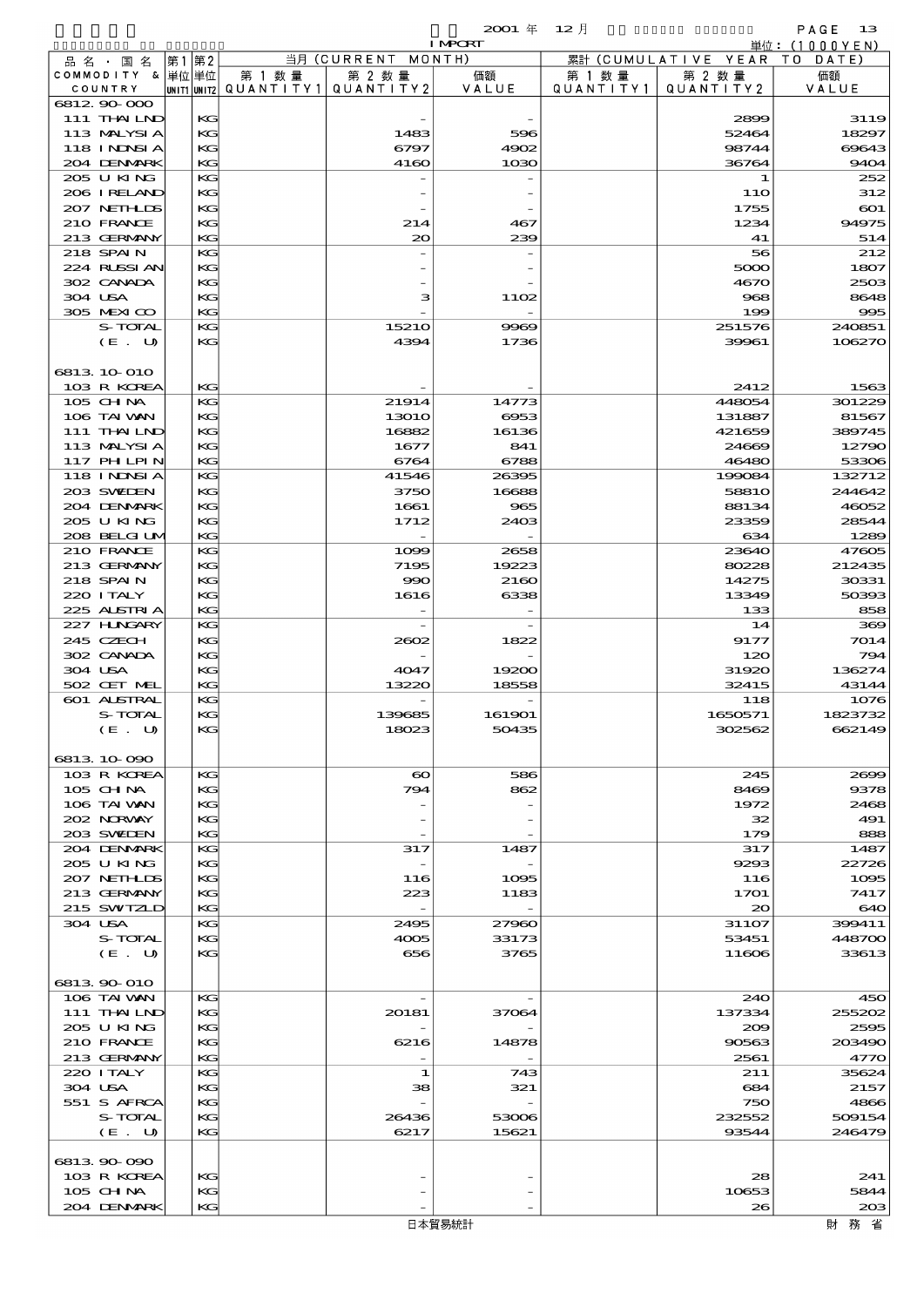$2001 \quad \text{if} \quad 12 \quad \text{if} \quad \text{PAGE} \quad 13$ 

|         |                            |    |          |                                       |                       | <b>I MPORT</b> |           |                              | 単位: (1000 Y E N)          |
|---------|----------------------------|----|----------|---------------------------------------|-----------------------|----------------|-----------|------------------------------|---------------------------|
|         | 品 名 ・ 国 名                  | 第1 | 第2       |                                       | 当月 (CURRENT MONTH)    |                |           | 累計 (CUMULATIVE YEAR TO DATE) |                           |
|         | COMMODITY & 単位単位           |    |          | 第 1 数量                                | 第 2 数量                | 価額             | 第 1 数量    | 第 2 数量                       | 価額                        |
|         | COUNTRY<br>6812 90 000     |    |          | unit1 unit2  QUANT   TY1  QUANT   TY2 |                       | VALUE          | QUANTITY1 | QUANTITY 2                   | VALUE                     |
|         | 111 THAILND                |    | KG       |                                       |                       |                |           | 2899                         | 3119                      |
|         | 113 MALYSIA                |    | KG       |                                       | 1483                  | 596            |           | 52464                        | 18297                     |
|         | 118 I NDSI A               |    | KG       |                                       | 6797                  | 4902           |           | 98744                        | 69643                     |
|         | 204 DENMARK                |    | $K$ $G$  |                                       | 4160                  | 1030           |           | 36764                        | 9404                      |
|         | 205 U KING                 |    | KG       |                                       |                       |                |           | 1                            | 252                       |
|         | 206 IRELAND                |    | KG       |                                       |                       |                |           | 11O                          | 312                       |
|         | 207 NETHLIS                |    | KG       |                                       |                       |                |           | 1755                         | $\boldsymbol{\mathrm{e}}$ |
|         | 210 FRANCE<br>213 GERMANY  |    | KG<br>KG |                                       | 214<br>$\infty$       | 467            |           | 1234<br>41                   | 94975                     |
|         | 218 SPAIN                  |    | KG       |                                       |                       | 239            |           | 56                           | 514<br>212                |
|         | 224 RUSSI AN               |    | KG       |                                       |                       |                |           | 5000                         | 1807                      |
|         | 302 CANADA                 |    | KG       |                                       |                       |                |           | 4670                         | 2503                      |
| 304 USA |                            |    | KG       |                                       | з                     | 1102           |           | 968                          | 8648                      |
|         | 305 MEXICO                 |    | KG       |                                       |                       |                |           | 199                          | 995                       |
|         | S-TOTAL                    |    | KG       |                                       | 15210                 | 9969           |           | 251576                       | 240851                    |
|         | (E. U)                     |    | KG       |                                       | 4394                  | 1736           |           | 39961                        | 106270                    |
|         |                            |    |          |                                       |                       |                |           |                              |                           |
|         | 6813 10 010<br>103 R KOREA |    | $K$ $G$  |                                       |                       |                |           | 2412                         | 1563                      |
|         | 105 CH NA                  |    | KG       |                                       | 21914                 | 14773          |           | 448054                       | 301229                    |
|         | 106 TAI VAN                |    | KG       |                                       | <b>13010</b>          | 6953           |           | 131887                       | 81567                     |
|         | 111 THAILND                |    | KG       |                                       | 16882                 | 16136          |           | 421659                       | 389745                    |
|         | 113 MALYSIA                |    | KG       |                                       | 1677                  | 841            |           | 24669                        | 12790                     |
|         | 117 PHLPIN                 |    | KG       |                                       | 6764                  | 6788           |           | 46480                        | 53306                     |
|         | 118 INNSI A                |    | KG       |                                       | 41546                 | 26395          |           | 199084                       | 132712                    |
|         | 203 SWIDEN                 |    | KG       |                                       | 3750                  | 16688          |           | 5881O                        | 244642                    |
|         | 204 DENMARK                |    | KG       |                                       | 1661                  | 965            |           | 88134                        | 46052                     |
|         | 205 U KING<br>208 BELGI UM |    | KG<br>KG |                                       | 1712                  | 2403           |           | 23359<br>634                 | 28544<br>1289             |
|         | 210 FRANCE                 |    | KG       |                                       | 1000                  | 2658           |           | 23640                        | 47605                     |
|         | 213 GERMANY                |    | KG       |                                       | 7195                  | 19223          |           | 80228                        | 212435                    |
|         | 218 SPAIN                  |    | KG       |                                       | 990                   | 2160           |           | 14275                        | 30331                     |
|         | 220 I TALY                 |    | KG       |                                       | 1616                  | 6338           |           | 13349                        | 50393                     |
|         | 225 ALSTRIA                |    | $K$ $G$  |                                       |                       |                |           | 133                          | 858                       |
|         | 227 H.NGARY                |    | KG       |                                       |                       |                |           | 14                           | 369                       |
|         | 245 CZECH<br>302 CANADA    |    | KG       |                                       | 2002                  | 1822           |           | 9177                         | 7014                      |
| 304 USA |                            |    | KG<br>KG |                                       | 4047                  | 19200          |           | 120<br>31920                 | 794<br>136274             |
|         | 502 CET MEL                |    | KG       |                                       | 13220                 | 18558          |           | 32415                        | 43144                     |
|         | 601 ALSTRAL                |    | KG       |                                       |                       |                |           | 118                          | 1076                      |
|         | S-TOTAL                    |    | KG       |                                       | 139685                | 161901         |           | 1650571                      | 1823732                   |
|         | (E. U)                     |    | KG       |                                       | 18023                 | 50435          |           | 302562                       | 662149                    |
|         |                            |    |          |                                       |                       |                |           |                              |                           |
|         | 6813 10 090<br>103 R KOREA |    | KG       |                                       | $\boldsymbol{\infty}$ | 586            |           | 245                          | 2000                      |
|         | $105$ CHNA                 |    | KG       |                                       | 794                   | 862            |           | 8469                         | 9378                      |
|         | 106 TAI VAN                |    | KG       |                                       |                       |                |           | 1972                         | 2468                      |
|         | 202 NORWAY                 |    | KG       |                                       |                       |                |           | 32                           | 491                       |
|         | 203 SWIDEN                 |    | KG       |                                       |                       |                |           | 179                          | 888                       |
|         | 204 DENMARK                |    | KG       |                                       | 317                   | 1487           |           | 317                          | 1487                      |
|         | 205 U KING                 |    | KG       |                                       |                       |                |           | 9293                         | 22726                     |
|         | 207 NETHLIS                |    | KG       |                                       | 116                   | 1095           |           | 116                          | 1005                      |
|         | 213 GERMANY<br>215 SWIZLD  |    | KG<br>KG |                                       | 223                   | 1183           |           | 1701<br>20                   | 7417<br>640               |
| 304 USA |                            |    | KG       |                                       | 2495                  | 27960          |           | 31107                        | 399411                    |
|         | S-TOTAL                    |    | KG       |                                       | 4005                  | 33173          |           | 53451                        | 448700                    |
|         | (E U)                      |    | KG       |                                       | 656                   | 3765           |           | 11606                        | 33613                     |
|         |                            |    |          |                                       |                       |                |           |                              |                           |
|         | 6813 90 010                |    |          |                                       |                       |                |           |                              |                           |
|         | 106 TAI VAN                |    | KG       |                                       |                       |                |           | 24O                          | 450                       |
|         | 111 THAILND                |    | KG       |                                       | 20181                 | 37064          |           | 137334                       | 255202                    |
|         | 205 U KING<br>210 FRANCE   |    | KG<br>KG |                                       | 6216                  | 14878          |           | 200<br>90563                 | 2595<br>203490            |
|         | 213 GERMANY                |    | KG       |                                       |                       |                |           | 2561                         | 4770                      |
|         | 220 I TALY                 |    | KG       |                                       | 1                     | 743            |           | 211                          | 35624                     |
| 304 USA |                            |    | KG       |                                       | 38                    | 321            |           | 684                          | 2157                      |
|         | 551 S AFRCA                |    | KG       |                                       |                       |                |           | 750                          | 4866                      |
|         | S-TOTAL                    |    | KG       |                                       | 26436                 | 53006          |           | 232552                       | 509154                    |
|         | (E. U)                     |    | KG       |                                       | 6217                  | 15621          |           | 93544                        | 246479                    |
|         | 6813 90 090                |    |          |                                       |                       |                |           |                              |                           |
|         |                            |    |          |                                       |                       |                |           |                              |                           |

財務省

 $103 \text{ R} \text{ K}$ <br>  $105 \text{ G} + \text{ N}$   $\text{ K}$   $\text{ K}$   $\text{ K}$   $\text{ K}$   $\text{ K}$   $\text{ K}$   $\text{ K}$   $\text{ K}$   $\text{ K}$   $\text{ K}$   $\text{ K}$   $\text{ K}$   $\text{ K}$   $\text{ K}$   $\text{ K}$   $\text{ K}$   $\text{ K}$   $\text{ K}$   $\text{ K}$   $\text{ K}$   $\text{ K}$   $\text{ K}$   $\text{ K}$   $\text$  105 CHINA KG - - 10653 5844 105 CHNA KG - - 10653 5844<br>204 DENMARK KG - - - 26 203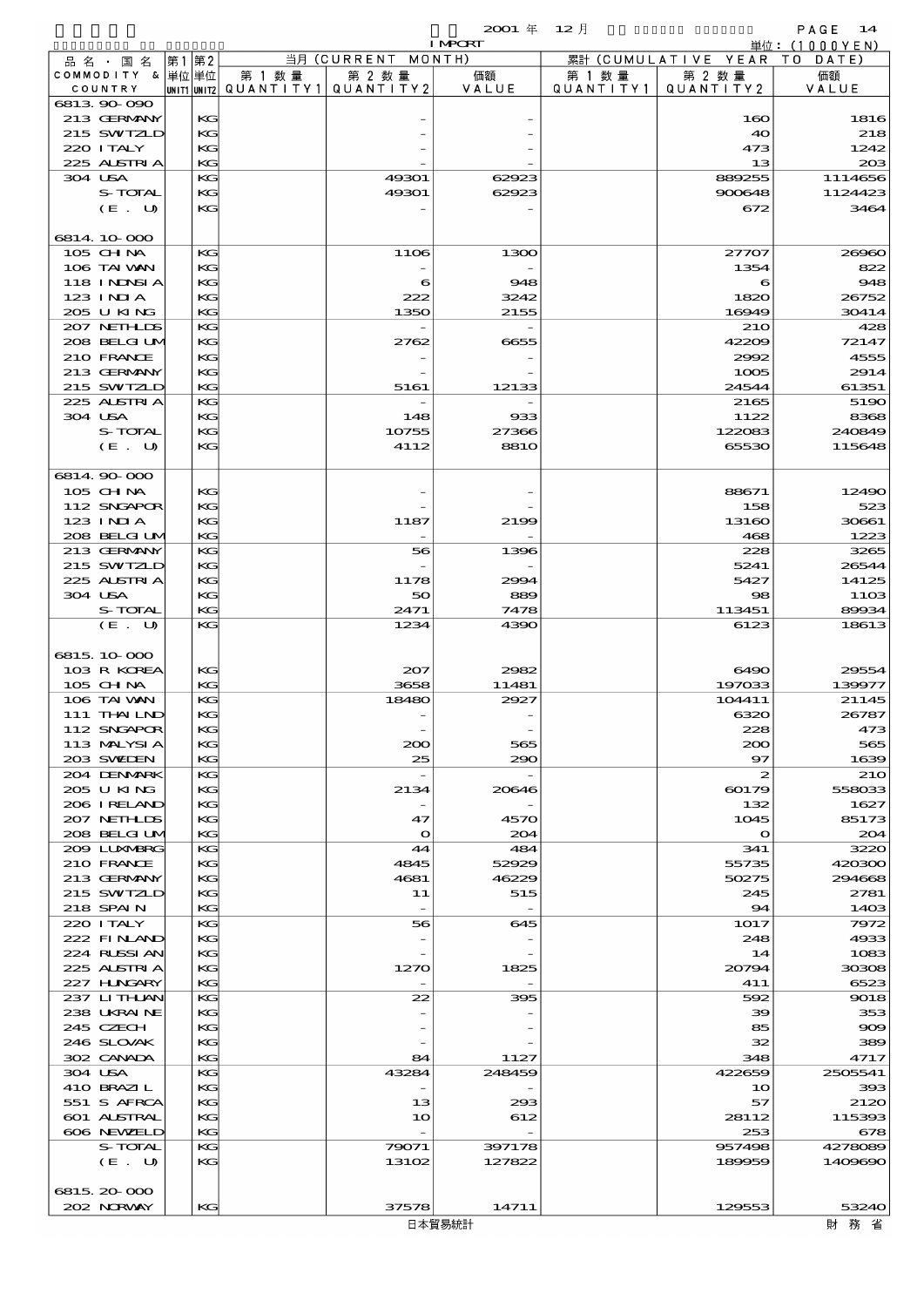品別国別表 輸 入 2001 12 確定 (Fixed Annual) 14

|                           |              |                                       |                          | <b>I MPCRT</b>           |           |                     | 単位: (1000YEN)  |
|---------------------------|--------------|---------------------------------------|--------------------------|--------------------------|-----------|---------------------|----------------|
| 品名・国名                     | 第1 第2        |                                       | 当月 (CURRENT              | MONTH)                   |           | 累計 (CUMULATIVE YEAR | T O<br>DATE    |
| COMMODITY & 単位単位          |              | 第 1 数量                                | 第 2 数量                   | 価額                       | 第 1 数 量   | 第 2 数量              | 価額             |
| COUNTRY                   |              | unit1 unit2  QUANT   TY1  QUANT   TY2 |                          | VALUE                    | QUANTITY1 | QUANTITY 2          | VALUE          |
| 6813 90 090               |              |                                       |                          |                          |           |                     |                |
| 213 GERMANY               | KG           |                                       |                          |                          |           | 160                 | 1816           |
| 215 SWIZLD                | KG           |                                       |                          |                          |           | 40                  | 218            |
| 220 I TALY                | KG           |                                       |                          |                          |           | 473                 | 1242           |
| 225 ALSTRIA               | KG           |                                       |                          |                          |           | 13                  | 20B            |
| 304 USA                   | KG           |                                       | 49301                    | 62923                    |           | 889255              | 1114656        |
| S-TOTAL                   | KG           |                                       | 49301                    | 62923                    |           | 900648              | 1124423        |
| (E. U)                    | KG           |                                       |                          |                          |           | 672                 | 3464           |
|                           |              |                                       |                          |                          |           |                     |                |
| 6814 10 000               |              |                                       |                          |                          |           |                     |                |
| 105 CHNA                  | KG           |                                       | 1106                     | 1300                     |           | 27707               | 26960          |
| 106 TAI VAN               | KG           |                                       |                          |                          |           | 1354                | 822            |
| <b>118 INNSIA</b>         | KG           |                                       | 6                        | 948                      |           | 6                   | 948            |
| 123 INIA                  | KG           |                                       | 222                      | 3242                     |           | 1820                | 26752          |
| 205 U KING                | KG           |                                       | 1350                     | 2155                     |           | 16949               | 30414          |
| 207 NETHLIS               | KG           |                                       |                          |                          |           | 21O                 | 428            |
| 208 BELGI UM              | KG           |                                       | 2762                     | 6655                     |           | 42209               | 72147          |
| 210 FRANCE                | KG           |                                       |                          |                          |           | 2992                | 4555           |
| 213 GERMANY<br>215 SWIZLD | KG           |                                       | 5161                     |                          |           | 1005                | 2914           |
|                           | KG           |                                       |                          | 12133                    |           | 24544               | 61351          |
| 225 ALSTRIA<br>304 USA    | KG           |                                       | 148                      |                          |           | 2165                | 5190           |
| S-TOTAL                   | KG<br>KG     |                                       |                          | 933<br>27366             |           | 1122<br>122083      | 8368<br>240849 |
|                           | KG           |                                       | 10755                    | <b>8810</b>              |           |                     |                |
| (E. U)                    |              |                                       | 4112                     |                          |           | 65530               | 115648         |
| 6814 90 000               |              |                                       |                          |                          |           |                     |                |
| $105$ CHNA                | KG           |                                       |                          |                          |           | 88671               | 12490          |
| 112 SNGAPOR               | KG           |                                       |                          |                          |           | 158                 | 523            |
| 123 INIA                  | KG           |                                       | 1187                     | 2199                     |           | 13160               | 30661          |
| 208 BELGI UM              | KG           |                                       |                          |                          |           | 468                 | 1223           |
| 213 GERMANY               | KG           |                                       | 56                       | 1396                     |           | 228                 | 3265           |
| 215 SWIZLD                | KG           |                                       |                          |                          |           | 5241                | 26544          |
| 225 ALSTRIA               | KG           |                                       | 1178                     | 2994                     |           | 5427                | 14125          |
| 304 USA                   | KG           |                                       | 50                       | 889                      |           | 98                  | <b>11OB</b>    |
| S-TOTAL                   | KG           |                                       | 2471                     | 7478                     |           | 113451              | 89934          |
| (E. U)                    | KG           |                                       | 1234                     | 4390                     |           | 6123                | 18613          |
|                           |              |                                       |                          |                          |           |                     |                |
| 6815 10 000               |              |                                       |                          |                          |           |                     |                |
| 103 R KOREA               | KG           |                                       | 207                      | 2982                     |           | 6490                | 29554          |
| 105 CHNA                  | KG           |                                       | 3658                     | 11481                    |           | 197033              | 139977         |
| 106 TAI VAN               | KG           |                                       | 18480                    | 2927                     |           | 104411              | 21145          |
| 111 THAILND               | КG           |                                       |                          |                          |           | 6320                | 26787          |
| 112 SNGAPOR               | $\mathbf{K}$ |                                       |                          |                          |           | 228                 | 473            |
| 113 MALYSIA               | KG           |                                       | 200                      | 565                      |           | 200                 | 565            |
| 203 SWIDEN                | KG           |                                       | 25                       | 290                      |           | 97                  | 1639           |
| 204 DENMARK               | KG           |                                       | $\overline{\phantom{a}}$ | $\overline{\phantom{0}}$ |           | $\boldsymbol{z}$    | <b>210</b>     |
| 205 U KING                | КG           |                                       | 2134                     | 20646                    |           | 60179               | 558033         |
| 206 IRELAND               | KG           |                                       |                          |                          |           | 132                 | 1627           |
| 207 NETHLIS               | KG           |                                       | 47                       | 4570                     |           | 1045                | 85173          |
| 208 BELGI UM              | KG           |                                       | $\Omega$                 | 204                      |           | $\mathbf{o}$        | 204            |
| 2009 LUNABRG              | KG           |                                       | 44                       | 484                      |           | 341                 | 3220           |
| 210 FRANCE                | КG           |                                       | 4845                     | 52929                    |           | 55735               | 420300         |
| 213 GERMANY               | KG           |                                       | 4681                     | 46229                    |           | 50275               | 294668         |
| 215 SWIZLD                | KG           |                                       | 11                       | 515                      |           | 245                 | 2781           |
| 218 SPAIN                 | KG           |                                       | $\overline{\phantom{a}}$ | $\overline{\phantom{a}}$ |           | $\mathbf{94}$       | 1403           |
| 220 I TALY                | KG           |                                       | 56                       | 645                      |           | 1017                | 7972           |
| 222 FINAND                | КG           |                                       |                          |                          |           | 248                 | 4933           |
| 224 RUSSI AN              | KG           |                                       |                          |                          |           | 14                  | 1083           |
| 225 ALSTRIA               | KG           |                                       | 1270                     | 1825                     |           | 20794               | 30308          |
| 227 H.NGARY               | KG           |                                       |                          |                          |           | 411                 | 6523           |
| 237 LITHLAN               | KG           |                                       | 22                       | 395                      |           | 592                 | 9018           |
| 238 UKRAINE               | КG           |                                       |                          |                          |           | 39                  | 353            |
| 245 CZECH                 | KG           |                                       |                          |                          |           | 85                  | 909            |
| 246 SLOVAK                | KG           |                                       |                          |                          |           | 32                  | 389            |
| 302 CANADA                | KG           |                                       | 84                       | 1127                     |           | 348                 | 4717           |
| 304 USA                   | KG           |                                       | 43284                    | 248459                   |           | 422659              | 2505541        |
| 410 BRAZIL                | КG           |                                       |                          |                          |           | 10                  | 393            |
| 551 S AFRCA               | KG           |                                       | 13                       | 293                      |           | 57                  | 2120           |
| 601 ALSTRAL               | KG           |                                       | 10                       | 612                      |           | 28112               | 115393         |
| 606 NEWELD<br>S-TOTAL     | KG<br>KG     |                                       | 79071                    | 397178                   |           | 253<br>957498       | 678<br>4278089 |
| (E. U)                    | КG           |                                       | 13102                    | 127822                   |           | 189959              | 1409690        |
|                           |              |                                       |                          |                          |           |                     |                |
| 6815, 20-000              |              |                                       |                          |                          |           |                     |                |
| 202 NRWAY                 | KG           |                                       | 37578                    | 14711                    |           | 129553              | 53240          |
|                           |              |                                       |                          |                          |           |                     |                |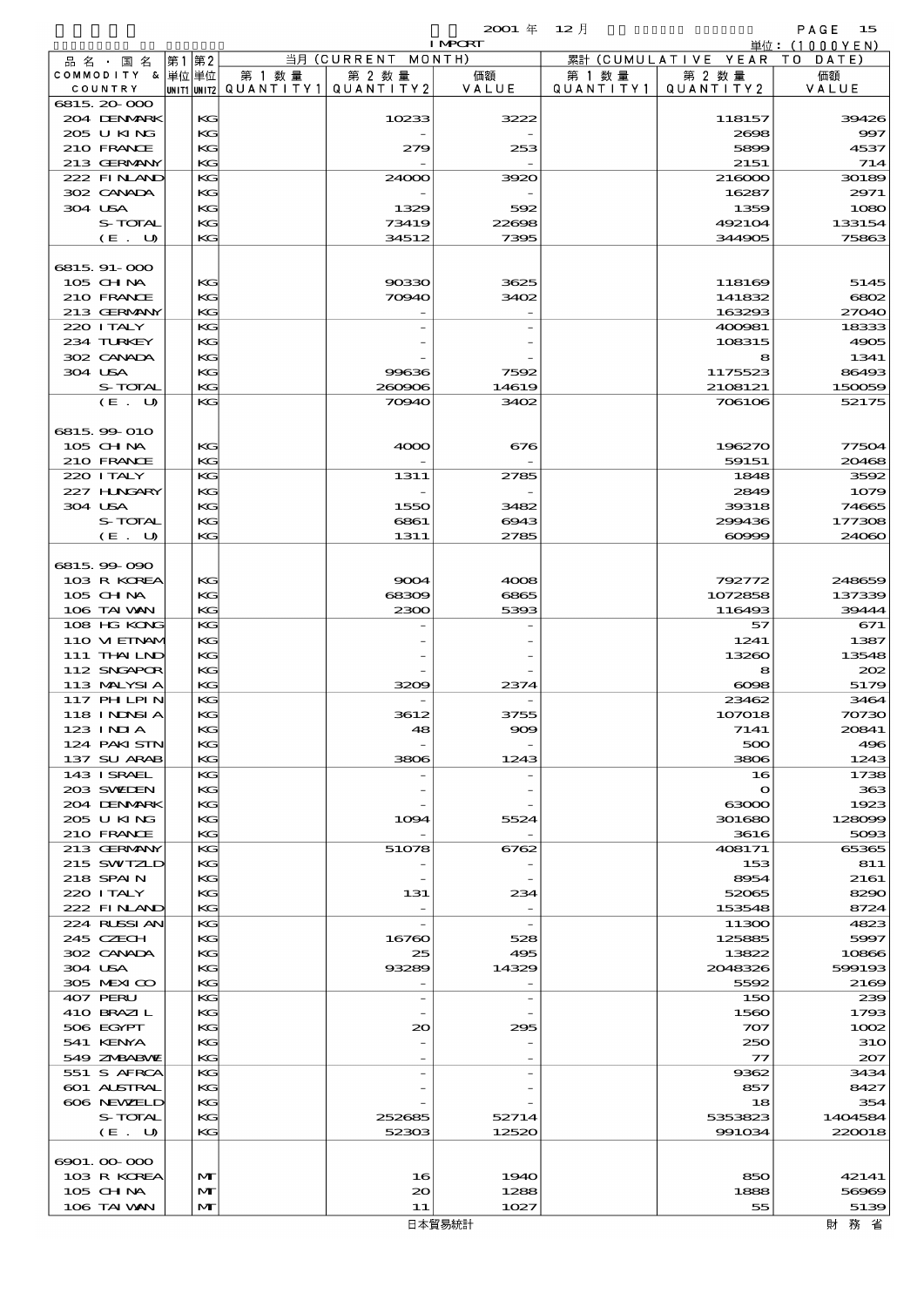|                                   |                   |                                   |                          | $2001$ $#$     | $12$ 月    |                              | PAGE<br>15                      |
|-----------------------------------|-------------------|-----------------------------------|--------------------------|----------------|-----------|------------------------------|---------------------------------|
|                                   |                   |                                   | 当月 (CURRENT MONTH)       | <b>I MPORT</b> |           | 累計 (CUMULATIVE YEAR TO DATE) | $\dot{\mathbb{H}}$ 位: (1000YEN) |
| 品 名 ・ 国 名<br>COMMODITY & 単位単位     | 第1 第2             | 第 1 数量                            | 第 2 数量                   | 価額             | 第 1 数 量   | 第 2 数 量                      | 価額                              |
| COUNTRY                           |                   | UNIT1 UNIT2 QUANTITY 1 QUANTITY 2 |                          | VALUE          | QUANTITY1 | QUANTITY2                    | VALUE                           |
| 6815, 20-000                      |                   |                                   |                          |                |           |                              |                                 |
| 204 DENMARK                       | KG                |                                   | 10233                    | 3222           |           | 118157                       | 39426                           |
| 205 U KING                        | KG                |                                   |                          |                |           | 2698                         | 997                             |
| 210 FRANCE<br>213 GERMANY         | KG<br>KG          |                                   | 279                      | 253            |           | 5899<br>2151                 | 4537<br>714                     |
| 222 FINAND                        | KG                |                                   | 24000                    | 3920           |           | 216000                       | 30189                           |
| 302 CANADA                        | KG                |                                   |                          |                |           | 16287                        | 2971                            |
| 304 USA                           | KG                |                                   | 1329                     | 592            |           | 1359                         | 1080                            |
| S-TOTAL                           | KG                |                                   | 73419                    | 22608          |           | 492104                       | 133154                          |
| (E. U)                            | KG                |                                   | 34512                    | 7395           |           | 344905                       | 75863                           |
|                                   |                   |                                   |                          |                |           |                              |                                 |
| 6815.91-000                       |                   |                                   |                          |                |           |                              |                                 |
| 105 CHNA<br>210 FRANCE            | KG<br>KG          |                                   | 90330<br>70940           | 3625<br>3402   |           | 118169<br>141832             | 5145<br>6802                    |
| 213 GERMANY                       | KG                |                                   |                          |                |           | 163293                       | 27040                           |
| 220 I TALY                        | KG                |                                   |                          |                |           | 400981                       | 18333                           |
| 234 TURKEY                        | KG                |                                   |                          |                |           | 108315                       | 4905                            |
| 302 CANADA                        | KG                |                                   |                          |                |           | 8                            | 1341                            |
| 304 USA                           | KG                |                                   | 99636                    | 7592           |           | 1175523                      | 86493                           |
| S-TOTAL                           | KG                |                                   | 260906                   | 14619          |           | 2108121                      | 150059                          |
| (E. U)                            | KG                |                                   | 70940                    | 3402           |           | 706106                       | 52175                           |
| 6815 99 010                       |                   |                                   |                          |                |           |                              |                                 |
| $105$ CHNA                        | KG                |                                   | 4000                     | 676            |           | 196270                       | 77504                           |
| 210 FRANCE                        | KG                |                                   |                          |                |           | 59151                        | 20468                           |
| 220 I TALY                        | KG                |                                   | 1311                     | 2785           |           | 1848                         | 3592                            |
| 227 H.NGARY                       | KG                |                                   |                          |                |           | 2849                         | 1079                            |
| 304 USA                           | KG                |                                   | 1550                     | 3482           |           | 39318                        | 74665                           |
| S-TOTAL                           | KG                |                                   | 6861                     | 6943           |           | 299436                       | 177308                          |
| (E. U)                            | KG                |                                   | 1311                     | 2785           |           | $\infty$                     | 24060                           |
|                                   |                   |                                   |                          |                |           |                              |                                 |
| 6815.99-090<br>103 R KOREA        | KG                |                                   | 9004                     | 4008           |           | 792772                       | 248659                          |
| 105 CH NA                         | KG                |                                   | 68309                    | 6865           |           | 1072858                      | 137339                          |
| 106 TAI VAN                       | KG                |                                   | 2300                     | 5393           |           | 116493                       | 39444                           |
| 108 HG KONG                       | KG                |                                   |                          |                |           | 57                           | 671                             |
| 110 VIEINAM                       | KG                |                                   |                          |                |           | 1241                         | 1387                            |
| 111 THAILND                       | KG                |                                   |                          |                |           | 13260                        | 13548                           |
| 112 SNGAPOR                       | KG                |                                   |                          |                |           | 8                            | 202                             |
| 113 MALYSIA<br>117 PHLPIN         | KG<br>KG          |                                   | 3209                     | 2374           |           | $\cos$<br>23462              | 5179<br>3464                    |
| 118 INNSIA                        | K                 |                                   | 3612                     | 3755           |           | 107018                       | 70730                           |
| 123 INIA                          | KG                |                                   | 48                       | 909            |           | 7141                         | 20841                           |
| 124 PAKISTN                       | KG                |                                   |                          |                |           | 500                          | 496                             |
| 137 SU ARAB                       | KG                |                                   | 3806                     | 1243           |           | 3806                         | 1243                            |
| 143 ISRAEL                        | KG                |                                   |                          |                |           | 16                           | 1738                            |
| 203 SWIEN                         | KG                |                                   |                          |                |           | $\mathbf o$                  | 363                             |
| 204 DENMARK                       | KG                |                                   |                          |                |           | 63000                        | 1923                            |
| 205 U KING<br>210 FRANCE          | KG<br>КC          |                                   | 1094                     | 5524           |           | 301680<br>3616               | 128099<br>5093                  |
| 213 GERMANY                       | KG                |                                   | 51078                    | 6762           |           | 408171                       | 65365                           |
| 215 SWIZLD                        | KG                |                                   |                          |                |           | 153                          | 811                             |
| 218 SPAIN                         | KG                |                                   |                          |                |           | 8954                         | 2161                            |
| 220 I TALY                        | KG                |                                   | 131                      | 234            |           | 52065                        | 8290                            |
| 222 FINAND                        | KG                |                                   | $\overline{\phantom{0}}$ |                |           | 153548                       | 8724                            |
| 224 RLSSIAN                       | КG                |                                   |                          |                |           | 11300                        | 4823                            |
| 245 CZECH<br>302 CANADA           | KG<br>KG          |                                   | 16760<br>25              | 528<br>495     |           | 125885<br>13822              | 5997<br>10866                   |
| 304 USA                           | KG                |                                   | 93289                    | 14329          |           | 2048326                      | 599193                          |
| 305 MEXICO                        | KG                |                                   |                          |                |           | 5592                         | 2169                            |
| 407 PERU                          | KG                |                                   |                          |                |           | 150                          | 239                             |
| 410 BRAZIL                        | KG                |                                   |                          |                |           | 1560                         | 1793                            |
| 506 EGYPT                         | КC                |                                   | 20                       | 295            |           | 707                          | 1002                            |
| 541 KENYA                         | KG                |                                   |                          |                |           | 250                          | 31O                             |
| 549 ZMBABMZ                       | KС                |                                   |                          |                |           | $\mathcal{T}$                | 207                             |
| 551 S AFRCA<br><b>601 ALSTRAL</b> | КG<br>KG          |                                   |                          |                |           | 9362<br>857                  | 3434<br>8427                    |
| 606 NEWELD                        | КC                |                                   |                          |                |           | 18                           | 354                             |
| S-TOTAL                           | KG                |                                   | 252685                   | 52714          |           | 5353823                      | 1404584                         |
| (E. U)                            | KG                |                                   | 52303                    | 12520          |           | 991034                       | 220018                          |
|                                   |                   |                                   |                          |                |           |                              |                                 |
| 6901.00-000                       |                   |                                   |                          |                |           |                              |                                 |
| 103 R KOREA                       | M                 |                                   | 16                       | 1940           |           | 850                          | 42141                           |
| $105$ CHNA<br>106 TAI VAN         | M<br>$\mathbf{M}$ |                                   | $\infty$<br>11           | 1288<br>1027   |           | 1888<br>55                   | 56969<br>5139                   |
|                                   |                   |                                   |                          |                |           |                              |                                 |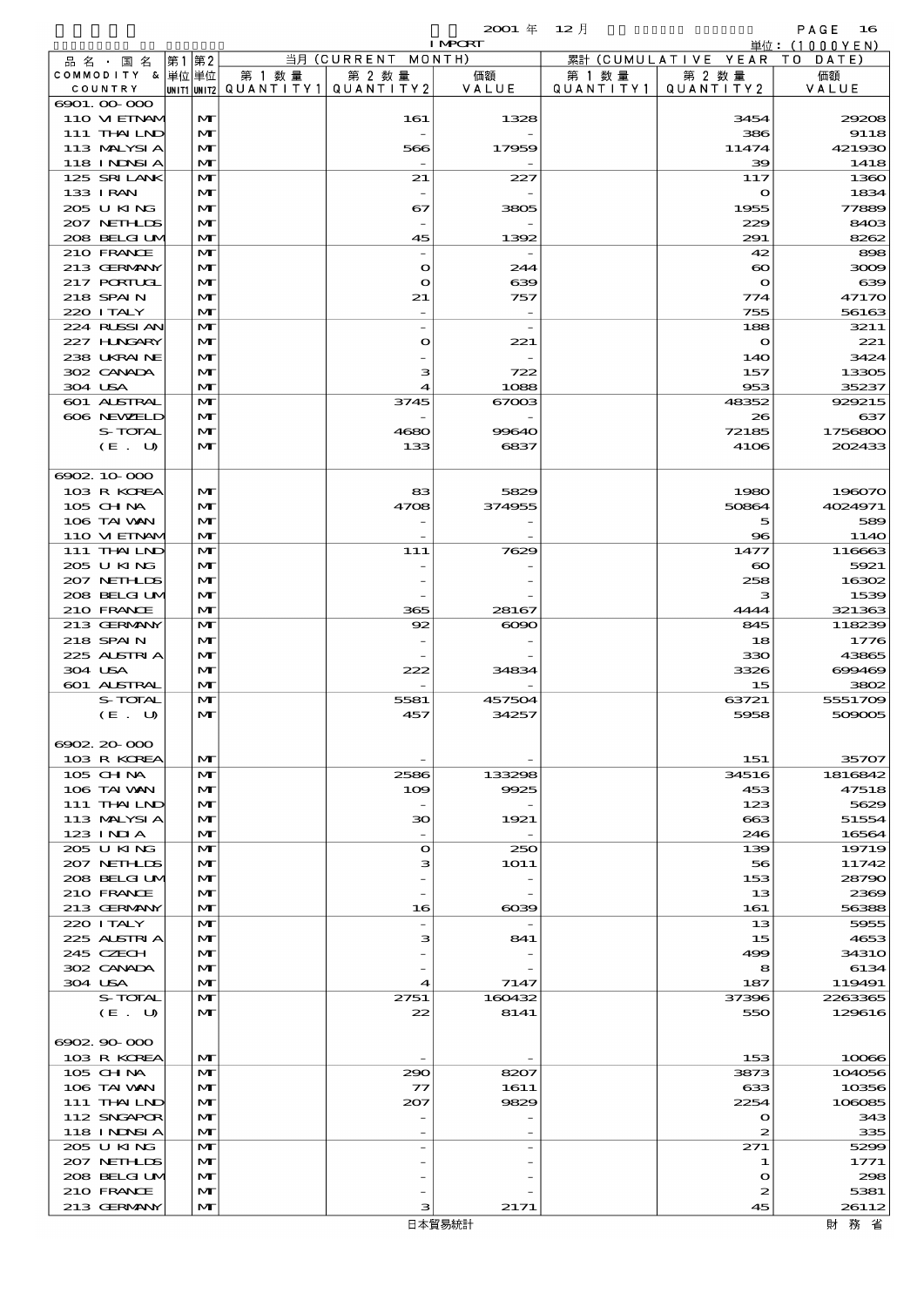$2001 \quad \text{if} \quad 12 \quad \text{if} \quad \text{PAGE} \quad 16$ 

|                          |              |        |                                       | <b>I MPCRT</b> |           |                              | 単位:(1000YEN) |
|--------------------------|--------------|--------|---------------------------------------|----------------|-----------|------------------------------|--------------|
| 品名・国名                    | 第1第2         |        | 当月 (CURRENT MONTH)                    |                |           | 累計 (CUMULATIVE YEAR TO DATE) |              |
| COMMODITY & 単位単位         |              | 第 1 数量 | 第 2 数量                                | 価額             | 第 1 数 量   | 第 2 数量                       | 価額           |
| COUNTRY                  |              |        | UNIT1 UNIT2  QUANT   TY1  QUANT   TY2 | VALUE          | QUANTITY1 | QUANTITY 2                   | VALUE        |
| 6901.00-000              |              |        |                                       |                |           |                              |              |
| 110 VIEINAM              | M            |        | 161                                   | 1328           |           | 3454                         | 29208        |
| 111 THAILND              | M            |        | $\overline{\phantom{a}}$              |                |           | 386                          | 9118         |
| 113 MALYSIA              | M            |        | 566                                   | 17959          |           | 11474                        | 421930       |
| <b>118 INNSIA</b>        | M            |        |                                       |                |           | $\infty$                     | 1418         |
| 125 SRILANK              | M            |        | 21                                    | 227            |           | 117                          | 1360         |
| 133 I RAN                | M            |        |                                       |                |           | $\mathbf o$                  | 1834         |
| 205 U KING               | M            |        | 67                                    | 3805           |           | 1955                         | 77889        |
| 207 NETHLIS              | M            |        | $\overline{\phantom{a}}$              |                |           | 229                          | 8403         |
| 208 BELGI UM             | M            |        | 45                                    | 1392           |           | 291                          | 8262         |
| 210 FRANCE               | M            |        |                                       |                |           | 42                           | 898          |
| 213 GERMANY              | M            |        | $\mathbf o$                           | 244            |           | $\infty$                     | 3009         |
| 217 PORTUGL              | M            |        | $\bullet$                             | 639            |           | $\mathbf{o}$                 | 639          |
| 218 SPAIN                | M            |        | 21                                    | 757            |           | 774                          | 47170        |
| 220 I TALY               | $\mathbf{M}$ |        |                                       |                |           | 755                          | 56163        |
| 224 RUSSI AN             | M            |        | $\overline{\phantom{a}}$              |                |           | 188                          | 3211         |
| 227 H.NGARY              | M            |        | $\Omega$                              | 221            |           | $\mathbf o$                  | 221          |
| 238 UKRAINE              | M            |        |                                       |                |           | 14O                          | 3424         |
| 302 CANADA               | M            |        | з                                     | 722            |           | 157                          | 13305        |
| 304 USA                  | M            |        | 4                                     | 1088           |           | 953                          | 35237        |
| 601 ALSTRAL              | $\mathbf{M}$ |        | 3745                                  | 67003          |           | 48352                        | 929215       |
| 606 NEWELD               | M            |        |                                       |                |           | 26                           | 637          |
| S-TOTAL                  | M            |        | 4680                                  | 99640          |           | 72185                        | 1756800      |
| (E. U)                   | M            |        | 133                                   | 6837           |           | 4106                         | 202433       |
|                          |              |        |                                       |                |           |                              |              |
| 6902, 10000              |              |        |                                       |                |           |                              |              |
| 103 R KOREA              | $\mathbf{M}$ |        | 83                                    | 5829           |           | 1980                         | 196070       |
| 105 CHNA                 | M            |        | 4708                                  | 374955         |           | 50864                        | 4024971      |
| 106 TAI VAN              | M            |        |                                       |                |           | 5                            | 589          |
| 110 VIEINAM              | M            |        |                                       |                |           | $\bf{8}$                     | 114O         |
| 111 THAILND              | M            |        | 111                                   | 7629           |           | 1477                         | 116663       |
| 205 U KING               | M            |        |                                       |                |           | $\infty$                     | 5921         |
| 207 NETHLIS              | M            |        |                                       |                |           | 258                          | 16302        |
| 208 BELGI UM             | M            |        |                                       |                |           | з                            | 1539         |
| 210 FRANCE               | M            |        | 365                                   | 28167          |           | 4444                         | 321363       |
| 213 GERMANY              | $\mathbf{M}$ |        | 92                                    | $\infty$       |           | 845                          | 118239       |
| 218 SPAIN                | M            |        |                                       |                |           | 18                           | 1776         |
| 225 ALSTRIA              | M            |        |                                       |                |           | 330                          | 43865        |
| 304 USA                  | M            |        | 222                                   | 34834          |           | 3326                         | 699469       |
| <b>601 ALSTRAL</b>       | M            |        |                                       |                |           | 15                           | 3802         |
| S-TOTAL                  | M            |        | 5581                                  | 457504         |           | 63721                        | 5551709      |
| (E. U)                   | M            |        | 457                                   | 34257          |           | 5958                         | 509005       |
|                          |              |        |                                       |                |           |                              |              |
| 6902.20-000              |              |        |                                       |                |           |                              |              |
| 103 R KOREA              | M            |        |                                       |                |           | 151                          | 35707        |
| 105 CHNA                 | M            |        | 2586                                  | 133298         |           | 34516                        | 1816842      |
| 106 TAI VAN              | M            |        | 109                                   | 9925           |           | 453                          | 47518        |
| $111$ THAILND            | M            |        | $\overline{\phantom{a}}$              |                |           | 123                          | 5629         |
| 113 MALYSIA              | M            |        | 30                                    | 1921           |           | $-663$                       | 51554        |
| $123$ INIA               | M            |        | $\overline{\phantom{a}}$              |                |           | 246                          | 16564        |
| 205 U KING               | M            |        | $\Omega$                              | 250            |           | 139                          | 19719        |
| 207 NETHLIDS             | M            |        | з                                     | 1O1 1          |           | 56                           | 11742        |
| 208 BELGI UM             | M            |        |                                       |                |           | 153                          | 28790        |
| 210 FRANCE               | M            |        |                                       |                |           | 13                           | 2369         |
| 213 GERMANY              | M            |        | 16                                    | $\alpha$       |           | 161                          | 56388        |
| 220 I TALY               | M            |        |                                       |                |           | 13                           | 5955         |
|                          | M            |        |                                       |                |           |                              | 4653         |
| 225 ALSTRIA<br>245 CZECH | M            |        | з                                     | 841            |           | 15<br>499                    | <b>34310</b> |
| 302 CANADA               | M            |        |                                       |                |           | 8                            | 6134         |
| 304 USA                  | M            |        | 4                                     | 7147           |           | 187                          | 119491       |
| S-TOTAL                  | M            |        | 2751                                  | 160432         |           | 37396                        | 2263365      |
|                          |              |        |                                       |                |           |                              |              |
| (E. U)                   | $\mathbf{M}$ |        | 22                                    | 8141           |           | 550                          | 129616       |
| 6902, 90, 000            |              |        |                                       |                |           |                              |              |
|                          |              |        |                                       |                |           |                              |              |
| 103 R KOREA              | M            |        |                                       |                |           | 153                          | 10066        |
| $105$ CHNA               | M            |        | 290                                   | 8207           |           | 3873                         | 104056       |
| 106 TAI VAN              | M            |        | $\tau$                                | 1611           |           | 633                          | 10356        |
| 111 THAILND              | M            |        | 207                                   | 9829           |           | 2254                         | 106085       |
| 112 SNGAPOR              | M            |        |                                       |                |           | $\mathbf o$                  | 343          |
| 118 I NDSI A             | M            |        |                                       |                |           | $\boldsymbol{z}$             | 335          |
| 205 U KING               | M            |        |                                       |                |           | 271                          | 5299         |
| 207 NETHLIDS             | M            |        |                                       |                |           | 1                            | 1771         |
| 208 BELGI UM             | M            |        |                                       |                |           | $\mathbf o$                  | 298          |
| 210 FRANCE               | M            |        |                                       |                |           | 2                            | 5381         |
| 213 GERMANY              | M            |        | з                                     | 2171           |           | 45                           | 26112        |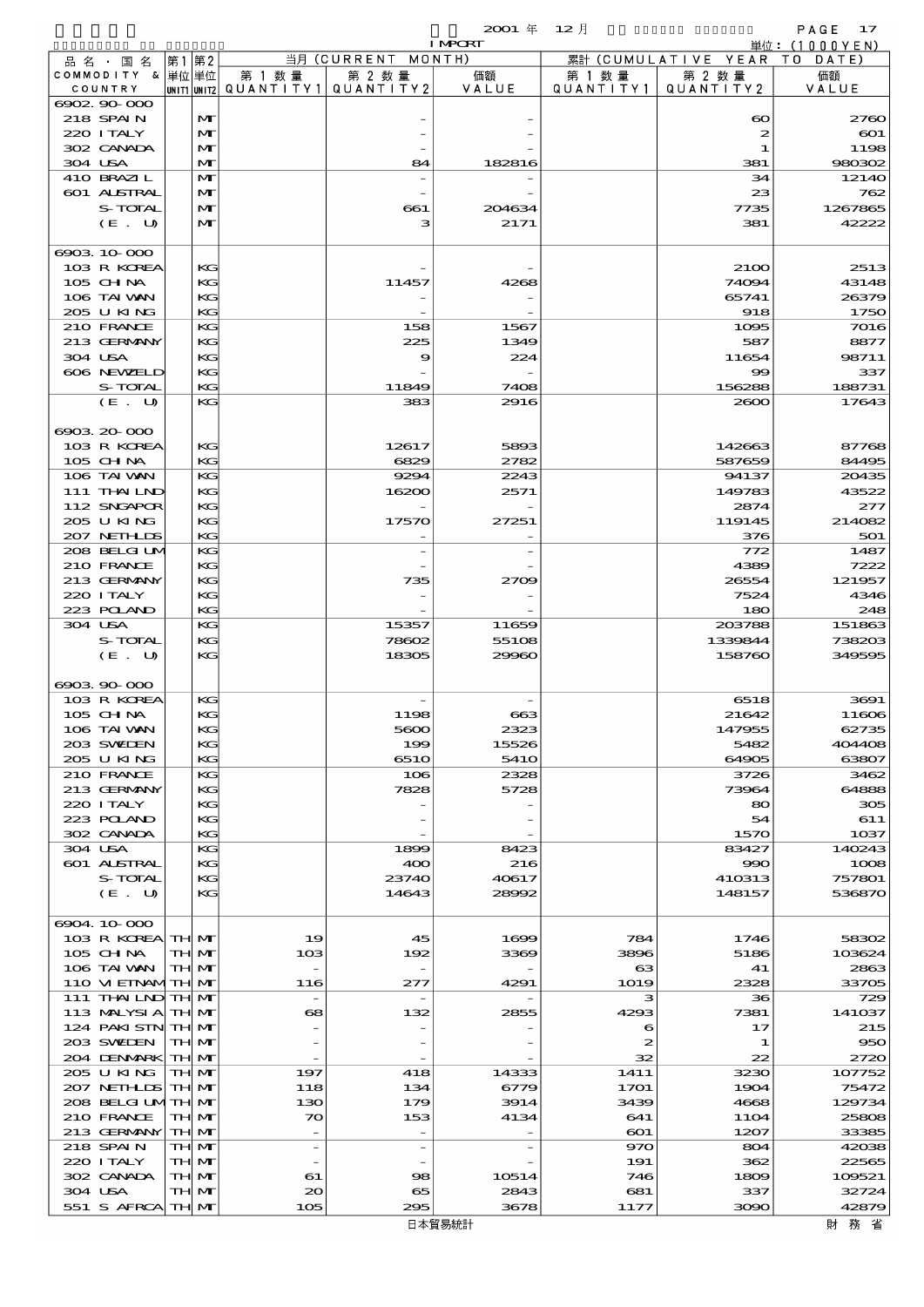$2001 \text{ } \textsterling 12 \text{ } \text{\AA}$  in Necry

|                               |       |                     |                          |                          | $2001 \text{ } \#$ | 12月              |                       | PAGE<br>17                          |
|-------------------------------|-------|---------------------|--------------------------|--------------------------|--------------------|------------------|-----------------------|-------------------------------------|
|                               |       |                     |                          | 当月 (CURRENT MONTH)       | <b>I MPORT</b>     |                  | 累計 (CUMULATIVE YEAR)  | 単位: (1000YEN)<br>T O<br>DATE        |
| 品 名 ・ 国 名<br>COMMODITY & 単位単位 | 第1 第2 |                     | 第 1 数 量                  | 第 2 数量                   | 価額                 | 第 1 数 量          | 第 2 数量                | 価額                                  |
| COUNTRY                       |       |                     | unit1 unit2  Q∪ANT   TY1 | QUANTITY2                | VALUE              | QUANTITY1        | QUANTITY2             | VALUE                               |
| 6902, 90, 000                 |       |                     |                          |                          |                    |                  |                       |                                     |
| 218 SPAIN                     |       | $\mathbf{M}$        |                          |                          |                    |                  | $\boldsymbol{\infty}$ | 2760                                |
| 220 I TALY<br>302 CANADA      |       | M<br>M              |                          |                          |                    |                  | $\boldsymbol{z}$<br>1 | $\boldsymbol{\mathrm{601}}$<br>1198 |
| 304 USA                       |       | $\mathbf{M}$        |                          | 84                       | 182816             |                  | 381                   | 980302                              |
| 410 BRAZIL                    |       | $\mathbf{M}$        |                          |                          |                    |                  | 34                    | 12140                               |
| 601 ALSTRAL                   |       | $\mathbf{M}$        |                          |                          |                    |                  | 23                    | 762                                 |
| S-TOTAL                       |       | M                   |                          | 661                      | 204634             |                  | 7735                  | 1267865                             |
| (E. U)                        |       | $\mathbf{M}$        |                          | з                        | 2171               |                  | 381                   | 42222                               |
| 6903 10 000                   |       |                     |                          |                          |                    |                  |                       |                                     |
| 103 R KOREA                   |       | KG                  |                          |                          |                    |                  | 2100                  | 2513                                |
| $105$ CHNA                    |       | KG                  |                          | 11457                    | 4268               |                  | 74094                 | 43148                               |
| 106 TAI VAN                   |       | KG                  |                          |                          |                    |                  | 65741                 | 26379                               |
| 205 U KING                    |       | KG                  |                          |                          |                    |                  | 918                   | 1750                                |
| 210 FRANCE                    |       | KG                  |                          | 158                      | 1567               |                  | 1095                  | 7016                                |
| 213 GERMANY<br>304 USA        |       | KG<br>KG            |                          | 225<br>9                 | 1349<br>224        |                  | 587<br>11654          | 8877<br>98711                       |
| 606 NEWELD                    |       | KG                  |                          |                          |                    |                  | $\infty$              | 337                                 |
| S-TOTAL                       |       | KG                  |                          | 11849                    | 7408               |                  | 156288                | 188731                              |
| (E. U)                        |       | KG                  |                          | 383                      | 2916               |                  | 2000                  | 17643                               |
|                               |       |                     |                          |                          |                    |                  |                       |                                     |
| 00032000                      |       |                     |                          |                          |                    |                  |                       |                                     |
| 103 R KOREA                   |       | KG                  |                          | 12617                    | 5893               |                  | 142663                | 87768                               |
| 105 CHNA                      |       | KG                  |                          | 6829                     | 2782               |                  | 587659                | 84495                               |
| 106 TAI VAN                   |       | KG                  |                          | 9294                     | 2243               |                  | 94137                 | 20435                               |
| 111 THAILND<br>112 SNGAPOR    |       | KG<br>KG            |                          | 16200                    | 2571               |                  | 149783<br>2874        | 43522<br>277                        |
| 205 U KING                    |       | KG                  |                          | 17570                    | 27251              |                  | 119145                | 214082                              |
| 207 NETHLIS                   |       | KG                  |                          |                          |                    |                  | 376                   | 501                                 |
| 208 BELGI UM                  |       | KG                  |                          |                          |                    |                  | 772                   | 1487                                |
| 210 FRANCE                    |       | KG                  |                          |                          |                    |                  | 4389                  | 7222                                |
| 213 GERMANY                   |       | KG                  |                          | 735                      | 2709               |                  | 26554                 | 121957                              |
| 220 I TALY                    |       | KG                  |                          |                          |                    |                  | 7524                  | 4346                                |
| 223 POLAND                    |       | KG                  |                          |                          |                    |                  | 180                   | 248                                 |
| 304 USA<br>S-TOTAL            |       | KG<br>KG            |                          | 15357<br>78602           | 11659<br>55108     |                  | 203788<br>1339844     | 151863<br>738203                    |
| (E. U)                        |       | KG                  |                          | 18305                    | 29960              |                  | 158760                | 349595                              |
|                               |       |                     |                          |                          |                    |                  |                       |                                     |
| 0008000000                    |       |                     |                          |                          |                    |                  |                       |                                     |
| 103 R KOREA                   |       | KG                  |                          |                          |                    |                  | 6518                  | 3691                                |
| 105 CHNA                      |       | KG                  |                          | 1122                     | $\infty$           |                  | 21642                 | 11606                               |
| 106 TAI VAN                   |       | KG                  |                          | 5600                     | 2323               |                  | 147955                | 62735                               |
| 203 SWIEN                     |       | KG                  |                          | 199                      | 15526              |                  | 5482                  | 404408                              |
| 205 U KING<br>210 FRANCE      |       | KG<br>KG            |                          | 6510<br>106              | 541O<br>2328       |                  | 64905<br>3726         | 63807<br>3462                       |
| 213 GERMANY                   |       | KG                  |                          | 7828                     | 5728               |                  | 73964                 | 64888                               |
| 220 I TALY                    |       | KG                  |                          |                          |                    |                  | 80                    | 305                                 |
| 223 POLAND                    |       | KG                  |                          |                          |                    |                  | 54                    | 611                                 |
| 302 CANADA                    |       | KG                  |                          |                          |                    |                  | 1570                  | 1037                                |
| 304 USA                       |       | KG                  |                          | 1899                     | 8423               |                  | 83427                 | 140243                              |
| 601 ALSTRAL                   |       | KG                  |                          | 400                      | 216                |                  | 990                   | 1008                                |
| S-TOTAL<br>$(E_U U)$          |       | KG<br>KG            |                          | 23740<br>14643           | 40617<br>28992     |                  | 410313<br>148157      | 757801<br>536870                    |
|                               |       |                     |                          |                          |                    |                  |                       |                                     |
| 6904 10 000                   |       |                     |                          |                          |                    |                  |                       |                                     |
| 103 R KOREA TH MT             |       |                     | 19                       | 45                       | 1699               | 784              | 1746                  | 58302                               |
| 105 CH NA                     |       | TH MT               | 103                      | 192                      | 3369               | 3896             | 5186                  | 103624                              |
| 106 TAI VAN                   |       | TH M                |                          |                          |                    | $_{\rm \alpha}$  | 41                    | 2863                                |
| 110 VI EINAMTH MT             |       |                     | 116                      | 277                      | 4291               | 1019             | 2328                  | 33705                               |
| 111 THAILND TH MT             |       |                     |                          |                          |                    | з                | 36                    | 729                                 |
| 113 MALYSIA<br>124 PAKI STN   |       | TH MT<br><b>THM</b> | 68                       | 132                      | 2855               | 4293<br>6        | 7381<br>17            | 141037<br>215                       |
| 203 SWIDEN                    |       | TH MT               |                          |                          |                    | $\boldsymbol{z}$ | 1                     | 950                                 |
| 204 DENMARK                   |       | <b>THM</b>          |                          |                          |                    | 32               | 22                    | 2720                                |
| 205 U KING                    |       | TH MT               | 197                      | 418                      | 14333              | 1411             | 3230                  | 107752                              |
| 207 NETH LIS                  |       | <b>THM</b>          | 118                      | 134                      | 6779               | 1701             | 1904                  | 75472                               |
| 208 BELGI UMTH MT             |       |                     | 130                      | 179                      | 3914               | 3439             | 4668                  | 129734                              |
| 210 FRANCE                    |       | TH MT               | 70                       | 153                      | 4134               | 641              | <b>11O4</b>           | 25808                               |
| 213 GERMANY                   |       | <b>THM</b>          |                          |                          |                    | 601              | 1207                  | 33385                               |
| 218 SPAIN<br>220 I TALY       |       | TH MT<br>TH MT      | $\overline{\phantom{a}}$ | $\overline{\phantom{0}}$ |                    | 970<br>191       | 804<br>362            | 42038<br>22565                      |
| 302 CANADA                    |       | TH MT               | 61                       | $\infty$                 | 10514              | 746              | 1809                  | 109521                              |
| 304 USA                       |       | TH MT               | 20                       | 65                       | 2843               | 681              | 337                   | 32724                               |
| 551 S AFRCA                   |       | <b>THM</b>          | 105                      | 295                      | 3678               | 1177             | 3090                  | 42879                               |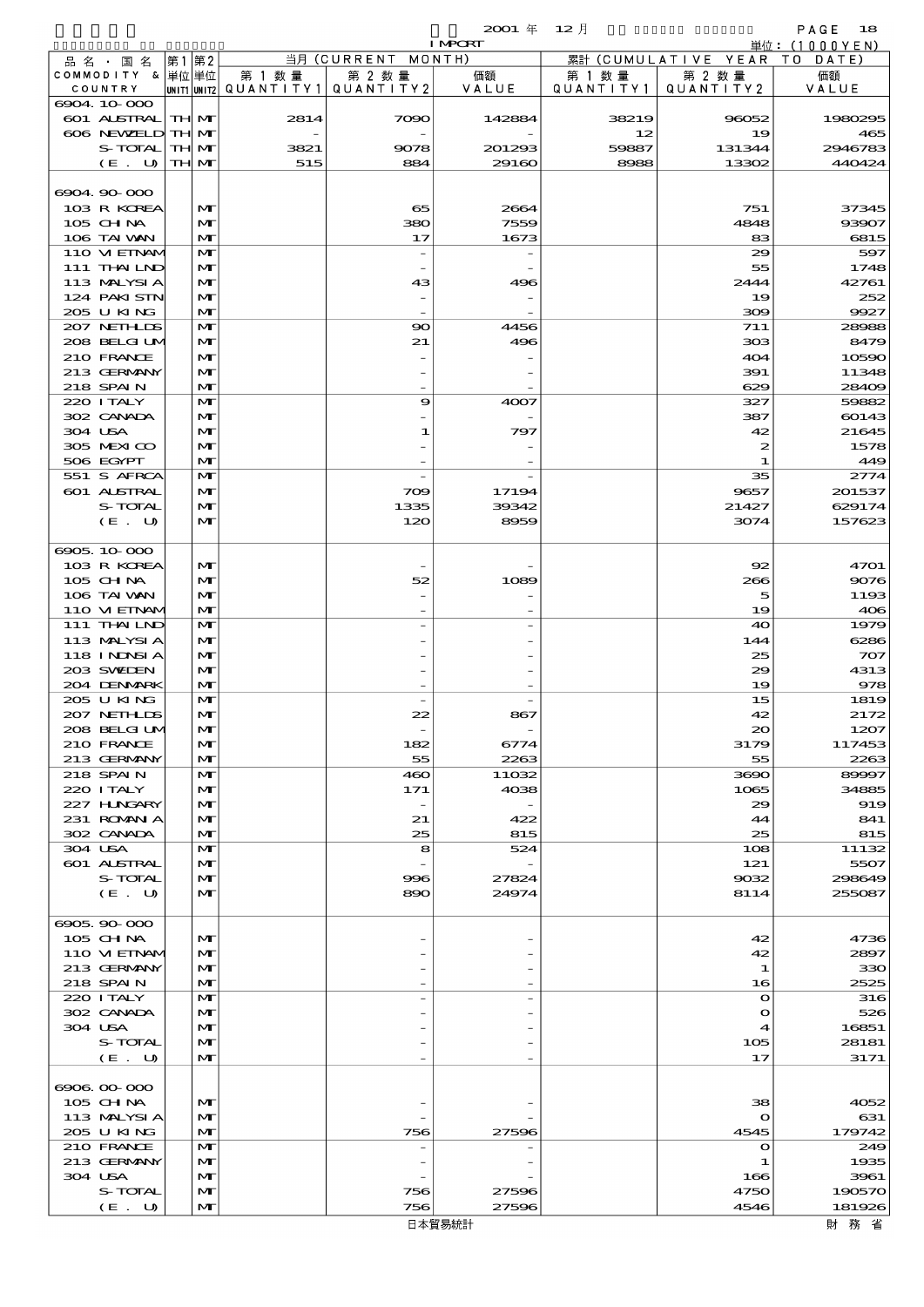|                               |    |                              |                       |                                | $2001$ $\#$              | $12$ 月      |                  | PAGE<br>18                     |
|-------------------------------|----|------------------------------|-----------------------|--------------------------------|--------------------------|-------------|------------------|--------------------------------|
|                               |    |                              |                       | 当月(CURRENT                     | <b>I MPORT</b><br>MONTH) | 累計          | (CUMULATIVE YEAR | 単位: $(1000YEN)$<br>T O<br>DATE |
| 品 名 ・ 国 名<br>COMMODITY & 単位単位 | 第1 | 第2                           | 第 1 数量                | 第 2 数量                         | 価額                       | 第 1 数 量     | 第 2 数量           | 価額                             |
| COUNTRY                       |    |                              | UNIT1 UNIT2 QUANTITY1 | QUANTITY2                      | VALUE                    | QUANTITY1   | QUANTITY2        | VALUE                          |
| 6904 10 000                   |    |                              |                       |                                |                          |             |                  |                                |
| 601 ALSTRAL<br>606 NEWELD     |    | <b>TH M</b>                  | 2814                  | 7090                           | 142884                   | 38219       | 96052            | 1980295                        |
| S-TOTAL                       |    | TH M<br>TH MT                | 3821                  | 9078                           | 201293                   | 12<br>59887 | 19<br>131344     | 465<br>2946783                 |
| (E. U)                        |    | TH M                         | 515                   | 884                            | 29160                    | 8988        | 13302            | 440424                         |
|                               |    |                              |                       |                                |                          |             |                  |                                |
| 6904.90-000                   |    |                              |                       |                                |                          |             |                  |                                |
| 103 R KOREA                   |    | $\mathbf{M}$                 |                       | 65                             | 2664                     |             | 751              | 37345                          |
| 105 CH NA<br>106 TAI VAN      |    | $\mathbf{M}$<br>$\mathbf{M}$ |                       | 380<br>17                      | 7559                     |             | 4848             | 93907<br>6815                  |
| 110 VIEINAM                   |    | $\mathbf{M}$                 |                       | $\overline{\phantom{a}}$       | 1673                     |             | 83<br>29         | 597                            |
| 111 THAILND                   |    | $\mathbf{M}$                 |                       |                                |                          |             | 55               | 1748                           |
| 113 MALYSIA                   |    | $\mathbf{M}$                 |                       | 43                             | 496                      |             | 2444             | 42761                          |
| 124 PAKI STN                  |    | $\mathbf{M}$                 |                       |                                |                          |             | 19               | 252                            |
| 205 U KING                    |    | $\mathbf{M}$                 |                       |                                |                          |             | 300              | 9927                           |
| 207 NETHLIS                   |    | $\mathbf{M}$                 |                       | $\infty$                       | 4456                     |             | 711              | 28988                          |
| 208 BELGIUM<br>210 FRANCE     |    | $\mathbf{M}$<br>$\mathbf{M}$ |                       | 21                             | 496                      |             | 303<br>404       | 8479<br>10590                  |
| 213 GERMANY                   |    | $\mathbf{M}$                 |                       |                                |                          |             | 391              | 11348                          |
| 218 SPAIN                     |    | $\mathbf{M}$                 |                       |                                |                          |             | 629              | 28409                          |
| 220 ITALY                     |    | $\mathbf{M}$                 |                       | 9                              | 4007                     |             | 327              | 59882                          |
| 302 CANADA                    |    | $\mathbf{M}$                 |                       |                                |                          |             | 387              | 60143                          |
| 304 USA                       |    | $\mathbf{M}$                 |                       | 1                              | 797                      |             | 42               | 21645                          |
| 305 MEXICO                    |    | $\mathbf{M}$                 |                       |                                |                          |             | 2                | 1578                           |
| 506 EGYPT<br>551 S AFRCA      |    | $\mathbf{M}$<br>$\mathbf{M}$ |                       |                                |                          |             | 1<br>35          | 449<br>2774                    |
| 601 ALSTRAL                   |    | $\mathbf{M}$                 |                       | 709                            | 17194                    |             | 9657             | 201537                         |
| S-TOTAL                       |    | $\mathbf{M}$                 |                       | 1335                           | 39342                    |             | 21427            | 629174                         |
| (E. U)                        |    | $\mathbf{M}$                 |                       | 120                            | 8959                     |             | 3074             | 157623                         |
|                               |    |                              |                       |                                |                          |             |                  |                                |
| 6905.10.000                   |    |                              |                       |                                |                          |             |                  |                                |
| 103 R KOREA                   |    | $\mathbf{M}$                 |                       |                                |                          |             | 92               | 4701                           |
| $105$ CHNA<br>106 TAI VAN     |    | $\mathbf{M}$<br>$\mathbf{M}$ |                       | 52                             | 1089                     |             | 266              | 9076                           |
| 110 VIEINAM                   |    | $\mathbf{M}$                 |                       |                                |                          |             | 5<br>19          | 1193<br>406                    |
| 111 THAILND                   |    | $\mathbf{M}$                 |                       |                                |                          |             | 40               | 1979                           |
| 113 MALYSIA                   |    | $\mathbf{M}$                 |                       |                                |                          |             | 144              | 6286                           |
| 118 I NDSI A                  |    | $\mathbf{M}$                 |                       |                                |                          |             | 25               | 707                            |
| 203 SWIEN                     |    | $\mathbf{M}$                 |                       |                                |                          |             | 29               | 4313                           |
| 204 DENMARK                   |    | $\mathbf{M}$                 |                       |                                |                          |             | 19               | 978                            |
| 205 U KING<br>207 NETHLIS     |    | $\mathbf{M}$<br>$\mathbf{M}$ |                       |                                |                          |             | 15<br>42         | 1819<br>2172                   |
| 208 BELGI UM                  |    | $\mathbf{M}$                 |                       | zz<br>$\overline{\phantom{a}}$ | 80,                      |             | $\infty$         | 1207                           |
| 210 FRANCE                    |    | M                            |                       | 182                            | 6774                     |             | 3179             | 117453                         |
| 213 GERMANY                   |    | M                            |                       | 55                             | 2263                     |             | 55               | 2263                           |
| 218 SPAIN                     |    | $\mathbf{M}$                 |                       | 460                            | 11032                    |             | 3690             | 89997                          |
| 220 I TALY                    |    | $\mathbf{M}$                 |                       | 171                            | 4038                     |             | 1065             | 34885                          |
| 227 HNGARY<br>231 ROMANIA     |    | $\mathbf{M}$<br>$\mathbf{M}$ |                       | $\overline{\phantom{a}}$       | 422                      |             | 29               | 919<br>841                     |
| 302 CANADA                    |    | $\mathbf{M}$                 |                       | 21<br>25                       | 815                      |             | 44<br>25         | 815                            |
| 304 USA                       |    | M                            |                       | 8                              | 524                      |             | 108              | 11132                          |
| 601 ALSTRAL                   |    | $\mathbf{M}$                 |                       |                                |                          |             | 121              | 5507                           |
| S-TOTAL                       |    | $\mathbf{M}$                 |                       | 996                            | 27824                    |             | 9032             | 298649                         |
| (E. U)                        |    | $\mathbf{M}$                 |                       | 890                            | 24974                    |             | 8114             | 255087                         |
| 6905.90-000                   |    |                              |                       |                                |                          |             |                  |                                |
| 105 CH NA                     |    | M                            |                       |                                |                          |             | 42               | 4736                           |
| 110 VIEINAM                   |    | $\mathbf{M}$                 |                       |                                |                          |             | 42               | 2897                           |
| 213 GERMANY                   |    | $\mathbf{M}$                 |                       |                                |                          |             | 1                | 330                            |
| 218 SPAIN                     |    | $\mathbf{M}$                 |                       |                                |                          |             | 16               | 2525                           |
| 220 I TALY                    |    | M                            |                       |                                |                          |             | $\mathbf{o}$     | 316                            |
| 302 CANADA                    |    | $\mathbf{M}$                 |                       |                                |                          |             | $\mathbf o$      | 526                            |
| 304 USA<br>S-TOTAL            |    | $\mathbf{M}$<br>$\mathbf{M}$ |                       |                                |                          |             | 4<br>105         | 16851<br>28181                 |
| (E. U)                        |    | $\mathbf{M}$                 |                       |                                |                          |             | 17               | 3171                           |
|                               |    |                              |                       |                                |                          |             |                  |                                |
| 6906.00-000                   |    |                              |                       |                                |                          |             |                  |                                |
| 105 CH NA                     |    | M                            |                       |                                |                          |             | 38               | 4052                           |
| 113 MALYSIA                   |    | M                            |                       |                                |                          |             | $\mathbf o$      | 631                            |
| 205 U KING                    |    | $\mathbf{M}$                 |                       | 756                            | 27596                    |             | 4545             | 179742                         |
| 210 FRANCE<br>213 GERMANY     |    | M<br>$\mathbf{M}$            |                       | $\overline{\phantom{0}}$       |                          |             | $\mathbf o$<br>1 | 249<br>1935                    |
| 304 USA                       |    | M                            |                       |                                |                          |             | 166              | 3961                           |
| S-TOTAL                       |    | $\mathbf{M}$                 |                       | 756                            | 27596                    |             | 4750             | 190570                         |
| $(E_{\perp})$<br>U            |    | $\mathbf{M}$                 |                       | 756                            | 27596                    |             | 4546             | 181926                         |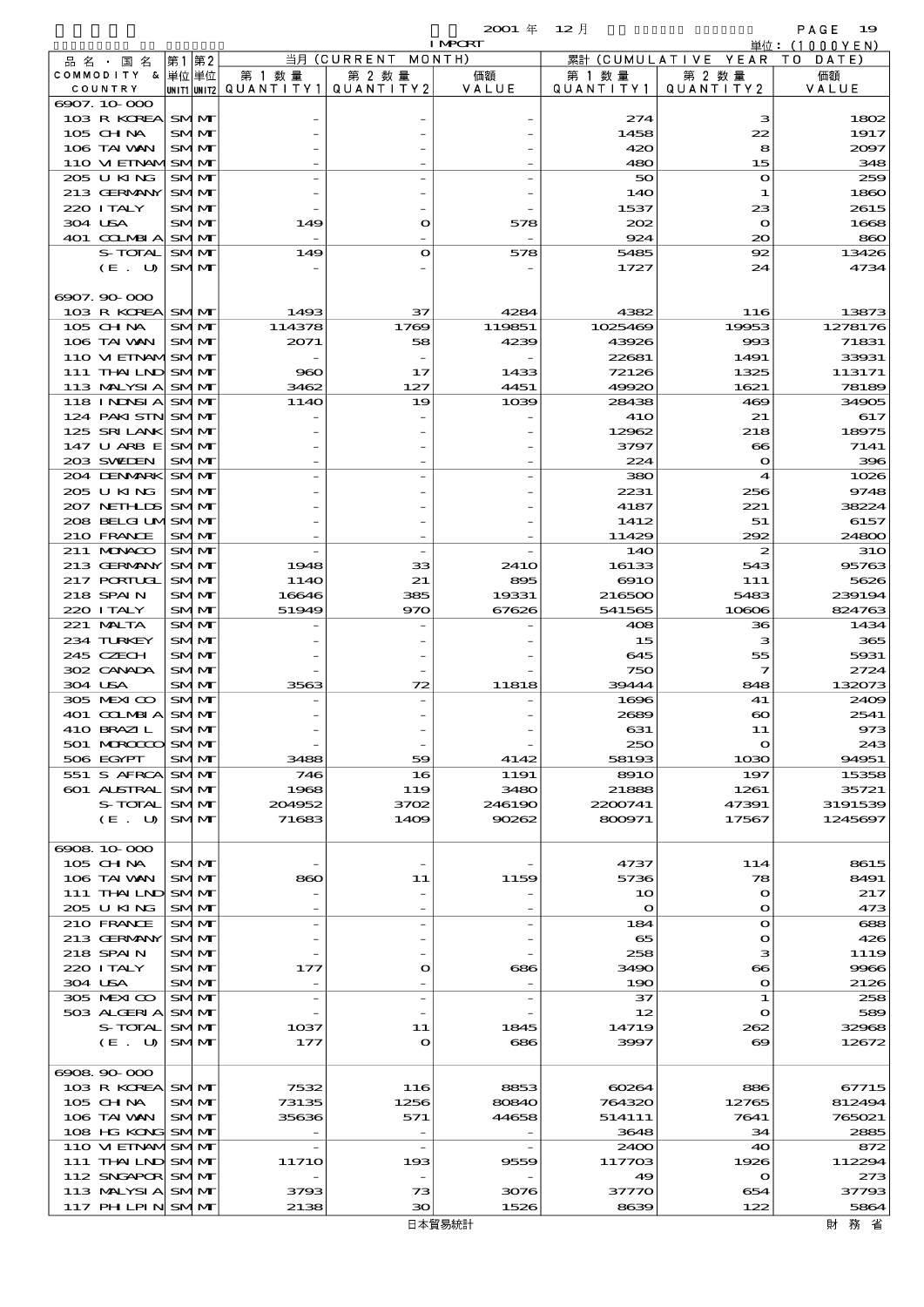|                                       |    |                          |                          |                          | 2001 年         | $12$ 月          |                          | PAGE<br>19                  |
|---------------------------------------|----|--------------------------|--------------------------|--------------------------|----------------|-----------------|--------------------------|-----------------------------|
|                                       |    |                          |                          | 当月 (CURRENT MONTH)       | <b>I MPORT</b> |                 | 累計 (CUMULATIVE YEAR      | 単位:(1000YEN)<br>T O<br>DATE |
| 品名・国名<br>COMMODITY &                  | 第1 | 第2<br> 単位 単位             | 第 1 数量                   | 第 2 数量                   | 価額             | 第 1 数 量         | 第 2 数量                   | 価額                          |
| COUNTRY                               |    |                          | UNIT1 UNIT2  Q∪ANT I TY1 | QUANTITY2                | VALUE          | QUANTITY1       | QUANTITY2                | VALUE                       |
| 6907.10.000                           |    |                          |                          |                          |                |                 |                          |                             |
| 103 R KOREA<br>105 CHNA               |    | <b>SMM</b><br>SMM        |                          |                          |                | 274<br>1458     | з<br>22                  | 1802<br>1917                |
| 106 TAI VAN                           |    | <b>SMM</b>               |                          |                          |                | 420             | 8                        | 2097                        |
| 110 VI EINAMSMM                       |    |                          |                          |                          |                | 480             | 15                       | 348                         |
| 205 U KING                            |    | <b>SMM</b>               |                          |                          |                | 50              | $\mathbf{o}$             | 259                         |
| 213 GERMANY                           |    | <b>SMM</b>               |                          |                          |                | 140             | 1                        | 1860                        |
| 220 I TALY<br>304 USA                 |    | SMM<br><b>SMM</b>        | 149                      | $\mathbf o$              | 578            | 1537<br>202     | 23<br>$\mathbf{o}$       | 2615<br>1668                |
| 401 COLMBIA                           |    | <b>SMM</b>               |                          |                          |                | 924             | $\infty$                 | 860                         |
| <b>S-TOTAL</b>                        |    | <b>SMM</b>               | 149                      | $\bullet$                | 578            | 5485            | 92                       | 13426                       |
| (E. U)                                |    | <b>SMM</b>               |                          |                          |                | 1727            | 24                       | 4734                        |
| 6907.90-000                           |    |                          |                          |                          |                |                 |                          |                             |
| 103 R KOREA SMM                       |    |                          | 1493                     | 37                       | 4284           | 4382            | 116                      | 13873                       |
| $105$ CHNA                            |    | SMM                      | 114378                   | 1769                     | 119851         | 1025469         | 19953                    | 1278176                     |
| 106 TAI WAN                           |    | <b>SMM</b>               | 2071                     | 58                       | 4239           | 43926           | 993                      | 71831                       |
| 110 VI EINAMSMIM                      |    |                          |                          |                          |                | 22681           | 1491                     | 33931                       |
| 111 THAILND SMM<br>113 MALYSI A SMIM  |    |                          | 960<br>3462              | 17<br>127                | 1433<br>4451   | 72126<br>49920  | 1325<br>1621             | 113171<br>78189             |
| 118 INDSIA SMM                        |    |                          | 114O                     | 19                       | 1039           | 28438           | 469                      | 34905                       |
| 124 PAKI SIN SMM                      |    |                          |                          |                          |                | <b>41O</b>      | 21                       | 617                         |
| 125 SRILANK SMIM                      |    |                          |                          |                          |                | 12962           | 218                      | 18975                       |
| 147 U ARB E<br>203 SWIDEN             |    | <b>SMM</b><br><b>SMM</b> |                          |                          |                | 3797<br>224     | $\bf{8}$<br>$\mathbf{o}$ | 7141<br>396                 |
| 204 DENMARK SMM                       |    |                          |                          |                          |                | 380             | $\boldsymbol{4}$         | 1026                        |
| 205 U KING                            |    | <b>SMM</b>               |                          |                          |                | 2231            | 256                      | 9748                        |
| 207 NETHLIS                           |    | <b>SMM</b>               |                          |                          |                | 4187            | 221                      | 38224                       |
| 208 BELGI UMSMM                       |    |                          |                          |                          |                | 1412            | 51                       | 6157                        |
| 210 FRANCE<br>211 MUNACO              |    | <b>SMM</b><br><b>SMM</b> |                          |                          |                | 11429<br>140    | 292<br>$\boldsymbol{z}$  | 24800<br><b>31O</b>         |
| 213 GERMANY                           |    | <b>SMM</b>               | 1948                     | 33                       | 241O           | 16133           | 543                      | 95763                       |
| <b>217 PORTUGL</b>                    |    | <b>SMM</b>               | 114O                     | 21                       | 895            | 6910            | 111                      | 5626                        |
| 218 SPAIN                             |    | <b>SMM</b>               | 16646                    | 385                      | 19331          | 216500          | 5483                     | 239194                      |
| 220 I TALY<br>221 MALTA               |    | <b>SMM</b><br>SMM        | 51949                    | 970                      | 67626          | 541565<br>408   | 10806<br>36              | 824763<br>1434              |
| 234 TURKEY                            |    | SMM                      |                          |                          |                | 15              | з                        | 365                         |
| 245 CZECH                             |    | SMM                      |                          |                          |                | 645             | 55                       | 5931                        |
| 302 CANADA                            |    | SMM                      |                          |                          |                | 750             | 7                        | 2724                        |
| 304 USA                               |    | SMM                      | 3563                     | 72                       | 11818          | 39444<br>1696   | 848                      | 132073                      |
| 305 MEXICO<br>401 COLMBIA             |    | <b>SMM</b><br><b>SMM</b> |                          |                          |                | 2689            | 41<br>$\infty$           | 2409<br>2541                |
| 410 BRAZIL                            |    | SMM                      |                          |                          |                | 631             | 11                       | 973                         |
| 501 MROCCO                            |    | <b>SMM</b>               |                          |                          |                | 250             | O                        | 243                         |
| 506 EGYPT                             |    | SMM                      | 3488                     | 59                       | 4142           | 58193           | 1030                     | 94951                       |
| 551 S AFRCA<br>601 ALSTRAL            |    | SMM<br><b>SMM</b>        | 746<br>1968              | 16<br>119                | 1191<br>3480   | 8910<br>21888   | 197<br>1261              | 15358<br>35721              |
| S-TOTAL                               |    | <b>SMM</b>               | 204952                   | 3702                     | 246190         | 2200741         | 47391                    | 3191539                     |
| (E. U)                                |    | <b>SMM</b>               | 71683                    | 1409                     | 90262          | 800971          | 17567                    | 1245697                     |
|                                       |    |                          |                          |                          |                |                 |                          |                             |
| 6908.10-000<br>105 CH NA              |    | <b>SMM</b>               |                          |                          |                | 4737            | 114                      | 8615                        |
| 106 TAI VAN                           |    | <b>SMM</b>               | 860                      | 11                       | 1159           | 5736            | 78                       | 8491                        |
| 111 THAILND                           |    | <b>SMM</b>               |                          |                          |                | 10              | $\mathbf o$              | 217                         |
| 205 U KING                            |    | SMM                      |                          |                          |                | $\mathbf{o}$    | $\mathbf{o}$             | 473                         |
| 210 FRANCE                            |    | SMM                      |                          |                          |                | 184             | $\mathbf{o}$             | 688                         |
| 213 GERMANY<br>218 SPAIN              |    | <b>SMM</b><br>SMM        |                          |                          |                | 65<br>258       | $\bullet$<br>з           | 426<br>1119                 |
| 220 I TALY                            |    | SMM                      | 177                      | $\mathbf o$              | 686            | 3490            | $\bf{66}$                | 9966                        |
| 304 USA                               |    | SMM                      |                          |                          |                | 190             | $\mathbf{o}$             | 2126                        |
| 305 MEXICO                            |    | <b>SMM</b>               |                          |                          |                | 37              | 1                        | 258                         |
| 503 ALGERIA<br>S-TOTAL                |    | <b>SMM</b><br>SMM        | 1037                     | 11                       | 1845           | 12<br>14719     | $\bullet$<br>262         | 589<br>32968                |
| (E. U)                                |    | <b>SMM</b>               | 177                      | $\mathbf o$              | 686            | 3997            | $\boldsymbol{\infty}$    | 12672                       |
|                                       |    |                          |                          |                          |                |                 |                          |                             |
| 6908.90-000                           |    |                          |                          |                          |                |                 |                          |                             |
| 103 R KOREA SMM<br>105 CHNA           |    | SMM                      | 7532<br>73135            | 116<br>1256              | 8853<br>80840  | 60264<br>764320 | 886<br>12765             | 67715<br>812494             |
| 106 TAI VAN                           |    | <b>SMM</b>               | 35636                    | 571                      | 44658          | 514111          | 7641                     | 765021                      |
| 108 HG KONG SMIM                      |    |                          |                          | $\overline{\phantom{a}}$ |                | 3648            | 34                       | 2885                        |
| 110 VI EINAMISMIM                     |    |                          |                          |                          |                | 2400            | 40                       | 872                         |
| 111 THAILND SMMT                      |    |                          | 1171O                    | 193                      | 9559           | 117703          | 1926                     | 112294                      |
| 112 SNGAPOR SMIM<br>113 MALYSI A SMIM |    |                          | 3793                     | 73                       | 3076           | 49<br>37770     | $\mathbf o$<br>654       | 273<br>37793                |
| 117 PH LPIN SMM                       |    |                          | 2138                     | 30                       | 1526           | 8639            | 122                      | 5864                        |
|                                       |    |                          |                          |                          |                |                 |                          |                             |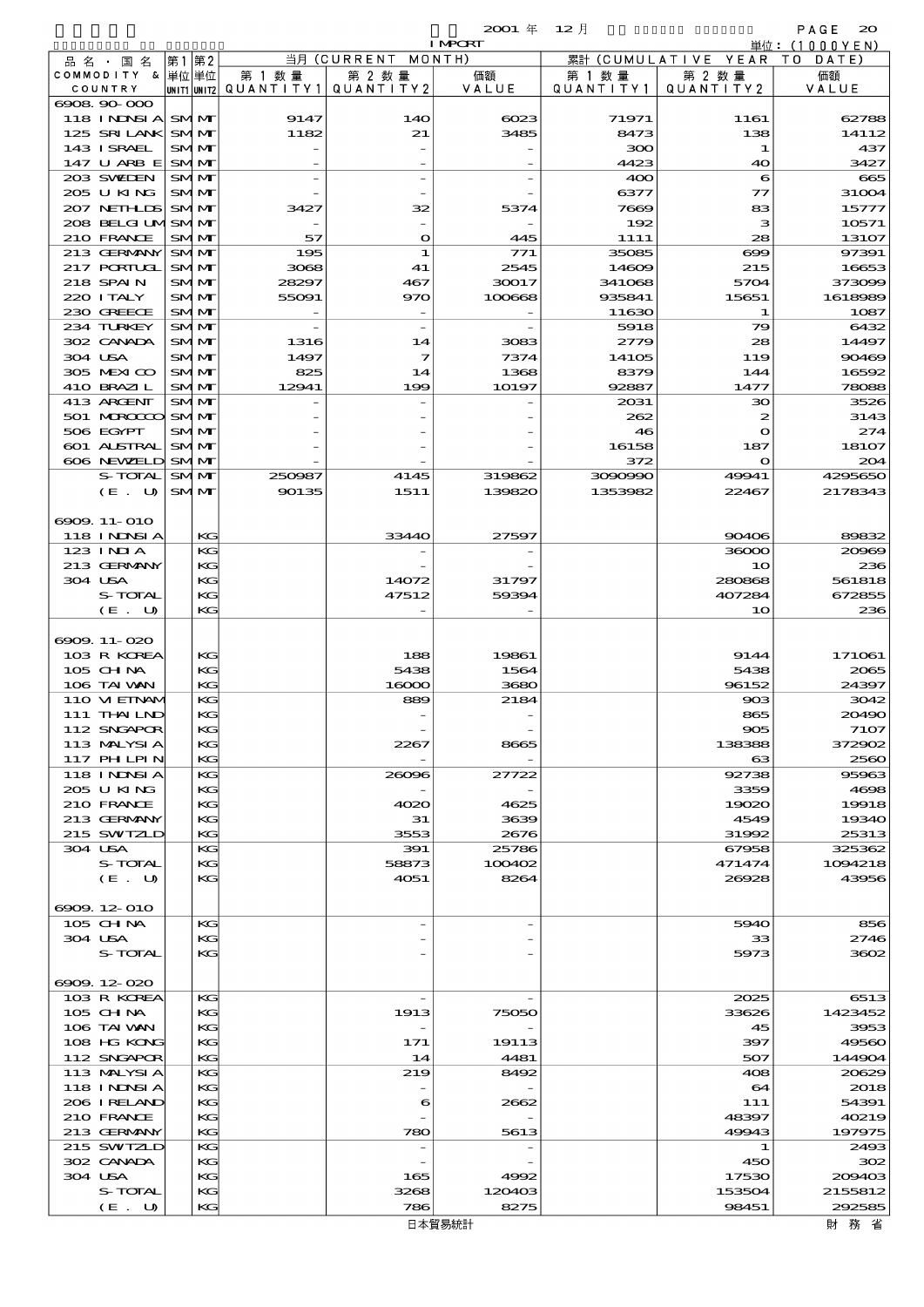|                                   |       |                          |                                          |                              | 20001年 12月     |               |                                 | PAGE<br>$\infty$  |
|-----------------------------------|-------|--------------------------|------------------------------------------|------------------------------|----------------|---------------|---------------------------------|-------------------|
|                                   |       |                          |                                          |                              | <b>I MPORT</b> |               |                                 | 単位: $(1000YEN)$   |
| 品名・国名<br>COMMODITY & 単位単位         | 第1 第2 |                          | 第 1 数 量                                  | 当月 (CURRENT MONTH)<br>第 2 数量 | 価額             | 第 1 数 量       | 累計 (CUMULATIVE YEAR)<br>第 2 数量  | TO DATE)<br>価額    |
| COUNTRY                           |       |                          | UNIT1 UNIT2  QUANT I TY 1   QUANT I TY 2 |                              | VALUE          | QUANTITY1     | QUANTITY 2                      | VALUE             |
| 6908, 90, 000                     |       |                          |                                          |                              |                |               |                                 |                   |
| <b>118 INDSIA</b>                 |       | <b>SMM</b>               | 9147                                     | 14O                          | 6023           | 71971         | 1161                            | 62788             |
| 125 SRILANK<br>143 ISRAEL         |       | <b>SMM</b><br><b>SMM</b> | 1182                                     | 21                           | 3485           | 8473<br>ဆဝ    | 138<br>1                        | 14112<br>437      |
| 147 U ARB E                       |       | <b>SMM</b>               |                                          |                              |                | 4423          | 40                              | 3427              |
| 203 SVELEN                        |       | <b>SMM</b>               |                                          |                              |                | 400           | 6                               | 665               |
| 205 U KING                        |       | <b>SMM</b>               |                                          |                              |                | 6377          | 77                              | 31004             |
| 207 NETHLIS                       |       | <b>SMM</b>               | 3427                                     | 32                           | 5374           | 7669          | 83                              | 15777             |
| 208 BELGI UMSMMT<br>210 FRANCE    |       | <b>SMM</b>               | 57                                       | $\mathbf o$                  | 445            | 192<br>1111   | з<br>28                         | 10571<br>13107    |
| 213 GERMANY                       |       | <b>SMM</b>               | 195                                      | 1                            | 771            | 35085         | $\bf{699}$                      | 97391             |
| <b>217 PORTUGL</b>                |       | <b>SMM</b>               | 3068                                     | 41                           | 2545           | 14609         | 215                             | 16653             |
| 218 SPAIN                         |       | SMM                      | 28297                                    | 467                          | 30017          | 341068        | 5704                            | 373099            |
| 220 I TALY                        |       | <b>SMM</b>               | 55091                                    | 970                          | 100668         | 935841        | 15651                           | 1618989           |
| 230 GREECE<br>234 TURKEY          |       | <b>SMM</b><br><b>SMM</b> |                                          | $\overline{\phantom{a}}$     |                | 11630<br>5918 | 1<br>79                         | 1087<br>6432      |
| 302 CANADA                        |       | <b>SMM</b>               | 1316                                     | 14                           | 3083           | 2779          | 28                              | 14497             |
| 304 USA                           |       | SMM                      | 1497                                     | 7                            | 7374           | 14105         | 119                             | 90469             |
| 305 MEXICO                        |       | <b>SMM</b>               | 825                                      | 14                           | 1368           | 8379          | 144                             | 16592             |
| 410 BRAZIL                        |       | <b>SMM</b>               | 12941                                    | 199                          | 10197          | 92887         | 1477                            | 78088             |
| 413 ARCENT                        |       | SMM                      |                                          |                              |                | 2031          | зо                              | 3526              |
| 501 MROCCO<br>506 EGYPT           |       | <b>SMM</b><br>SMM        |                                          |                              |                | 262<br>46     | $\boldsymbol{z}$<br>$\mathbf o$ | 3143<br>274       |
| 601 ALSTRAL                       |       | <b>SMM</b>               |                                          |                              |                | 16158         | 187                             | 18107             |
| 606 NEWELD                        |       | <b>SMM</b>               |                                          |                              |                | 372           | $\mathbf{\Omega}$               | 204               |
| S-TOTAL                           |       | <b>SMM</b>               | 250987                                   | 4145                         | 319862         | 3090990       | 49941                           | 4295650           |
| (E. U)                            |       | <b>SMM</b>               | 90135                                    | 1511                         | 139820         | 1353982       | 22467                           | 2178343           |
|                                   |       |                          |                                          |                              |                |               |                                 |                   |
| 6909. 11-010<br><b>118 INNSIA</b> |       | KG                       |                                          | 33440                        | 27597          |               | 90406                           | 89832             |
| $123$ INJA                        |       | КG                       |                                          |                              |                |               | 36000                           | 20969             |
| 213 GERMANY                       |       | KG                       |                                          |                              |                |               | 10                              | 236               |
| 304 USA                           |       | KG                       |                                          | 14072                        | 31797          |               | 280868                          | 561818            |
| S-TOTAL                           |       | KG                       |                                          | 47512                        | 59394          |               | 407284                          | 672855            |
| (E. U)                            |       | KG                       |                                          |                              |                |               | 10                              | 236               |
| 6909.11-020                       |       |                          |                                          |                              |                |               |                                 |                   |
| 103 R KOREA                       |       | KG                       |                                          | 188                          | 19861          |               | 9144                            | 171061            |
| $105$ CHNA                        |       | KG                       |                                          | 5438                         | 1564           |               | 5438                            | 2065              |
| 106 TAI VAN                       |       | KG                       |                                          | 16000                        | 3680           |               | 96152                           | 24397             |
| 110 VIEINAM                       |       | КG                       |                                          | 889                          | 2184           |               | 903                             | 3042              |
| 111 THAILND<br>112 SNGAPOR        |       | KG<br>KG                 |                                          |                              |                |               | 865<br>905                      | 20490<br>7107     |
| 113 MALYSIA                       |       | KG                       |                                          | 2267                         | 8665           |               | 138388                          | 372902            |
| 117 PHLPIN                        |       | KG                       |                                          |                              |                |               | $_{\rm cs}$                     | 2560              |
| <b>118 INNSIA</b>                 |       | КG                       |                                          | 26096                        | 27722          |               | 92738                           | 95963             |
| 205 U KING                        |       | KG                       |                                          |                              |                |               | 3359                            | 4698              |
| 210 FRANCE<br>213 GERMANY         |       | KG<br>KG                 |                                          | 4020<br>31                   | 4625<br>3639   |               | 19020<br>4549                   | 19918<br>19340    |
| 215 SWIZLD                        |       | KG                       |                                          | 3553                         | 2676           |               | 31992                           | 25313             |
| 304 USA                           |       | KG                       |                                          | 391                          | 25786          |               | 67958                           | 325362            |
| S-TOTAL                           |       | KG                       |                                          | 58873                        | 100402         |               | 471474                          | 1094218           |
| (E. U)                            |       | KG                       |                                          | 4051                         | 8264           |               | 26928                           | 43956             |
| 6909.12-010                       |       |                          |                                          |                              |                |               |                                 |                   |
| 105 CHNA                          |       | KG                       |                                          |                              |                |               | 5940                            | 856               |
| 304 USA                           |       | KG                       |                                          |                              |                |               | 33                              | 2746              |
| S-TOTAL                           |       | KG                       |                                          |                              |                |               | 5973                            | 3602              |
|                                   |       |                          |                                          |                              |                |               |                                 |                   |
| 6909.12-020<br>103 R KOREA        |       |                          |                                          |                              |                |               |                                 |                   |
| $105$ CHNA                        |       | KG<br>KG                 |                                          | 1913                         | 75050          |               | 2025<br>33626                   | 6513<br>1423452   |
| 106 TAI WAN                       |       | КG                       |                                          |                              |                |               | 45                              | 3953              |
| 108 HG KONG                       |       | KG                       |                                          | 171                          | 19113          |               | 397                             | 49560             |
| 112 SNGAPOR                       |       | KG                       |                                          | 14                           | 4481           |               | 507                             | 144904            |
| 113 MALYSIA                       |       | КG                       |                                          | 219                          | 8492           |               | 408                             | 20629             |
| 118 I NDSI A<br>206 I RELAND      |       | KG<br>КG                 |                                          | 6                            | 2662           |               | 64<br>111                       | 2018<br>54391     |
| 210 FRANCE                        |       | KG                       |                                          |                              |                |               | 48397                           | 40219             |
| 213 GERMANY                       |       | KG                       |                                          | 780                          | 5613           |               | 49943                           | 197975            |
| 215 SWIZLD                        |       | KG                       |                                          |                              |                |               | 1                               | 2493              |
| 302 CANADA                        |       | KG                       |                                          |                              |                |               | 450                             | 302               |
| 304 USA<br>S-TOTAL                |       | КG<br>KG                 |                                          | 165                          | 4992           |               | 17530<br>153504                 | 209403            |
| (E. U)                            |       | KG                       |                                          | 3268<br>786                  | 120403<br>8275 |               | 98451                           | 2155812<br>292585 |
|                                   |       |                          |                                          |                              |                |               |                                 |                   |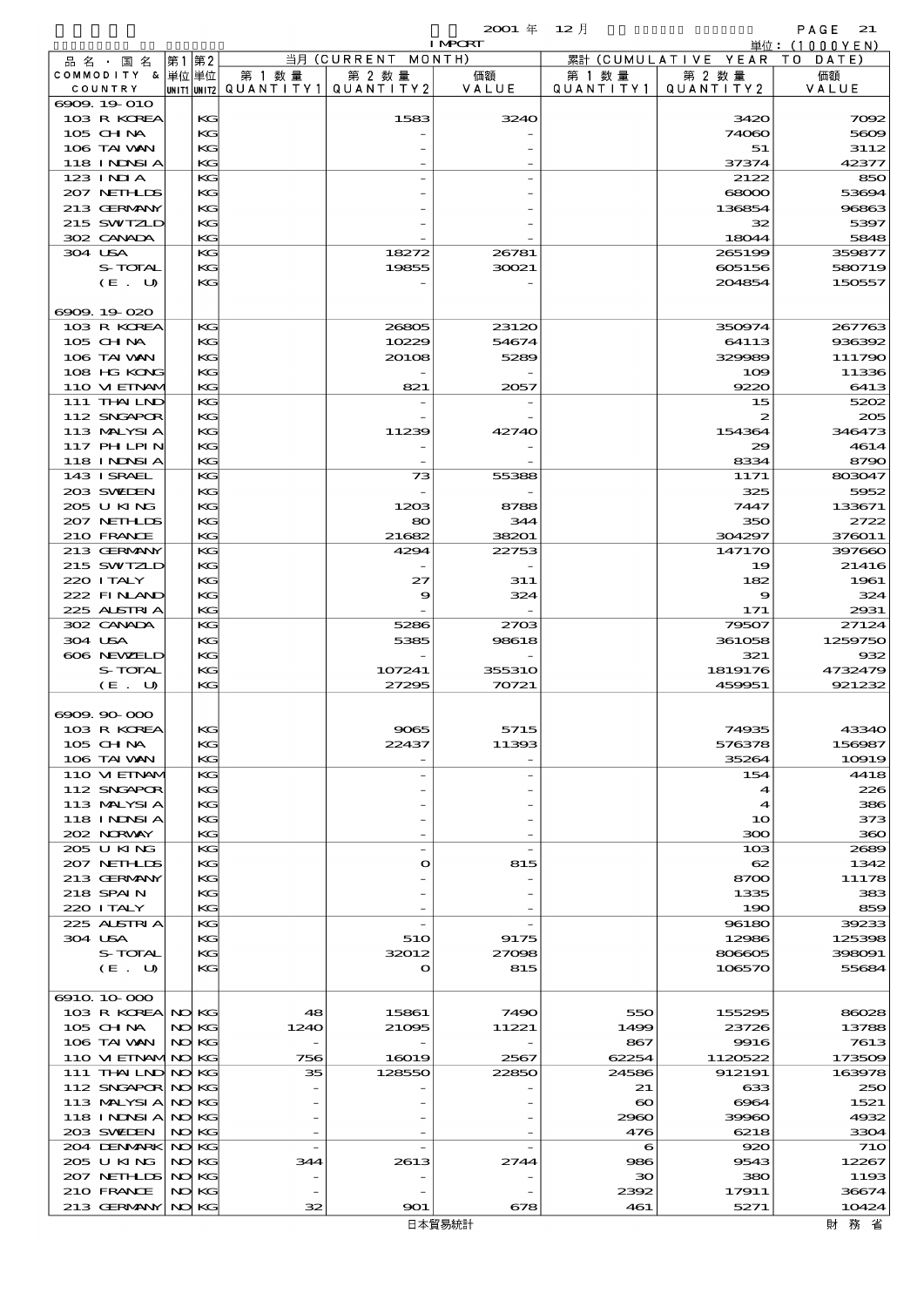|                                |     |          |        |                                       | <b>I MPORT</b> |                               |                              | 単位: (1000YEN)  |
|--------------------------------|-----|----------|--------|---------------------------------------|----------------|-------------------------------|------------------------------|----------------|
| 品名・国名                          |     | 第1 第2    |        | 当月 (CURRENT MONTH)                    |                |                               | 累計 (CUMULATIVE YEAR TO DATE) |                |
| COMMODITY & 単位単位               |     |          | 第 1 数量 | 第 2 数量                                | 価額             | 第 1 数 量                       | 第 2 数量                       | 価額             |
| COUNTRY                        |     |          |        | UNIT1 UNIT2  QUANT I TY1  QUANT I TY2 | VALUE          | QUANTITY1                     | QUANTITY 2                   | VALUE          |
| 6909.19-010                    |     |          |        |                                       |                |                               |                              |                |
| 103 R KOREA                    |     | KG       |        | 1583                                  | 3240           |                               | 3420                         | 7092           |
| 105 CHNA<br>106 TAI VAN        |     | KG<br>KG |        |                                       |                |                               | 74060<br>51                  | 5609<br>3112   |
| <b>118 INNSIA</b>              |     | KG       |        |                                       |                |                               | 37374                        | 42377          |
| 123 INIA                       |     | KG       |        |                                       |                |                               | 2122                         | 850            |
| 207 NETHLIS                    |     | KG       |        |                                       |                |                               | 68000                        | 53694          |
| 213 GERMANY                    |     | KG       |        |                                       |                |                               | 136854                       | 96863          |
| 215 SWIZLD                     |     | KG       |        |                                       |                |                               | 32                           | 5397           |
| 302 CANADA                     |     | KG       |        |                                       |                |                               | 18044                        | 5848           |
| 304 USA                        |     | KG       |        | 18272                                 | 26781          |                               | 265199                       | 359877         |
| S-TOTAL                        |     | KG       |        | 19855                                 | 30021          |                               | 605156                       | 580719         |
| (E. U)                         |     | KG       |        |                                       |                |                               | 204854                       | 150557         |
|                                |     |          |        |                                       |                |                               |                              |                |
| 6909.19-020                    |     |          |        |                                       |                |                               |                              |                |
| 103 R KOREA                    |     | KG       |        | 26805                                 | 23120          |                               | 350974                       | 267763         |
| 105 CH NA                      |     | KG       |        | 10229                                 | 54674          |                               | 64113                        | 936392         |
| 106 TAI VAN                    |     | KG       |        | 20108                                 | 5289           |                               | 329989                       | 111790         |
| 108 HG KONG                    |     | KG       |        |                                       |                |                               | 109                          | 11336          |
| 110 VIEINAM                    |     | KG       |        | 821                                   | 2057           |                               | 9220                         | 6413           |
| 111 THAILND                    |     | KG       |        |                                       |                |                               | 15                           | 5202           |
| 112 SNGAPOR                    |     | KG       |        |                                       |                |                               | 2                            | 205            |
| 113 MALYSIA                    |     | KG       |        | 11239                                 | 42740          |                               | 154364                       | 346473         |
| <b>117 PHLPIN</b>              |     | KG       |        |                                       |                |                               | 29                           | 4614           |
| 118 I NDSI A                   |     | KG       |        |                                       |                |                               | 8334                         | 8790           |
| 143 I SRAEL                    |     | KG       |        | 73                                    | 55388          |                               | 1171                         | 803047         |
| 203 SVELEN<br>205 U KING       |     | KG<br>KG |        | 1203                                  | 8788           |                               | 325<br>7447                  | 5952<br>133671 |
| 207 NETHLIS                    |     | KG       |        | 80                                    | 344            |                               | 350                          | 2722           |
| 210 FRANCE                     |     | KG       |        | 21682                                 | 38201          |                               | 304297                       | 376011         |
| 213 GERMANY                    |     | KG       |        | 4294                                  | 22753          |                               | 147170                       | 397660         |
| 215 SWIZLD                     |     | KG       |        |                                       |                |                               | 19                           | 21416          |
| 220 I TALY                     |     | KG       |        | 27                                    | 311            |                               | 182                          | 1961           |
| 222 FINLAND                    |     | KG       |        | 9                                     | 324            |                               | 9                            | 324            |
| 225 ALSTRIA                    |     | KG       |        |                                       |                |                               | 171                          | 2931           |
| 302 CANADA                     |     | KG       |        | 5286                                  | 2703           |                               | 79507                        | 27124          |
| 304 USA                        |     | KG       |        | 5385                                  | 98618          |                               | 361058                       | 1259750        |
| 606 NEWELD                     |     | KG       |        |                                       |                |                               | 321                          | 932            |
| S-TOTAL                        |     | КG       |        | 107241                                | <b>355310</b>  |                               | 1819176                      | 4732479        |
| $(E_U U)$                      |     | KG       |        | 27295                                 | 70721          |                               | 459951                       | 921232         |
|                                |     |          |        |                                       |                |                               |                              |                |
| 6909.90-000                    |     |          |        |                                       |                |                               |                              |                |
| 103 R KOREA                    |     | KG       |        | 9065                                  | 5715           |                               | 74935                        | 43340          |
| 105 CH NA                      |     | КG       |        | 22437                                 | 11393          |                               | 576378                       | 156987         |
| 106 TAI VAN                    |     | KG       |        |                                       |                |                               | 35264                        | 10919          |
| 110 VIEINAM                    |     | KG       |        |                                       |                |                               | 154                          | 4418           |
| 112 SNGAPOR                    |     | KG       |        |                                       |                |                               | 4                            | 226            |
| 113 MALYSIA                    |     | KG       |        |                                       |                |                               | $\blacktriangleleft$         | 386            |
| 118 I NDSI A<br>202 NRWAY      |     | КG<br>KG |        |                                       |                |                               | 10<br>300                    | 373<br>360     |
| 205 U KING                     |     | KG       |        |                                       |                |                               | 103                          | 2689           |
| 207 NETHLIS                    |     | KG       |        | $\mathbf o$                           | 815            |                               | 62                           | 1342           |
| 213 GERMANY                    |     | KG       |        |                                       |                |                               | 8700                         | 11178          |
| 218 SPAIN                      |     | КG       |        |                                       |                |                               | 1335                         | 383            |
| 220 I TALY                     |     | KG       |        |                                       |                |                               | 190                          | 859            |
| 225 ALSTRIA                    |     | KG       |        |                                       |                |                               | 96180                        | 39233          |
| 304 USA                        |     | KG       |        | 510                                   | 9175           |                               | 12986                        | 125398         |
| S-TOTAL                        |     | KG       |        | 32012                                 | 27098          |                               | 806605                       | 398091         |
| (E. U)                         |     | KС       |        | $\mathbf o$                           | 815            |                               | 106570                       | 55684          |
|                                |     |          |        |                                       |                |                               |                              |                |
| 6910 10 000                    |     |          |        |                                       |                |                               |                              |                |
| 103 R KOREA NO KG              |     |          | 48     | 15861                                 | 7490           | 550                           | 155295                       | 86028          |
| 105 CH NA                      |     | NO KG    | 1240   | 21095                                 | 11221          | 1499                          | 23726                        | 13788          |
| 106 TAI VAN                    | NO  | KС       |        |                                       |                | 867                           | 9916                         | 7613           |
| 110 VIEINAMINO                 |     | KС       | 756    | 16019                                 | 2567           | 62254                         | 1120522                      | 173509         |
| 111 THAILND NO KG              |     |          | 35     | 128550                                | 22850          | 24586                         | 912191                       | 163978         |
| 112 SNGAPOR NO                 |     | KС       |        |                                       |                | 21                            | 633                          | 250            |
| 113 MALYSIA<br>118 INDSIA NOKG | NO) | KG       |        |                                       |                | $\boldsymbol{\infty}$<br>2960 | 6964<br>39960                | 1521<br>4932   |
| 203 SVELEN                     |     | NO KG    |        |                                       |                | 476                           | 6218                         | 3304           |
| 204 DENMARK NO KG              |     |          |        |                                       |                | 6                             | 920                          | <b>71</b> O    |
| 205 U KING                     |     | NO KG    | 344    | 2613                                  | 2744           | 986                           | 9543                         | 12267          |
| 207 NETHLIS NO                 |     | KG       |        |                                       |                | 30                            | 380                          | 1193           |
| 210 FRANCE                     |     | NO KG    |        |                                       |                | 2392                          | 17911                        | 36674          |
| 213 GERMANY NO KG              |     |          | 32     | 901                                   | 678            | 461                           | 5271                         | 10424          |
|                                |     |          |        |                                       |                |                               |                              |                |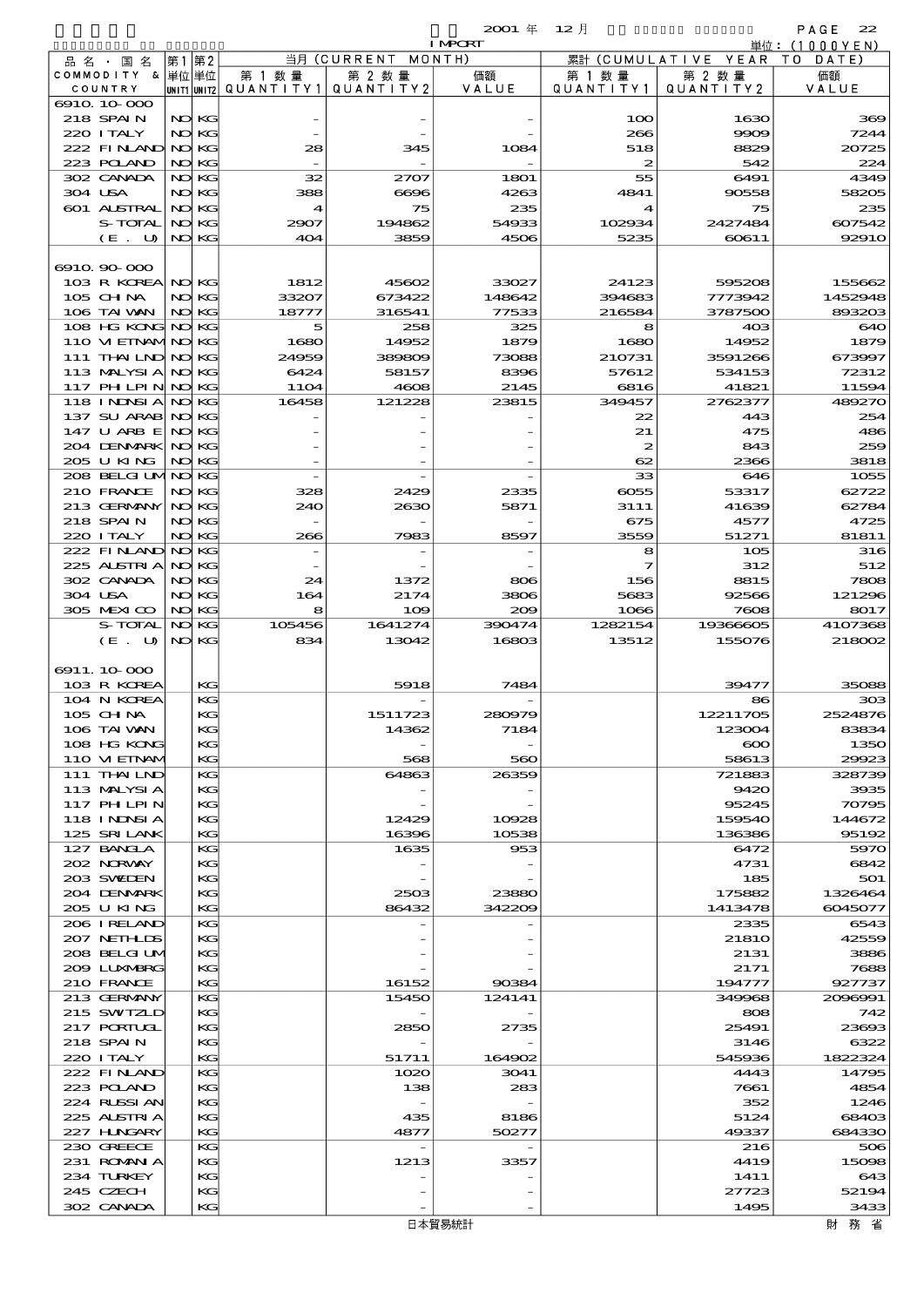| 23 X X X | m. |  |
|----------|----|--|
|          |    |  |

|                                  |           |             |                          |              | <b>I MPCRT</b> |                  |                          | 単位: (1000YEN)   |
|----------------------------------|-----------|-------------|--------------------------|--------------|----------------|------------------|--------------------------|-----------------|
| 品 名 ・ 国 名                        | 第1第2      |             |                          | 当月(CURRENT   | MONTH)         |                  | 累計 (CUMULATIVE YEAR TO   | DATE)           |
| COMMODITY & 単位単位                 |           |             | 第 1 数量                   | 第 2 数量       | 価額             | 第 1 数 量          | 第 2 数量                   | 価額              |
| COUNTRY<br>6910 10 000           |           |             | UNIT1 UNIT2  Q∪ANT   TY1 | QUANTITY 2   | VALUE          | QUANTITY1        | QUANTITY 2               | VALUE           |
| 218 SPAIN                        |           | NO KG       |                          |              |                | 100              | 1630                     | 369             |
| 220 I TALY                       |           | NO KG       |                          |              |                | 266              | 9909                     | 7244            |
| 222 FINLAND NO KG                |           |             | 28                       | 345          | 1084           | 518              | 8829                     | 20725           |
| 223 POLAND                       |           | NO KG       |                          |              |                | $\boldsymbol{z}$ | 542                      | 224             |
| 302 CANADA                       |           | NO KG       | 32                       | 2707         | 1801           | 55               | 6491                     | 4349            |
| 304 USA                          | NO        | KG          | 388                      | 6696         | 4263           | 4841             | 90558                    | 58205           |
| 601 ALSTRAL<br>S-TOTAL           | NO<br>NO  | KG<br>KG    | 4<br>2907                | 75<br>194862 | 235<br>54933   | 4<br>102934      | 75<br>2427484            | 235<br>607542   |
| $(E$ .<br>U                      |           | NO KG       | 404                      | 3859         | 4506           | 5235             | 60611                    | 92910           |
|                                  |           |             |                          |              |                |                  |                          |                 |
| 6910.90-000                      |           |             |                          |              |                |                  |                          |                 |
| 103 R KOREA NO KG                |           |             | 1812                     | 45602        | 33027          | 24123            | 595208                   | 155662          |
| 105 CHNA                         | NO        | KG          | 33207                    | 673422       | 148642         | 394683           | 7773942                  | 1452948         |
| 106 TAI WAN                      |           | NO KG       | 18777                    | 316541       | 77533          | 216584           | 3787500                  | 893203          |
| 108 HG KONG NO<br>110 VIEINAMINO |           | KG<br>KG    | 5<br>1680                | 258<br>14952 | 325<br>1879    | 8<br>1680        | 40 <sup>3</sup><br>14952 | 640<br>1879     |
| 111 THAILND NO                   |           | KG          | 24959                    | 389809       | 73088          | 210731           | 3591266                  | 673997          |
| 113 MALYSIA                      | NO        | KG          | 6424                     | 58157        | 8396           | 57612            | 534153                   | 72312           |
| 117 PH LPIN                      | NO)       | KG          | <b>11O4</b>              | 4608         | 2145           | 6816             | 41821                    | 11594           |
| 118 I NDSI A                     | NO)       | KG          | 16458                    | 121228       | 23815          | 349457           | 2762377                  | 489270          |
| 137 SU ARAB NO                   |           | KG          |                          |              |                | 22               | 443                      | 254             |
| 147 U ARB E NO                   |           | KG          |                          |              |                | 21               | 475                      | 486             |
| 204 DENMARK NO<br>205 U KING     |           | KG<br>NO KG |                          |              |                | 2<br>62          | 843<br>2366              | 259<br>3818     |
| 208 BELGI UMNO                   |           | KG          |                          |              |                | 33               | 646                      | 1055            |
| 210 FRANCE                       | NO)       | KG          | 328                      | 2429         | 2335           | 6055             | 53317                    | 62722           |
| 213 GERMANY                      | NO        | KG          | 240                      | 2630         | 5871           | 3111             | 41639                    | 62784           |
| 218 SPAIN                        |           | NO KG       |                          |              |                | 675              | 4577                     | 4725            |
| 220 I TALY                       |           | NO KG       | 266                      | 7983         | 8597           | 3559             | 51271                    | 81811           |
| 222 FINAND NO                    |           | KG          |                          |              |                | 8                | 105                      | 316             |
| 225 ALSTRIA<br>302 CANADA        | NO)<br>NO | KG<br>KG    | 24                       | 1372         | 806            | 7<br>156         | 312<br>8815              | 512<br>7808     |
| 304 USA                          | NO        | KG          | 164                      | 2174         | 3806           | 5683             | 92566                    | 121296          |
| 305 MEXICO                       | NO)       | KG          | 8                        | 109          | 200            | 1066             | 7608                     | 8017            |
| S-TOTAL                          | NO.       | KG          | 105456                   | 1641274      | 390474         | 1282154          | 19366605                 | 4107368         |
|                                  |           |             |                          |              |                |                  |                          |                 |
| (E. U)                           |           | NO KG       | 834                      | 13042        | 16803          | 13512            | 155076                   | 218002          |
|                                  |           |             |                          |              |                |                  |                          |                 |
| 6911.10-000                      |           |             |                          |              |                |                  |                          |                 |
| 103 R KOREA                      |           | KG          |                          | 5918         | 7484           |                  | 39477                    | 35088           |
| 104 N KOREA<br>105 CH NA         |           | КG<br>KG    |                          | 1511723      | 280979         |                  | 86<br>12211705           | 303<br>2524876  |
| 106 TAI VAN                      |           | KG.         |                          | 14362        | 7184           |                  | 123004                   | 83834           |
| 108 HG KONG                      |           | KG          |                          |              |                |                  | $\infty$                 | 1350            |
| 110 VIEINAV                      |           | KG          |                          | 568          | 560            |                  | 58613                    | 29923           |
| 111 THAILND                      |           | КG          |                          | 64863        | 26359          |                  | 721883                   | 328739          |
| 113 MALYSIA                      |           | KG          |                          |              |                |                  | 9420                     | 3935            |
| 117 PHLPIN                       |           | KG<br>КG    |                          | 12429        | 10928          |                  | 95245<br>159540          | 70795<br>144672 |
| 118 I NDSI A<br>125 SRILANK      |           | KG          |                          | 16396        | 10538          |                  | 136386                   | 95192           |
| 127 BANCLA                       |           | КG          |                          | 1635         | 953            |                  | 6472                     | 5970            |
| 202 NORWAY                       |           | KG          |                          |              |                |                  | 4731                     | 6842            |
| 203 SWIDEN                       |           | KG          |                          |              |                |                  | 185                      | 501             |
| 204 DENMARK                      |           | КG          |                          | 2503         | 23880          |                  | 175882                   | 1326464         |
| 205 U KING<br>206 I RELAND       |           | KG<br>КG    |                          | 86432        | 342209         |                  | 1413478<br>2335          | 6045077<br>6543 |
| 207 NETHLIS                      |           | KG          |                          |              |                |                  | <b>21810</b>             | 42559           |
| 208 BELGI UM                     |           | KG          |                          |              |                |                  | 2131                     | 3886            |
| 2009 LUNABRG                     |           | КG          |                          |              |                |                  | 2171                     | 7688            |
| 210 FRANCE                       |           | KG          |                          | 16152        | 90384          |                  | 194777                   | 927737          |
| 213 GERMANY                      |           | KG          |                          | 15450        | 124141         |                  | 349968                   | 2096991         |
| 215 SWIZLD                       |           | KG          |                          |              |                |                  | 808                      | 742             |
| 217 PORTUGL<br>218 SPAIN         |           | KG<br>КG    |                          | 2850         | 2735           |                  | 25491<br>3146            | 23693<br>6322   |
| 220 I TALY                       |           | KG          |                          | 51711        | 164902         |                  | 545936                   | 1822324         |
| 222 FINAND                       |           | КG          |                          | 1020         | 3041           |                  | 4443                     | 14795           |
| 223 POLAND                       |           | KG          |                          | 138          | 283            |                  | 7661                     | 4854            |
| 224 RUSSIAN                      |           | KG          |                          |              |                |                  | 352                      | 1246            |
| 225 ALSTRIA                      |           | КG          |                          | 435          | 8186           |                  | 5124                     | 68403           |
| 227 HNGARY                       |           | KG<br>КG    |                          | 4877         | 50277          |                  | 49337                    | 684330          |
| 230 GREECE<br>231 ROMANIA        |           | KG          |                          | 1213         | 3357           |                  | 216<br>4419              | 506<br>15098    |
| 234 TURKEY                       |           | KG          |                          |              |                |                  | 1411                     | 643             |
| 245 CZECH<br>302 CANADA          |           | KG<br>KG    |                          |              |                |                  | 27723<br>1495            | 52194<br>3433   |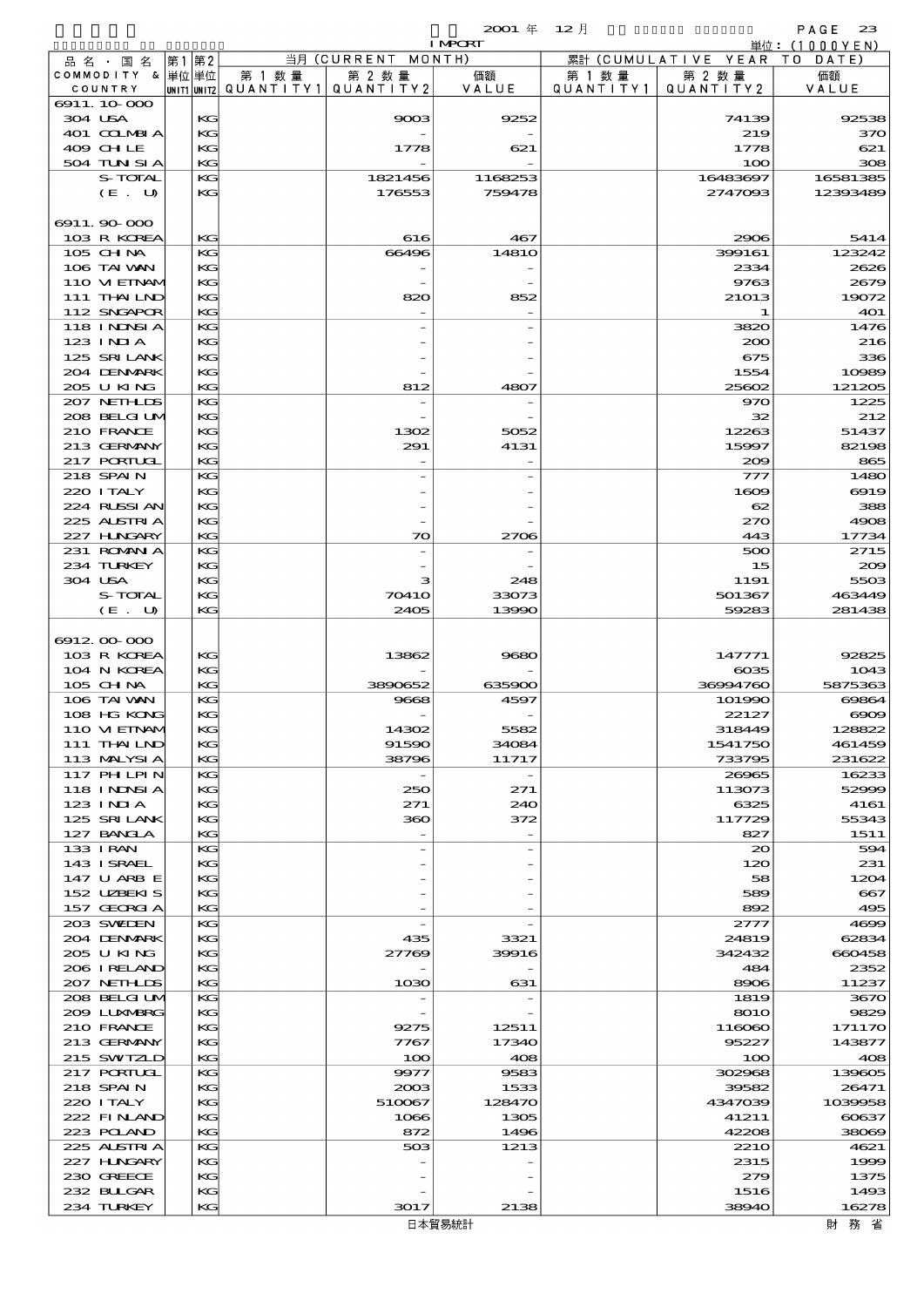$2001 \, 4$   $12 \, 1$ 

|                             |          |                                 |                    | <b>I MPORT</b> |                   |                              | 単位: (1000 Y E N )                                                                                                                                                                                                                               |
|-----------------------------|----------|---------------------------------|--------------------|----------------|-------------------|------------------------------|-------------------------------------------------------------------------------------------------------------------------------------------------------------------------------------------------------------------------------------------------|
| 品名・国名                       | 第1 第2    |                                 | 当月 (CURRENT MONTH) |                |                   | 累計 (CUMULATIVE YEAR TO DATE) |                                                                                                                                                                                                                                                 |
| COMMODITY & 単位単位            |          | 第 1 数量                          | 第 2 数量             | 価額             | 第 1 数量            | 第 2 数量                       | 価額                                                                                                                                                                                                                                              |
| COUNTRY                     |          | UNIT1 UNIT2 QUANTITY1 QUANTITY2 |                    | VALUE          | Q U A N T I T Y 1 | QUANTITY 2                   | VALUE                                                                                                                                                                                                                                           |
| 6911.10.000                 |          |                                 | 9003               |                |                   |                              |                                                                                                                                                                                                                                                 |
| 304 USA<br>401 COLMBIA      | KG<br>KG |                                 |                    | 9252           |                   | 74139<br>219                 | 92538<br>370                                                                                                                                                                                                                                    |
| 409 CHLE                    | KG       |                                 | 1778               | 621            |                   | 1778                         | 621                                                                                                                                                                                                                                             |
| 504 TUN SI A                | KG       |                                 |                    |                |                   | 100                          | 308                                                                                                                                                                                                                                             |
| S-TOTAL                     | KG       |                                 | 1821456            | 1168253        |                   | 16483697                     | 16581385                                                                                                                                                                                                                                        |
| (E. U)                      | KG       |                                 | 176553             | 759478         |                   | 2747093                      | 12393489                                                                                                                                                                                                                                        |
|                             |          |                                 |                    |                |                   |                              |                                                                                                                                                                                                                                                 |
| 6911.90-000                 |          |                                 |                    |                |                   |                              |                                                                                                                                                                                                                                                 |
| 103 R KOREA                 | KG       |                                 | 616                | 467            |                   | 2906                         | 5414                                                                                                                                                                                                                                            |
| 105 CHNA                    | KG       |                                 | 66496              | 1481O          |                   | 399161                       | 123242                                                                                                                                                                                                                                          |
| 106 TAI VAN                 | KG       |                                 |                    |                |                   | 2334                         | 2626                                                                                                                                                                                                                                            |
| 110 VIEINAM                 | KG       |                                 |                    |                |                   | 9763                         | 2679                                                                                                                                                                                                                                            |
| 111 THAILND                 | KG       |                                 | 820                | 852            |                   | 21013                        | 19072                                                                                                                                                                                                                                           |
| 112 SNGAPOR                 | KG       |                                 |                    |                |                   | 1                            | 401                                                                                                                                                                                                                                             |
| 118 I NDSI A                | KG       |                                 |                    |                |                   | 3820                         | 1476                                                                                                                                                                                                                                            |
| $123$ $1$ NIA               | KG       |                                 |                    |                |                   | 200                          | 216                                                                                                                                                                                                                                             |
| 125 SRILANK                 | KG       |                                 |                    |                |                   | 675                          | 336                                                                                                                                                                                                                                             |
| 204 DENMARK                 | KG       |                                 |                    |                |                   | 1554                         | 10989                                                                                                                                                                                                                                           |
| 205 U KING                  | KG       |                                 | 812                | 4807           |                   | 25602                        | 121205                                                                                                                                                                                                                                          |
| 207 NETHLIS                 | KG       |                                 |                    |                |                   | 970                          | 1225                                                                                                                                                                                                                                            |
| 208 BELGI UM                | KG       |                                 |                    |                |                   | 32                           | 212                                                                                                                                                                                                                                             |
| 210 FRANCE                  | KG       |                                 | 1302               | 5052           |                   | 12263                        | 51437                                                                                                                                                                                                                                           |
| 213 GERMANY                 | KG       |                                 | 291                | 4131           |                   | 15997                        | 82198                                                                                                                                                                                                                                           |
| 217 PORTUGL                 | KG       |                                 |                    |                |                   | 200                          | 865                                                                                                                                                                                                                                             |
| 218 SPAIN                   | KG       |                                 |                    |                |                   | 777                          | 1480                                                                                                                                                                                                                                            |
| 220 I TALY                  | KG       |                                 |                    |                |                   | 1609                         | 6919                                                                                                                                                                                                                                            |
| 224 RLSSIAN                 | KG       |                                 |                    |                |                   | 62                           | 388                                                                                                                                                                                                                                             |
| 225 ALSTRIA                 | KG       |                                 |                    |                |                   | 270                          | 4908                                                                                                                                                                                                                                            |
| 227 HNGARY                  | KG       |                                 | 70                 | 2706           |                   | 443                          | 17734                                                                                                                                                                                                                                           |
| 231 ROMAN A                 | KG       |                                 |                    |                |                   | 500                          | 2715                                                                                                                                                                                                                                            |
| 234 TURKEY                  | KG       |                                 |                    |                |                   | 15                           | 200                                                                                                                                                                                                                                             |
| 304 USA                     | KG       |                                 | з                  | 248            |                   | 1191                         | 5503                                                                                                                                                                                                                                            |
| S-TOTAL                     | KG       |                                 | 70410              | 33073          |                   | 501367                       | 463449                                                                                                                                                                                                                                          |
| $(E$ .<br>U                 | KG       |                                 | 2405               | 13990          |                   | 59283                        | 281438                                                                                                                                                                                                                                          |
|                             |          |                                 |                    |                |                   |                              |                                                                                                                                                                                                                                                 |
|                             |          |                                 |                    |                |                   |                              |                                                                                                                                                                                                                                                 |
| 691200000                   |          |                                 |                    |                |                   |                              |                                                                                                                                                                                                                                                 |
| 103 R KOREA                 | KG       |                                 | 13862              | 9680           |                   | 147771                       | 92825                                                                                                                                                                                                                                           |
| 104 N KOREA                 | KG       |                                 |                    |                |                   | $\cos 5$                     |                                                                                                                                                                                                                                                 |
| 105 CHNA                    | KG       |                                 | 3890652            | 635900         |                   | 36994760                     |                                                                                                                                                                                                                                                 |
| 106 TAI VAN                 | KG       |                                 | 9668               | 4597           |                   | 101990                       |                                                                                                                                                                                                                                                 |
| 108 HG KONG                 | KG       |                                 |                    |                |                   | 22127                        |                                                                                                                                                                                                                                                 |
| 110 VIEINAN                 | KG       |                                 | 14302              | 5582           |                   | 318449                       |                                                                                                                                                                                                                                                 |
| 111 THAILND                 | KG       |                                 | 91590              | 34084          |                   | 1541750                      |                                                                                                                                                                                                                                                 |
| 113 MALYSIA                 | KG       |                                 | 38796              | 11717          |                   | 733795                       |                                                                                                                                                                                                                                                 |
| 117 PHLPIN                  | KG       |                                 |                    |                |                   | 26965                        |                                                                                                                                                                                                                                                 |
| 118 I NDSI A                | KG       |                                 | 250                | 271            |                   | 113073                       |                                                                                                                                                                                                                                                 |
| 123 INIA                    | KG       |                                 | 271                | 240            |                   | 6325                         | 4161                                                                                                                                                                                                                                            |
| 125 SRILANK                 | КC       |                                 | 360                | 372            |                   | 117729                       |                                                                                                                                                                                                                                                 |
| 127 BANCLA                  | KG       |                                 |                    |                |                   | 827                          | 1511                                                                                                                                                                                                                                            |
| 133 I RAN                   | KG       |                                 |                    |                |                   | $\infty$                     |                                                                                                                                                                                                                                                 |
| 143 ISRAEL                  | KG       |                                 |                    |                |                   | 120                          | 231                                                                                                                                                                                                                                             |
| 147 U ARB E                 | KG       |                                 |                    |                |                   | 58                           |                                                                                                                                                                                                                                                 |
| 152 UZBEKIS                 | КC       |                                 |                    |                |                   | 589                          |                                                                                                                                                                                                                                                 |
| 157 GEORGIA                 | KG       |                                 |                    |                |                   | 892                          | 495                                                                                                                                                                                                                                             |
| 203 SWIEN                   | KG       |                                 |                    |                |                   | 2777                         | 4699                                                                                                                                                                                                                                            |
| 204 DENMARK                 | KG       |                                 | 435                | 3321           |                   | 24819                        | 62834                                                                                                                                                                                                                                           |
| 205 U KING<br>206 IRELAND   | KG<br>КC |                                 | 27769              | 39916          |                   | 342432<br>484                | 2352                                                                                                                                                                                                                                            |
|                             |          |                                 |                    |                |                   |                              |                                                                                                                                                                                                                                                 |
| 207 NETHLIS<br>208 BELGI UM | KG<br>KG |                                 | 1030               | 631            |                   | 8906<br>1819                 |                                                                                                                                                                                                                                                 |
| 2009 LUNABRG                | KG       |                                 |                    |                |                   | 8010                         |                                                                                                                                                                                                                                                 |
| 210 FRANCE                  | KG       |                                 | 9275               | 12511          |                   | 116060                       |                                                                                                                                                                                                                                                 |
| 213 GERMANY                 | КC       |                                 | 7767               | 17340          |                   | 95227                        |                                                                                                                                                                                                                                                 |
| 215 SWIZLD                  | KG       |                                 | 100                | 408            |                   | 100                          |                                                                                                                                                                                                                                                 |
| 217 PORTUGL                 | KG       |                                 | 9977               | 9583           |                   | 302968                       | 139605                                                                                                                                                                                                                                          |
| 218 SPAIN                   | KG       |                                 | 2003               | 1533           |                   | 39582                        | 26471                                                                                                                                                                                                                                           |
| 220 I TALY                  | KG       |                                 | 510067             | 128470         |                   | 4347039                      |                                                                                                                                                                                                                                                 |
| 222 FINAND                  | КC       |                                 | 1066               | 1305           |                   | 41211                        |                                                                                                                                                                                                                                                 |
| 223 POLAND                  | KG       |                                 | 872                | 1496           |                   | 42208                        |                                                                                                                                                                                                                                                 |
| 225 ALSTRIA                 | KG       |                                 | 503                | 1213           |                   | <b>2210</b>                  | 4621                                                                                                                                                                                                                                            |
| 227 H.NGARY                 | KG       |                                 |                    |                |                   | 2315                         |                                                                                                                                                                                                                                                 |
| 230 GREECE                  | KG       |                                 |                    |                |                   | 279                          |                                                                                                                                                                                                                                                 |
| 232 BULGAR                  | KG       |                                 |                    |                |                   | 1516                         |                                                                                                                                                                                                                                                 |
| 234 TURKEY                  | KG       |                                 | 3017               | 2138           |                   | 38940                        | 1043<br>5875363<br>69864<br>$\infty$<br>128822<br>461459<br>231622<br>16233<br>52999<br>55343<br>594<br>1204<br>667<br>660458<br>11237<br>3670<br>9829<br>171170<br>143877<br>408<br>1039958<br>60637<br>38069<br>1999<br>1375<br>1493<br>16278 |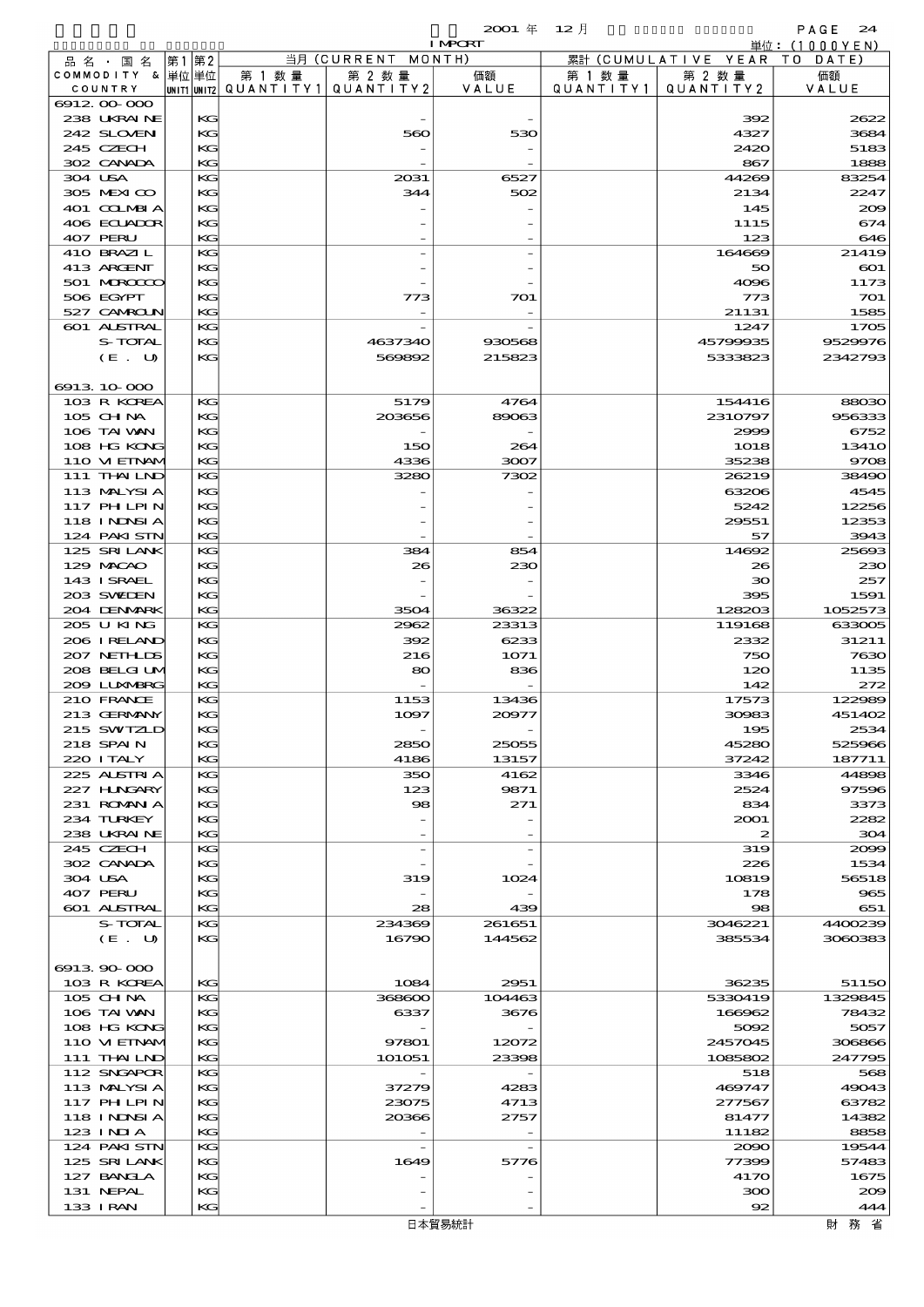|     |                       |    |             |   |           |            | $2001 \text{ } \#$ | 12月       |             | PAGE<br>24   |
|-----|-----------------------|----|-------------|---|-----------|------------|--------------------|-----------|-------------|--------------|
|     |                       |    |             |   |           |            | <b>I MPORT</b>     |           | 単位:         | 000YEN       |
| 品名・ | 名<br>国                | 第1 | 第2          |   |           | 当月(CURRENT | MONTH)             | 累計(CUMULA | YEAR<br>VE. | DATE)<br>т о |
|     | <b>COMMODITY</b><br>ል |    | 単位 単位       | 第 | 数 量       | 第 2 数量     | 価額                 | 数 量<br>第  | 第 2 数量      | 価額           |
|     | COUNTRY               |    | UNIT1 UNIT2 |   | QUANTITY1 | QUANTITY 2 | VALUE              | QUANTITY1 | QUANTITY 2  | VALUE        |
|     | 6912,00,000           |    |             |   |           |            |                    |           |             |              |
|     | 238 UKRAINE           |    | KG          |   |           |            |                    |           | 392         | 2622         |
|     | 242 SLOVEN            |    | KG          |   |           | 560        | 530                |           | 4327        | 3684         |
|     | 245 CZECH             |    | KG          |   |           |            |                    |           | 2420        | 5183         |
|     | 302 CANADA            |    | KG          |   |           |            |                    |           | 867         | 1888         |
|     | 304 USA               |    | KG          |   |           | 2031       | 6527               |           | 44269       | 83254        |
|     | 305 MEXICO            |    | KG          |   |           | 344        | 502                |           | 2134        | 2247         |
|     | 401 COLMBIA           |    | KG          |   |           |            | -                  |           | 145         | 200          |
|     | 406 ECUADOR           |    | KG          |   |           |            |                    |           | 1115        | 674          |
|     | 407 PERU              |    | KG          |   |           |            | -                  |           | 123         | 646          |
|     | 410 BRAZIL            |    | KG          |   |           |            |                    |           | 164669      | 21419        |
|     | 413 ARCENT            |    | K           |   |           |            | $-$                |           | 50          | ബ            |

| 245 CZECH          | КG |          |        | 2420          | 5183                    |
|--------------------|----|----------|--------|---------------|-------------------------|
| 302 CANADA         | KG |          |        | 867           | 1888                    |
| 304 USA            | KG | 2031     | 6527   | 44269         | 83254                   |
| 305 MEXICO         | KG | 344      | 502    | 2134          | 2247                    |
| 401 COLMBIA        | KG |          |        | 145           | 200                     |
| 406 ECUADOR        | KG |          |        | 1115          | 674                     |
| 407 PERU           | KG |          |        | 123           | 646                     |
| 410 BRAZIL         | KG |          |        | 164669        | 21419                   |
|                    |    |          |        | 50            |                         |
| 413 ARCENT         | KG |          |        |               | $_{\rm CO1}$            |
| 501 MERCECO        | KG |          |        | 4096          | 1173                    |
| 506 EGYPT          | KG | 773      | 701    | 773           | 701                     |
| 527 CAMROLN        | KG |          |        | 21131         | 1585                    |
| <b>601 ALSTRAL</b> | KС |          |        | 1247          | 1705                    |
| <b>S-TOTAL</b>     | КG | 4637340  | 930568 | 45799935      | 9529976                 |
| (E. U)             | KG | 569892   | 215823 | 5333823       | 2342793                 |
|                    |    |          |        |               |                         |
| 6913 10 000        |    |          |        |               |                         |
| 103 R KOREA        | КG | 5179     | 4764   | 154416        | 88030                   |
| 105 CH NA          | KG | 203656   | 89063  | 2310797       | 95633                   |
| 106 TAI VAN        | KG |          |        | 2999          | 6752                    |
| 108 HG KONG        | KG | 150      | 264    | 1018          | 1341 <sub>C</sub>       |
| 110 VIEINAM        | KG | 4336     | 3007   | 35238         | 9706                    |
| 111 THAILND        | KС | 3280     | 7302   | 26219         | 38490                   |
| 113 MALYSIA        | KG |          |        | 63206         | 4545                    |
| <b>117 PHLPIN</b>  | KG |          |        | 5242          | 12256                   |
| 118 I NJNSI A      | KG |          |        | 29551         | 12353                   |
| 124 PAKISTN        | KG |          |        | 57            | 3943                    |
| 125 SRILANK        | KС | 384      | 854    | 14692         | 2569X                   |
|                    |    |          |        |               |                         |
| 129 MACAO          | KG | 26       | 230    | 26            | 230                     |
| 143 ISRAEL         | KG |          |        | 30            | 257                     |
| 203 SWIDEN         | KG |          |        | 395           | 1591                    |
| 204 DENMARK        | KG | 3504     | 36322  | 128203        | 1052573                 |
| 205 U KING         | KС | 2962     | 23313  | 119168        | 633005                  |
| 206 I RELAND       | KG | 392      | 6233   | 2332          | 31211                   |
| 207 NETHLIS        | KG | 216      | 1071   | 750           | 7630                    |
| 208 BELGI UM       | KG | 80       | 836    | 120           | 1135                    |
| 2009 LUNABRG       | KG |          |        | 142           | 272                     |
| 210 FRANCE         | KС | 1153     | 13436  | 17573         | 122989                  |
| 213 GERMANY        | KG | 1097     | 20977  | 30983         | 451402                  |
| 215 SWIZLD         | KG |          |        | 195           | 2534                    |
| 218 SPAIN          | KG | 2850     | 25055  | 45280         | 525966                  |
| 220 I TALY         | KG | 4186     | 13157  | 37242         | 187711                  |
| 225 ALSTRIA        | KС | 350      | 4162   | 3346          | 44896                   |
| 227 H.NGARY        | KG | 123      | 9871   | 2524          | 97596                   |
| 231 ROMANIA        | KG | $\infty$ | 271    | 834           | 3373                    |
| 234 TURKEY         | KG |          |        | 2001          | 2282                    |
| 238 UKRAINE        | KG |          |        |               | 30<                     |
|                    |    |          |        |               |                         |
| 245 CZECH          | КG |          |        | 319           | 2000                    |
| 302 CANADA         | KG |          |        | 226           | 1534                    |
| 304 USA            | KG | 319      | 1024   | 10819         | 56518                   |
| 407 PERU           | KG |          |        | 178           | $\overline{\text{osc}}$ |
| 601 ALSTRAL        | KG | 28       | 439    | $\circledast$ | 651                     |
| S-TOTAL            | KG | 234369   | 261651 | 3046221       | 4400239                 |
| (E. U)             | KG | 16790    | 144562 | 385534        | 306038                  |
|                    |    |          |        |               |                         |
| 6913 90 000        |    |          |        |               |                         |
| 103 R KOREA        | KG | 1084     | 2951   | 36235         | 51150                   |
| 105 CH NA          | KG | 368600   | 104463 | 5330419       | 1329845                 |
| 106 TAI VAN        | KG | 6337     | 3676   | 166962        | 78432                   |
| 108 HG KONG        | КG |          |        | 5092          | 5057                    |
| 110 VIEINAM        | KG | 97801    | 12072  | 2457045       | 306866                  |
| 111 THAILND        | KG | 101051   | 23398  | 1085802       | 247795                  |
| 112 SNGAPOR        | KG |          |        | 518           | 568                     |
| 113 MALYSIA        | KG | 37279    | 4283   | 469747        | 49043                   |
| 117 PH LPIN        | КG | 23075    | 4713   | 277567        | 63782                   |
| 118 INNSI A        | KG | 20366    | 2757   | 81477         | 14382                   |
| 123 INIA           | KG |          |        | 11182         | 8858                    |
| 124 PAKISTN        | KG |          |        | 2090          | 19544                   |
| 125 SRILANK        | KG |          |        | 77399         | 57483                   |
|                    |    | 1649     | 5776   |               |                         |
| 127 BANCLA         | KG |          |        | 4170          | 1675                    |
| 131 NEPAL          | KG |          |        | 300           | 200                     |
| 133 I RAN          | KG |          |        | 92            | 444                     |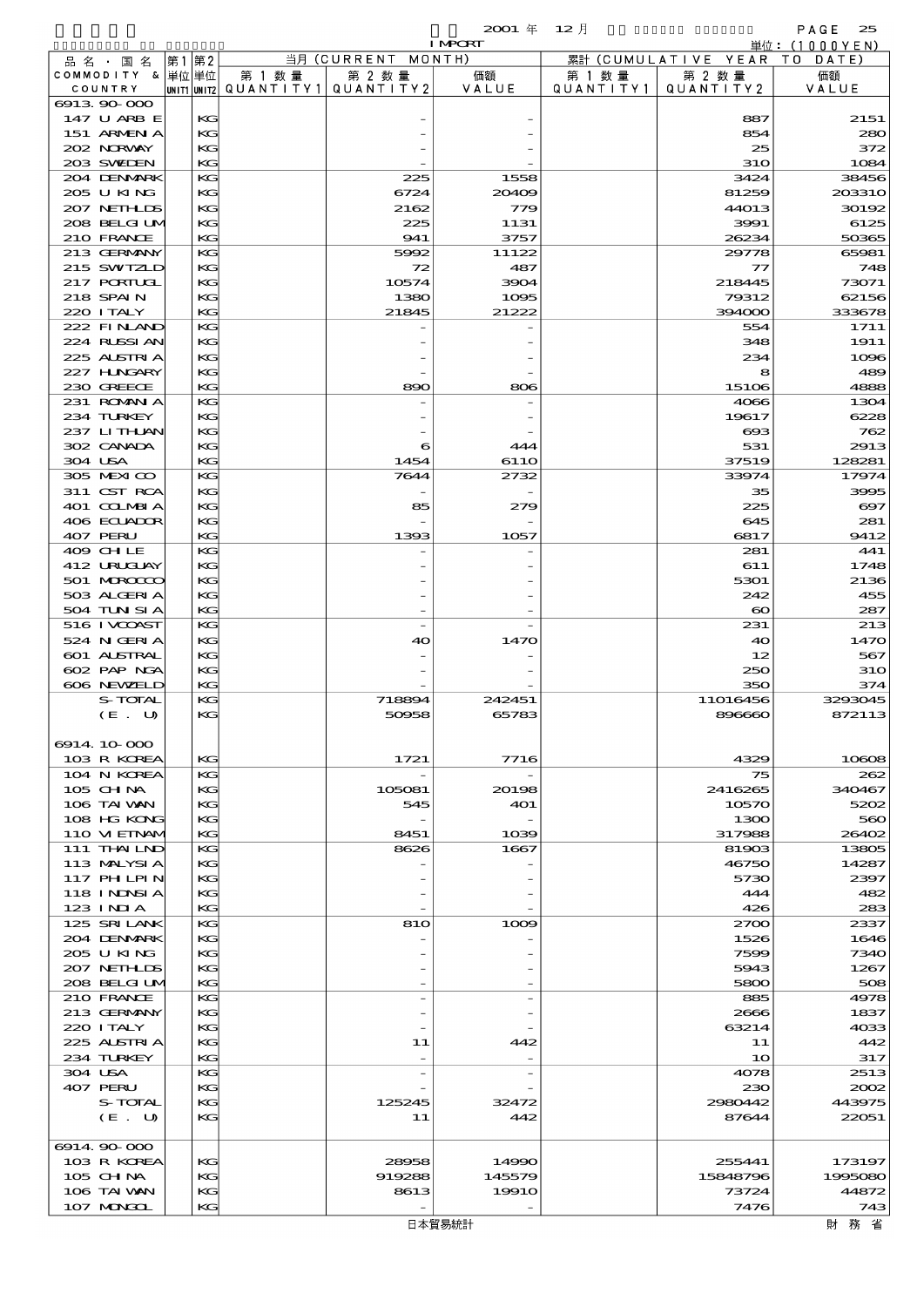### $2001 \, \text{#} \quad 12 \, \text{]}$  PAGE 25

|                             |         |          |        |                                       | <b>I MPORT</b> |           |                              | 単位: (1000YEN)         |
|-----------------------------|---------|----------|--------|---------------------------------------|----------------|-----------|------------------------------|-----------------------|
| 品 名 ・ 国 名                   |         | 第1 第2    |        | 当月(CURRENT                            | MONTH)         |           | 累計 (CUMULATIVE YEAR TO DATE) |                       |
| COMMODITY & 単位単位            |         |          | 第 1 数量 | 第 2 数量                                | 価額             | 第 1 数 量   | 第 2 数量                       | 価額                    |
| COUNTRY                     |         |          |        | UNIT1 UNIT2  QUANT   TY1  QUANT   TY2 | VALUE          | QUANTITY1 | QUANTITY 2                   | VALUE                 |
| 6913 90 000<br>147 U ARB E  |         | KG       |        |                                       |                |           | 887                          | 2151                  |
| 151 ARMENIA                 |         | KG       |        |                                       |                |           | 854                          | 280                   |
| 202 NORWAY                  |         | KG       |        |                                       |                |           | 25                           | 372                   |
| 203 SWIEN                   |         | KG       |        |                                       |                |           | 31O                          | 1084                  |
| 204 DENMRK                  |         | KG       |        | 225                                   | 1558           |           | 3424                         | 38456                 |
| 205 U KING                  |         | KС       |        | 6724                                  | 20409          |           | 81259                        | 203310                |
| 207 NETHLIS                 |         | KG       |        | 2162                                  | 779            |           | 44013                        | 30192                 |
| 208 BELGI UM<br>210 FRANCE  |         | KG<br>KG |        | 225<br>941                            | 1131           |           | 3991<br>26234                | 6125                  |
| 213 GERMANY                 |         | KG       |        | 5992                                  | 3757<br>11122  |           | 29778                        | 50365<br>65981        |
| 215 SWIZLD                  |         | KС       |        | 72                                    | 487            |           | 77                           | 748                   |
| 217 PORTUGL                 |         | KG       |        | 10574                                 | 3904           |           | 218445                       | 73071                 |
| 218 SPAIN                   |         | KG       |        | 1380                                  | 1095           |           | 79312                        | 62156                 |
| 220 I TALY                  |         | KG       |        | 21845                                 | 21222          |           | 394000                       | 333678                |
| 222 FINAND                  |         | KG       |        |                                       |                |           | 554                          | 1711                  |
| 224 RUSSI AN<br>225 ALSIRIA |         | KС<br>KG |        |                                       |                |           | 348<br>234                   | 1911<br>1096          |
| 227 H.NGARY                 |         | KG       |        |                                       |                |           | 8                            | 489                   |
| 230 GREECE                  |         | KG       |        | 890                                   | 806            |           | 15106                        | 4888                  |
| 231 ROMAN A                 |         | KG       |        |                                       |                |           | 4066                         | 1304                  |
| 234 TURKEY                  |         | КG       |        |                                       |                |           | 19617                        | 6228                  |
| 237 LITHAN                  |         | KG       |        |                                       |                |           | $\bf{60}$                    | 762                   |
| 302 CANADA                  |         | KG       |        | 6                                     | 444            |           | 531                          | 2913                  |
| 304 USA<br>305 MEXICO       |         | KG<br>KG |        | 1454                                  | 611O           |           | 37519<br>33974               | 128281<br>17974       |
| 311 CST RCA                 |         | KG       |        | 7644                                  | 2732           |           | 35                           | 3995                  |
| 401 COLMBIA                 |         | KG       |        | 85                                    | 279            |           | 225                          | $\boldsymbol{\infty}$ |
| 406 ECLADOR                 |         | KG       |        |                                       |                |           | 645                          | 281                   |
| 407 PERU                    |         | KG       |        | 1393                                  | 1057           |           | 6817                         | 9412                  |
| 409 CHLE                    |         | KG       |        |                                       |                |           | 281                          | 441                   |
| 412 URUCLAY                 |         | KG       |        |                                       |                |           | 611                          | 1748                  |
| 501 MROCCO                  |         | KG       |        |                                       |                |           | 5301                         | 2136                  |
| 503 ALGERIA<br>504 TUN SI A |         | KG<br>KG |        |                                       |                |           | 242<br>$\boldsymbol{\infty}$ | 455<br>287            |
| 516 I VCOAST                |         | KG       |        |                                       |                |           | 231                          | 213                   |
| 524 N GERIA                 |         | KG       |        | 40                                    | 1470           |           | 40                           | 1470                  |
| 601 ALSTRAL                 |         | KG       |        |                                       |                |           | 12                           | 567                   |
| 602 PAP NGA                 |         | KG       |        |                                       |                |           | 250                          | 31 <sub>O</sub>       |
| 606 NEWELD                  |         | KG       |        |                                       |                |           | 350                          | 374                   |
|                             | S-TOTAL | KG<br>KG |        | 718894                                | 242451         |           | 11016456<br>896660           | 3293045               |
|                             | (E. U)  |          |        | 50958                                 | 65783          |           |                              | 872113                |
| 6914 10 000                 |         |          |        |                                       |                |           |                              |                       |
| 103 R KOREA                 |         | KG       |        | 1721                                  | 7716           |           | 4329                         | 10608                 |
| 104 N KOREA                 |         | KG       |        |                                       |                |           | 75                           | 262                   |
| $105$ CHNA                  |         | KG       |        | 105081                                | 20198          |           | 2416265                      | 340467                |
| 106 TAI VAN                 |         | KG       |        | 545                                   | <b>401</b>     |           | 10570                        | 5202                  |
| 108 HG KONG<br>110 VIEINAM  |         | КG<br>KG |        | 8451                                  | 1039           |           | 1300<br>317988               | 560<br>26402          |
| 111 THAILND                 |         | KG       |        | 8626                                  | 1667           |           | 81903                        | 13805                 |
| 113 MALYSIA                 |         | KG       |        |                                       |                |           | 46750                        | 14287                 |
| 117 PH LPIN                 |         | KG       |        |                                       |                |           | 5730                         | 2397                  |
| 118 INNSI A                 |         | КG       |        |                                       |                |           | 444                          | 482                   |
| $123$ INIA                  |         | KG       |        |                                       |                |           | 426                          | 283                   |
| 125 SRILANK<br>204 DENMARK  |         | KG<br>KG |        | 810                                   | 1009           |           | 2700<br>1526                 | 2337<br>1646          |
| 205 U KING                  |         | KG       |        |                                       |                |           | 7599                         | 7340                  |
| 207 NETHLIS                 |         | КG       |        |                                       |                |           | 5943                         | 1267                  |
| 208 BELGI UM                |         | KG       |        |                                       |                |           | 5800                         | 508                   |
| 210 FRANCE                  |         | KG       |        |                                       |                |           | 885                          | 4978                  |
| 213 GERMANY                 |         | KG       |        |                                       |                |           | 2666                         | 1837                  |
| 220 I TALY<br>225 ALSTRIA   |         | KG<br>КG |        | 11                                    | 442            |           | 63214<br>11                  | 4033<br>442           |
| 234 TURKEY                  |         | KG       |        |                                       |                |           | 10                           | 317                   |
| 304 USA                     |         | KG       |        |                                       |                |           | 4078                         | 2513                  |
| 407 PERU                    |         | KG       |        |                                       |                |           | 230                          | 2002                  |
|                             | S-TOTAL | KG       |        | 125245                                | 32472          |           | 2980442                      | 443975                |
|                             | (E. U)  | КG       |        | 11                                    | 442            |           | 87644                        | 22051                 |
| 6914.90-000                 |         |          |        |                                       |                |           |                              |                       |
| 103 R KOREA                 |         | KG       |        | 28958                                 | 14990          |           | 255441                       | 173197                |
| 105 CH NA                   |         | KG       |        | 919288                                | 145579         |           | 15848796                     | 1995080               |
| 106 TAI VAN                 |         | КG       |        | 8613                                  | 1991O          |           | 73724                        | 44872                 |
| 107 MONGOL                  |         | KG       |        |                                       |                |           | 7476                         | 743                   |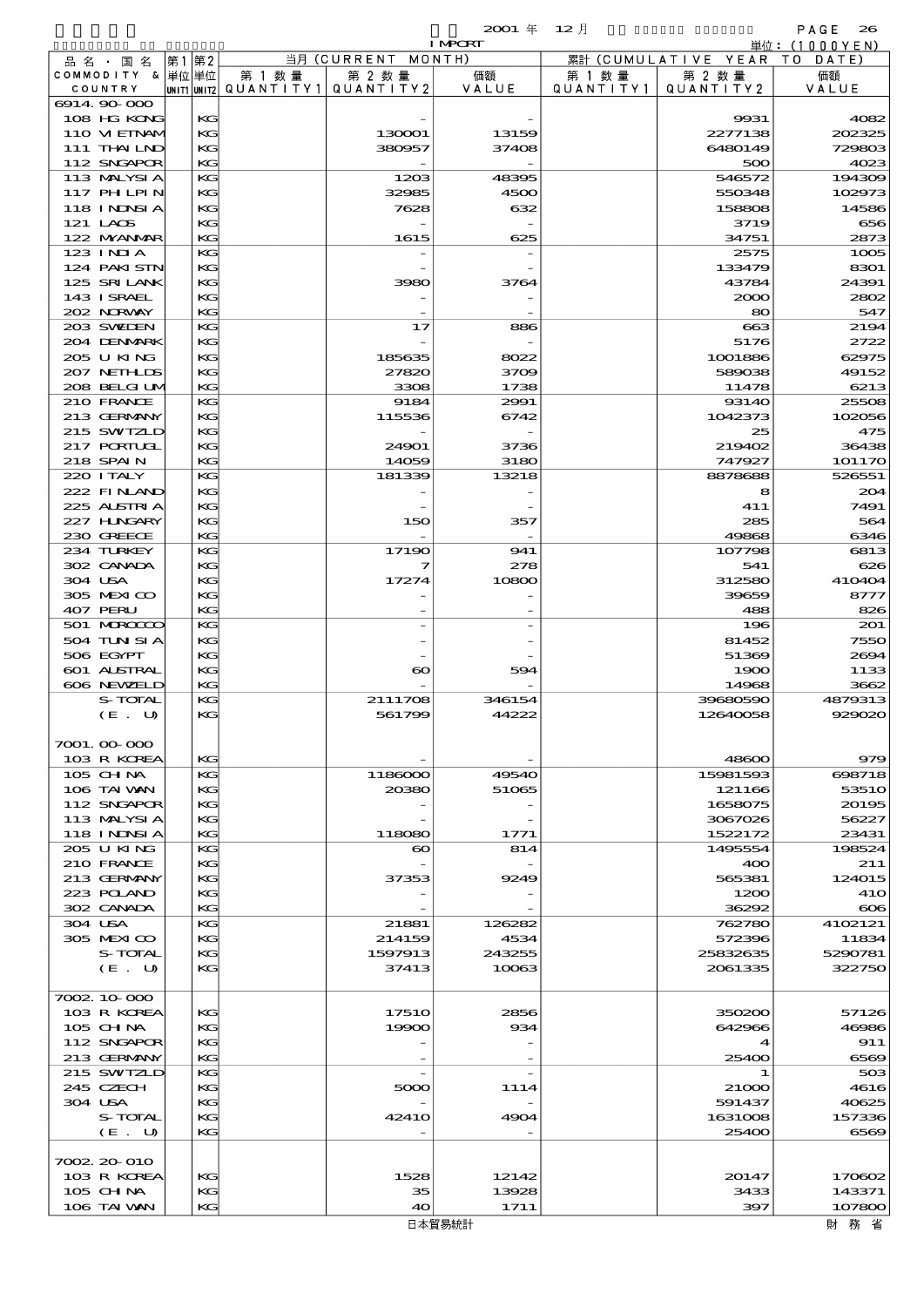|                  |       |        |                                       | <b>I MPCRT</b> |           |                              | 単位: (1000YEN) |
|------------------|-------|--------|---------------------------------------|----------------|-----------|------------------------------|---------------|
| 品名・国名            | 第1 第2 |        | 当月 (CURRENT MONTH)                    |                |           | 累計 (CUMULATIVE YEAR TO DATE) |               |
| COMMODITY & 単位単位 |       | 第 1 数量 | 第 2 数量                                | 価額             | 第 1 数 量   | 第 2 数量                       | 価額            |
| COUNTRY          |       |        | UNIT1 UNIT2  QUANT   TY1  QUANT   TY2 | VALUE          | QUANTITY1 | QUANTITY 2                   | VALUE         |
| 6914.90-000      |       |        |                                       |                |           |                              |               |
| 108 HG KONG      | KG    |        |                                       |                |           | 9931                         | 4082          |
| 110 VIEINAM      | KG    |        | 130001                                | 13159          |           | 2277138                      | 202325        |
| 111 THAILND      | KG    |        | 380957                                | 37408          |           | 6480149                      | 729803        |
| 112 SNGAPOR      | KG    |        |                                       |                |           | 500                          | 4023          |
| 113 MALYSIA      | KG    |        | 1203                                  | 48395          |           | 546572                       | 194309        |
| 117 PH LPIN      | КG    |        | 32985                                 | 4500           |           | 550348                       | 102973        |
| 118 I NDSI A     | KG    |        | 7628                                  | 632            |           | 158808                       | 14586         |
| 121 LAOS         | KG    |        |                                       |                |           | 3719                         | 656           |
| 122 MYANMAR      | KG    |        | 1615                                  | 625            |           | 34751                        | 2873          |
| 123 INIA         | KG    |        |                                       |                |           | 2575                         | 1005          |
| 124 PAKISTN      | КG    |        |                                       |                |           | 133479                       | 8301          |
| 125 SRILANK      | KG    |        | 3980                                  | 3764           |           | 43784                        | 24391         |
| 143 I SRAEL      | KG    |        |                                       |                |           | 2000                         | 2802          |
| 202 NRWAY        | KG    |        |                                       |                |           | 80                           | 547           |
| 203 SWIEN        | KG    |        | 17                                    | 886            |           | $\boldsymbol{\alpha}$        | 2194          |
| 204 DENMARK      | КG    |        |                                       |                |           | 5176                         | 2722          |
| 205 U KING       | KG    |        | 185635                                | 8022           |           | 1001886                      | 62975         |
| 207 NETH IDS     | KG    |        | 27820                                 | 3709           |           | 589038                       | 49152         |
| 208 BELGI UM     | KG    |        | 3308                                  | 1738           |           | 11478                        | 6213          |
| 210 FRANCE       | KG    |        | 9184                                  | 2991           |           | 93140                        | 25508         |
| 213 GERMANY      | KG    |        | 115536                                | 6742           |           | 1042373                      | 102056        |
| 215 SWIZLD       | KG    |        |                                       |                |           | 25                           | 475           |
| 217 PORIUGI      | KG    |        | 24901                                 | 3736           |           | 219402                       | 36438         |
| 218 SPAIN        | KG    |        | 14059                                 | 3180           |           | 747927                       | 101170        |
| 220 I TALY       | KG    |        | 181339                                | 13218          |           | 8878688                      | 526551        |
| 222 FINAND       | KG    |        |                                       |                |           | 8                            | 204           |
| 225 ALSTRIA      | KG    |        |                                       |                |           | 411                          | 7491          |
| 227 H.NGARY      | KG    |        | 150                                   | 357            |           | 285                          | 564           |
| 230 GREECE       | KG    |        |                                       |                |           | 49868                        | 6346          |
| 234 TURKEY       | KG    |        | 17190                                 | 941            |           | 107798                       | 6813          |
| 302 CANADA       | KG    |        | 7                                     | 278            |           | 541                          | 626           |
| 304 USA          | KG    |        | 17274                                 | 10800          |           | 312580                       | 410404        |
| 305 MEXICO       | KG    |        |                                       |                |           | 39659                        | 8777          |
| 407 PERU         | KG    |        |                                       |                |           | 488                          | 826           |
| 501 MROCCO       | KG    |        |                                       |                |           | 196                          | 201           |
| 504 TUN SI A     | KG    |        |                                       |                |           | 81452                        | 7550          |
| 506 EGYPT        | KG    |        |                                       |                |           | 51369                        | 2694          |
| 601 ALSTRAL      | KG    |        | $\boldsymbol{\infty}$                 | 594            |           | 1900                         | 1133          |
| 606 NEWELD       | KG    |        |                                       |                |           | 14968                        | 3662          |
| S-TOTAL          | KG    |        | 2111708                               | 346154         |           | 39680590                     | 4879313       |
| (E. U)           | KG    |        | 561799                                | 44222          |           | 12640058                     | 929020        |
|                  |       |        |                                       |                |           |                              |               |
| 7001.00-000      |       |        |                                       |                |           |                              |               |
| 103 R KOREA      | KG    |        |                                       |                |           | 48600                        | 979           |
| 105 CH NA        | KG    |        | 1186000                               | 49540          |           | 15981593                     | 698718        |
| 106 TAI VAN      | KG    |        | 20380                                 | 51065          |           | 121166                       | 53510         |
| 112 SNGAPOR      | KG    |        |                                       |                |           | 1658075                      | 20195         |
| 113 MALYSIA      | КG    |        |                                       |                |           | 3067026                      | 56227         |
| 118 INNSI A      | KG    |        | 118080                                | 1771           |           | 1522172                      | 23431         |
| 205 U KING       | КG    |        | $\boldsymbol{\infty}$                 | 814            |           | 1495554                      | 198524        |
| 210 FRANCE       | KG    |        |                                       |                |           | 400                          | 211           |
| 213 GERMANY      | KG    |        | 37353                                 | 9249           |           | 565381                       | 124015        |
| 223 POLAND       | KG    |        |                                       |                |           | 1200                         | <b>41O</b>    |
| 302 CANADA       | KG    |        |                                       |                |           | 36292                        | $\infty$      |
| 304 USA          | КG    |        | 21881                                 | 126282         |           | 762780                       | 4102121       |
| 305 MEXICO       | KG    |        | 214159                                | 4534           |           | 572396                       | 11834         |
| S-TOTAL          | KG    |        | 1597913                               | 243255         |           | 25832635                     | 5290781       |
| (E. U)           | КG    |        | 37413                                 | 10063          |           | 2061335                      | 322750        |
|                  |       |        |                                       |                |           |                              |               |
| 7002 10 000      |       |        |                                       |                |           |                              |               |
| 103 R KOREA      | KG    |        | 1751O                                 | 2856           |           | 350200                       | 57126         |
| 105 CH NA        | KG    |        | 19900                                 | 934            |           | 642966                       | 46986         |
| 112 SNGAPOR      | КG    |        |                                       |                |           | $\blacktriangleleft$         | 911           |
| 213 GERMANY      | KG    |        |                                       |                |           | 25400                        | 6569          |
| 215 SWIZLD       | КG    |        |                                       |                |           | -1                           | 503           |
| 245 CZECH        | KG    |        | 5000                                  | 1114           |           | 21000                        | 4616          |
| 304 USA          | KG    |        |                                       |                |           | 591437                       | 40625         |
| S-TOTAL          | КG    |        | 4241O                                 | 4904           |           | 1631008                      | 157336        |
| (E. U)           | KG    |        |                                       |                |           | 25400                        | 6569          |
|                  |       |        |                                       |                |           |                              |               |
| 7002 20 010      |       |        |                                       |                |           |                              |               |
| 103 R KOREA      | KС    |        | 1528                                  | 12142          |           | 20147                        | 170602        |
| 105 CH NA        | KС    |        | 35                                    | 13928          |           | 3433                         | 143371        |
| 106 TAI VAN      | KG    |        | 40                                    | 1711           |           | 397                          | 107800        |
|                  |       |        |                                       |                |           |                              |               |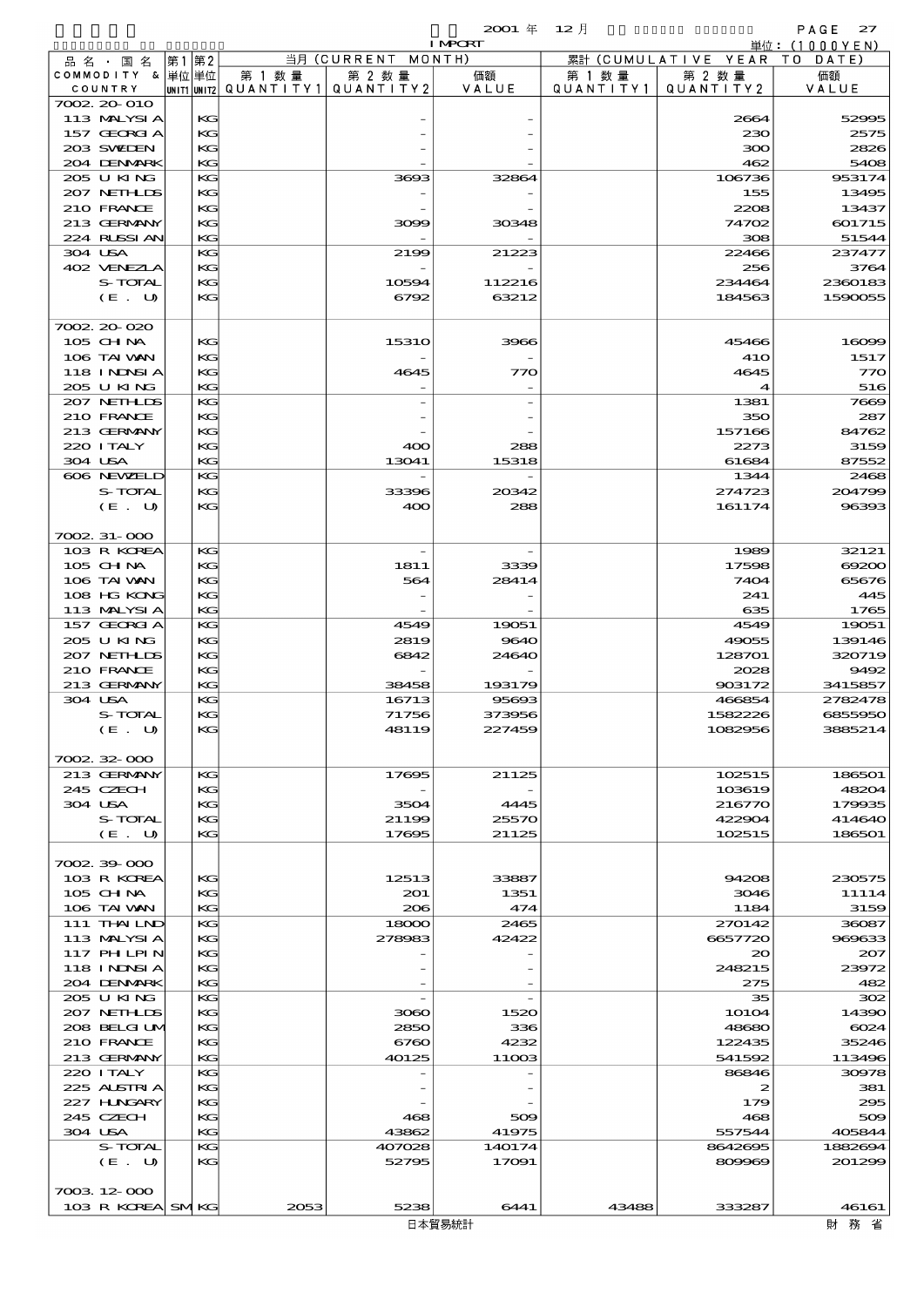|                            |             |           |                    | $2001 \text{ } \#$<br><b>I MPORT</b> | $12$ 月    |                     | PAGE<br>27<br>単位: (1000YEN) |
|----------------------------|-------------|-----------|--------------------|--------------------------------------|-----------|---------------------|-----------------------------|
| 品名・国名                      | 第2<br> 第1   |           | 当月 (CURRENT MONTH) |                                      |           | 累計 (CUMULATIVE YEAR | T O<br>DATE)                |
| COMMODITY & 単位単位           |             | 第 1 数量    | 第 2 数量             | 価額                                   | 第 1 数 量   | 第 2 数量              | 価額                          |
| COUNTRY                    | UNIT1 UNIT2 | QUANTITY1 | QUANTITY 2         | VALUE                                | QUANTITY1 | QUANTITY 2          | VALUE                       |
| 7002 20 010                |             |           |                    |                                      |           |                     |                             |
| 113 MALYSIA                | KG          |           |                    |                                      |           | 2664                | 52995                       |
| 157 GEORGIA                | KG          |           |                    |                                      |           | 230                 | 2575                        |
| 203 SWIDEN<br>204 DENMARK  | KG<br>KG    |           |                    |                                      |           | ဆထ<br>462           | 2826<br>5408                |
| 205 U KING                 | KG          |           | 3693               | 32864                                |           | 106736              | 953174                      |
| 207 NETHLIS                | KG          |           |                    |                                      |           | 155                 | 13495                       |
| 210 FRANCE                 | KG          |           |                    |                                      |           | 2208                | 13437                       |
| 213 GERMANY                | KG          |           | 3099               | 30348                                |           | 74702               | 601715                      |
| 224 RUSSI AN               | KG          |           |                    |                                      |           | 308                 | 51544                       |
| 304 USA                    | KG          |           | 2199               | 21223                                |           | 22466               | 237477                      |
| 402 VENEZIA                | KG          |           |                    |                                      |           | 256                 | 3764                        |
| S-TOTAL                    | KG          |           | 10594              | 112216                               |           | 234464              | 2360183                     |
| (E. U)                     | KG          |           | 6792               | 63212                                |           | 184563              | 1590055                     |
|                            |             |           |                    |                                      |           |                     |                             |
| 7002.20-020                |             |           |                    |                                      |           |                     |                             |
| $105$ CHNA<br>106 TAI WAN  | KG<br>KG    |           | <b>15310</b>       | 3966                                 |           | 45466<br><b>41O</b> | 16099<br>1517               |
| <b>118 INDSIA</b>          | KG          |           | 4645               | 770                                  |           | 4645                | 770                         |
| 205 U KING                 | KG          |           |                    |                                      |           | $\boldsymbol{4}$    | 516                         |
| 207 NETHLIS                | KG          |           |                    |                                      |           | 1381                | 7669                        |
| 210 FRANCE                 | KG          |           |                    |                                      |           | 350                 | 287                         |
| 213 GERMANY                | KG          |           |                    |                                      |           | 157166              | 84762                       |
| 220 I TALY                 | KG          |           | 400                | 288                                  |           | 2273                | 3159                        |
| 304 USA                    | KG          |           | 13041              | 15318                                |           | 61684               | 87552                       |
| 606 NEWELD                 | KG          |           |                    |                                      |           | 1344                | 2468                        |
| S-TOTAL                    | KG          |           | 33396              | 20342                                |           | 274723              | 204799                      |
| (E. U)                     | KG          |           | 400                | 288                                  |           | 161174              | 96393                       |
|                            |             |           |                    |                                      |           |                     |                             |
| 7002.31-000                |             |           |                    |                                      |           |                     |                             |
| 103 R KOREA                | KG          |           |                    |                                      |           | 1989                | 32121                       |
| 105 CH NA                  | KG          |           | 1811               | 3339                                 |           | 17598               | 69200                       |
| 106 TAI VAN                | KG          |           | 564                | 28414                                |           | 7404                | 65676                       |
| 108 HG KONG<br>113 MALYSIA | KG<br>KG    |           |                    |                                      |           | 241<br>635          | 445<br>1765                 |
| 157 GEORGIA                | KG          |           | 4549               | 19051                                |           | 4549                | 19051                       |
| 205 U KING                 | KG          |           | 2819               | 9640                                 |           | 49055               | 139146                      |
| 207 NETHLIS                | KG          |           | 6842               | 24640                                |           | 128701              | 320719                      |
| 210 FRANCE                 | KG          |           |                    |                                      |           | 2028                | 9492                        |
| 213 GERMANY                | KG          |           | 38458              | 193179                               |           | 903172              | 3415857                     |
| 304 USA                    | KG          |           | 16713              | 95693                                |           | 466854              | 2782478                     |
| S-TOTAL                    | KG          |           | 71756              | 373956                               |           | 1582226             | 6855950                     |
| (E. U)                     | KC          |           | 48119              | 227459                               |           | 1082956             | 3885214                     |
|                            |             |           |                    |                                      |           |                     |                             |
| 7002.32-000                |             |           |                    |                                      |           |                     |                             |
| 213 GERMANY                | KG          |           | 17695              | 21125                                |           | 102515              | 186501                      |
| 245 CZECH<br>304 USA       | KG<br>KC    |           | 3504               | 4445                                 |           | 103619<br>216770    | 48204<br>179935             |
| S-TOTAL                    | KG          |           | 21199              | 25570                                |           | 422904              | 414640                      |
| (E. U)                     | KG          |           | 17695              | 21125                                |           | 102515              | 186501                      |
|                            |             |           |                    |                                      |           |                     |                             |
| 7002.39-000                |             |           |                    |                                      |           |                     |                             |
| 103 R KOREA                | KC          |           | 12513              | 33887                                |           | 94208               | 230575                      |
| $105$ CHNA                 | KG          |           | 201                | 1351                                 |           | 3046                | 11114                       |
| 106 TAI VAN                | KG          |           | 206                | 474                                  |           | 1184                | 3159                        |
| 111 THAILND                | KG          |           | 18000              | 2465                                 |           | 270142              | 36087                       |
| 113 MALYSIA                | KG          |           | 278983             | 42422                                |           | 6657720             | 969633                      |
| 117 PHLPIN                 | KC          |           |                    |                                      |           | $\infty$            | 207                         |
| <b>118 INNSIA</b>          | KG          |           |                    |                                      |           | 248215              | 23972                       |
| 204 DENMARK<br>205 U KING  | KG<br>KG    |           |                    |                                      |           | 275<br>35           | 482<br>302                  |
| 207 NETHLIS                | KG          |           | 3060               | 1520                                 |           | <b>10104</b>        | 14390                       |
| 208 BELGI UM               | KG          |           | 2850               | 336                                  |           | 48680               | $\omega$ 24                 |
| 210 FRANCE                 | KG          |           | 6760               | 4232                                 |           | 122435              | 35246                       |
| 213 GERMANY                | KG          |           | 40125              | 11003                                |           | 541592              | 113496                      |
| 220 I TALY                 | KG          |           |                    |                                      |           | 86846               | 30978                       |
| 225 ALSTRIA                | KG          |           |                    |                                      |           | 2                   | 381                         |
| 227 H.NGARY                | KC          |           |                    |                                      |           | 179                 | 295                         |
| 245 CZECH                  | KC          |           | 468                | 509                                  |           | 468                 | 509                         |

304 USA KG 43862 41975 557544 405844 S-TOTAL KG 407028 140174 8642695 1882694  $(E. U)$  KG 52795 17091 809969 201299

7003.12-000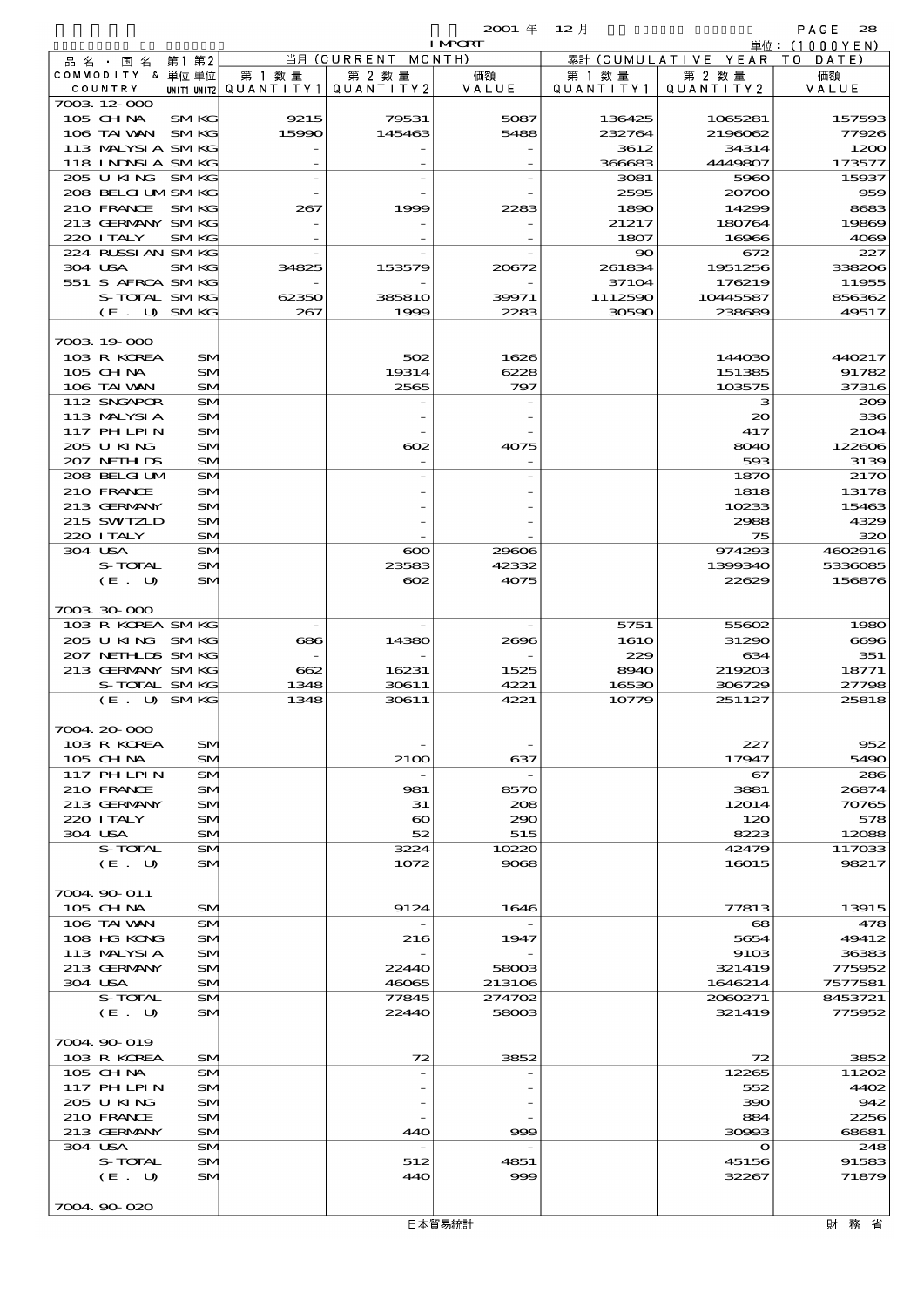| <b>I MPCRT</b><br>当月 (CURRENT<br>MONTH)<br>累計 (CUMULATIVE YEAR<br> 第1 第2<br>品 名 ・ 国 名<br>COMMODITY & 単位単位<br>第 1 数 量<br>第 2 数量<br>価額<br>第 2 数量<br>第 1 数 量<br>VALUE<br>COUNTRY<br> unit1 unit2  Q∪ANT   TY1 <br>QUANTITY 2<br>QUANTITY1<br>QUANTITY2 | 単位:(1000YEN)<br>T O<br>DATE)<br>価額<br>VALUE |
|-----------------------------------------------------------------------------------------------------------------------------------------------------------------------------------------------------------------------------------------------------|---------------------------------------------|
|                                                                                                                                                                                                                                                     |                                             |
|                                                                                                                                                                                                                                                     |                                             |
|                                                                                                                                                                                                                                                     |                                             |
| 7003 12 000                                                                                                                                                                                                                                         |                                             |
| $105$ CHNA<br><b>SMKG</b><br>79531<br>5087<br>9215<br>136425<br>1065281<br>106 TAI WAN<br>15990<br>145463<br>5488<br>232764<br>2196062<br><b>SMKG</b>                                                                                               | 157593<br>77926                             |
| 113 MALYSIA<br><b>SMKG</b><br>3612<br>34314                                                                                                                                                                                                         | 1200                                        |
| 118 INDSIA<br><b>SMKG</b><br>366683<br>4449807                                                                                                                                                                                                      | 173577                                      |
| 205 U KING<br><b>SMKG</b><br>3081<br>5960                                                                                                                                                                                                           | 15937                                       |
| 208 BELGI UMSMKG<br>2595<br>20700                                                                                                                                                                                                                   | 959                                         |
| 210 FRANCE<br><b>SMKG</b><br>14299<br>267<br>1999<br>2283<br>1890<br>213 GERMANY<br><b>SMKG</b><br>21217<br>180764                                                                                                                                  | 8683<br>19869                               |
| 220 I TALY<br><b>SMKG</b><br>1807<br>16966                                                                                                                                                                                                          | 4069                                        |
| 224 RUSSI AN<br><b>SMKG</b><br>90<br>672                                                                                                                                                                                                            | 227                                         |
| 304 USA<br>1951256<br><b>SMKG</b><br>34825<br>153579<br>20672<br>261834                                                                                                                                                                             | 338206                                      |
| 551 S AFRCA<br>37104<br>176219<br><b>SMKG</b>                                                                                                                                                                                                       | 11955                                       |
| S-TOTAL<br><b>SMKG</b><br>1112590<br>10445587<br>62350<br><b>385810</b><br>39971<br>2283<br>30590<br>238689<br>$(E_U U)$<br><b>SMKG</b><br>267<br>1999                                                                                              | 856362<br>49517                             |
|                                                                                                                                                                                                                                                     |                                             |
| 7003 19 000                                                                                                                                                                                                                                         |                                             |
| 103 R KOREA<br>SM<br>502<br>1626<br>144030                                                                                                                                                                                                          | 440217                                      |
| $105$ CHNA<br>19314<br>6228<br>SM<br>151385                                                                                                                                                                                                         | 91782                                       |
| 106 TAI WAN<br>SM<br>2565<br>797<br>103575<br>112 SNGAPOR<br>SM<br>з                                                                                                                                                                                | 37316<br>200                                |
| 113 MALYSIA<br>$_{\rm SN}$<br>$\infty$                                                                                                                                                                                                              | 336                                         |
| $117$ PHLPIN<br>417<br>SM                                                                                                                                                                                                                           | 2104                                        |
| 205 U KING<br>SM<br>œ<br>4075<br>8040                                                                                                                                                                                                               | 122606                                      |
| 207 NETHLIS<br>SM<br>593                                                                                                                                                                                                                            | 3139                                        |
| 208 BELGI UM<br>SM<br>1870<br>210 FRANCE<br>1818<br>SM                                                                                                                                                                                              | 2170<br>13178                               |
| 213 GERMANY<br>10233<br>SM                                                                                                                                                                                                                          | 15463                                       |
| 215 SWIZLD<br>SM<br>2988                                                                                                                                                                                                                            | 4329                                        |
| 220 I TALY<br>SM<br>75                                                                                                                                                                                                                              | 320                                         |
| 304 USA<br>$\boldsymbol{\infty}$<br>974293<br>SM<br>29606                                                                                                                                                                                           | 4602916                                     |
| S-TOTAL<br>23583<br>42332<br>1399340<br>SM<br>22629                                                                                                                                                                                                 | 5336085                                     |
| (E. U)<br>SM<br>$\infty$<br>4075                                                                                                                                                                                                                    | 156876                                      |
| 7003 30 000                                                                                                                                                                                                                                         |                                             |
| 103 R KOREA<br><b>SMKG</b><br>5751<br>55602                                                                                                                                                                                                         | 1980                                        |
| 205 U KING<br><b>SMKG</b><br>686<br>14380<br>2696<br><b>1610</b><br>31290                                                                                                                                                                           | 6696                                        |
| 207 NETHLIS<br><b>SMKG</b><br>229<br>634<br>213 GERMANY<br><b>SMKG</b><br>662<br>16231<br>1525<br>219203                                                                                                                                            | 351<br>18771                                |
| 8940<br>S-TOTAL<br>4221<br><b>SMKG</b><br>1348<br>30611<br>16530<br>306729                                                                                                                                                                          | 27798                                       |
| (E. U)<br><b>SMKG</b><br>1348<br>30611<br>4221<br>10779<br>251127                                                                                                                                                                                   | 25818                                       |
|                                                                                                                                                                                                                                                     |                                             |
| 7004.20-000                                                                                                                                                                                                                                         |                                             |
| 103 R KOREA<br>SM<br>227<br>$105$ CHNA<br>SM<br>637<br>17947<br>2100                                                                                                                                                                                | 952<br>5490                                 |
| 117 PHLPIN<br>SM<br>67                                                                                                                                                                                                                              | 286                                         |
| 210 FRANCE<br>3881<br>SM<br>981<br>8570                                                                                                                                                                                                             | 26874                                       |
| 213 GERMANY<br>SM<br>31<br>208<br>12014                                                                                                                                                                                                             | 70765                                       |
| 220 ITALY<br>SM<br>$\boldsymbol{\infty}$<br>290<br>120                                                                                                                                                                                              | 578                                         |
| 304 USA<br>SM<br>52<br>515<br>8223<br>S-TOTAL<br>3224<br>10220<br>SM<br>42479                                                                                                                                                                       | 12088<br>117033                             |
| (E. U)<br>SM<br>1072<br>9068<br>16015                                                                                                                                                                                                               | 98217                                       |
|                                                                                                                                                                                                                                                     |                                             |
| 7004 90 011                                                                                                                                                                                                                                         |                                             |
| 105 CHNA<br>SM<br>1646<br>77813<br>9124                                                                                                                                                                                                             | 13915                                       |
| 106 TAI VAN<br>$\mathbf{68}$<br>SM<br>108 HG KONG<br>SM<br>216<br>1947<br>5654                                                                                                                                                                      | 478<br>49412                                |
| 113 MALYSIA<br>9103<br>SM                                                                                                                                                                                                                           | 36383                                       |
| 213 GERMANY<br>321419<br>SM<br>22440<br>58003                                                                                                                                                                                                       | 775952                                      |
| 304 USA<br>SM<br>46065<br>213106<br>1646214                                                                                                                                                                                                         | 7577581                                     |
| S-TOTAL<br>77845<br>274702<br>2060271<br>SM<br>58003<br>321419                                                                                                                                                                                      | 8453721                                     |
| (E. U)<br>SM<br>22440                                                                                                                                                                                                                               | 775952                                      |
| 7004.90-019                                                                                                                                                                                                                                         |                                             |
| 103 R KOREA<br>SM<br>3852<br>72<br>72                                                                                                                                                                                                               | 3852                                        |
| 105 CH NA<br>12265<br>SM                                                                                                                                                                                                                            | 11202                                       |
| $117$ PHLPIN<br>SM<br>552                                                                                                                                                                                                                           | 4402                                        |
| 205 U KING<br>SM<br>390<br>210 FRANCE<br>SM<br>884                                                                                                                                                                                                  | 942<br>2256                                 |
| 213 GERMANY<br>SM<br>30993<br>440<br>999                                                                                                                                                                                                            | 68681                                       |
| 304 USA<br>SM<br>$\mathbf o$                                                                                                                                                                                                                        | 248                                         |
| S-TOTAL<br>SM<br>512<br>4851<br>45156                                                                                                                                                                                                               | 91583                                       |
| (E. U)<br>SM<br>32267<br>440<br>999                                                                                                                                                                                                                 | 71879                                       |
| 7004.90-020                                                                                                                                                                                                                                         |                                             |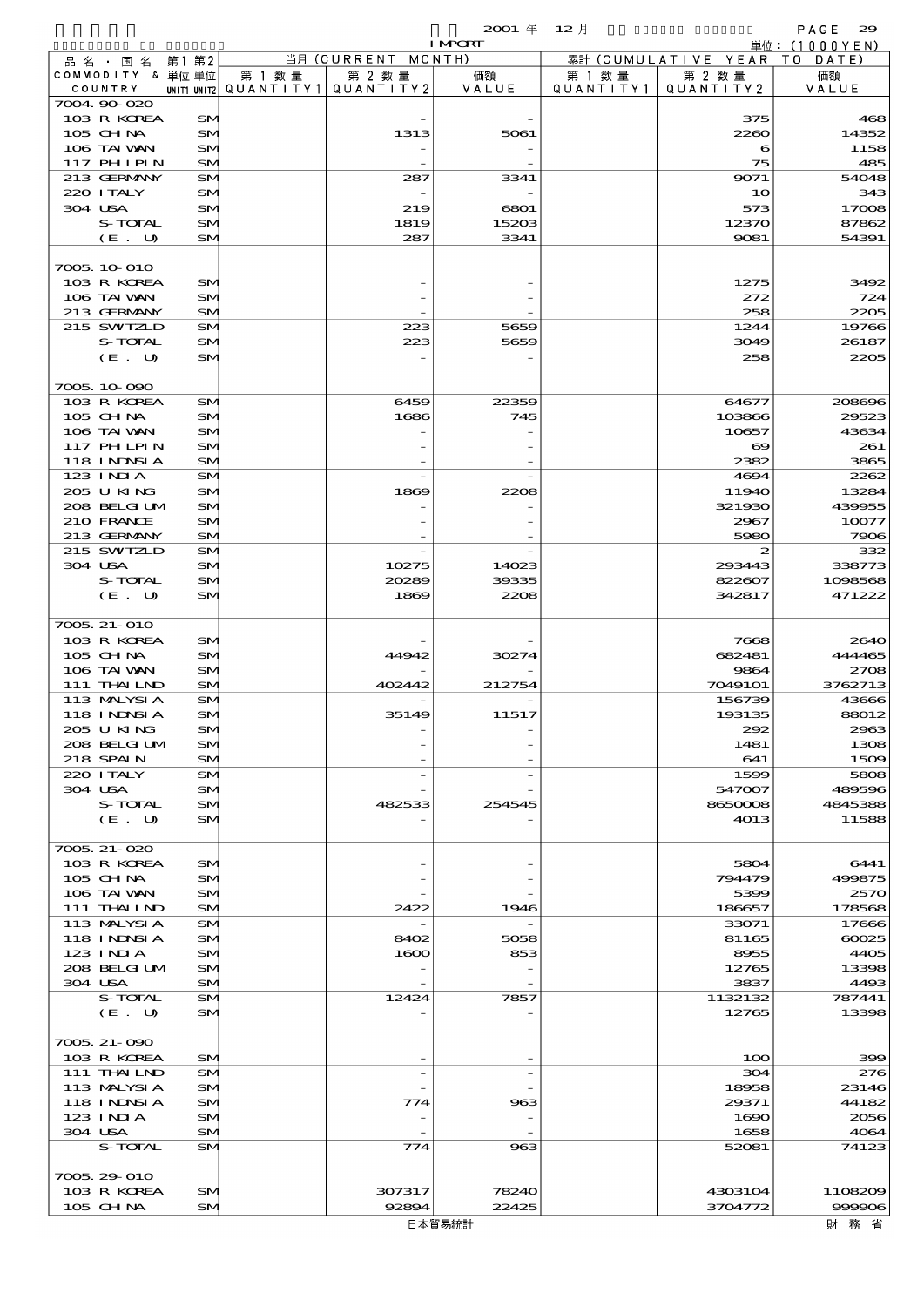|                                |       |                 |                          |             | $2001 \text{ } \#$       | 12月       |                                | PAGE<br>29                |
|--------------------------------|-------|-----------------|--------------------------|-------------|--------------------------|-----------|--------------------------------|---------------------------|
|                                |       |                 |                          | 当月 (CURRENT | <b>I MPORT</b><br>MONTH) |           | 累計 (CUMULATIVE YEAR            | 単位: (1000YEN)<br>TO DATE) |
| 品 名 ・ 国 名<br>COMMODITY & 単位 単位 | 第1 第2 |                 | 第 1 数 量                  | 第 2 数量      | 価額                       | 第 1 数 量   | 第 2 数量                         | 価額                        |
| COUNTRY                        |       |                 | UNIT1 UNIT2  Q∪ANT   TY1 | QUANTITY 2  | VALUE                    | QUANTITY1 | QUANTITY2                      | VALUE                     |
| 7004.90-020                    |       |                 |                          |             |                          |           |                                |                           |
| 103 R KOREA                    |       | <b>SM</b>       |                          |             |                          |           | 375                            | 465                       |
| 105 CH NA                      |       | <b>SM</b>       |                          | 1313        | 5061                     |           | 2260                           | 14352                     |
| 106 TAI VAN                    |       | SM              |                          |             |                          |           | 6                              | 1158                      |
| 117 PHLPIN                     |       | SM              |                          |             |                          |           | 75                             | 485                       |
| 213 GERMANY                    |       | SM              |                          | 287         | 3341                     |           | 9071                           | 54048                     |
| 220 I TALY                     |       | SM              |                          |             |                          |           | 10                             | 343                       |
| 304 USA<br>S-TOTAL             |       | SM              |                          | 219<br>1819 | 6801<br>15203            |           | 573<br>12370                   | 17006<br>87862            |
| (E. U)                         |       | SM<br>SM        |                          | 287         | 3341                     |           | 9081                           | 54391                     |
|                                |       |                 |                          |             |                          |           |                                |                           |
| 7005.10.010                    |       |                 |                          |             |                          |           |                                |                           |
| 103 R KOREA                    |       | SM              |                          |             |                          |           | 1275                           | 3492                      |
| 106 TAI VAN                    |       | SM              |                          |             |                          |           | 272                            | 724                       |
| 213 GERMANY                    |       | SM              |                          |             |                          |           | 258                            | 2200                      |
| 215 SWIZLD                     |       | SM              |                          | 223         | 5659                     |           | 1244                           | 19766                     |
| S-TOTAL                        |       | SM              |                          | 223         | 5659                     |           | 3049                           | 26187                     |
| (E. U)                         |       | SM              |                          |             |                          |           | 258                            | 2200                      |
|                                |       |                 |                          |             |                          |           |                                |                           |
| 7005.10.090                    |       |                 |                          |             |                          |           |                                |                           |
| 103 R KOREA                    |       | <b>SM</b>       |                          | 6459        | 22359                    |           | 64677                          | 208696                    |
| 105 CH NA<br>106 TAI VAN       |       | SM              |                          | 1686        | 745                      |           | 103866                         | 29523<br>43634            |
| 117 PHLPIN                     |       | SM<br>SM        |                          |             |                          |           | 10657<br>$\boldsymbol{\infty}$ | 261                       |
| 118 I NDSI A                   |       | SM              |                          |             |                          |           | 2382                           | <b>3865</b>               |
| $123$ INIA                     |       | SM              |                          |             |                          |           | 4694                           | 2262                      |
| 205 U KING                     |       | SM              |                          | 1869        | 2208                     |           | 11940                          | 13284                     |
| 208 BELGI UM                   |       | SM              |                          |             |                          |           | 321930                         | 439955                    |
| 210 FRANCE                     |       | SM              |                          |             |                          |           | 2967                           | 10077                     |
| 213 GERMANY                    |       | SM              |                          |             |                          |           | 5980                           | 7900                      |
| 215 SWIZLD                     |       | SM              |                          |             |                          |           | 2                              | 332                       |
| 304 USA                        |       | SM              |                          | 10275       | 14023                    |           | 293443                         | 338773                    |
| S-TOTAL                        |       | SM              |                          | 20289       | 39335                    |           | 822607                         | 1098568                   |
| (E. U)                         |       | SM              |                          | 1869        | 2208                     |           | 342817                         | 471222                    |
|                                |       |                 |                          |             |                          |           |                                |                           |
| 7005. 21-010                   |       |                 |                          |             |                          |           |                                |                           |
| 103 R KOREA<br>$105$ CHNA      |       | <b>SM</b><br>SM |                          | 44942       | 30274                    |           | 7668<br>682481                 | 2640<br>444465            |
| 106 TAI VAN                    |       | SM              |                          |             |                          |           | 9864                           | 2700                      |
| 111 THAILND                    |       | SM              |                          | 402442      | 212754                   |           | 7049101                        | 3762713                   |
| 113 MALYSIA                    |       | SM              |                          |             |                          |           | 156739                         | 43666                     |
| 118 INNSI A                    |       | SM              |                          | 35149       | 11517                    |           | 193135                         | 88012                     |
| 205 U KING                     |       | SM              |                          |             |                          |           | 292                            | 2963                      |
| 208 BELGI UM                   |       | SM              |                          |             |                          |           | 1481                           | 1306                      |
| 218 SPAIN                      |       | SM              |                          |             |                          |           | 641                            | 1500                      |
| 220 I TALY                     |       | <b>SM</b>       |                          |             |                          |           | 1599                           | 5806                      |
| 304 USA                        |       | SM              |                          |             |                          |           | 547007                         | 489596                    |
| S-TOTAL                        |       | SM              |                          | 482533      | 254545                   |           | 8650008                        | 4845385                   |
| $(E_U U)$                      |       | SM              |                          |             |                          |           | 4013                           | 11588                     |
|                                |       |                 |                          |             |                          |           |                                |                           |
| 7005.21-020                    |       |                 |                          |             |                          |           |                                |                           |
| 103 R KOREA<br>105 CH NA       |       | <b>SM</b>       |                          |             |                          |           | 5804<br>794479                 | 6441<br>499875            |
| 106 TAI VAN                    |       | <b>SM</b><br>SM |                          |             |                          |           | 5399                           | 257C                      |
| 111 THAILND                    |       | SM              |                          | 2422        | 1946                     |           | 186657                         | 178568                    |
| 113 MALYSIA                    |       | SM              |                          |             |                          |           | 33071                          | 17666                     |
| 118 I NINSI A                  |       | SM              |                          | 8402        | 5058                     |           | 81165                          | $\cos$                    |
| 123 INIA                       |       | SM              |                          | 1600        | 853                      |           | 8955                           | 440 <sup>2</sup>          |
| 208 BELGI UM                   |       | SM              |                          |             |                          |           | 12765                          | 13396                     |
| 304 USA                        |       | SM              |                          |             |                          |           | 3837                           | 4493                      |
| S-TOTAL                        |       | SM              |                          | 12424       | 7857                     |           | 1132132                        | 787441                    |
| (E. U)                         |       | SM              |                          |             |                          |           | 12765                          | 13396                     |
|                                |       |                 |                          |             |                          |           |                                |                           |
| 7005. 21 - 090                 |       |                 |                          |             |                          |           |                                |                           |
| 103 R KOREA                    |       | SM              |                          |             |                          |           | 100                            | ЗŒ                        |
| 111 THAILND                    |       | <b>SM</b>       |                          |             |                          |           | 304                            | $z\pi$                    |
| 113 MALYSIA                    |       | SM              |                          |             |                          |           | 18958                          | 23146                     |
| 118 I NDSI A                   |       | <b>SM</b>       |                          | 774         | 963                      |           | 29371                          | 44182                     |
| 123 INIA                       |       | SM              |                          |             |                          |           | 1690                           | 2056                      |
| 304 USA<br>S-TOTAL             |       | SM<br>SM        |                          | 774         | 963                      |           | 1658<br>52081                  | 4064<br>74123             |
|                                |       |                 |                          |             |                          |           |                                |                           |
| 7005 29 010                    |       |                 |                          |             |                          |           |                                |                           |

103 R KOREA SM 307317 78240 4303104 1108209<br>105 CH NA SM 92894 22425 3704772 936906 105 CHNA SM 92894 22425 3704772 999906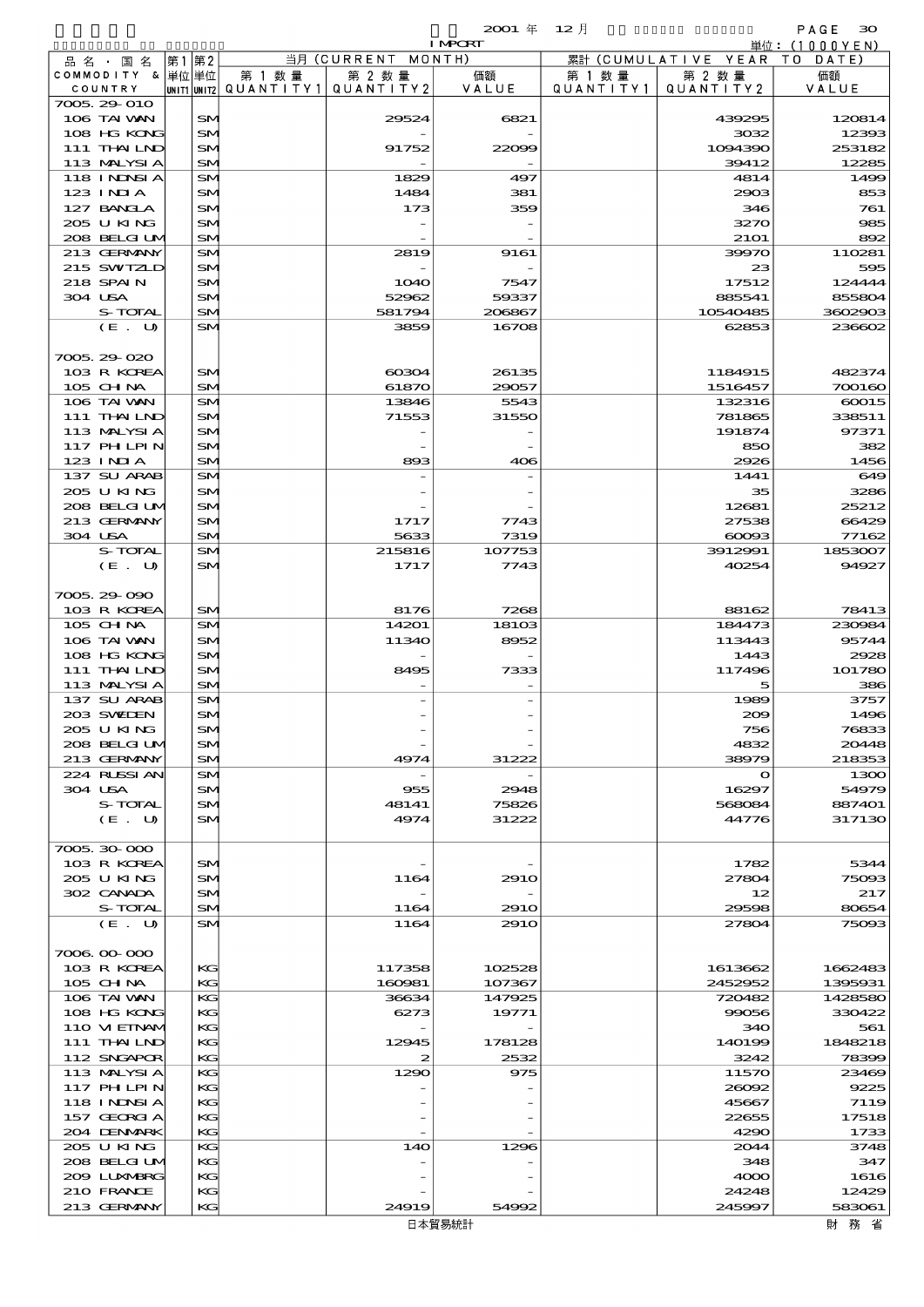|                              |           |        |                                       | <b>I MPORT</b>   |           |                              | 単位:(1000YEN)      |
|------------------------------|-----------|--------|---------------------------------------|------------------|-----------|------------------------------|-------------------|
| 品名・国名                        | 第1 第2     |        | 当月 (CURRENT MONTH)                    |                  |           | 累計 (CUMULATIVE YEAR TO DATE) |                   |
| COMMODITY & 単位単位             |           | 第 1 数量 | 第 2 数量                                | 価額               | 第 1 数 量   | 第 2 数量                       | 価額                |
| COUNTRY                      |           |        | UNIT1 UNIT2  QUANT   TY1  QUANT   TY2 | VALUE            | QUANTITY1 | QUANTITY 2                   | VALUE             |
| 7005.29-010                  |           |        |                                       |                  |           |                              |                   |
| 106 TAI WAN<br>108 HG KONG   | SM<br>SM  |        | 29524                                 | 6821             |           | 439295<br>3032               | 120814<br>12393   |
| 111 THAILND                  | SM        |        | 91752                                 | 22009            |           | 1094390                      | 253182            |
| 113 MALYSIA                  | SM        |        |                                       |                  |           | 39412                        | 12285             |
| 118 INNSI A                  | <b>SM</b> |        | 1829                                  | 497              |           | 4814                         | 1499              |
| $123$ INIA                   | SM        |        | 1484                                  | 381              |           | 2903                         | 853               |
| 127 BANCLA                   | SM        |        | 173                                   | 359              |           | 346                          | 761               |
| 205 U KING                   | SM        |        |                                       |                  |           | 3270                         | 985               |
| 208 BELGI UM                 | SM        |        |                                       |                  |           | <b>21O1</b>                  | 892               |
| 213 GERMANY                  | SM        |        | 2819                                  | 9161             |           | 39970                        | 110281            |
| 215 SWIZLD                   | SM        |        |                                       |                  |           | 23                           | 595               |
| 218 SPAIN                    | SM        |        | <b>1O4O</b>                           | 7547             |           | 17512                        | 124444            |
| 304 USA                      | SM        |        | 52962                                 | 59337            |           | 885541                       | 855804            |
| S-TOTAL<br>(E. U)            | SM<br>SM  |        | 581794<br>3859                        | 206867<br>16708  |           | 10540485<br>62853            | 3602903<br>236602 |
|                              |           |        |                                       |                  |           |                              |                   |
| 7005.29-020                  |           |        |                                       |                  |           |                              |                   |
| 103 R KOREA                  | SM        |        | $\alpha$                              | 26135            |           | 1184915                      | 482374            |
| 105 CHNA                     | SM        |        | 61870                                 | 29057            |           | 1516457                      | 700160            |
| 106 TAI VAN                  | <b>SM</b> |        | 13846                                 | 5543             |           | 132316                       | 60015             |
| 111 THAILND                  | SM        |        | 71553                                 | 31550            |           | 781865                       | 338511            |
| 113 MALYSIA                  | SM        |        |                                       |                  |           | 191874                       | 97371             |
| 117 PH LPIN                  | SM        |        |                                       |                  |           | 850                          | 382               |
| $123$ INJA                   | SM        |        | 893                                   | 406              |           | 2926                         | 1456              |
| 137 SU ARAB                  | SM        |        |                                       |                  |           | 1441                         | 649               |
| 205 U KING                   | SM        |        |                                       |                  |           | 35                           | 3286              |
| 208 BELGI UM                 | SM        |        |                                       |                  |           | 12681                        | 25212             |
| 213 GERMANY                  | SM        |        | 1717                                  | 7743             |           | 27538                        | 66429             |
| 304 USA                      | SM        |        | 5633                                  | 7319             |           | $\infty$                     | 77162             |
| S-TOTAL                      | SM        |        | 215816                                | 107753           |           | 3912991                      | 1853007           |
| (E. U)                       | SM        |        | 1717                                  | 7743             |           | 40254                        | 94927             |
| 7005.29-090                  |           |        |                                       |                  |           |                              |                   |
| 103 R KOREA                  | SM        |        | 8176                                  | 7268             |           | 88162                        | 78413             |
| 105 CHNA                     | SM        |        | 14201                                 | 18103            |           | 184473                       | 230984            |
| 106 TAI VAN                  | SM        |        | 11340                                 | 8952             |           | 113443                       | 95744             |
| 108 HG KONG                  | SM        |        |                                       |                  |           | 1443                         | 2928              |
| 111 THAILND                  | SM        |        | 8495                                  | 7333             |           | 117496                       | 101780            |
| 113 MALYSIA                  | SM        |        |                                       |                  |           | 5                            | 386               |
| 137 SU ARAB                  | SM        |        |                                       |                  |           | 1989                         | 3757              |
| 203 SWIEN                    | SM        |        |                                       |                  |           | 200                          | 1496              |
| 205 U KING                   | $5$       |        |                                       |                  |           | 756                          | 76833             |
| 208 BELGI UM                 | SM        |        |                                       |                  |           | 4832                         | 20448             |
| 213 GERMANY                  | SM        |        | 4974                                  | 31222            |           | 38979                        | 218353            |
| 224 RUSSIAN                  | SM        |        |                                       |                  |           | $\mathbf o$                  | 1300              |
| 304 USA                      | SM        |        | 955                                   | 2948             |           | 16297                        | 54979             |
| S-TOTAL<br>(E. U)            | SM<br>SM  |        | 48141<br>4974                         | 75826<br>31222   |           | 568084<br>44776              | 887401<br>317130  |
|                              |           |        |                                       |                  |           |                              |                   |
| 7005.30-000                  |           |        |                                       |                  |           |                              |                   |
| 103 R KOREA                  | SM        |        |                                       |                  |           | 1782                         | 5344              |
| 205 U KING                   | SM        |        | 1164                                  | 291O             |           | 27804                        | 75093             |
| 302 CANADA                   | <b>SM</b> |        |                                       |                  |           | 12                           | 217               |
| S-TOTAL                      | SM        |        | 1164                                  | 291 <sub>O</sub> |           | 29598                        | 80654             |
| (E. U)                       | <b>SM</b> |        | 1164                                  | 291O             |           | 27804                        | 75093             |
|                              |           |        |                                       |                  |           |                              |                   |
| 7006.00-000                  |           |        |                                       |                  |           |                              |                   |
| 103 R KOREA                  | КG        |        | 117358                                | 102528           |           | 1613662                      | 1662483           |
| $105$ CHNA                   | KG        |        | 160981                                | 107367           |           | 2452952                      | 1395931           |
| 106 TAI VAN                  | KG        |        | 36634                                 | 147925           |           | 720482                       | 1428580           |
| 108 HG KONG                  | KG        |        | 6273                                  | 19771            |           | 99056                        | 330422            |
| 110 VIEINAM<br>$111$ THAILND | KG<br>КG  |        | 12945                                 | 178128           |           | 340<br>140199                | 561<br>1848218    |
| 112 SNGAPOR                  | KG        |        | 2                                     | 2532             |           | 3242                         | 78399             |
| 113 MALYSIA                  | KG        |        | 1290                                  | 975              |           | 11570                        | 23469             |
| 117 PH LPIN                  | KG        |        |                                       |                  |           | 26092                        | 9225              |
| 118 I NDSI A                 | KG        |        |                                       |                  |           | 45667                        | 7119              |
| 157 GEORGIA                  | KG        |        |                                       |                  |           | 22655                        | 17518             |
| 204 DENMARK                  | KG        |        |                                       |                  |           | 4290                         | 1733              |
| 205 U KING                   | KС        |        | 14O                                   | 1296             |           | 2044                         | 3748              |
| 208 BELGI UM                 | KG        |        |                                       |                  |           | 348                          | 347               |
| 200 LUNABRG                  | KG        |        |                                       |                  |           | 4000                         | 1616              |
| 210 FRANCE                   | KG        |        |                                       |                  |           | 24248                        | 12429             |
| 213 GERMANY                  | KG        |        | 24919                                 | 54992            |           | 245997                       | 583061            |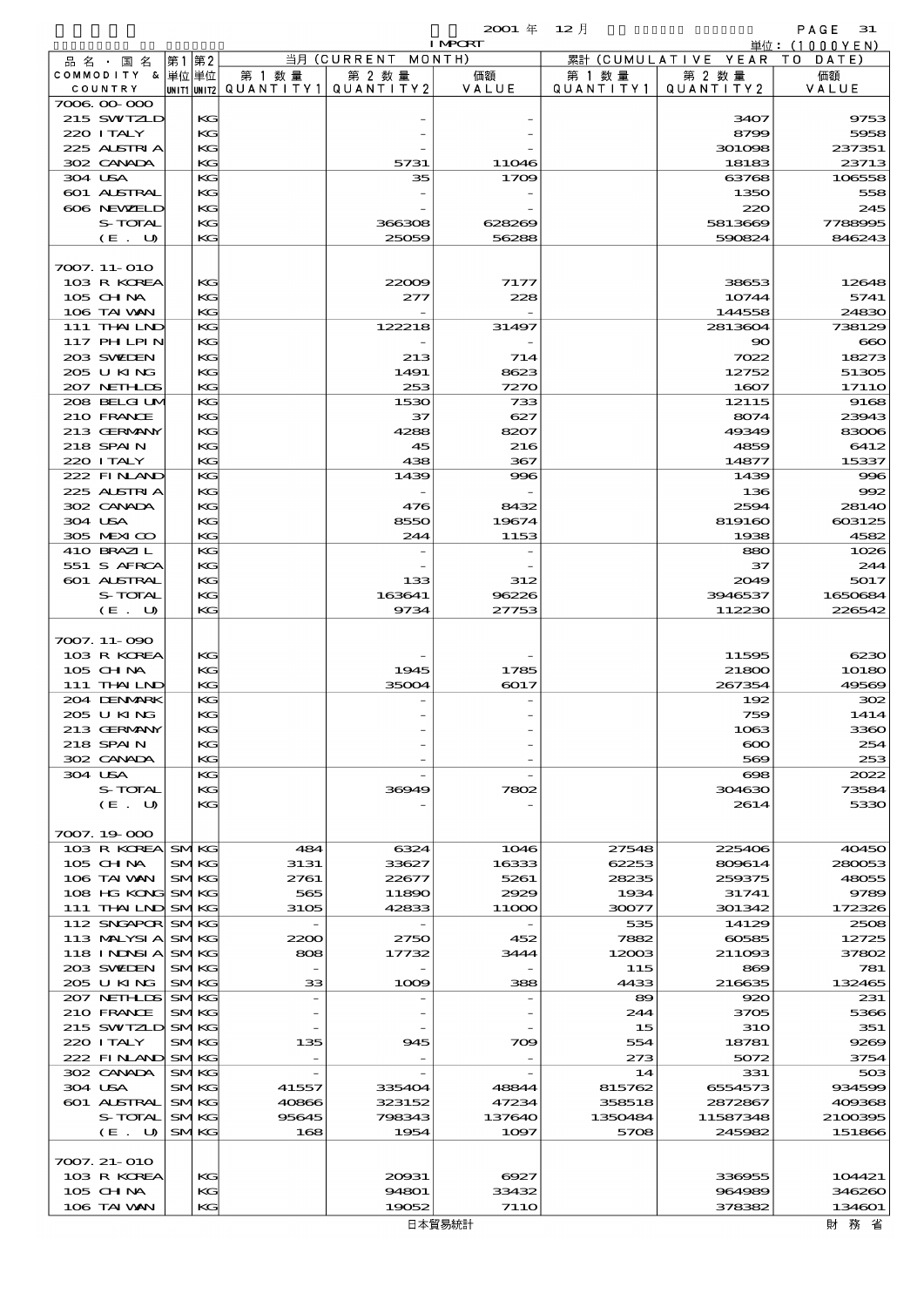|                               |                            |          |                       |                                                       | $2001$ $#$      | $12$ 月           |                            | PAGE<br>31        |
|-------------------------------|----------------------------|----------|-----------------------|-------------------------------------------------------|-----------------|------------------|----------------------------|-------------------|
|                               |                            |          |                       | $\overline{\mathbb{H}}\overline{\mathbb{H}}$ (CURRENT | <b>I MPORT</b>  |                  |                            | 単位: (1000 Y E N ) |
| 品 名 ・ 国 名<br>COMMODITY & 単位単位 | 第1                         | 第2       | 第 1 数 量               | 第 2 数量                                                | MONTH)<br>価額    | 累計<br>第 1 数 量    | (CUMULATIVE YEAR<br>第 2 数量 | T O<br>DATE<br>価額 |
| COUNTRY                       |                            |          | UNIT1 UNIT2 QUANTITY1 | QUANTITY2                                             | VALUE           | QUANTITY1        | QUANTITY 2                 | VALUE             |
| 7006.00.000                   |                            |          |                       |                                                       |                 |                  |                            |                   |
| 215 SWIZLD<br>220 I TALY      |                            | KG<br>KG |                       |                                                       |                 |                  | 3407<br>8799               | 9753<br>5958      |
| 225 ALSIRIA                   |                            | KG       |                       |                                                       |                 |                  | 301098                     | 237351            |
| 302 CANADA                    |                            | КG       |                       | 5731                                                  | <b>11046</b>    |                  | 18183                      | 23713             |
| 304 USA                       |                            | KG       |                       | 35                                                    | 1709            |                  | 63768                      | 106558            |
| 601 ALSTRAL                   |                            | KG       |                       |                                                       |                 |                  | 1350                       | 558               |
| 606 NEWELD<br>S-TOTAL         |                            | KG       |                       |                                                       |                 |                  | 220                        | 245               |
| (E. U)                        |                            | КG<br>KG |                       | 366308<br>25059                                       | 628269<br>56288 |                  | 5813669<br>590824          | 7788995<br>846243 |
|                               |                            |          |                       |                                                       |                 |                  |                            |                   |
| 7007. 11-010                  |                            |          |                       |                                                       |                 |                  |                            |                   |
| 103 R KOREA                   |                            | КC       |                       | 22009                                                 | 7177            |                  | 38653                      | 12648             |
| $105$ CHNA<br>106 TAI WAN     |                            | KG<br>KG |                       | 277                                                   | 228             |                  | 10744<br>144558            | 5741<br>24830     |
| 111 THAILND                   |                            | KG       |                       | 122218                                                | 31497           |                  | 2813604                    | 738129            |
| 117 PHLPIN                    |                            | KG       |                       |                                                       |                 |                  | 90                         | $\infty$          |
| 203 SWIEN                     |                            | KG       |                       | 213                                                   | 714             |                  | 7022                       | 18273             |
| 205 U KING                    |                            | КG       |                       | 1491                                                  | 8623            |                  | 12752                      | 51305             |
| 207 NETHLIS<br>208 BELGI UM   |                            | KG<br>KG |                       | 253                                                   | 7270<br>733     |                  | 1607                       | 1711O             |
| 210 FRANCE                    |                            | KG       |                       | 1530<br>37                                            | 627             |                  | 12115<br>8074              | 9168<br>23943     |
| 213 GERMANY                   |                            | KG       |                       | 4288                                                  | 8207            |                  | 49349                      | 83006             |
| 218 SPAIN                     |                            | КG       |                       | 45                                                    | 216             |                  | 4859                       | 6412              |
| 220 I TALY                    |                            | KG       |                       | 438                                                   | 367             |                  | 14877                      | 15337             |
| 222 FINLAND                   |                            | KG       |                       | 1439                                                  | 996             |                  | 1439                       | 996               |
| 225 ALSTRIA<br>302 CANADA     |                            | КG<br>KG |                       | 476                                                   | 8432            |                  | 136<br>2594                | 992<br>2814O      |
| 304 USA                       |                            | KG       |                       | 8550                                                  | 19674           |                  | 819160                     | 603125            |
| 305 MEXICO                    |                            | KG       |                       | 244                                                   | 1153            |                  | 1938                       | 4582              |
| 410 BRAZIL                    |                            | KG       |                       |                                                       |                 |                  | 880                        | 1026              |
| 551 S AFRCA                   |                            | KG       |                       |                                                       |                 |                  | 37                         | 244               |
| 601 ALSTRAL                   |                            | KG       |                       | 133                                                   | 312             |                  | 2049                       | 5017              |
| S-TOTAL<br>(E. U)             |                            | КG<br>КC |                       | 163641<br>9734                                        | 96226<br>27753  |                  | 3946537<br>112230          | 1650684<br>226542 |
|                               |                            |          |                       |                                                       |                 |                  |                            |                   |
| 7007. 11-090                  |                            |          |                       |                                                       |                 |                  |                            |                   |
| 103 R KOREA                   |                            | КG       |                       |                                                       |                 |                  | 11595                      | 6230              |
| 105 CHNA                      |                            | KG       |                       | 1945                                                  | 1785            |                  | 21800                      | 10180             |
| 111 THAILND<br>204 DENMARK    |                            | КG<br>KG |                       | 35004                                                 | 6017            |                  | 267354<br>192              | 49569<br>302      |
| 205 U KING                    |                            | KG       |                       |                                                       |                 |                  | 759                        | 1414              |
| 213 GERMANY                   |                            | КC       |                       |                                                       |                 |                  | 1063                       | 3360              |
| 218 SPAIN                     |                            | КG       |                       |                                                       |                 |                  | $\infty$                   | 254               |
| 302 CANADA                    |                            | КC       |                       |                                                       |                 |                  | 569                        | 253               |
| 304 USA<br>S-TOTAL            |                            | КC<br>КC |                       | 36949                                                 | 7802            |                  | $\infty$<br>304630         | 2022<br>73584     |
| (E. U)                        |                            | КC       |                       |                                                       |                 |                  | 2614                       | 5330              |
|                               |                            |          |                       |                                                       |                 |                  |                            |                   |
| 7007.19-000                   |                            |          |                       |                                                       |                 |                  |                            |                   |
| 103 R KOREA SMKG              |                            |          | 484                   | 6324                                                  | 1046            | 27548            | 225406                     | 40450             |
| 105 CH NA<br>106 TAI WAN      | <b>SMKG</b><br><b>SMKG</b> |          | 3131                  | 33627                                                 | 16333           | 62253            | 809614<br>259375           | 280053            |
| 108 HG KONG                   | <b>SMKG</b>                |          | 2761<br>565           | 22677<br>11890                                        | 5261<br>2929    | 28235<br>1934    | 31741                      | 48055<br>9789     |
| 111 THAILND SMKG              |                            |          | 3105                  | 42833                                                 | 11OOO           | 30077            | 301342                     | 172326            |
| 112 SNGAPOR SMKG              |                            |          |                       |                                                       |                 | 535              | 14129                      | 2508              |
| 113 MALYSIA                   | <b>SMKG</b>                |          | 2200                  | 2750                                                  | 452             | 7882             | 60585                      | 12725             |
| 118 I NJNSI A                 | <b>SMKG</b>                |          | 808                   | 17732                                                 | 3444            | 12003            | 211093                     | 37802             |
| 203 SWIEN<br>205 U KING       | <b>SMKG</b><br><b>SMKG</b> |          | 33                    |                                                       | 388             | 115<br>4433      | 869                        | 781               |
| 207 NETHLIS                   | <b>SMKG</b>                |          |                       | 1009                                                  |                 | 89               | 216635<br>920              | 132465<br>231     |
| 210 FRANCE                    | <b>SMKG</b>                |          |                       |                                                       |                 | 244              | 3705                       | 5366              |
| 215 SWIZLD SMKG               |                            |          |                       |                                                       |                 | 15               | <b>31O</b>                 | 351               |
| 220 I TALY                    | <b>SMKG</b>                |          | 135                   | 945                                                   | 709             | 554              | 18781                      | 9269              |
| 222 FINAND SMKG               |                            |          |                       |                                                       |                 | 273              | 5072                       | 3754              |
| 302 CANADA<br>304 USA         | <b>SMKG</b>                |          |                       | 335404                                                |                 | 14               | 331                        | 503<br>934599     |
| 601 ALSTRAL                   | <b>SMKG</b><br><b>SMKG</b> |          | 41557<br>40866        | 323152                                                | 48844<br>47234  | 815762<br>358518 | 6554573<br>2872867         | 409368            |
| S-TOTAL                       | <b>SMKG</b>                |          | 95645                 | 798343                                                | 137640          | 1350484          | 11587348                   | 2100395           |
| (E. U)                        | <b>SMKG</b>                |          | 168                   | 1954                                                  | 1097            | 5708             | 245982                     | 151866            |
|                               |                            |          |                       |                                                       |                 |                  |                            |                   |
| 7007. 21-010                  |                            |          |                       |                                                       |                 |                  |                            |                   |
| 103 R KOREA<br>105 CH NA      |                            | KG<br>KG |                       | 20931<br>94801                                        | 6927<br>33432   |                  | 336955<br>964989           | 104421<br>346260  |
| 106 TAI VAN                   |                            | KG       |                       | 19052                                                 | <b>7110</b>     |                  | 378382                     | 134601            |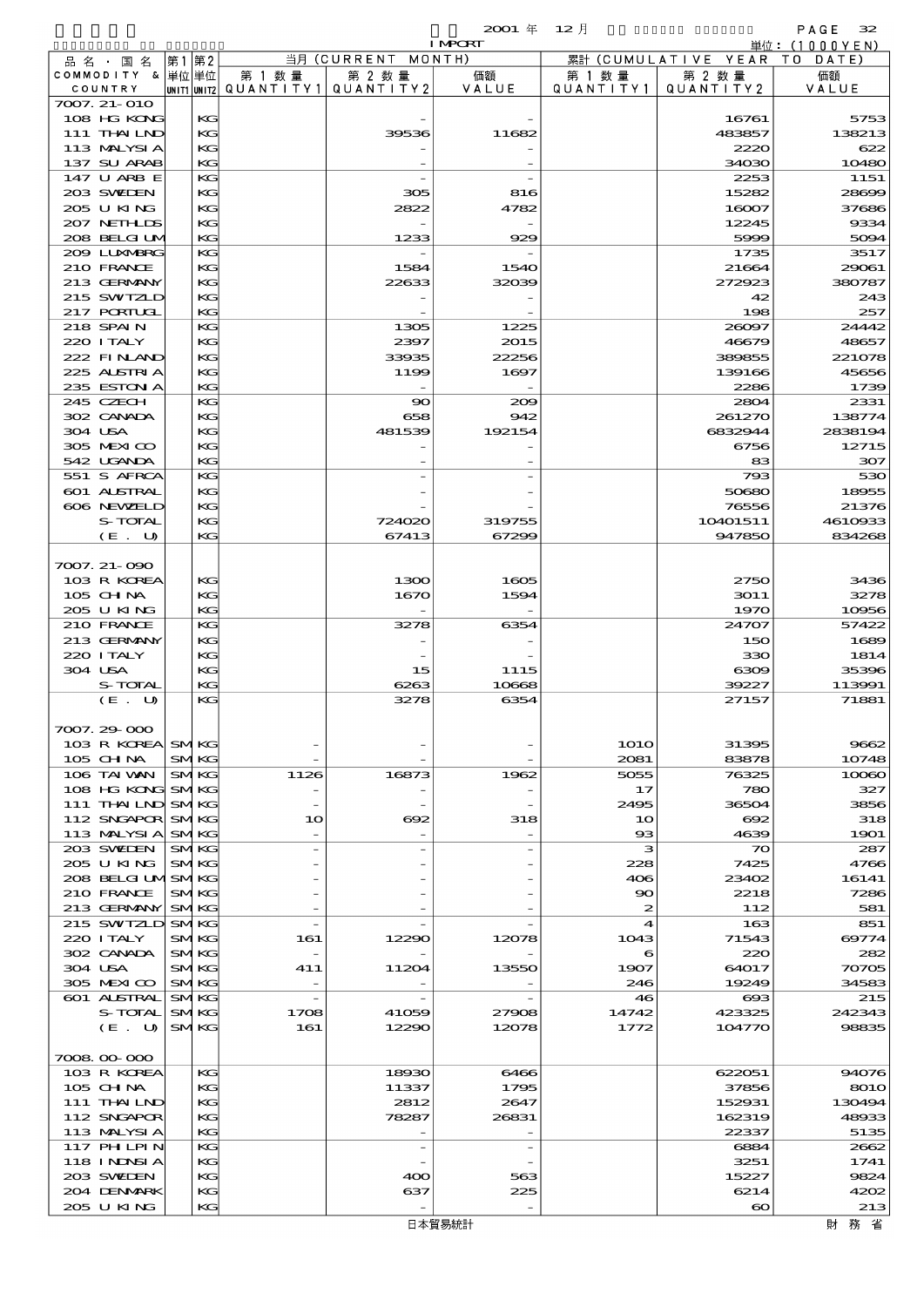|                  |      |             |                                       |                          | <b>I MPORT</b> |                  |                              | 単位: (1000YEN)  |
|------------------|------|-------------|---------------------------------------|--------------------------|----------------|------------------|------------------------------|----------------|
| 品名・国名            | 第1第2 |             |                                       | 当月 (CURRENT MONTH)       |                |                  | 累計 (CUMULATIVE YEAR TO DATE) |                |
| COMMODITY & 単位単位 |      |             | 第 1 数量                                | 第 2 数量                   | 価額             | 第 1 数 量          | 第 2 数量                       | 価額             |
| COUNTRY          |      |             | unit1 unit2  QUANT   TY1  QUANT   TY2 |                          | VALUE          | QUANTITY1        | QUANTITY2                    | VALUE          |
| 7007. 21-010     |      |             |                                       |                          |                |                  |                              |                |
| 108 HG KONG      |      | KG          |                                       |                          |                |                  | 16761                        | 5753           |
| 111 THAILND      |      | KG          |                                       | 39536                    | 11682          |                  | 483857                       | 138213         |
| 113 MALYSIA      |      | KG          |                                       |                          |                |                  | 2220                         | 622            |
| 137 SU ARAB      |      | KG          |                                       |                          |                |                  | 34030                        | 10480          |
| 147 U ARB E      |      | KG          |                                       |                          |                |                  | 2253                         | 1151           |
| 203 SWIEN        |      | KG          |                                       | 305                      | 816            |                  | 15282                        | 28699          |
| 205 U KING       |      | KG          |                                       | 2822                     | 4782           |                  | 16007                        | 37686          |
| 207 NETHLIS      |      | KG          |                                       |                          |                |                  | 12245                        | 9334           |
| 208 BELGI UM     |      | KG          |                                       | 1233                     | 929            |                  | 5999                         | 5094           |
| 2009 LUNAERG     |      | KG          |                                       |                          |                |                  | 1735                         | 3517           |
| 210 FRANCE       |      | KG          |                                       | 1584                     | 1540           |                  | 21664                        | 29061          |
| 213 GERMANY      |      | KG          |                                       | 22633                    | 32039          |                  | 272923                       | 380787         |
| 215 SWIZLD       |      | KG<br>KG    |                                       |                          |                |                  | 42                           | 243            |
| 217 PORTUGL      |      |             |                                       |                          |                |                  | 198                          | 257            |
| 218 SPAIN        |      | KG<br>KG    |                                       | 1305<br>2397             | 1225           |                  | 26097                        | 24442<br>48657 |
| 220 I TALY       |      |             |                                       |                          | 2015           |                  | 46679                        |                |
| 222 FINAND       |      | KC          |                                       | 33935                    | 22256          |                  | 389855                       | 221078         |
| 225 ALSTRIA      |      | KG          |                                       | 1199                     | 1697           |                  | 139166                       | 45656          |
| 235 ESTON A      |      | KG          |                                       |                          |                |                  | 2286                         | 1739           |
| 245 CZECH        |      | KG          |                                       | $\infty$                 | 200            |                  | 2804                         | 2331           |
| 302 CANADA       |      | KG          |                                       | 658                      | 942            |                  | 261270                       | 138774         |
| 304 USA          |      | KG          |                                       | 481539                   | 192154         |                  | 6832944                      | 2838194        |
| 305 MEXICO       |      | KG          |                                       |                          |                |                  | 6756                         | 12715          |
| 542 UGANDA       |      | KG          |                                       |                          |                |                  | 83                           | 307            |
| 551 S AFRCA      |      | KG          |                                       |                          |                |                  | 793                          | 530            |
| 601 ALSTRAL      |      | KG          |                                       |                          |                |                  | 50680                        | 18955          |
| 606 NEWELD       |      | KG          |                                       |                          |                |                  | 76556                        | 21376          |
| S-TOTAL          |      | KG          |                                       | 724020                   | 319755         |                  | 10401511                     | 4610933        |
| (E. U)           |      | KG          |                                       | 67413                    | 67299          |                  | 947850                       | 834268         |
|                  |      |             |                                       |                          |                |                  |                              |                |
| 7007. 21-090     |      |             |                                       |                          |                |                  |                              |                |
| 103 R KOREA      |      | KG          |                                       | 1300                     | 1605           |                  | 2750                         | 3436           |
| 105 CHNA         |      | KG          |                                       | 1670                     | 1594           |                  | 3011                         | 3278           |
| 205 U KING       |      | KG          |                                       |                          |                |                  | 1970                         | 10956          |
| 210 FRANCE       |      | KG          |                                       | 3278                     | 6354           |                  | 24707                        | 57422          |
| 213 GERMANY      |      | KG          |                                       |                          |                |                  | 150                          | 1689           |
| 220 I TALY       |      | KG          |                                       |                          |                |                  | 330                          | 1814           |
| 304 USA          |      | KG          |                                       | 15                       | 1115           |                  | 6309                         | 35396          |
| S-TOTAL          |      | KG          |                                       | 6263                     | 10668          |                  | 39227                        | 113991         |
| (E. U)           |      | KG          |                                       | 3278                     | 6354           |                  | 27157                        | 71881          |
|                  |      |             |                                       |                          |                |                  |                              |                |
| 7007.29-000      |      |             |                                       |                          |                |                  |                              |                |
| 103 R KOREA SMKG |      |             |                                       |                          |                | <b>1010</b>      | 31395                        | 9662           |
| 105 CHNA         |      | <b>SMKG</b> |                                       |                          |                | 2081             | 83878                        | 10748          |
| 106 TAI WAN      |      | <b>SMKG</b> | 1126                                  | 16873                    | 1962           | 5055             | 76325                        | 10060          |
| 108 HG KONG SMKG |      |             |                                       |                          |                | 17               | 780                          | 327            |
| 111 THAILND SMKG |      |             |                                       |                          |                | 2495             | 36504                        | 3856           |
| 112 SNGAPOR SMKG |      |             | 10                                    | $\infty$                 | 318            | 10               | 692                          | 318            |
| 113 MALYSIA SMKG |      |             |                                       |                          |                | $_{\rm ss}$      | 4639                         | 1901           |
| 203 SWIDEN       |      | <b>SMKG</b> |                                       |                          |                | з                | $\boldsymbol{\infty}$        | 287            |
| 205 U KING       |      | <b>SMKG</b> |                                       |                          |                | 228              | 7425                         | 4766           |
| 208 BELGI UMSMKG |      |             |                                       |                          |                | 406              | 23402                        | 16141          |
| 210 FRANCE       |      | <b>SMKG</b> |                                       |                          |                | 90               | 2218                         | 7286           |
|                  |      |             |                                       |                          |                |                  |                              |                |
| 213 GERMANY SMKG |      |             |                                       |                          |                | $\boldsymbol{z}$ | 112                          | 581            |
| 215 SWTZLD SMKG  |      |             |                                       |                          |                | $\boldsymbol{4}$ | 163                          | 851            |
| 220 I TALY       |      | <b>SMKG</b> | 161                                   | 12290                    | 12078          | 1043             | 71543                        | 69774          |
| 302 CANADA       |      | <b>SMKG</b> |                                       |                          |                | 6                | 220                          | 282            |
| 304 USA          |      | <b>SMKG</b> | 41 1                                  | 11204                    | 13550          | 1907             | 64017                        | 70705          |
| 305 MEXICO       |      | <b>SMKG</b> |                                       |                          |                | 246              | 19249                        | 34583          |
| 601 ALSTRAL      |      | <b>SMKG</b> |                                       |                          |                | 46               | ങ                            | 215            |
| S-TOTAL          |      | <b>SMKG</b> | 1708                                  | 41059                    | 27908          | 14742            | 423325                       | 242343         |
| (E. U)           |      | <b>SMKG</b> | 161                                   | 12290                    | 12078          | 1772             | 104770                       | 98835          |
|                  |      |             |                                       |                          |                |                  |                              |                |
| 7008.00-000      |      |             |                                       |                          |                |                  |                              |                |
| 103 R KOREA      |      | KG          |                                       | 18930                    | 6466           |                  | 622051                       | 94076          |
| 105 CHNA         |      | KG          |                                       | 11337                    | 1795           |                  | 37856                        | 8010           |
| 111 THAILND      |      | KG          |                                       | 2812                     | 2647           |                  | 152931                       | 130494         |
| 112 SNGAPOR      |      | KG          |                                       | 78287                    | 26831          |                  | 162319                       | 48933          |
| 113 MALYSIA      |      | KG          |                                       |                          |                |                  | 22337                        | 5135           |
| 117 PHLPIN       |      | KG          |                                       | $\overline{\phantom{a}}$ |                |                  | 6884                         | 2662           |
| 118 I NDSI A     |      | KG          |                                       |                          |                |                  | 3251                         | 1741           |
| 203 SWIDEN       |      | KG          |                                       | 400                      | 563            |                  | 15227                        | 9824           |
| 204 DENMARK      |      | KG          |                                       | 637                      | 225            |                  | 6214                         | 4202           |
| 205 U KING       |      | KG          |                                       |                          |                |                  | $\boldsymbol{\infty}$        | 213            |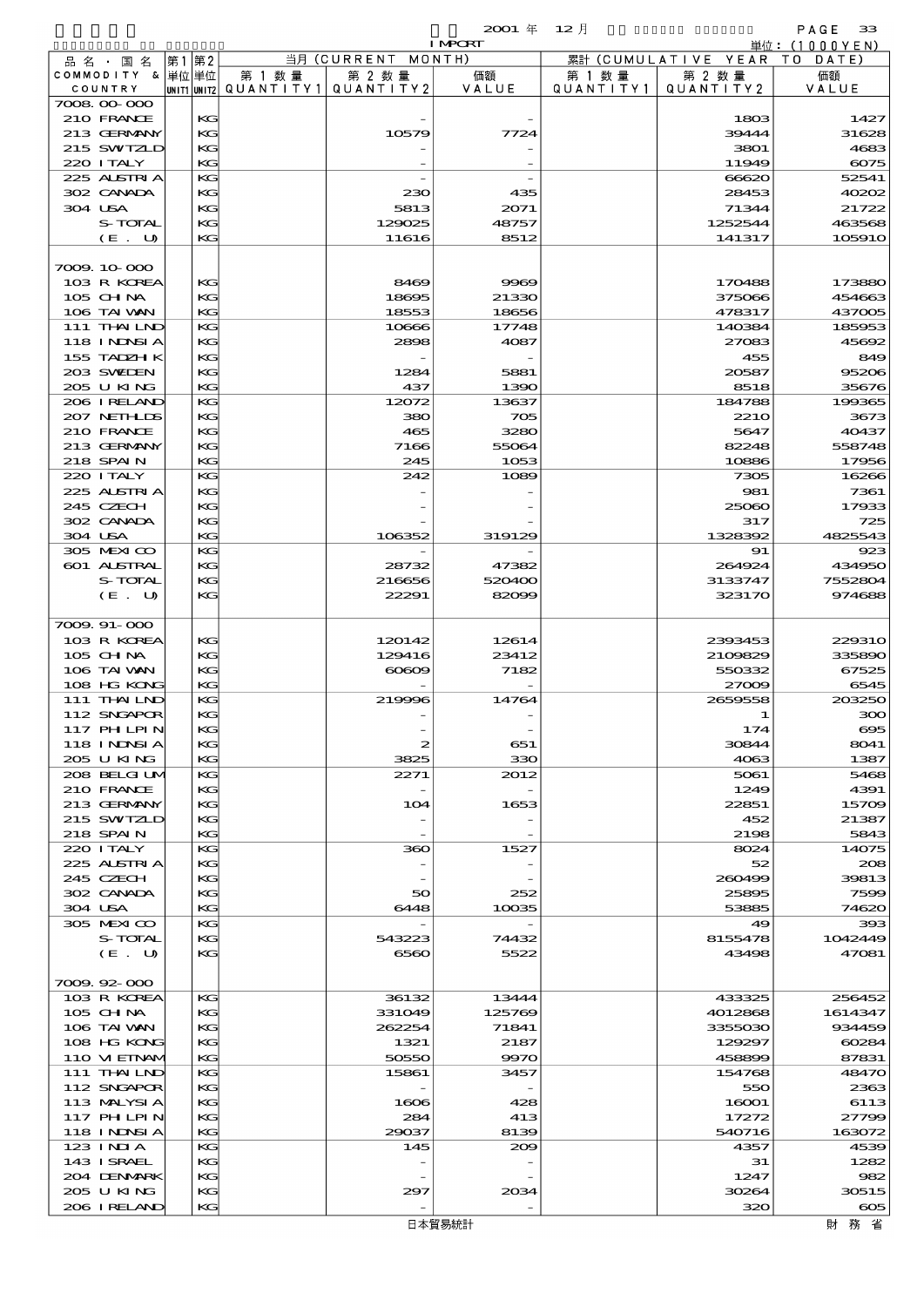|  |                           |          |                                       |                    | <b>I MPCRT</b> |           |                              | 単位:(1000YEN)   |
|--|---------------------------|----------|---------------------------------------|--------------------|----------------|-----------|------------------------------|----------------|
|  | 品名・国名                     | 第1第2     |                                       | 当月 (CURRENT MONTH) |                |           | 累計 (CUMULATIVE YEAR TO DATE) |                |
|  | COMMODITY & 単位単位          |          | 第 1 数量                                | 第 2 数量             | 価額             | 第 1 数 量   | 第 2 数量                       | 価額             |
|  | COUNTRY                   |          | UNIT1 UNIT2  QUANT   TY1  QUANT   TY2 |                    | VALUE          | QUANTITY1 | QUANTITY2                    | VALUE          |
|  | 7008 00 000               |          |                                       |                    |                |           |                              |                |
|  | 210 FRANCE                | KG       |                                       |                    |                |           | 1803                         | 1427           |
|  | 213 GERMANY               | KG       |                                       | 10579              | 7724           |           | 39444                        | 31628          |
|  | 215 SWIZLD                | KG       |                                       |                    |                |           | 3801                         | 4683           |
|  | 220 I TALY<br>225 ALSTRIA | KG<br>KG |                                       |                    |                |           | 11949                        | 6075<br>52541  |
|  | 302 CANADA                | KG       |                                       | 230                | 435            |           | 66620<br>28453               | 40202          |
|  | 304 USA                   | KG       |                                       | 5813               | 2071           |           | 71344                        | 21722          |
|  | S-TOTAL                   | KG       |                                       | 129025             | 48757          |           | 1252544                      | 463568         |
|  | $(E$ .<br>U               | KG       |                                       | 11616              | 8512           |           | 141317                       | 105910         |
|  |                           |          |                                       |                    |                |           |                              |                |
|  | 7009.10-000               |          |                                       |                    |                |           |                              |                |
|  | 103 R KOREA               | KG       |                                       | 8469               | 9969           |           | 170488                       | 173880         |
|  | $105$ CHNA                | KG       |                                       | 18695              | 21330          |           | 375066                       | 454663         |
|  | 106 TAI VAN               | KG       |                                       | 18553              | 18656          |           | 478317                       | 437005         |
|  | 111 THAILND               | KG       |                                       | 10666              | 17748          |           | 140384                       | 185953         |
|  | 118 I NDSI A              | KG       |                                       | 2898               | 4087           |           | 27083                        | 45692          |
|  | 155 TADZH K               | KG       |                                       |                    |                |           | 455                          | 849            |
|  | 203 SWIEN                 | KG       |                                       | 1284               | 5881           |           | 20587                        | 95206          |
|  | 205 U KING                | KG       |                                       | 437                | 1390           |           | 8518                         | 35676          |
|  | 206 IRELAND               | KG       |                                       | 12072              | 13637          |           | 184788                       | 199365         |
|  | 207 NETHLIS               | KG       |                                       | 380                | 705            |           | 221O                         | 3673           |
|  | 210 FRANCE                | KG       |                                       | 465                | 3280           |           | 5647                         | 40437          |
|  | 213 GERMANY               | KG       |                                       | 7166               | 55064          |           | 82248                        | 558748         |
|  | 218 SPAIN                 | KG       |                                       | 245                | 1053           |           | 10886                        | 17956          |
|  | 220 I TALY                | KG       |                                       | 242                | 1089           |           | 7305                         | 16266          |
|  | 225 ALSTRIA               | KG       |                                       |                    |                |           | 981                          | 7361           |
|  | 245 CZECH                 | KG       |                                       |                    |                |           | 25060                        | 17933          |
|  | 302 CANADA<br>304 USA     | KG<br>KG |                                       | 106352             | 319129         |           | 317<br>1328392               | 725<br>4825543 |
|  | 305 MEXICO                | KG       |                                       |                    |                |           | 91                           | 923            |
|  | 601 ALSTRAL               | KG       |                                       | 28732              | 47382          |           | 264924                       | 434950         |
|  | S-TOTAL                   | KG       |                                       | 216656             | 520400         |           | 3133747                      | 7552804        |
|  | (E. U)                    | KG       |                                       | 22291              | 82099          |           | 323170                       | 974688         |
|  |                           |          |                                       |                    |                |           |                              |                |
|  | 7009.91-000               |          |                                       |                    |                |           |                              |                |
|  | 103 R KOREA               | KG       |                                       | 120142             | 12614          |           | 2393453                      | 229310         |
|  | 105 CHNA                  | KG       |                                       | 129416             | 23412          |           | 2109829                      | 335890         |
|  | 106 TAI VAN               | KG       |                                       | $\infty$           | 7182           |           | 550332                       | 67525          |
|  | 108 HG KONG               | KG       |                                       |                    |                |           | 27009                        | 6545           |
|  | 111 THAILND               | KG       |                                       | 219996             | 14764          |           | 2659558                      | 203250         |
|  | 112 SNGAPOR               | KG       |                                       |                    |                |           | 1                            | 300            |
|  | 117 PH LPIN               | KG       |                                       |                    |                |           | 174                          | $\infty$       |
|  | 118 I NDNSI A             | KG       |                                       | 2                  | 651            |           | 30844                        | 8041           |
|  | 205 U KING                | KG       |                                       | 3825               | 330            |           | 4063                         | 1387           |
|  | 208 BELGI UM              | KG       |                                       | 2271               | 2012           |           | 5061                         | 5468           |
|  | 210 FRANCE                | KG       |                                       |                    |                |           | 1249                         | 4391           |
|  | 213 GERMANY               | KG       |                                       | 104                | 1653           |           | 22851                        | 15709          |
|  | 215 SWIZLD                | KG       |                                       |                    |                |           | 452                          | 21387          |
|  | 218 SPAIN<br>220 I TALY   | KG       |                                       | 360                |                |           | 2198<br>8024                 | 5843           |
|  | 225 ALSTRIA               | KG<br>KG |                                       |                    | 1527           |           | 52                           | 14075<br>208   |
|  | 245 CZECH                 | KG       |                                       |                    |                |           | 260499                       | 39813          |
|  | 302 CANADA                | КG       |                                       | 50                 | 252            |           | 25895                        | 7599           |
|  | 304 USA                   | KG       |                                       | 6448               | 10035          |           | 53885                        | 74620          |
|  | 305 MEXICO                | KG       |                                       |                    |                |           | 49                           | 393            |
|  | S-TOTAL                   | KG       |                                       | 543223             | 74432          |           | 8155478                      | 1042449        |
|  | (E. U)                    | KG       |                                       | 6560               | 5522           |           | 43498                        | 47081          |
|  |                           |          |                                       |                    |                |           |                              |                |
|  | 7009.92-000               |          |                                       |                    |                |           |                              |                |
|  | 103 R KOREA               | KG       |                                       | 36132              | 13444          |           | 433325                       | 256452         |
|  | 105 CHNA                  | KG       |                                       | 331049             | 125769         |           | 4012868                      | 1614347        |
|  | 106 TAI VAN               | KC       |                                       | 262254             | 71841          |           | 3355030                      | 934459         |
|  | 108 HG KONG               | KG       |                                       | 1321               | 2187           |           | 129297                       | 60284          |
|  | 110 VIEINAM               | KG       |                                       | 50550              | 9970           |           | 458899                       | 87831          |
|  | 111 THAILND               | KG       |                                       | 15861              | 3457           |           | 154768                       | 48470          |
|  | 112 SNGAPOR               | KG       |                                       |                    |                |           | 550                          | 2363           |
|  | 113 MALYSIA               | KC       |                                       | 1606               | 428            |           | 16001                        | 6113           |
|  | 117 PHLPIN                | KG       |                                       | 284                | 413            |           | 17272                        | 27799          |
|  | 118 I NDSI A              | KG       |                                       | 29037              | 8139           |           | 540716                       | 163072         |
|  | 123 INIA<br>143 ISRAEL    | KG<br>KG |                                       | 145                | 209            |           | 4357<br>31                   | 4539<br>1282   |
|  | 204 DENMARK               | KG       |                                       |                    |                |           | 1247                         | 982            |
|  |                           |          |                                       |                    |                |           |                              |                |

 $206$  ireland  $\kappa$   $\kappa$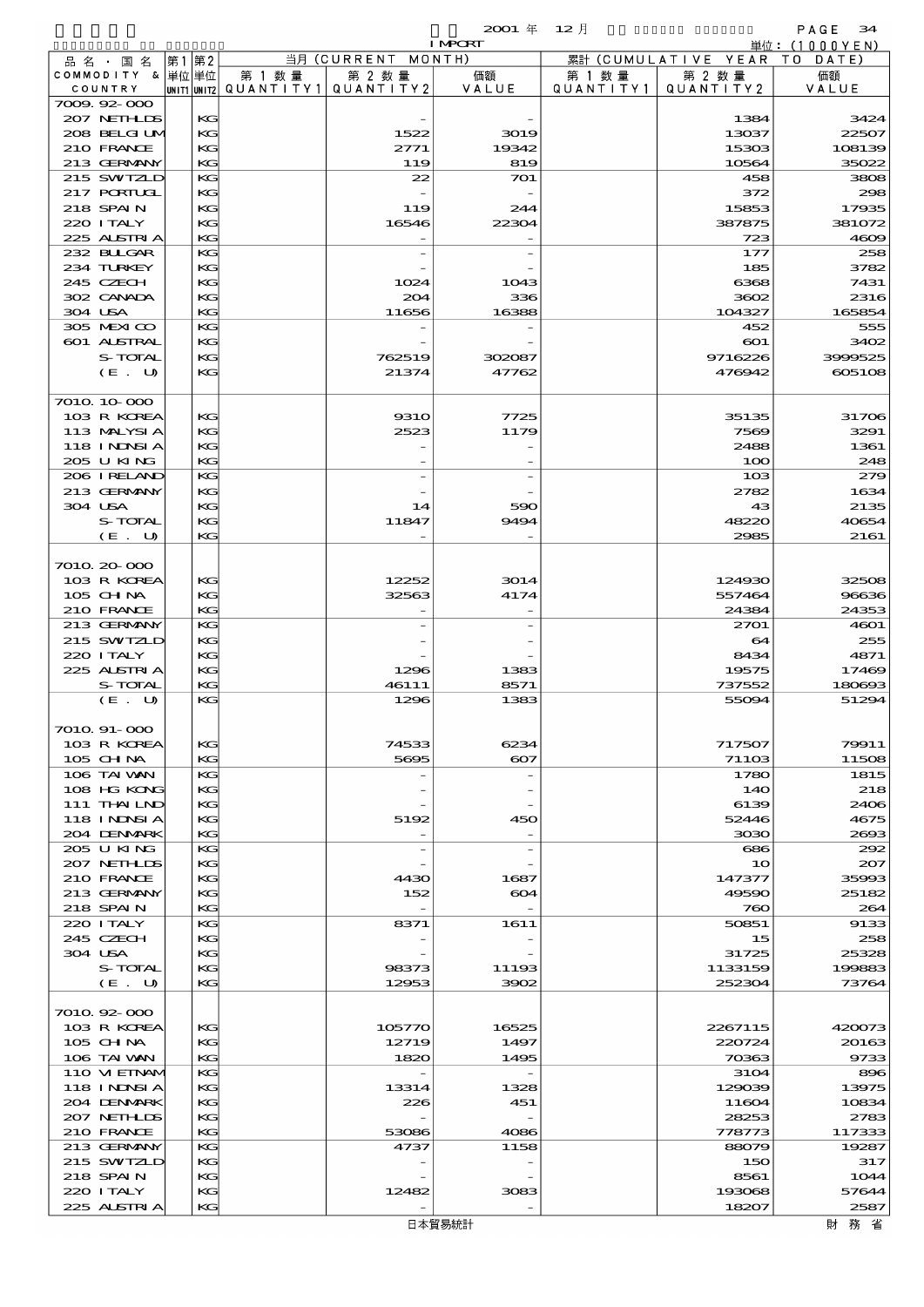|                                 |           |                          |                                   | $2001$ $#$               | $12$ 月    |                        | PAGE<br>34                  |
|---------------------------------|-----------|--------------------------|-----------------------------------|--------------------------|-----------|------------------------|-----------------------------|
|                                 |           |                          | 当月 (CURRENT                       | <b>I MPORT</b><br>MONTH) |           | 累計 (CUMULATIVE YEAR)   | 単位:(1000YEN)<br>T O<br>DATE |
| 品 名 ・ 国 名<br>COMMODITY & 単位単位   | 第2<br> 第1 | 第 1 数 量                  | 第 2 数量                            | 価額                       | 第 1 数 量   | 第 2 数 量                | 価額                          |
| COUNTRY                         |           | unit1 unit2  Q∪ANT   TY1 | QUANTITY2                         | VALUE                    | QUANTITY1 | QUANTITY2              | VALUE                       |
| 7009.92-000                     |           |                          |                                   |                          |           |                        |                             |
| 207 NETHLIS                     | KG        |                          |                                   |                          |           | 1384                   | 3424                        |
| 208 BELGI UM                    | KG        |                          | 1522                              | 3019                     |           | 13037                  | 22507                       |
| 210 FRANCE<br>213 GERMANY       | KG<br>KG  |                          | 2771<br>119                       | 19342<br>819             |           | 15303<br>10564         | 108139<br>35022             |
| 215 SWIZLD                      | KG        |                          | 22                                | 701                      |           | 458                    | 3808                        |
| 217 PORTUGL                     | KG        |                          |                                   |                          |           | 372                    | 298                         |
| 218 SPAIN                       | KG        |                          | 119                               | 244                      |           | 15853                  | 17935                       |
| 220 I TALY                      | KG        |                          | 16546                             | 22304                    |           | 387875                 | 381072                      |
| 225 ALSTRIA                     | KG        |                          |                                   |                          |           | 723                    | 4609                        |
| 232 BLLGAR                      | KG        |                          | $\overline{\phantom{0}}$          |                          |           | 177                    | 258                         |
| 234 TURKEY                      | KG        |                          |                                   |                          |           | 185                    | 3782                        |
| 245 CZECH                       | KG        |                          | 1024                              | 1043                     |           | 6368                   | 7431                        |
| 302 CANADA<br>304 USA           | KG<br>KG  |                          | 204<br>11656                      | 336<br>16388             |           | 3602<br>104327         | 2316<br>165854              |
| 305 MEXICO                      | KG        |                          |                                   |                          |           | 452                    | 555                         |
| 601 ALSTRAL                     | KG        |                          |                                   |                          |           | 601                    | 3402                        |
| S-TOTAL                         | KG        |                          | 762519                            | 302087                   |           | 9716226                | 3999525                     |
| (E. U)                          | KG        |                          | 21374                             | 47762                    |           | 476942                 | 605108                      |
|                                 |           |                          |                                   |                          |           |                        |                             |
| 7010 10 000                     |           |                          |                                   |                          |           |                        |                             |
| 103 R KOREA                     | KG        |                          | <b>9310</b>                       | 7725                     |           | 35135                  | 31706                       |
| 113 MALYSIA                     | KG        |                          | 2523                              | 1179                     |           | 7569                   | 3291                        |
| <b>118 INDSIA</b><br>205 U KING | KG        |                          |                                   |                          |           | 2488                   | 1361                        |
| 206 I RELAND                    | KG<br>KG  |                          |                                   |                          |           | 100<br>10 <sub>3</sub> | 248<br>279                  |
| 213 GERMANY                     | KG        |                          |                                   |                          |           | 2782                   | 1634                        |
| 304 USA                         | KG        |                          | 14                                | 590                      |           | 43                     | 2135                        |
| S-TOTAL                         | KG        |                          | 11847                             | 9494                     |           | 48220                  | 40654                       |
| (E. U)                          | KG        |                          |                                   |                          |           | 2985                   | 2161                        |
|                                 |           |                          |                                   |                          |           |                        |                             |
| 7010.20-000                     |           |                          |                                   |                          |           |                        |                             |
| 103 R KOREA                     | KС        |                          | 12252                             | 3014                     |           | 124930                 | 32508                       |
| 105 CH NA                       | KG        |                          | 32563                             | 4174                     |           | 557464                 | 96636                       |
| 210 FRANCE                      | KG        |                          |                                   |                          |           | 24384                  | 24353                       |
| 213 GERMANY<br>215 SWIZLD       | KG<br>KG  |                          |                                   |                          |           | 2701<br>64             | 4601<br>255                 |
| 220 I TALY                      | KG        |                          |                                   |                          |           | 8434                   | 4871                        |
| 225 ALSTRIA                     | KG        |                          | 1296                              | 1383                     |           | 19575                  | 17469                       |
| S-TOTAL                         | KG        |                          | 46111                             | 8571                     |           | 737552                 | 180693                      |
| (E. U)                          | KG        |                          | 1296                              | 1383                     |           | 55094                  | 51294                       |
|                                 |           |                          |                                   |                          |           |                        |                             |
| 7010. 91-000                    |           |                          |                                   |                          |           |                        |                             |
| 103 R KOREA                     | KG        |                          | 74533                             | 6234                     |           | 717507                 | 79911                       |
| $105$ CHNA                      | KG        |                          | 5695                              | $\infty$                 |           | 71103                  | 11508                       |
| 106 TAI WAN<br>108 HG KONG      | KG<br>KG  |                          |                                   |                          |           | 1780                   | 1815<br>218                 |
| 111 THAILND                     | KG        |                          |                                   |                          |           | 140<br>6139            | 2406                        |
| 118 INNSI A                     | KG        |                          | 5192                              | 450                      |           | 52446                  | 4675                        |
| 204 DENMARK                     | KG        |                          |                                   |                          |           | 3030                   | 2693                        |
| 205 U KING                      | KG        |                          | $\overline{\phantom{m}}$          |                          |           | 686                    | 292                         |
| 207 NETHLIS                     | KG        |                          |                                   |                          |           | 10                     | 207                         |
| 210 FRANCE                      | KG        |                          | 4430                              | 1687                     |           | 147377                 | 35993                       |
| 213 GERMANY                     | KG        |                          | 152                               | 604                      |           | 49590                  | 25182                       |
| 218 SPAIN                       | KG        |                          |                                   |                          |           | 760                    | 264                         |
| 220 I TALY<br>245 CZECH         | KG<br>KG  |                          | 8371                              | 1611                     |           | 50851<br>15            | 9133<br>258                 |
| 304 USA                         | KG        |                          |                                   |                          |           | 31725                  | 25328                       |
| S-TOTAL                         | KG        |                          | 98373                             | 11193                    |           | 1133159                | 199883                      |
| (E. U)                          | KG        |                          | 12953                             | 3902                     |           | 252304                 | 73764                       |
|                                 |           |                          |                                   |                          |           |                        |                             |
| 7010.92-000                     |           |                          |                                   |                          |           |                        |                             |
| 103 R KOREA                     | KG        |                          | 105770                            | 16525                    |           | 2267115                | 420073                      |
| $105$ CHNA                      | KG        |                          | 12719                             | 1497                     |           | 220724                 | 20163                       |
| 106 TAI WAN                     | KG<br>KG  |                          | 1820                              | 1495                     |           | 70363                  | 9733                        |
| 110 VI EINAM<br>118 I NDSI A    | KG        |                          | $\overline{\phantom{a}}$<br>13314 | 1328                     |           | 3104<br>129039         | 896<br>13975                |
| 204 DENMARK                     | KG        |                          | 226                               | 451                      |           | 11604                  | 10834                       |
| 207 NETHLIS                     | KG        |                          |                                   |                          |           | 28253                  | 2783                        |
| 210 FRANCE                      | KG        |                          | 53086                             | 4086                     |           | 778773                 | 117333                      |
| 213 GERMANY                     | KG        |                          | 4737                              | 1158                     |           | 88079                  | 19287                       |
| 215 SWIZLD                      | KG        |                          |                                   |                          |           | 150                    | 317                         |
| 218 SPAIN                       | KG        |                          |                                   |                          |           | 8561                   | 1044                        |
| 220 I TALY                      | KG        |                          | 12482                             | 3083                     |           | 193068                 | 57644                       |
| 225 ALSTRIA                     | KG        |                          |                                   |                          |           | 18207                  | 2587                        |
|                                 |           |                          |                                   | 日本貿易統計                   |           |                        | 財務省                         |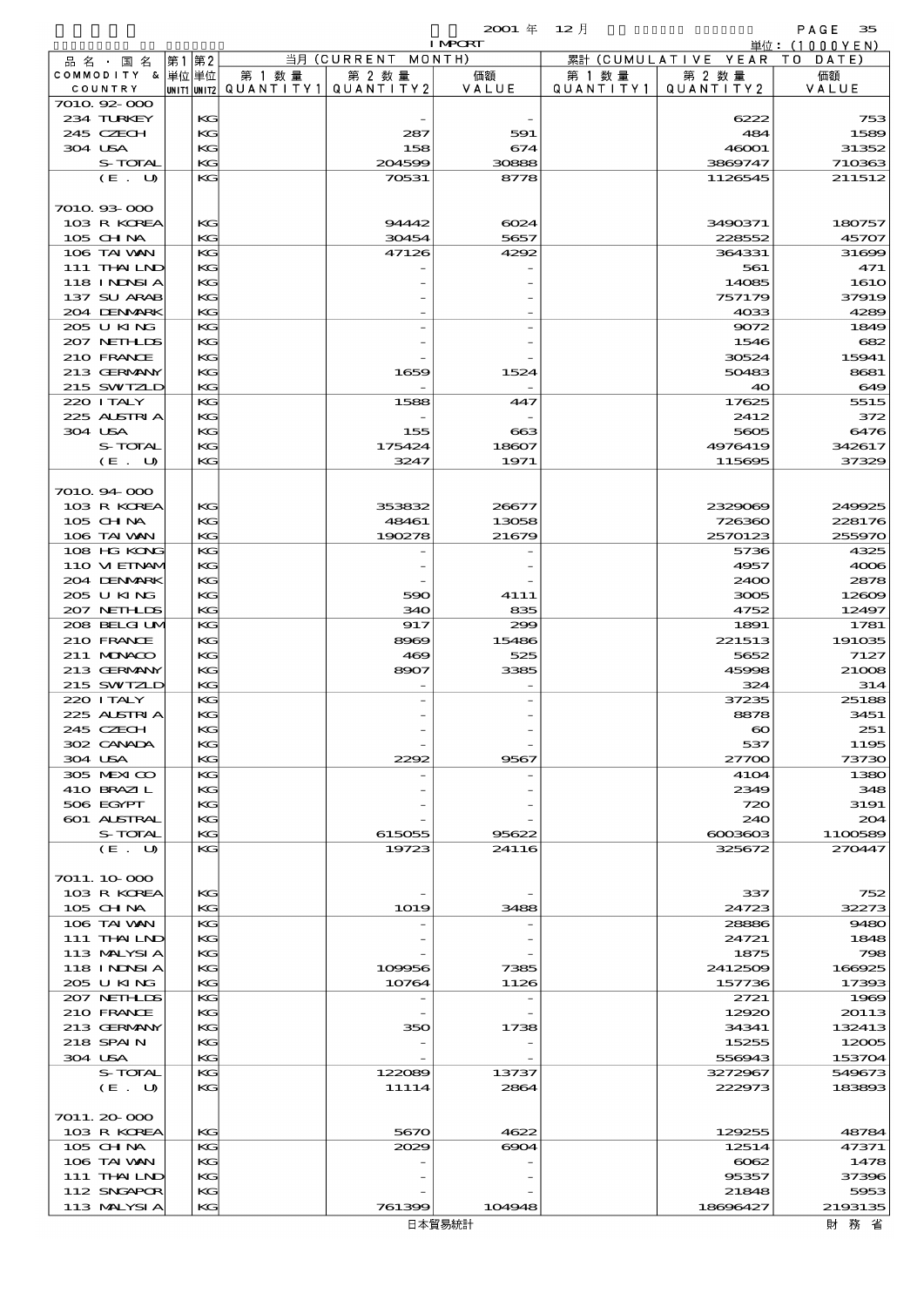|         |                            |    |          |                                                  |             | <b>I MPORT</b> |                              |                              | 単位: (1000YEN)   |
|---------|----------------------------|----|----------|--------------------------------------------------|-------------|----------------|------------------------------|------------------------------|-----------------|
|         | 品名・国名                      | 第1 | 第2       |                                                  | 当月(CURRENT  | MONTH)         |                              | 累計 (CUMULATIVE YEAR TO DATE) |                 |
|         | COMMODITY & 単位単位           |    |          | 第 1 数量<br> unit1 unit2  QUANT   TY1  QUANT   TY2 | 第 2 数量      | 価額<br>VALUE    | 第 1 数 量<br>Q U A N T I T Y 1 | 第 2 数量<br>QUANTITY 2         | 価額              |
|         | COUNTRY<br>7010.92-000     |    |          |                                                  |             |                |                              |                              | VALUE           |
|         | 234 TURKEY                 |    | KG       |                                                  |             |                |                              | 6222                         | 753             |
|         | 245 CZECH                  |    | KG       |                                                  | 287         | 591            |                              | 484                          | 1589            |
| 304 USA |                            |    | KG       |                                                  | 158         | 674            |                              | 46001                        | 31352           |
|         | S-TOTAL                    |    | KG       |                                                  | 204599      | 30888          |                              | 3869747                      | 710363          |
|         | (E. U)                     |    | KG       |                                                  | 70531       | 8778           |                              | 1126545                      | 211512          |
|         | 7010.93-000                |    |          |                                                  |             |                |                              |                              |                 |
|         | 103 R KOREA                |    | KG       |                                                  | 9442        | 6024           |                              | 3490371                      | 180757          |
|         | 105 CH NA                  |    | KG       |                                                  | 30454       | 5657           |                              | 228552                       | 45707           |
|         | 106 TAI VAN                |    | KG       |                                                  | 47126       | 4292           |                              | 364331                       | 31699           |
|         | $111$ THAILND              |    | KG       |                                                  |             |                |                              | 561                          | 471             |
|         | 118 I NJNSI A              |    | KG       |                                                  |             |                |                              | 14085                        | <b>1610</b>     |
|         | 137 SU ARAB<br>204 DENMARK |    | KG<br>KG |                                                  |             |                |                              | 757179<br>4033               | 37919<br>4289   |
|         | 205 U KING                 |    | KG       |                                                  |             |                |                              | 9072                         | 1849            |
|         | 207 NETHLIS                |    | KG       |                                                  |             |                |                              | 1546                         | 682             |
|         | 210 FRANCE                 |    | KG       |                                                  |             |                |                              | 30524                        | 15941           |
|         | 213 GERMANY                |    | KG       |                                                  | 1659        | 1524           |                              | 50483                        | 8681            |
|         | 215 SWIZLD                 |    | KG       |                                                  |             |                |                              | 40                           | 649             |
|         | 220 I TALY                 |    | KG       |                                                  | 1588        | 447            |                              | 17625                        | 5515            |
|         | 225 ALSTRIA<br>304 USA     |    | KG<br>KG |                                                  | 155         | 663            |                              | 2412<br>5605                 | 372<br>6476     |
|         | S-TOTAL                    |    | KG       |                                                  | 175424      | 18607          |                              | 4976419                      | 342617          |
|         | (E. U)                     |    | KG       |                                                  | 3247        | 1971           |                              | 115695                       | 37329           |
|         |                            |    |          |                                                  |             |                |                              |                              |                 |
|         | 7010.94.000                |    |          |                                                  |             |                |                              |                              |                 |
|         | 103 R KOREA                |    | KG       |                                                  | 353832      | 26677          |                              | 2329069                      | 249925          |
|         | 105 CH NA                  |    | КC       |                                                  | 48461       | 13058          |                              | 726360                       | 228176          |
|         | 106 TAI VAN<br>108 HG KONG |    | KG<br>KG |                                                  | 190278      | 21679          |                              | 2570123<br>5736              | 255970<br>4325  |
|         | 110 VIEINAM                |    | KG       |                                                  |             |                |                              | 4957                         | 4006            |
|         | 204 DENMARK                |    | KG       |                                                  |             |                |                              | 2400                         | 2878            |
|         | 205 U KING                 |    | KG       |                                                  | 590         | 4111           |                              | 3005                         | 12609           |
|         | 207 NETHLIS                |    | KG       |                                                  | 340         | 835            |                              | 4752                         | 12497           |
|         | 208 BELGI UM               |    | KG       |                                                  | 917         | 299            |                              | 1891                         | 1781            |
|         | 210 FRANCE                 |    | KG       |                                                  | 8969        | 15486          |                              | 221513                       | 191035          |
|         | 211 MUNACO<br>213 GERMANY  |    | KG<br>KG |                                                  | 469<br>8907 | 525<br>3385    |                              | 5652<br>45998                | 7127<br>21008   |
|         | 215 SWIZLD                 |    | KG       |                                                  |             |                |                              | 324                          | 314             |
|         | 220 I TALY                 |    | KG       |                                                  |             |                |                              | 37235                        | 25188           |
|         | 225 ALSTRIA                |    | KG       |                                                  |             |                |                              | 8878                         | 3451            |
|         | 245 CZECH                  |    | KG       |                                                  |             |                |                              | $\infty$                     | 251             |
|         | 302 CANADA                 |    | KG       |                                                  |             |                |                              | 537                          | 1195            |
|         | 304 USA<br>305 MEXICO      |    | KG<br>KG |                                                  | 2292        | 9567           |                              | 27700<br>4104                | 73730<br>1380   |
|         | 410 BRAZIL                 |    | KG       |                                                  |             |                |                              | 2349                         | 348             |
|         | 506 EGYPT                  |    | KG       |                                                  |             |                |                              | 720                          | 3191            |
|         | 601 ALSTRAL                |    | КC       |                                                  |             |                |                              | 240                          | 204             |
|         | S-TOTAL                    |    | KG       |                                                  | 615055      | 95622          |                              | $6003603$                    | 1100589         |
|         | (E. U)                     |    | KG       |                                                  | 19723       | 24116          |                              | 325672                       | 270447          |
|         | 7011.10.000                |    |          |                                                  |             |                |                              |                              |                 |
|         | 103 R KOREA                |    | KG       |                                                  |             |                |                              | 337                          | 752             |
|         | 105 CH NA                  |    | KG       |                                                  | 1019        | 3488           |                              | 24723                        | 32273           |
|         | 106 TAI VAN                |    | KG       |                                                  |             |                |                              | 28886                        | 9480            |
|         | 111 THAILND                |    | KG       |                                                  |             |                |                              | 24721                        | 1848            |
|         | 113 MALYSIA                |    | KG       |                                                  |             |                |                              | 1875                         | 798             |
|         | <b>118 INNSIA</b>          |    | КC<br>KG |                                                  | 109956      | 7385           |                              | 2412509                      | 166925          |
|         | 205 U KING<br>207 NETHLIS  |    | KG       |                                                  | 10764       | 1126           |                              | 157736<br>2721               | 17393<br>1969   |
|         | 210 FRANCE                 |    | KG       |                                                  |             |                |                              | 12920                        | 20113           |
|         | 213 GERMANY                |    | KG       |                                                  | 350         | 1738           |                              | 34341                        | 132413          |
|         | 218 SPAIN                  |    | КC       |                                                  |             |                |                              | 15255                        | 12005           |
|         | 304 USA                    |    | KG       |                                                  |             |                |                              | 556943                       | 153704          |
|         | S-TOTAL                    |    | KG       |                                                  | 122089      | 13737          |                              | 3272967                      | 549673          |
|         | (E. U)                     |    | KG       |                                                  | 11114       | 2864           |                              | 222973                       | 183893          |
|         | 7011.20-000                |    |          |                                                  |             |                |                              |                              |                 |
|         | 103 R KOREA                |    | KG       |                                                  | 5670        | 4622           |                              | 129255                       | 48784           |
|         | 105 CH NA                  |    | KG       |                                                  | 2029        | 6904           |                              | 12514                        | 47371           |
|         | 106 TAI VAN                |    | КC       |                                                  |             |                |                              | 6062                         | 1478            |
|         | 111 THAILND                |    | KG       |                                                  |             |                |                              | 95357                        | 37396           |
|         | 112 SNGAPOR<br>113 MALYSIA |    | КC<br>KG |                                                  | 761399      | 104948         |                              | 21848<br>18696427            | 5953<br>2193135 |
|         |                            |    |          |                                                  |             |                |                              |                              |                 |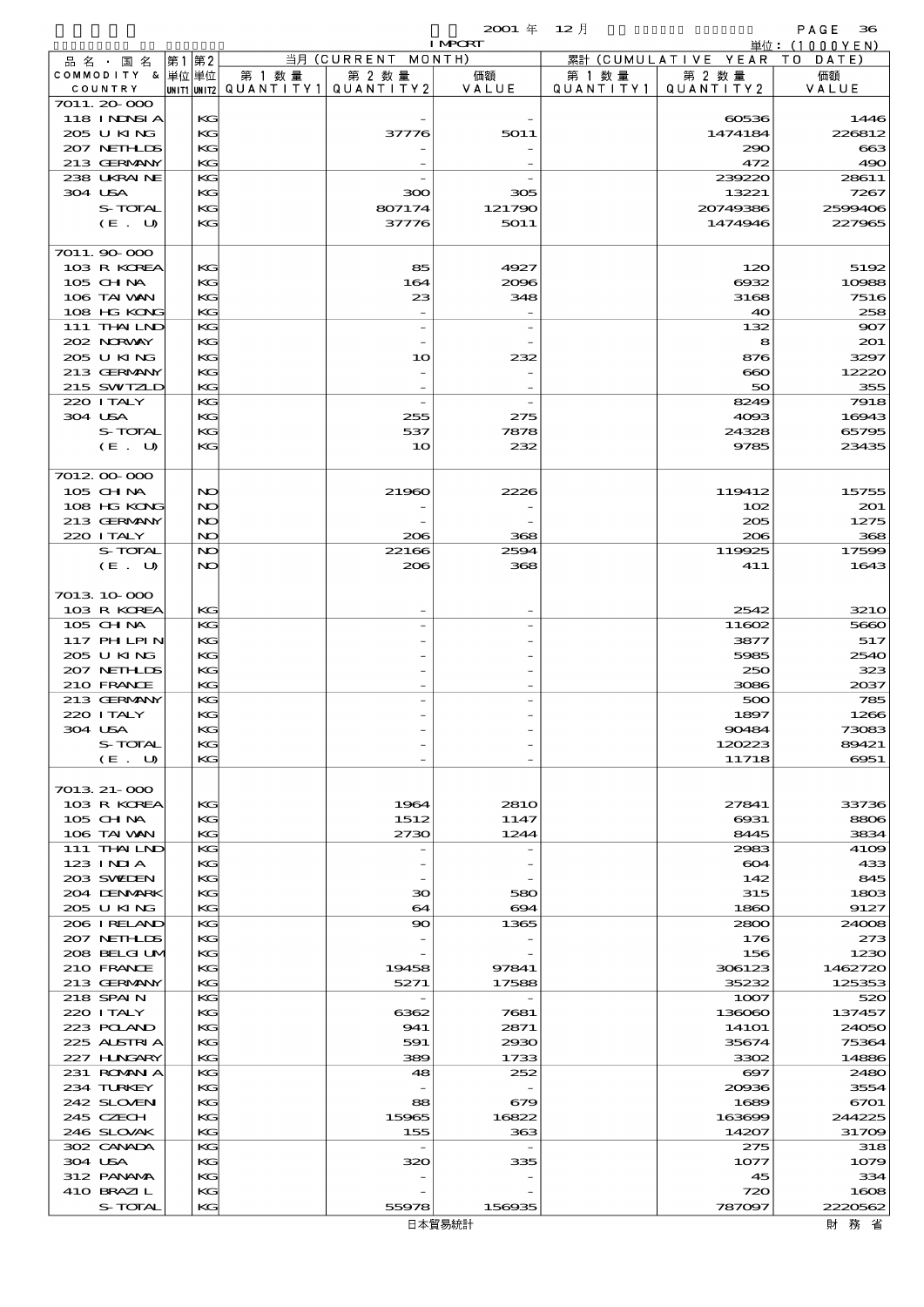|                            |          |                                       |                    | <b>I MPCRT</b> |           |                              | 単位: $(1000YEN)$   |
|----------------------------|----------|---------------------------------------|--------------------|----------------|-----------|------------------------------|-------------------|
| 品 名 ・ 国 名                  | 第1 第2    |                                       | 当月 (CURRENT MONTH) |                |           | 累計 (CUMULATIVE YEAR TO DATE) |                   |
| COMMODITY & 単位単位           |          | 第 1 数量                                | 第 2 数量             | 価額             | 第 1 数量    | 第 2 数量                       | 価額                |
| COUNTRY<br>7011.20-000     |          | UNIT1 UNIT2  QUANT I TY1  QUANT I TY2 |                    | VALUE          | QUANTITY1 | QUANTITY 2                   | VALUE             |
| <b>118 INNSIA</b>          | KG       |                                       |                    |                |           | 60536                        | 1446              |
| 205 U KING                 | KG       |                                       | 37776              | 5011           |           | 1474184                      | 226812            |
| 207 NETHLIS                | KG       |                                       |                    |                |           | 290                          | 663               |
| 213 GERMANY                | KG       |                                       |                    |                |           | 472                          | 490               |
| 238 UKRAINE                | KG       |                                       |                    |                |           | 239220                       | 28611             |
| 304 USA                    | KG       |                                       | 300                | 305            |           | 13221                        | 7267              |
| S-TOTAL                    | KG       |                                       | 807174             | 121790         |           | 20749386                     | 2599406           |
| (E. U)                     | КC       |                                       | 37776              | 5011           |           | 1474946                      | 227965            |
| 7011.90-000                |          |                                       |                    |                |           |                              |                   |
| 103 R KOREA                | KG       |                                       | 85                 | 4927           |           | 120                          | 5192              |
| 105 CHNA                   | KG       |                                       | 164                | 2096           |           | 6932                         | 10988             |
| 106 TAI VAN                | KG       |                                       | 23                 | 348            |           | 3168                         | 7516              |
| 108 HG KONG                | KG       |                                       |                    |                |           | 40                           | 258               |
| 111 THAILND                | KG       |                                       |                    |                |           | 132                          | 907               |
| 202 NORWAY                 | KG       |                                       |                    |                |           | 8                            | 201               |
| 205 U KING                 | KG       |                                       | 10                 | 232            |           | 876                          | 3297              |
| 213 GERMANY<br>215 SWIZLD  | KG<br>KG |                                       |                    |                |           | $\bf{60}$<br>50              | 12220<br>355      |
| 220 I TALY                 | KG       |                                       |                    |                |           | 8249                         | 7918              |
| 304 USA                    | KG       |                                       | 255                | 275            |           | 4093                         | 16943             |
| S-TOTAL                    | KG       |                                       | 537                | 7878           |           | 24328                        | 65795             |
| (E. U)                     | КC       |                                       | 10                 | 232            |           | 9785                         | 23435             |
|                            |          |                                       |                    |                |           |                              |                   |
| 7012 00 000                |          |                                       |                    |                |           |                              |                   |
| $105$ CHNA                 | NO       |                                       | 21960              | 2226           |           | 119412                       | 15755             |
| 108 HG KONG                | NO       |                                       |                    |                |           | 102                          | 201               |
| 213 GERMANY                | NO       |                                       |                    |                |           | 205                          | 1275              |
| 220 I TALY<br>S-TOTAL      | NO<br>NO |                                       | 206<br>22166       | 368<br>2594    |           | 206<br>119925                | 368<br>17599      |
| (E. U)                     | NO       |                                       | 206                | 368            |           | 411                          | 1643              |
|                            |          |                                       |                    |                |           |                              |                   |
| 7013 10 000                |          |                                       |                    |                |           |                              |                   |
| 103 R KOREA                | KG       |                                       |                    |                |           | 2542                         | 321O              |
| 105 CHNA                   | KG       |                                       |                    |                |           | 11602                        | 5660              |
| 117 PHLPIN                 | KG       |                                       |                    |                |           | 3877                         | 517               |
| 205 U KING                 | KG       |                                       |                    |                |           | 5985                         | 2540              |
| 207 NETHLIS                | KG       |                                       |                    |                |           | 250                          | 323               |
| 210 FRANCE<br>213 GERMANY  | KG<br>KG |                                       |                    |                |           | 3086<br>500                  | 2037<br>785       |
| 220 I TALY                 | KG       |                                       |                    |                |           | 1897                         | 1266              |
| 304 USA                    | KG       |                                       |                    |                |           | 90484                        | 73083             |
| S-TOTAL                    | KG       |                                       |                    |                |           | 120223                       | 89421             |
| (E. U)                     | KG       |                                       |                    |                |           | 11718                        | 6951              |
|                            |          |                                       |                    |                |           |                              |                   |
| 7013 21-000                |          |                                       |                    |                |           |                              |                   |
| 103 R KOREA                | KG       |                                       | 1964               | 281O           |           | 27841                        | 33736             |
| 105 CH NA                  | KG       |                                       | 1512               | 1147           |           | 6931                         | 8806              |
| 106 TAI VAN<br>111 THAILND | KG<br>KG |                                       | 2730               | 1244           |           | 8445<br>2983                 | 3834<br>4109      |
| 123 INIA                   | KG       |                                       |                    |                |           | 604                          | 433               |
| 203 SWIEN                  | KG       |                                       |                    |                |           | 142                          | 845               |
| 204 DENMARK                | KG       |                                       | 30                 | 580            |           | 315                          | 1803              |
| 205 U KING                 | KG       |                                       | 64                 | 694            |           | 1860                         | 9127              |
| 206 I RELAND               | KG       |                                       | 90                 | 1365           |           | 2800                         | 24008             |
| 207 NETHLIS                | KG       |                                       |                    |                |           | 176                          | 273               |
| 208 BELGI UM               | KG       |                                       |                    |                |           | 156                          | 1230              |
| 210 FRANCE<br>213 GERMANY  | KG<br>KG |                                       | 19458<br>5271      | 97841<br>17588 |           | 306123<br>35232              | 1462720<br>125353 |
| 218 SPAIN                  | KG       |                                       |                    |                |           | 1007                         | 520               |
| 220 I TALY                 | KG       |                                       | 6362               | 7681           |           | 136060                       | 137457            |
| 223 POLAND                 | KG       |                                       | 941                | 2871           |           | 141O1                        | 24050             |
| 225 ALSTRIA                | KG       |                                       | 591                | 2930           |           | 35674                        | 75364             |
| 227 H.NGARY                | KG       |                                       | 389                | 1733           |           | 3302                         | 14886             |
| 231 ROMAN A                | KG       |                                       | 48                 | 252            |           | $\boldsymbol{\infty}$        | 2480              |
| 234 TURKEY                 | KG       |                                       |                    |                |           | 20036                        | 3554              |
| 242 SLOVEN<br>245 CZECH    | KG<br>KG |                                       | 88<br>15965        | 679<br>16822   |           | 1689<br>163699               | 6701<br>244225    |
| 246 SLOVAK                 | KG       |                                       | 155                | 363            |           | 14207                        | 31709             |
| 302 CANADA                 | KG       |                                       |                    |                |           | 275                          | 318               |
| 304 USA                    | KG       |                                       | 320                | 335            |           | 1077                         | 1079              |
| 312 PANAMA                 | KG       |                                       |                    |                |           | 45                           | 334               |
| 410 BRAZIL                 | KG       |                                       |                    |                |           | 720                          | 1608              |
| S-TOTAL                    | KG       |                                       | 55978              | 156935         |           | 787097                       | 2220562           |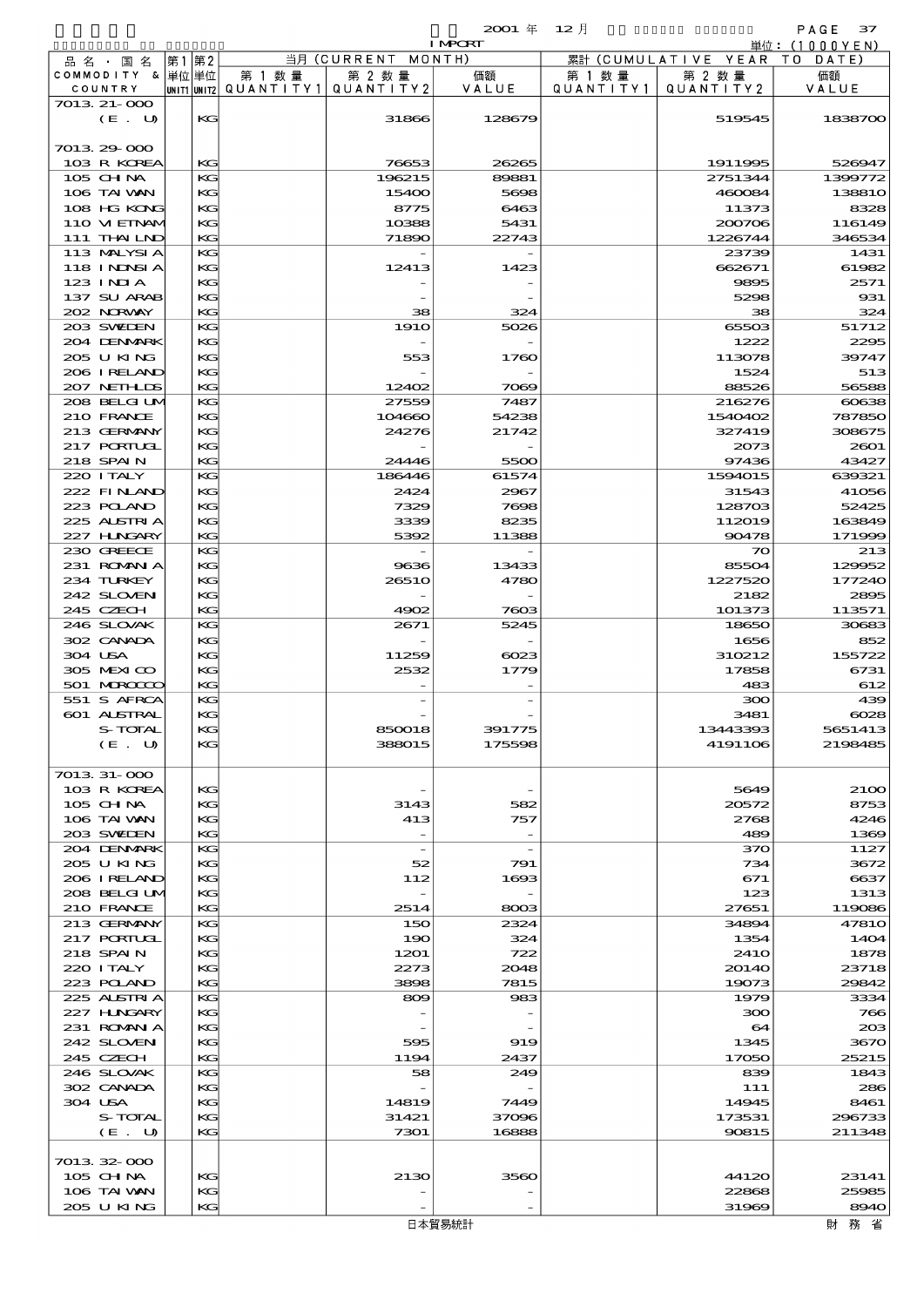|                             |          |                                       |                                | <b>I MPORT</b>                  |                   |                              | 単位:(1000YEN)     |
|-----------------------------|----------|---------------------------------------|--------------------------------|---------------------------------|-------------------|------------------------------|------------------|
| 品名・国名                       | 第1 第2    |                                       | 当月 (CURRENT MONTH)             |                                 |                   | 累計 (CUMULATIVE YEAR TO DATE) |                  |
| COMMODITY & 単位単位            |          | 第 1 数量                                | 第 2 数量                         | 価額                              | 第 1 数 量           | 第 2 数量                       | 価額               |
| COUNTRY                     |          | UNIT1 UNIT2  QUANT I TY1  QUANT I TY2 |                                | VALUE                           | Q U A N T I T Y 1 | QUANTITY 2                   | VALUE            |
| 7013 21-000<br>(E. U)       | KG       |                                       | 31866                          | 128679                          |                   | 519545                       | 1838700          |
|                             |          |                                       |                                |                                 |                   |                              |                  |
| 7013 29 000                 |          |                                       |                                |                                 |                   |                              |                  |
| 103 R KOREA                 | KG       |                                       | 76653                          | 26265                           |                   | 1911995                      | 526947           |
| 105 CHNA                    | KG       |                                       | 196215                         | 89881                           |                   | 2751344                      | 1399772          |
| 106 TAI VAN                 | КG       |                                       | 15400                          | 5698                            |                   | 460084                       | 13881O           |
| 108 HG KONG                 | KG       |                                       | 8775                           | 6463                            |                   | 11373                        | 8328             |
| 110 VIEINAM                 | KG       |                                       | 10388                          | 5431                            |                   | 200706                       | 116149           |
| 111 THAILND                 | KG<br>KG |                                       | 71890                          | 22743                           |                   | 1226744                      | 346534           |
| 113 MALYSIA<br>118 I NDSI A | КG       |                                       | 12413                          | 1423                            |                   | 23739<br>662671              | 1431<br>61982    |
| 123 INIA                    | KG       |                                       |                                |                                 |                   | 9895                         | 2571             |
| 137 SU ARAB                 | KG       |                                       |                                |                                 |                   | 5298                         | 931              |
| 202 NORWAY                  | KG       |                                       | 38                             | 324                             |                   | 38                           | 324              |
| 203 SWIEN                   | KG       |                                       | <b>1910</b>                    | 5026                            |                   | 65503                        | 51712            |
| 204 DENMARK                 | КG       |                                       |                                |                                 |                   | 1222                         | 2295             |
| 205 U KING                  | KG       |                                       | 553                            | 1760                            |                   | 113078                       | 39747            |
| 206 I RELAND                | KG       |                                       |                                |                                 |                   | 1524                         | 513              |
| 207 NETHLIS                 | KG       |                                       | 12402<br>27559                 | 7069<br>7487                    |                   | 88526                        | 56588            |
| 208 BELGI UM<br>210 FRANCE  | KG<br>КG |                                       | 104660                         | 54238                           |                   | 216276<br>1540402            | 60638<br>787850  |
| 213 GERMANY                 | KG       |                                       | 24276                          | 21742                           |                   | 327419                       | 308675           |
| 217 PORTUGL                 | KG       |                                       |                                |                                 |                   | 2073                         | 2001             |
| 218 SPAIN                   | KG       |                                       | 24446                          | 5500                            |                   | 97436                        | 43427            |
| 220 I TALY                  | KG       |                                       | 186446                         | 61574                           |                   | 1594015                      | 639321           |
| 222 FINAND                  | KG       |                                       | 2424                           | 2967                            |                   | 31543                        | 41056            |
| 223 POLAND                  | KG       |                                       | 7329                           | 7698                            |                   | 128703                       | 52425            |
| 225 ALSTRIA                 | KG       |                                       | 3339                           | 8235                            |                   | 112019                       | 163849           |
| 227 H.NGARY                 | KG       |                                       | 5392                           | 11388                           |                   | 90478                        | 171999           |
| 230 GREECE<br>231 ROMAN A   | KG<br>KG |                                       | 9636                           | 13433                           |                   | $\infty$<br>85504            | 213<br>129952    |
| 234 TURKEY                  | KG       |                                       | 2651O                          | 4780                            |                   | 1227520                      | 177240           |
| 242 SLOVEN                  | KG       |                                       |                                |                                 |                   | 2182                         | 2895             |
| 245 CZECH                   | KG       |                                       | 4902                           | 7603                            |                   | 101373                       | 113571           |
| 246 SLOVAK                  | KG       |                                       | 2671                           | 5245                            |                   | 18650                        | 30683            |
| 302 CANADA                  | $K$ $G$  |                                       |                                |                                 |                   | 1656                         | 852              |
| 304 USA                     | KG       |                                       | 11259                          | $\alpha$ es                     |                   | 310212                       | 155722           |
| 305 MEXICO                  | KG       |                                       | 2532                           | 1779                            |                   | 17858                        | 6731             |
| 501 MRODOC                  | KG       |                                       |                                |                                 |                   | 483                          | 612              |
| 551 S AFRCA<br>601 ALSTRAL  | KG<br>KG |                                       |                                |                                 |                   | 300<br>3481                  | 439<br>$\cos$    |
| S-TOTAL                     | KG-      |                                       | 850018                         | 3917/5                          |                   | 13443393                     | 5651413          |
| (E. U)                      | КG       |                                       | 388015                         | 175598                          |                   | 4191106                      | 2198485          |
|                             |          |                                       |                                |                                 |                   |                              |                  |
| 7013 31-000                 |          |                                       |                                |                                 |                   |                              |                  |
| 103 R KOREA                 | KG       |                                       |                                |                                 |                   | 5649                         | <b>2100</b>      |
| 105 CH NA                   | KG       |                                       | 3143                           | 582                             |                   | 20572                        | 8753             |
| 106 TAI VAN                 | KG       |                                       | 413                            | 757                             |                   | 2768                         | 4246             |
| 203 SWIDEN                  | KG<br>KG |                                       | $\overline{\phantom{a}}$       | $\overline{\phantom{a}}$        |                   | 489                          | 1369             |
| 204 DENMARK<br>205 U KING   | KG       |                                       | $\overline{\phantom{a}}$<br>52 | $\overline{\phantom{a}}$<br>791 |                   | 370<br>734                   | 1127<br>3672     |
| 206 IRELAND                 | KG       |                                       | 112                            | 1693                            |                   | 671                          | 6637             |
| 208 BELGI UM                | KG       |                                       |                                |                                 |                   | 123                          | 1313             |
| 210 FRANCE                  | KG       |                                       | 2514                           | 8003                            |                   | 27651                        | 119086           |
| 213 GERMANY                 | KG       |                                       | 150                            | 2324                            |                   | 34894                        | <b>47810</b>     |
| <b>217 PORTUGL</b>          | KG       |                                       | 190                            | 324                             |                   | 1354                         | 1404             |
| 218 SPAIN                   | KG       |                                       | 1201                           | 722                             |                   | 241O                         | 1878             |
| 220 I TALY                  | KG       |                                       | 2273                           | 2018                            |                   | 20140                        | 23718            |
| 223 POLAND<br>225 ALSTRIA   | KG<br>KG |                                       | 3898<br>809                    | 7815<br>983                     |                   | 19073<br>1979                | 29842<br>3334    |
| 227 H.NGARY                 | KG       |                                       |                                |                                 |                   | 300                          | 766              |
| 231 ROMAN A                 | KG       |                                       |                                |                                 |                   | 64                           | 203              |
| 242 SLOVEN                  | KG       |                                       | 595                            | 919                             |                   | 1345                         | 3670             |
| 245 CZECH                   | KG       |                                       | 1194                           | 2437                            |                   | 17050                        | 25215            |
| 246 SLOVAK                  | KG       |                                       | 58                             | 249                             |                   | 839                          | 1843             |
| 302 CANADA                  | KG       |                                       |                                |                                 |                   | 111                          | 286              |
| 304 USA                     | KG       |                                       | 14819                          | 7449                            |                   | 14945                        | 8461             |
| S-TOTAL<br>(E. U)           | KG<br>KG |                                       | 31421<br>7301                  | 37096<br>16888                  |                   | 173531<br>90815              | 296733<br>211348 |
|                             |          |                                       |                                |                                 |                   |                              |                  |
| 7013 32 000                 |          |                                       |                                |                                 |                   |                              |                  |
| $105$ CHNA                  | KG       |                                       | 2130                           | 3560                            |                   | 44120                        | 23141            |
| 106 TAI VAN                 | KG       |                                       |                                |                                 |                   | 22868                        | 25985            |
| 205 U KING                  | KG       |                                       |                                |                                 |                   | 31969                        | 8940             |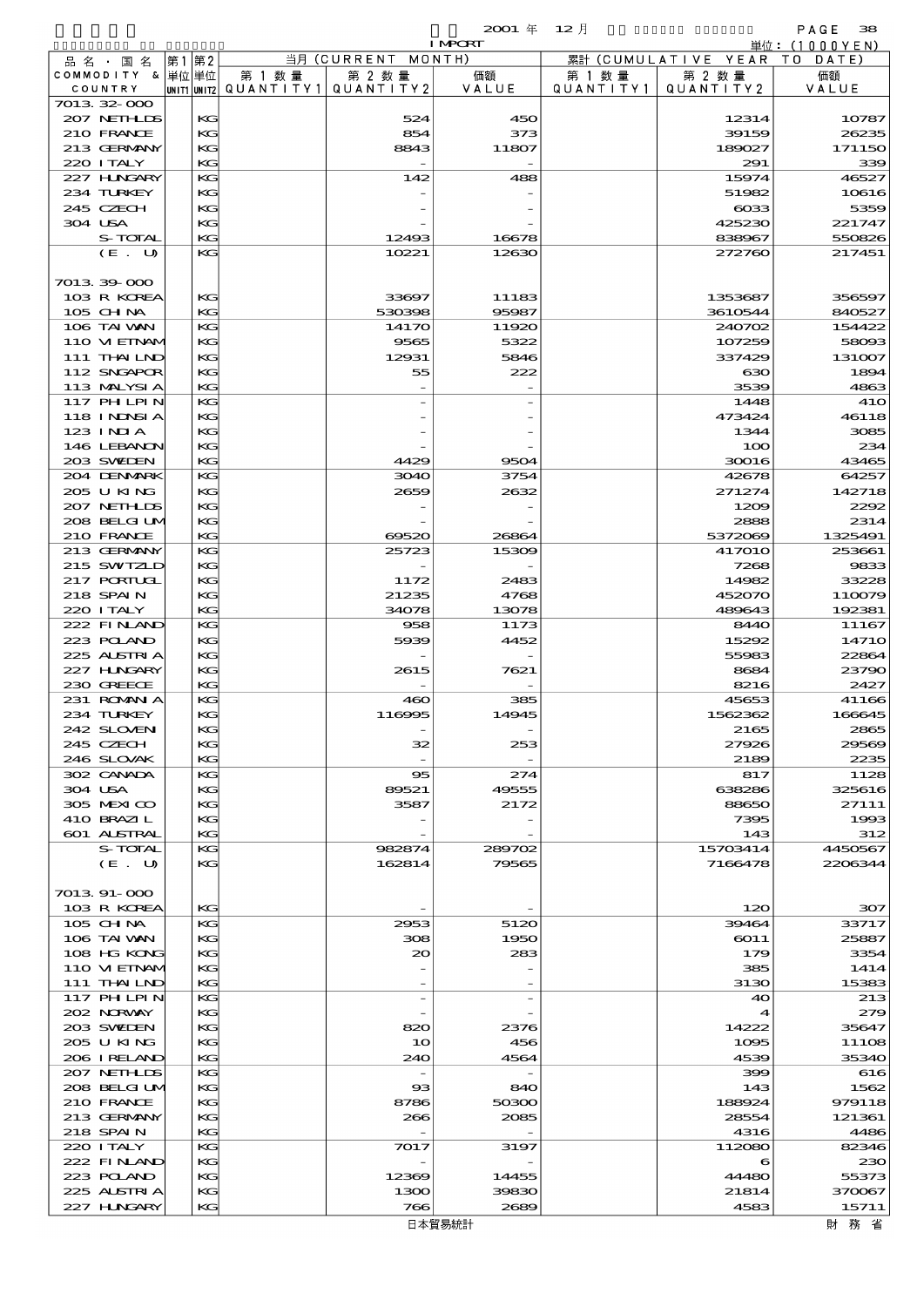$\overline{2001}$  年  $\overline{12}$  月  $\overline{12}$  PAGE 388

|                    |          |                                   |                          | <b>I MPORT</b> |           |                     | 単位:(1000YEN) |
|--------------------|----------|-----------------------------------|--------------------------|----------------|-----------|---------------------|--------------|
| 品 名 ・ 国 名          | 第2<br>第1 |                                   | 当月 (CURRENT              | MONTH)         |           | 累計 (CUMULATIVE YEAR | T O<br>DATE) |
| COMMODITY & 単位単位   |          | 第 1 数 量                           | 第 2 数量                   | 価額             | 第 1 数 量   | 第 2 数量              | 価額           |
| COUNTRY            |          | UNIT1 UNIT2 QUANTITY 1 QUANTITY 2 |                          | VALUE          | QUANTITY1 | QUANTITY 2          | VALUE        |
| 701332-000         |          |                                   |                          |                |           |                     |              |
| 207 NETHLIS        | KG       |                                   | 524                      | 450            |           | 12314               | 10787        |
| 210 FRANCE         | KG       |                                   | 854                      | 373            |           | 39159               | 26235        |
| 213 GERMANY        | KG       |                                   | 8843                     | 11807          |           | 189027              | 17115C       |
| 220 I TALY         | KG       |                                   |                          |                |           | 291                 | 339          |
| 227 H.NGARY        | KG       |                                   | 142                      | 488            |           | 15974               | 46527        |
| 234 TURKEY         | KG       |                                   |                          |                |           | 51982               | 10616        |
| 245 CZECH          | KG       |                                   |                          |                |           | $\cos$              | 5359         |
| 304 USA            | KG       |                                   |                          |                |           | 425230              | 221747       |
| S-TOTAL            | KG       |                                   |                          |                |           | 838967              |              |
|                    |          |                                   | 12493                    | 16678          |           |                     | 550826       |
| (E. U)             | KG       |                                   | 10221                    | 12630          |           | 272760              | 217451       |
|                    |          |                                   |                          |                |           |                     |              |
| 7013 39 000        |          |                                   |                          |                |           |                     |              |
| 103 R KOREA        | KG       |                                   | 33697                    | 11183          |           | 1353687             | 356597       |
| 105 CH NA          | KG       |                                   | 530398                   | 95987          |           | 3610544             | 840527       |
| 106 TAI VAN        | KG       |                                   | 1417O                    | 11920          |           | 240702              | 154422       |
| 110 VIEINAM        | KG       |                                   | 9565                     | 5322           |           | 107259              | 58093        |
| 111 THAILND        | KG       |                                   | 12931                    | 5846           |           | 337429              | 131007       |
| 112 SNGAPOR        | KG       |                                   | 55                       | 222            |           | ഓ                   | 1894         |
| 113 MALYSIA        | KG       |                                   |                          |                |           | 3539                | 4863         |
| 117 PHLPIN         | KG       |                                   |                          |                |           | 1448                | 41C          |
| <b>118 INNSIA</b>  | KG       |                                   |                          |                |           | 473424              | 46118        |
| $123$ INJA         | KG       |                                   |                          |                |           | 1344                | 3085         |
| 146 LEBANON        | KG       |                                   |                          |                |           | 100                 | 234          |
| 203 SWIDEN         | KG       |                                   | 4429                     | 9504           |           | 30016               | 43465        |
| 204 DENMRK         | KG       |                                   | 3040                     | 3754           |           | 42678               | 64257        |
| 205 U KING         | KG       |                                   | 2659                     | 2632           |           | 271274              | 142718       |
|                    |          |                                   |                          |                |           |                     |              |
| 207 NETHLIS        | KG       |                                   |                          |                |           | 1209                | 2292         |
| 208 BELGI UM       | KG       |                                   |                          |                |           | 2888                | 2314         |
| 210 FRANCE         | KG       |                                   | 69520                    | 26864          |           | 5372069             | 1325491      |
| 213 GERMANY        | KG       |                                   | 25723                    | 15309          |           | <b>417010</b>       | 253661       |
| 215 SWIZLD         | KG       |                                   |                          |                |           | 7268                | 9833         |
| 217 PORTUGL        | KG       |                                   | 1172                     | 2483           |           | 14982               | 33228        |
| 218 SPAIN          | KG       |                                   | 21235                    | 4768           |           | 452070              | 110079       |
| 220 I TALY         | KG       |                                   | 34078                    | 13078          |           | 489643              | 192381       |
| 222 FINLAND        | KG       |                                   | 958                      | 1173           |           | <b>8440</b>         | 11167        |
| 223 POLAND         | KG       |                                   | 5939                     | 4452           |           | 15292               | 1471C        |
| 225 ALSTRIA        | KG       |                                   |                          |                |           | 55983               | 22864        |
| 227 H.NGARY        | KG       |                                   | 2615                     | 7621           |           | 8684                | 23790        |
| 230 GREECE         | KG       |                                   |                          |                |           | 8216                | 2427         |
| 231 ROMAN A        | KG       |                                   | 460                      | 385            |           | 45653               | 41166        |
| 234 TURKEY         | KG       |                                   | 116995                   | 14945          |           | 1562362             | 166645       |
| 242 SLOVEN         | KG.      |                                   |                          |                |           | 2165                | 2865         |
| 245 CZECH          | KG       |                                   | 32                       | 253            |           | 27926               | 29569        |
|                    |          |                                   |                          |                |           |                     |              |
| 246 SLOVAK         | KG       |                                   |                          |                |           | 2189                | 2235         |
| 302 CANADA         | KG       |                                   | 95                       | 274            |           | 817                 | 1128         |
| 304 USA            | КG       |                                   | 89521                    | 49555          |           | 638286              | 325616       |
| 305 MEXICO         | KG       |                                   | 3587                     | 2172           |           | 88650               | 27111        |
| 410 BRAZIL         | KG       |                                   |                          |                |           | 7395                | 1993         |
| <b>601 ALSTRAL</b> | KG       |                                   |                          |                |           | 143                 | 312          |
| S-TOTAL            | KG       |                                   | 982874                   | 289702         |           | 15703414            | 4450567      |
| (E. U)             | KG       |                                   | 162814                   | 79565          |           | 7166478             | 2206344      |
|                    |          |                                   |                          |                |           |                     |              |
| 7013.91-000        |          |                                   |                          |                |           |                     |              |
| 103 R KOREA        | KG       |                                   |                          |                |           | 120                 | 307          |
| $105$ CHNA         | KG       |                                   | 2953                     | 5120           |           | 39464               | 33717        |
| 106 TAI VAN        | КG       |                                   | 308                      | 1950           |           | 6011                | 25887        |
| 108 HG KONG        | KG       |                                   | $\infty$                 | 283            |           | 179                 | 3354         |
| 110 VIEINAM        | KG       |                                   |                          |                |           | 385                 | 1414         |
| 111 THAILND        | KG       |                                   |                          |                |           | 3130                | 15383        |
| $117$ PHLPIN       | KG       |                                   | $\overline{\phantom{a}}$ |                |           | 40                  | 213          |
| 202 NORWAY         | КG       |                                   |                          |                |           | 4                   | 279          |
| 203 SWIDEN         | KG       |                                   | 820                      | 2376           |           | 14222               | 35647        |
|                    | KG       |                                   |                          |                |           |                     |              |
| 205 U KING         |          |                                   | 10                       | 456            |           | 1095                | 11108        |
| 206 IRELAND        | KG       |                                   | 240                      | 4564           |           | 4539                | <b>3534C</b> |
| 207 NETHLIS        | KG       |                                   |                          |                |           | 399                 | 616          |
| 208 BELGI UM       | КG       |                                   | $_{\rm ss}$              | 840            |           | 143                 | 1562         |
| 210 FRANCE         | KG       |                                   | 8786                     | 50300          |           | 188924              | 979118       |
| 213 GERMANY        | KG       |                                   | 266                      | 2085           |           | 28554               | 121361       |
| 218 SPAIN          | KG       |                                   |                          |                |           | 4316                | 4486         |
| 220 I TALY         | KG       |                                   | 7017                     | 3197           |           | 112080              | 82346        |
| 222 FINAND         | КG       |                                   |                          |                |           | 6                   | 23C          |
| 223 POLAND         | KG       |                                   | 12369                    | 14455          |           | 44480               | 55373        |
| 225 ALSTRIA        | KG       |                                   | 1300                     | 39830          |           | 21814               | 370067       |
| 227 H.NGARY        | KG       |                                   | 766                      | 2689           |           | 4583                | 15711        |
|                    |          |                                   |                          |                |           |                     |              |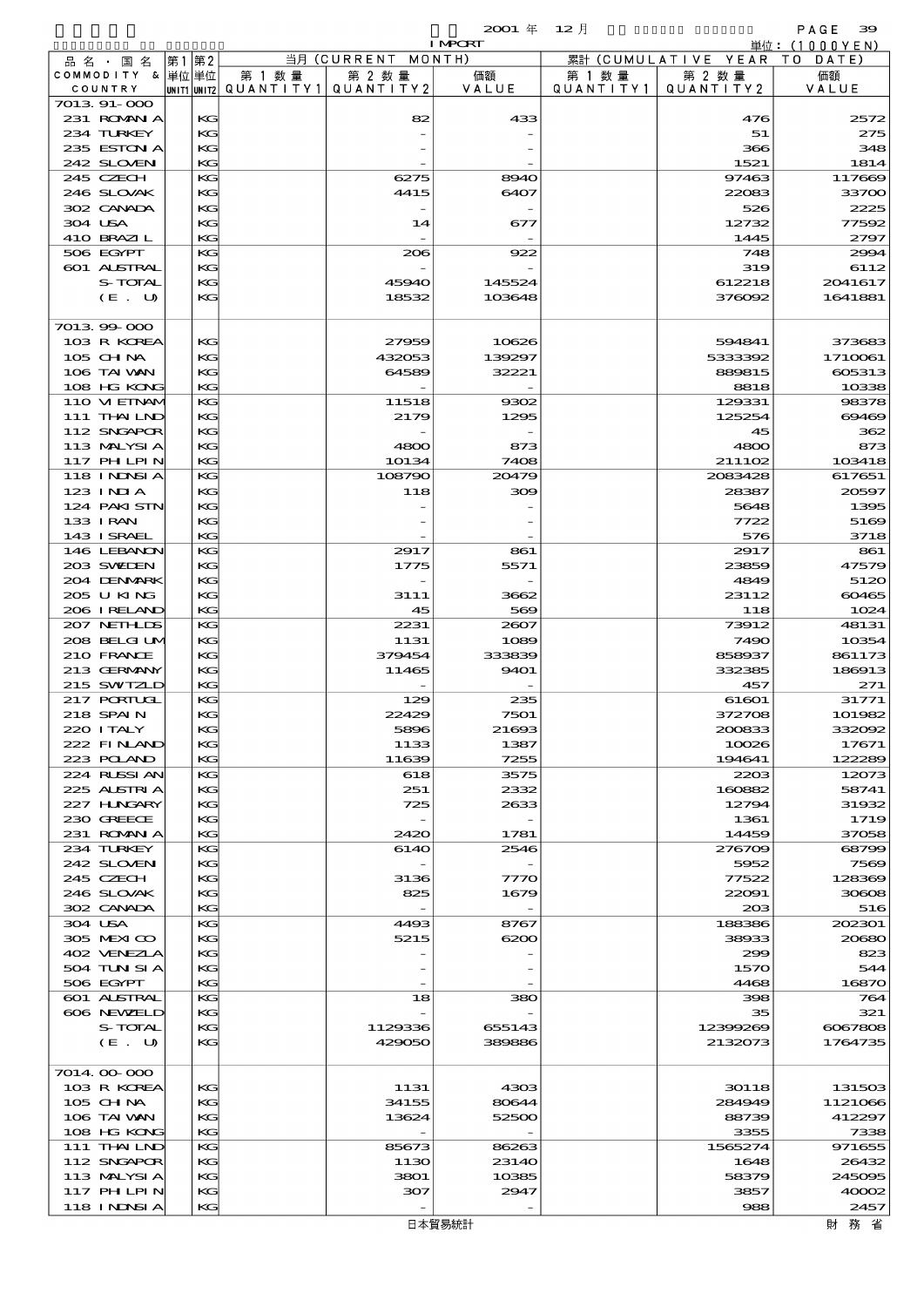|                                  |    |          |                                                  |               | <b>I MPCRT</b> |                              |                              | 単位: (1000 Y E N ) |
|----------------------------------|----|----------|--------------------------------------------------|---------------|----------------|------------------------------|------------------------------|-------------------|
| 品名・国名                            | 第1 | 第2       |                                                  | 当月 (CURRENT   | MONTH)         |                              | 累計 (CUMULATIVE YEAR TO DATE) |                   |
| COMMODITY & 単位単位                 |    |          | 第 1 数量<br> UNIT1 UNIT2  Q∪ANT   TY1  Q∪ANT   TY2 | 第 2 数量        | 価額<br>VALUE    | 第 1 数 量<br>Q U A N T I T Y 1 | 第 2 数量<br>QUANTITY2          | 価額<br>VALUE       |
| COUNTRY<br>7013 91-000           |    |          |                                                  |               |                |                              |                              |                   |
| 231 ROMAN A                      |    | KG       |                                                  | 82            | 433            |                              | 476                          | 2572              |
| 234 TURKEY                       |    | KG       |                                                  |               |                |                              | 51                           | 275               |
| 235 ESTON A                      |    | KG       |                                                  |               |                |                              | 366                          | 348               |
| 242 SLOVEN                       |    | KG       |                                                  |               |                |                              | 1521                         | 1814              |
| 245 CZECH<br>246 SLOVAK          |    | KG<br>KG |                                                  | 6275<br>4415  | 8940<br>6407   |                              | 97463<br>22083               | 117669<br>33700   |
| 302 CANADA                       |    | KG       |                                                  |               |                |                              | 526                          | 2225              |
| 304 USA                          |    | KG       |                                                  | 14            | 677            |                              | 12732                        | 77592             |
| 410 BRAZIL                       |    | KG       |                                                  |               |                |                              | 1445                         | 2797              |
| 506 EGYPT                        |    | KG       |                                                  | 206           | 922            |                              | 748                          | 2994              |
| 601 ALSTRAL                      |    | KG       |                                                  |               |                |                              | 319                          | 6112              |
| S-TOTAL                          |    | KG       |                                                  | 45940         | 145524         |                              | 612218                       | 2041617           |
| (E. U)                           |    | KG       |                                                  | 18532         | 103648         |                              | 376092                       | 1641881           |
| 7013 99 000                      |    |          |                                                  |               |                |                              |                              |                   |
| 103 R KOREA                      |    | KG       |                                                  | 27959         | 10626          |                              | 594841                       | 373683            |
| 105 CH NA                        |    | KG       |                                                  | 432053        | 139297         |                              | 5333392                      | 1710061           |
| 106 TAI VAN                      |    | KG       |                                                  | 64589         | 32221          |                              | 889815                       | 605313            |
| 108 HG KONG                      |    | KG       |                                                  |               |                |                              | 8818                         | 10338             |
| 110 VIEINAM                      |    | KG       |                                                  | 11518         | 9302           |                              | 129331                       | 98378             |
| 111 THAILND                      |    | KG       |                                                  | 2179          | 1295           |                              | 125254                       | 69469             |
| 112 SNGAPOR                      |    | KG       |                                                  |               |                |                              | 45                           | 362               |
| 113 MALYSIA<br><b>117 PHLPIN</b> |    | KG<br>KG |                                                  | 4800<br>10134 | 873<br>7408    |                              | 4800<br>211102               | 873<br>103418     |
| 118 I NDSI A                     |    | KG       |                                                  | 108790        | 20479          |                              | 2083428                      | 617651            |
| 123 INIA                         |    | KG       |                                                  | 118           | 309            |                              | 28387                        | 20597             |
| 124 PAKISTN                      |    | KG       |                                                  |               |                |                              | 5648                         | 1395              |
| 133 I RAN                        |    | KG       |                                                  |               |                |                              | 7722                         | 5169              |
| 143 ISRAEL                       |    | KG       |                                                  |               |                |                              | 576                          | 3718              |
| 146 LEBANON                      |    | KG       |                                                  | 2917          | 861            |                              | 2917                         | 861               |
| 203 SWIEN                        |    | KG       |                                                  | 1775          | 5571           |                              | 23859                        | 47579             |
| 204 DENMARK<br>205 U KING        |    | KG<br>KG |                                                  | 3111          | 3662           |                              | 4849<br>23112                | 5120<br>60465     |
| 206 I RELAND                     |    | KG       |                                                  | 45            | 569            |                              | 118                          | 1024              |
| 207 NETHLIS                      |    | KG       |                                                  | 2231          | 2007           |                              | 73912                        | 48131             |
| 208 BELGI UM                     |    | KG       |                                                  | 1131          | 1089           |                              | 7490                         | 10354             |
| 210 FRANCE                       |    | KG       |                                                  | 379454        | 333839         |                              | 858937                       | 861173            |
| 213 GERMANY                      |    | KG       |                                                  | 11465         | 9401           |                              | 332385                       | 186913            |
| 215 SWIZLD                       |    | KG       |                                                  |               |                |                              | 457                          | 271               |
| 217 PORTUGL<br>218 SPAIN         |    | KG<br>KG |                                                  | 129<br>22429  | 235<br>7501    |                              | 61601<br>372708              | 31771<br>101982   |
| 220 I TALY                       |    | KG       |                                                  | 5896          | 21693          |                              | 200833                       | 332092            |
| 222 FINLAND                      |    | КG       |                                                  | 1133          | 1387           |                              | 10026                        | 17671             |
| 223 POLAND                       |    | KG       |                                                  | 11639         | 7255           |                              | 194641                       | 122289            |
| 224 RUSSI AN                     |    | KG       |                                                  | 618           | 3575           |                              | 2203                         | 12073             |
| 225 ALSTRIA                      |    | KG       |                                                  | 251           | 2332           |                              | 160882                       | 58741             |
| 227 HNGARY                       |    | KG       |                                                  | 725           | 2633           |                              | 12794                        | 31932             |
| 230 GREECE<br>231 ROMAN A        |    | KG<br>KG |                                                  | 2420          | 1781           |                              | 1361<br>14459                | 1719<br>37058     |
| 234 TURKEY                       |    | KС       |                                                  | 6140          | 2546           |                              | 276709                       | 68799             |
| 242 SLOVEN                       |    | KG       |                                                  |               |                |                              | 5952                         | 7569              |
| 245 CZECH                        |    | KG       |                                                  | 3136          | 7770           |                              | 77522                        | 128369            |
| 246 SLOVAK                       |    | KG       |                                                  | 825           | 1679           |                              | 22091                        | 30608             |
| 302 CANADA                       |    | KG       |                                                  |               |                |                              | 203                          | 516               |
| 304 USA                          |    | KG       |                                                  | 4493          | 8767           |                              | 188386                       | 202301            |
| 305 MEXICO<br>402 VENEZIA        |    | KG<br>KG |                                                  | 5215          | 6200           |                              | 38933<br>299                 | 20680<br>823      |
| 504 TUN SI A                     |    | KG       |                                                  |               |                |                              | 1570                         | 544               |
| 506 EGYPT                        |    | KG       |                                                  |               |                |                              | 4468                         | 16870             |
| <b>601 ALSTRAL</b>               |    | KG       |                                                  | 18            | 380            |                              | 398                          | 764               |
| 606 NEWELD                       |    | KG       |                                                  |               |                |                              | 35                           | 321               |
| S-TOTAL                          |    | KG       |                                                  | 1129336       | 655143         |                              | 12399269                     | 6067808           |
| (E. U)                           |    | KG       |                                                  | 429050        | 389886         |                              | 2132073                      | 1764735           |
| 7014 00 000                      |    |          |                                                  |               |                |                              |                              |                   |
| 103 R KOREA                      |    | KG       |                                                  | 1131          | 4303           |                              | 30118                        | 131503            |
| 105 CHNA                         |    | KG       |                                                  | 34155         | 80644          |                              | 284949                       | 1121066           |
| 106 TAI VAN                      |    | KG       |                                                  | 13624         | 52500          |                              | 88739                        | 412297            |
| 108 HG KONG                      |    | KG       |                                                  |               |                |                              | 3355                         | 7338              |
| 111 THAILND                      |    | KG       |                                                  | 85673         | 86263          |                              | 1565274                      | 971655            |
| 112 SNGAPOR                      |    | KG       |                                                  | 1130          | 2314O          |                              | 1648                         | 26432             |
| 113 MALYSIA<br>117 PH LPIN       |    | KG<br>KG |                                                  | 3801<br>307   | 10385<br>2947  |                              | 58379<br>3857                | 245095<br>40002   |
| 118 I NDSI A                     |    | KG       |                                                  |               |                |                              | 988                          | 2457              |
|                                  |    |          |                                                  |               |                |                              |                              |                   |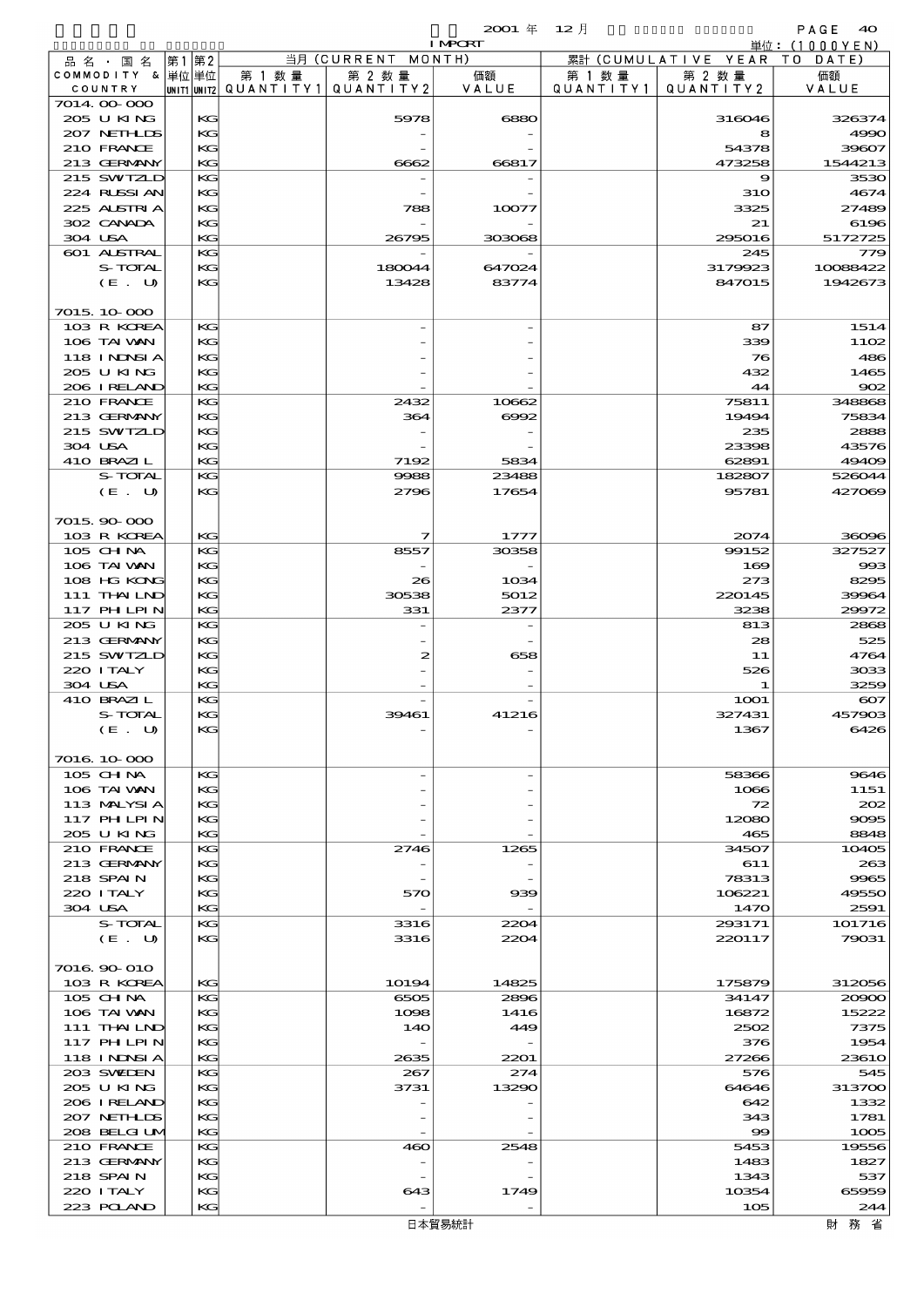|                         |          |        |                                       | <b>I MPORT</b> |           |                              | 単位: (1000YEN) |
|-------------------------|----------|--------|---------------------------------------|----------------|-----------|------------------------------|---------------|
| 品名・国名                   | 第1第2     |        | 当月 (CURRENT MONTH)                    |                |           | 累計 (CUMULATIVE YEAR TO DATE) |               |
| COMMODITY & 単位単位        |          | 第 1 数量 | 第 2 数量                                | 価額             | 第 1 数 量   | 第 2 数量                       | 価額            |
| COUNTRY                 |          |        | UNIT1 UNIT2  QUANT   TY1  QUANT   TY2 | VALUE          | QUANTITY1 | QUANTITY 2                   | VALUE         |
| 7014.00-000             |          |        |                                       |                |           |                              |               |
| 205 U KING              | KG       |        | 5978                                  | 6880           |           | 316046                       | 326374        |
| 207 NETHLIS             | KG       |        |                                       |                |           | 8                            | 4990          |
| 210 FRANCE              | KC       |        |                                       |                |           | 54378                        | 39607         |
| 213 GERMANY             | KG       |        | 6662                                  | 66817          |           | 473258                       | 1544213       |
| 215 SWIZLD              | KG       |        |                                       |                |           |                              |               |
|                         |          |        |                                       |                |           | 9                            | 3530          |
| 224 RLSSIAN             | KG       |        |                                       |                |           | <b>31O</b>                   | 4674          |
| 225 ALSTRIA             | KG       |        | 788                                   | 10077          |           | 3325                         | 27489         |
| 302 CANADA              | KC       |        |                                       |                |           | 21                           | 6196          |
| 304 USA                 | КC       |        | 26795                                 | 303068         |           | 295016                       | 5172725       |
| 601 ALSTRAL             | KG       |        |                                       |                |           | 245                          | 779           |
| S-TOTAL                 | KG       |        | 180044                                | 647024         |           | 3179923                      | 10088422      |
| (E. U)                  | KG       |        | 13428                                 | 83774          |           | 847015                       | 1942673       |
|                         |          |        |                                       |                |           |                              |               |
| 7015 10 000             |          |        |                                       |                |           |                              |               |
| 103 R KOREA             | KG       |        |                                       |                |           | 87                           | 1514          |
| 106 TAI VAN             | КC       |        |                                       |                |           | 339                          | 1102          |
| 118 I NDSI A            | KG       |        |                                       |                |           | 76                           | 486           |
| 205 U KING              | KG       |        |                                       |                |           | 432                          | 1465          |
|                         |          |        |                                       |                |           |                              |               |
| 206 I RELAND            | KG       |        |                                       |                |           | 44                           | $\infty$      |
| 210 FRANCE              | KG       |        | 2432                                  | 10662          |           | 75811                        | 348868        |
| 213 GERMANY             | KG       |        | 364                                   | 6002           |           | 19494                        | 75834         |
| 215 SWIZLD              | KG       |        |                                       |                |           | 235                          | 2888          |
| 304 USA                 | KG       |        |                                       |                |           | 23398                        | 43576         |
| 410 BRAZIL              | KG       |        | 7192                                  | 5834           |           | 62891                        | 49409         |
| S-TOTAL                 | KG       |        | 9988                                  | 23488          |           | 182807                       | 526044        |
| (E. U)                  | KG       |        | 2796                                  | 17654          |           | 95781                        | 427069        |
|                         |          |        |                                       |                |           |                              |               |
| 7015.90-000             |          |        |                                       |                |           |                              |               |
| 103 R KOREA             | KG       |        | 7                                     | 1777           |           | 2074                         | 36096         |
| 105 CH NA               | KG       |        | 8557                                  | 30358          |           | 99152                        | 327527        |
| 106 TAI VAN             | KG       |        |                                       |                |           | 169                          | 993           |
|                         |          |        |                                       |                |           |                              |               |
| 108 HG KONG             | KG       |        | 26                                    | 1034           |           | 273                          | 8295          |
| 111 THAILND             | KG       |        | 30538                                 | 5012           |           | 220145                       | 39964         |
| 117 PHLPIN              | KG       |        | 331                                   | 2377           |           | 3238                         | 29972         |
| 205 U KING              | KG       |        |                                       |                |           | 813                          | 2868          |
| 213 GERMANY             | KG       |        |                                       |                |           | 28                           | 525           |
| 215 SWIZLD              | KG       |        | 2                                     | 658            |           | 11                           | 4764          |
| 220 I TALY              | KG       |        |                                       |                |           | 526                          | 3033          |
| 304 USA                 | KG       |        |                                       |                |           | 1                            | 3259          |
| 410 BRAZIL              | KG       |        |                                       |                |           | <b>1001</b>                  | $\infty$      |
| S-TOTAL                 | KG       |        | 39461                                 | 41216          |           | 327431                       | 457903        |
| (E. U)                  | KG       |        |                                       |                |           | 1367                         | 6426          |
|                         |          |        |                                       |                |           |                              |               |
| 7016.10.000             |          |        |                                       |                |           |                              |               |
| 105 CH NA               | KG       |        |                                       |                |           | 58366                        | 9646          |
|                         |          |        |                                       |                |           |                              |               |
| 106 TAI VAN             | KG       |        |                                       |                |           | 1066                         | 1151          |
| 113 MALYSIA             | KG       |        |                                       |                |           | 72                           | 202           |
| 117 PHLPIN              | КG       |        |                                       |                |           | 12080                        | 9095          |
| 205 U KING              | KG       |        |                                       |                |           | 465                          | 8848          |
| 210 FRANCE              | KG       |        | 2746                                  | 1265           |           | 34507                        | 10405         |
| 213 GERMANY             | KG       |        |                                       |                |           | 611                          | 263           |
| 218 SPAIN               | KG       |        |                                       |                |           | 78313                        | 9965          |
| 220 I TALY              | КG       |        | 570                                   | 939            |           | 106221                       | 49550         |
| 304 USA                 | KG       |        |                                       |                |           | 1470                         | 2591          |
| S-TOTAL                 | KG       |        | 3316                                  | 2204           |           | 293171                       | 101716        |
| (E. U)                  | KG       |        | 3316                                  | 2204           |           | 220117                       | 79031         |
|                         |          |        |                                       |                |           |                              |               |
| 7016.90-010             |          |        |                                       |                |           |                              |               |
|                         |          |        |                                       | 14825          |           |                              |               |
| 103 R KOREA<br>105 CHNA | KG<br>KG |        | 10194                                 |                |           | 175879                       | 312056        |
|                         |          |        | 6505                                  | 2896           |           | 34147                        | 20900         |
| 106 TAI VAN             | KG       |        | 1098                                  | 1416           |           | 16872                        | 15222         |
| 111 THAILND             | KG       |        | 140                                   | 449            |           | 2502                         | 7375          |
| 117 PHLPIN              | КG       |        |                                       |                |           | 376                          | 1954          |
| 118 I NDSI A            | KG       |        | 2635                                  | 2201           |           | 27266                        | 23610         |
| 203 SWILEN              | КG       |        | 267                                   | 274            |           | 576                          | 545           |
| 205 U KING              | KG       |        | 3731                                  | 13290          |           | 64646                        | 313700        |
| 206 I RELAND            | KG       |        |                                       |                |           | 642                          | 1332          |
| 207 NETHLIS             | KG       |        |                                       |                |           | 343                          | 1781          |
| 208 BELGI UM            | KG       |        |                                       |                |           | $\infty$                     | 1005          |
| 210 FRANCE              | KG       |        | 460                                   | 2548           |           | 5453                         | 19556         |
| 213 GERMANY             | KG       |        |                                       |                |           | 1483                         | 1827          |
| 218 SPAIN               | KG       |        |                                       |                |           | 1343                         | 537           |
| 220 I TALY              |          |        |                                       | 1749           |           |                              | 65959         |
|                         | KG       |        | 643                                   |                |           | 10354                        |               |
| 223 POLAND              | KG       |        | $\overline{\phantom{0}}$              |                |           | 105                          | 244           |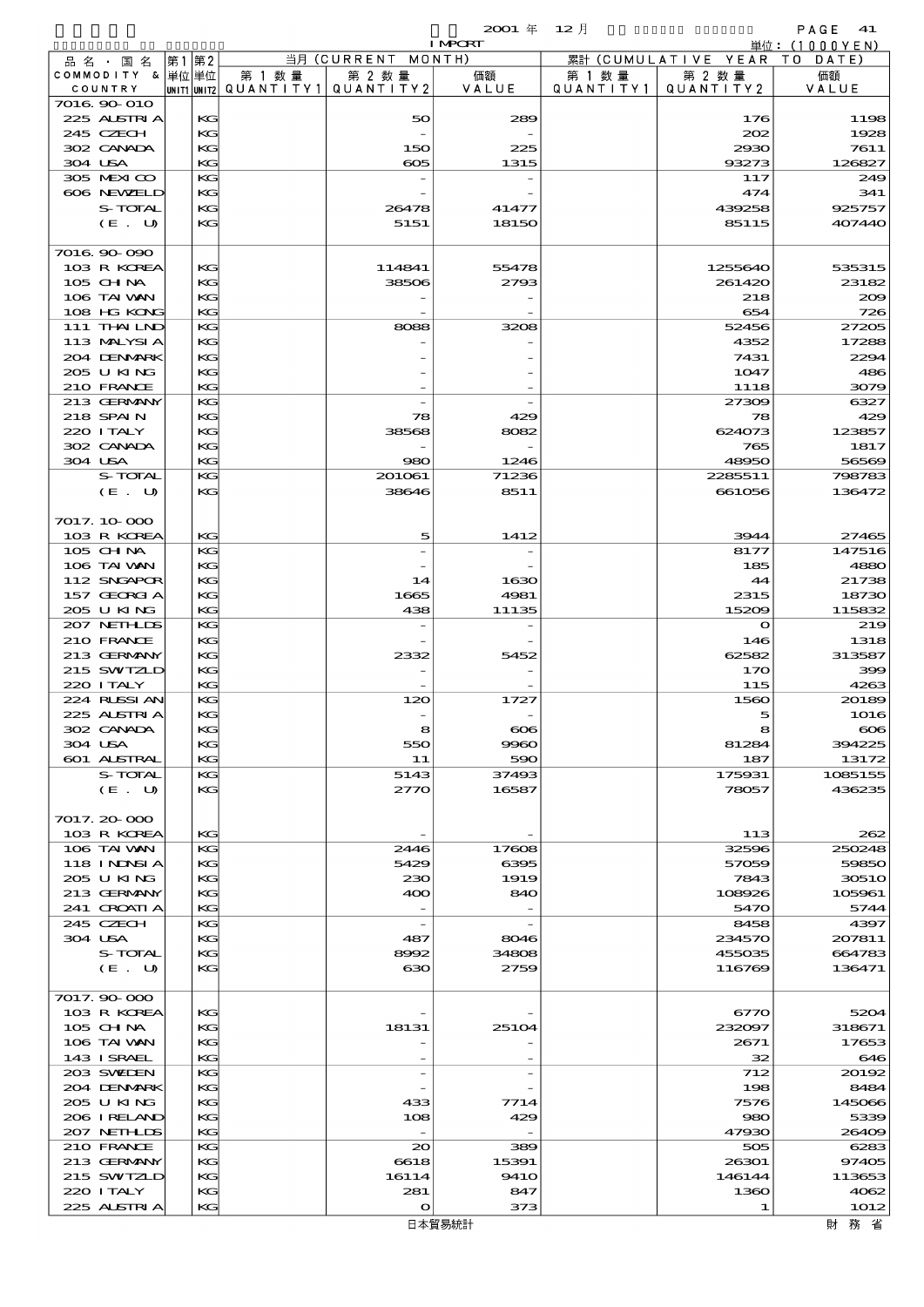$2001 \quad \text{if} \quad 12 \quad \text{if} \quad 12 \quad \text{if} \quad 41$ 

|                              |           |                                                  |                              | <b>I MPORT</b> |                      |                              | 単位: (1000 Y E N) |
|------------------------------|-----------|--------------------------------------------------|------------------------------|----------------|----------------------|------------------------------|------------------|
| 品名・国名                        | 第2<br> 第1 |                                                  | 当月 (CURRENT MONTH)           |                |                      | 累計 (CUMULATIVE YEAR TO DATE) |                  |
| COMMODITY & 単位単位<br>COUNTRY  |           | 第 1 数量<br> UNIT1 UNIT2  QUANT   TY1  QUANT   TY2 | 第 2 数量                       | 価額<br>VALUE    | 第 1 数 量<br>QUANTITY1 | 第 2 数量<br>QUANTITY 2         | 価額<br>VALUE      |
| 7016.90-010                  |           |                                                  |                              |                |                      |                              |                  |
| 225 ALSTRIA                  |           | KG                                               | 50                           | 289            |                      | 176                          | 1198             |
| 245 CZECH                    | KG        |                                                  |                              |                |                      | 202                          | 1928             |
| 302 CANADA                   | KG        | KG                                               | 150<br>$\boldsymbol{\alpha}$ | 225            |                      | 2930                         | 7611<br>126827   |
| 304 USA<br>305 MEXICO        | KG        |                                                  |                              | 1315           |                      | 93273<br>117                 | 249              |
| 606 NEWELD                   |           | KG                                               |                              |                |                      | 474                          | 341              |
| S-TOTAL                      |           | KG                                               | 26478                        | 41477          |                      | 439258                       | 925757           |
| (E. U)                       |           | KG                                               | 5151                         | 18150          |                      | 85115                        | 407440           |
| 7016.90.090                  |           |                                                  |                              |                |                      |                              |                  |
| 103 R KOREA<br>105 CH NA     |           | КG<br>KG                                         | 114841<br>38506              | 55478<br>2793  |                      | 1255640<br>261420            | 535315<br>23182  |
| 106 TAI VAN                  |           | KG                                               |                              |                |                      | 218                          | 200              |
| 108 HG KONG                  | KG        |                                                  |                              |                |                      | 654                          | 726              |
| 111 THAILND                  | KG        |                                                  | 8088                         | 3208           |                      | 52456                        | 27205            |
| 113 MALYSIA                  |           | KG                                               |                              |                |                      | 4352                         | 17288            |
| 204 DENMARK<br>205 U KING    | KG        | KG                                               |                              |                |                      | 7431<br>1047                 | 2294<br>486      |
| 210 FRANCE                   | KG        |                                                  |                              |                |                      | 1118                         | 3079             |
| 213 GERMANY                  | KG        |                                                  |                              |                |                      | 27309                        | 6327             |
| 218 SPAIN                    |           | KG                                               | 78                           | 429            |                      | 78                           | 429              |
| 220 I TALY                   | KG        |                                                  | 38568                        | 8082           |                      | 624073                       | 123857           |
| 302 CANADA                   | KG        |                                                  |                              |                |                      | 765                          | 1817             |
| 304 USA<br>S-TOTAL           | KG<br>KG  |                                                  | 980                          | 1246<br>71236  |                      | 48950<br>2285511             | 56569            |
| (E. U)                       |           | KG                                               | 201061<br>38646              | 8511           |                      | 661056                       | 798783<br>136472 |
|                              |           |                                                  |                              |                |                      |                              |                  |
| 7017.10-000<br>103 R KOREA   | KG        |                                                  | 5                            | 1412           |                      | 3944                         | 27465            |
| 105 CHNA                     | KG        |                                                  |                              |                |                      | 8177                         | 147516           |
| 106 TAI VAN                  |           | KG                                               |                              |                |                      | 185                          | 4880             |
| 112 SNGAPOR                  | KG        |                                                  | 14                           | 1630           |                      | 44                           | 21738            |
| 157 GEORGIA                  |           | KG                                               | 1665                         | 4981           |                      | 2315                         | 18730            |
| 205 U KING                   |           | KG                                               | 438                          | 11135          |                      | 15209                        | 115832           |
| 207 NETHLIS<br>210 FRANCE    | KG<br>KG  |                                                  |                              |                |                      | $\mathbf{o}$<br>146          | 219<br>1318      |
| 213 GERMANY                  | KG        |                                                  | 2332                         | 5452           |                      | 62582                        | 313587           |
| 215 SWIZLD                   |           | KG                                               |                              |                |                      | 170                          | 399              |
| 220 I TALY                   |           | KG                                               |                              |                |                      | 115                          | 4263             |
| 224 RUSSI AN                 | KG        |                                                  | 120                          | 1727           |                      | 1560                         | 20189            |
| 225 ALSTRIA<br>302 CANADA    |           | KG<br>KG                                         | 8                            | $\infty$       |                      | 5<br>R                       | 1016<br>$\infty$ |
| 304 USA                      |           | КG                                               | 550                          | 9960           |                      | 81284                        | 394225           |
| 601 ALSTRAL                  |           | KG                                               | 11                           | 590            |                      | 187                          | 13172            |
| S-TOTAL                      | KG        |                                                  | 5143                         | 37493          |                      | 175931                       | 1085155          |
| (E. U)                       |           | KG                                               | 2770                         | 16587          |                      | 78057                        | 436235           |
| 7017.20-000                  |           |                                                  |                              |                |                      |                              |                  |
| 103 R KOREA                  |           | KG                                               |                              |                |                      | 113                          | 262              |
| 106 TAI VAN<br>118 I NINSI A |           | KG<br>KG                                         | 2446<br>5429                 | 17608<br>6395  |                      | 32596<br>57059               | 250248<br>59850  |
| 205 U KING                   |           | KG                                               | 230                          | 1919           |                      | 7843                         | 30510            |
| 213 GERMANY                  |           | KG                                               | 400                          | 840            |                      | 108926                       | 105961           |
| 241 CROATI A                 | KG        |                                                  |                              |                |                      | 5470                         | 5744             |
| 245 CZECH                    |           | KG                                               | $\overline{\phantom{a}}$     |                |                      | 8458                         | 4397             |
| 304 USA<br>S-TOTAL           |           | KG<br>KG                                         | 487                          | 8046<br>34808  |                      | 234570<br>455035             | 207811<br>664783 |
| (E. U)                       |           | KG                                               | 8992<br>ഓ                    | 2759           |                      | 116769                       | 136471           |
|                              |           |                                                  |                              |                |                      |                              |                  |
| 7017.90-000                  |           |                                                  |                              |                |                      |                              |                  |
| 103 R KOREA<br>105 CH NA     |           | KG<br>KG                                         | 18131                        | 25104          |                      | 6770<br>232097               | 5204<br>318671   |
| 106 TAI VAN                  |           | KG                                               |                              |                |                      | 2671                         | 17653            |
| 143 ISRAEL                   |           | KG                                               |                              |                |                      | 32                           | 646              |
| 203 SWIDEN                   | KG        |                                                  |                              |                |                      | 712                          | 20192            |
| 204 DENMARK                  |           | KG                                               |                              |                |                      | 198                          | 8484             |
| 205 U KING<br>206 IRELAND    |           | KG<br>KG                                         | 433<br>108                   | 7714<br>429    |                      | 7576<br>980                  | 145066<br>5339   |
| 207 NETHLIS                  | KG        |                                                  |                              |                |                      | 47930                        | 26409            |
| 210 FRANCE                   | KG        |                                                  | $_{\infty}$                  | 389            |                      | 505                          | 6283             |
| 213 GERMANY                  |           | KG                                               | 6618                         | 15391          |                      | 26301                        | 97405            |
| 215 SWIZLD                   |           | KG                                               | 16114                        | <b>9410</b>    |                      | 146144                       | 113653           |
| 220 I TALY                   |           | KG                                               | 281                          | 847            |                      | 1360                         | 4062             |
| 225 ALSTRIA                  | KG        |                                                  | $\mathbf{o}$                 | 373            |                      | 1                            | 1012             |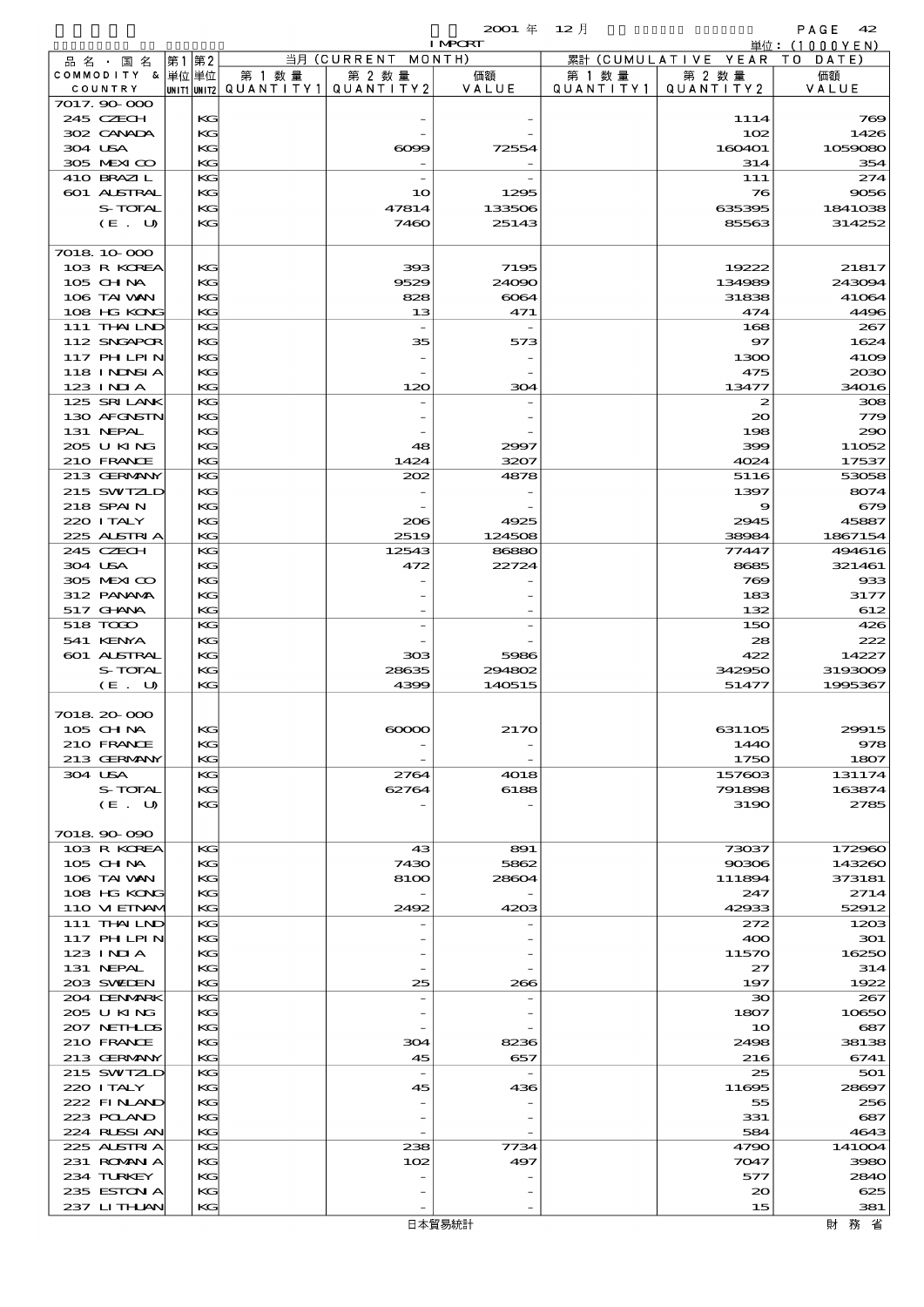$2001 \quad \text{if} \quad 12 \quad \text{if} \quad 92 \quad \text{?}$ 

|         |                            |      |          |        |                                       | <b>I MPORT</b> |           |                              | 単位: (1000YEN)  |
|---------|----------------------------|------|----------|--------|---------------------------------------|----------------|-----------|------------------------------|----------------|
|         | 品 名 ・ 国 名                  | 第1第2 |          |        | 当月 (CURRENT MONTH)                    |                |           | 累計 (CUMULATIVE YEAR TO DATE) |                |
|         | COMMODITY & 単位単位           |      |          | 第 1 数量 | 第 2 数量                                | 価額             | 第 1 数 量   | 第 2 数量                       | 価額             |
|         | COUNTRY<br>7017.90-000     |      |          |        | UNIT1 UNIT2  QUANT   TY1  QUANT   TY2 | VALUE          | QUANTITY1 | QUANTITY 2                   | VALUE          |
|         | 245 CZECH                  |      | KG       |        |                                       |                |           | 1114                         | 769            |
|         | 302 CANADA                 |      | KG       |        |                                       |                |           | 102                          | 1426           |
| 304 USA |                            |      | KG       |        | $\infty$                              | 72554          |           | 160401                       | 1059080        |
|         | 305 MEXICO                 |      | KG       |        |                                       |                |           | 314                          | 354            |
|         | 410 BRAZIL                 |      | KG       |        |                                       |                |           | 111                          | 274            |
|         | 601 ALSTRAL                |      | KG       |        | 10                                    | 1295           |           | 76                           | 9056           |
|         | S-TOTAL                    |      | KG       |        | 47814                                 | 133506         |           | 635395                       | 1841038        |
|         | (E. U)                     |      | KG       |        | 7460                                  | 25143          |           | 85563                        | 314252         |
|         | 7018 10 000                |      |          |        |                                       |                |           |                              |                |
|         | 103 R KOREA                |      | KG       |        | 393                                   | 7195           |           | 19222                        | 21817          |
|         | 105 CHNA                   |      | KG       |        | 9529                                  | 24090          |           | 134989                       | 243094         |
|         | 106 TAI VAN                |      | KG       |        | 828                                   | $\infty$ 64    |           | 31838                        | 41064          |
|         | 108 HG KONG                |      | KG       |        | 13                                    | 471            |           | 474                          | 4496           |
|         | 111 THAILND                |      | KG       |        | $\overline{\phantom{a}}$              |                |           | 168                          | 267            |
|         | 112 SNGAPOR<br>117 PH LPIN |      | KG<br>KG |        | 35                                    | 573            |           | 97<br>1300                   | 1624<br>4109   |
|         | <b>118 INNSIA</b>          |      | KG       |        |                                       |                |           | 475                          | 2030           |
|         | 123 INIA                   |      | KG       |        | 120                                   | 304            |           | 13477                        | 34016          |
|         | 125 SRILANK                |      | KG       |        |                                       |                |           | $\boldsymbol{z}$             | 308            |
|         | 130 AFGNSTN                |      | KG       |        |                                       |                |           | $\infty$                     | 779            |
|         | 131 NEPAL                  |      | KG       |        |                                       |                |           | 198                          | 290            |
|         | 205 U KING                 |      | KG       |        | 48                                    | 2997           |           | 399                          | 11052          |
|         | 210 FRANCE                 |      | KG       |        | 1424                                  | 3207           |           | 4024                         | 17537          |
|         | 213 GERMANY                |      | KG       |        | 202                                   | 4878           |           | 5116                         | 53058          |
|         | 215 SWIZLD<br>218 SPAIN    |      | KG<br>KG |        |                                       |                |           | 1397<br>9                    | 8074<br>679    |
|         | 220 I TALY                 |      | KG       |        | 206                                   | 4925           |           | 2945                         | 45887          |
|         | 225 ALSTRIA                |      | KG       |        | 2519                                  | 124508         |           | 38984                        | 1867154        |
|         | 245 CZECH                  |      | KG       |        | 12543                                 | 86880          |           | 77447                        | 494616         |
| 304 USA |                            |      | KG       |        | 472                                   | 22724          |           | 8685                         | 321461         |
|         | 305 MEXICO                 |      | KG       |        |                                       |                |           | 769                          | 933            |
|         | 312 PANAMA                 |      | KG       |        |                                       |                |           | 183                          | 3177           |
|         | 517 GHNA                   |      | KG       |        |                                       |                |           | 132                          | 612            |
|         | 518 TODO                   |      | KG       |        |                                       |                |           | 150                          | 426            |
|         | 541 KENYA<br>601 ALSTRAL   |      | KG<br>KG |        | 303                                   | 5986           |           | 28<br>422                    | 222<br>14227   |
|         | S-TOTAL                    |      | KG       |        | 28635                                 | 294802         |           | 342950                       | 3193009        |
|         | (E. U)                     |      | KG       |        | 4399                                  | 140515         |           | 51477                        | 1995367        |
|         |                            |      |          |        |                                       |                |           |                              |                |
|         | 7018 20 000                |      |          |        |                                       |                |           |                              |                |
|         | 105 CHNA                   |      | KG       |        | $\infty$                              | 2170           |           | 631105                       | 29915          |
|         | 210 FRANCE                 |      | KG       |        |                                       |                |           | 1440                         | 978            |
| 304 USA | 213 GERMANY                |      | KG<br>KG |        | 2764                                  | 4018           |           | 1750<br>157603               | 1807<br>131174 |
|         | S-TOTAL                    |      | KG       |        | 62764                                 | 6188           |           | 791898                       | 163874         |
|         | (E. U)                     |      | KG       |        |                                       |                |           | 3190                         | 2785           |
|         |                            |      |          |        |                                       |                |           |                              |                |
|         | 7018 90 090                |      |          |        |                                       |                |           |                              |                |
|         | 103 R KOREA                |      | KG       |        | 43                                    | 891            |           | 73037                        | 172960         |
|         | 105 CHNA                   |      | KG       |        | 7430                                  | 5862           |           | 90306                        | 143260         |
|         | 106 TAI VAN                |      | KG       |        | 8100                                  | 28604          |           | 111894                       | 373181         |
|         | 108 HG KONG<br>110 VIEINAM |      | KG<br>KG |        | 2492                                  | 4203           |           | 247<br>42933                 | 2714<br>52912  |
|         | 111 THAILND                |      | KG       |        |                                       |                |           | 272                          | 1203           |
|         | 117 PH LPIN                |      | KG       |        |                                       |                |           | 400                          | 301            |
|         | 123 INIA                   |      | KG       |        |                                       |                |           | 11570                        | 16250          |
|         | 131 NEPAL                  |      | KG       |        |                                       |                |           | 27                           | 314            |
|         | 203 SWIEN                  |      | KG       |        | 25                                    | 266            |           | 197                          | 1922           |
|         | 204 DENMARK                |      | KG       |        |                                       |                |           | ЗО                           | 267            |
|         | 205 U KING                 |      | KG       |        |                                       |                |           | 1807                         | 10650          |
|         | 207 NETHLIS<br>210 FRANCE  |      | KG<br>KG |        | 304                                   | 8236           |           | 10<br>2498                   | 687<br>38138   |
|         | 213 GERMANY                |      | KG       |        | 45                                    | 657            |           | 216                          | 6741           |
|         | 215 SWIZLD                 |      | KG       |        | $\overline{\phantom{a}}$              |                |           | 25                           | 501            |
|         | 220 I TALY                 |      | KG       |        | 45                                    | 436            |           | 11695                        | 28697          |
|         | 222 FINAND                 |      | KG       |        |                                       |                |           | 55                           | 256            |
|         | 223 POLAND                 |      | KG       |        |                                       |                |           | 331                          | 687            |
|         | 224 RUSSIAN                |      | KG       |        |                                       |                |           | 584                          | 4643           |
|         | 225 ALSTRIA                |      | KG       |        | 238                                   | 7734           |           | 4790                         | 141004         |
|         | 231 ROMANIA                |      | KG       |        | 102                                   | 497            |           | 7047                         | 3980           |
|         | 234 TURKEY<br>235 ESTON A  |      | KG<br>КG |        |                                       |                |           | 577<br>20                    | 2840<br>625    |
|         | 237 LITHAN                 |      | KG       |        |                                       |                |           | 15                           | 381            |
|         |                            |      |          |        |                                       |                |           |                              |                |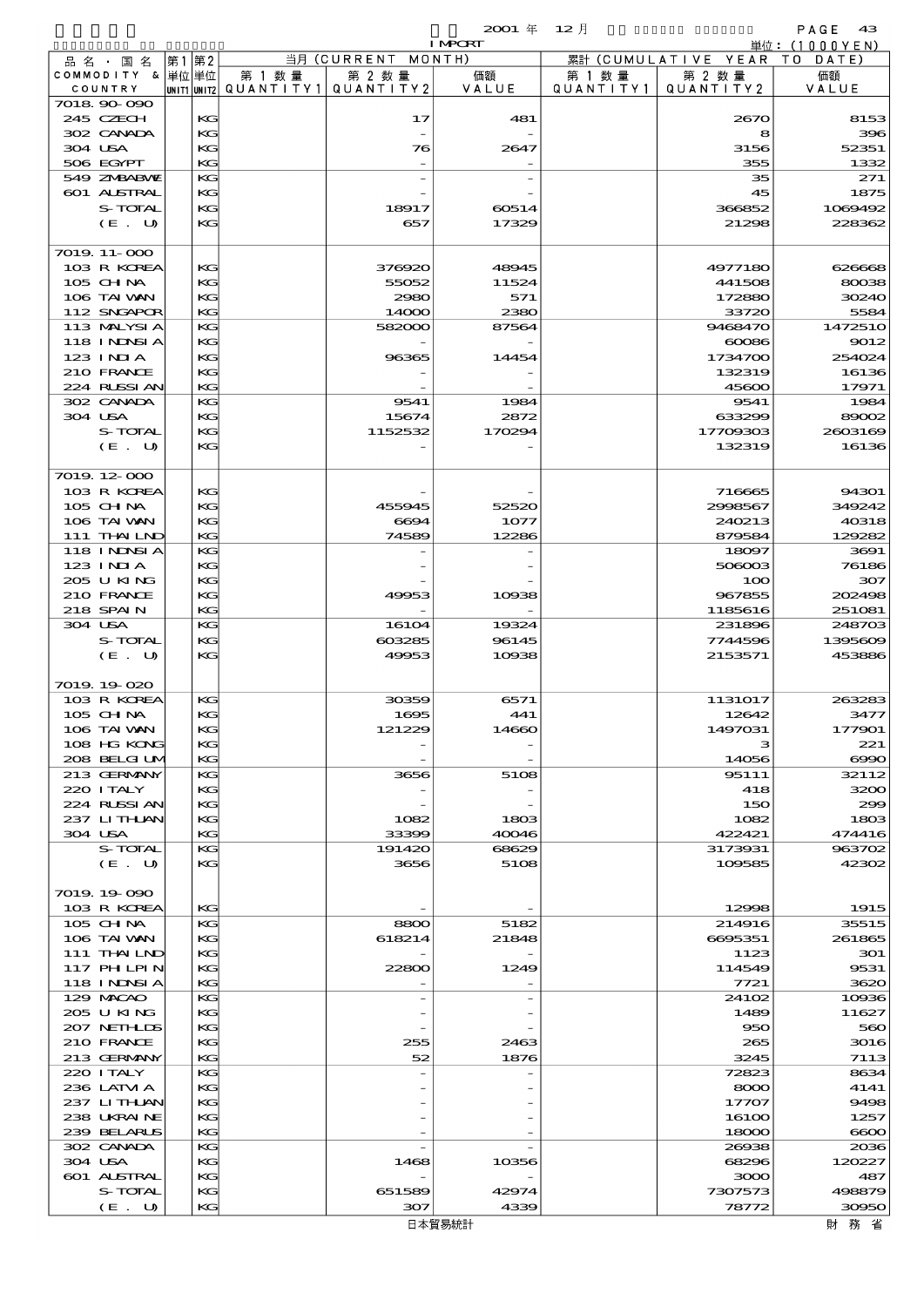|                             |    |          |        |                                                  | <b>I MPCRT</b> |                     |                              | 単位: (1000YEN)    |
|-----------------------------|----|----------|--------|--------------------------------------------------|----------------|---------------------|------------------------------|------------------|
| 品名・国名                       | 第1 | 第2       |        | 当月 (CURRENT                                      | MONTH)         |                     | 累計 (CUMULATIVE YEAR TO DATE) |                  |
| COMMODITY & 単位単位<br>COUNTRY |    |          | 第 1 数量 | 第 2 数量<br> unit1 unit2  QUANT   TY1  QUANT   TY2 | 価額<br>VALUE    | 第 1 数量<br>QUANTITY1 | 第 2 数量<br>QUANTITY 2         | 価額<br>VALUE      |
| 7018.90-090                 |    |          |        |                                                  |                |                     |                              |                  |
| 245 CZECH                   |    | KG       |        | 17                                               | 481            |                     | 2670                         | 8153             |
| 302 CANADA                  |    | KG       |        |                                                  |                |                     | 8                            | 396              |
| 304 USA                     |    | KG       |        | 76                                               | 2647           |                     | 3156                         | 52351            |
| 506 EGYPT<br>549 ZNBABNE    |    | KG<br>KG |        |                                                  |                |                     | 355<br>35                    | 1332<br>271      |
| 601 ALSTRAL                 |    | KG       |        |                                                  |                |                     | 45                           | 1875             |
| S-TOTAL                     |    | KG       |        | 18917                                            | 60514          |                     | 366852                       | 1069492          |
| (E. U)                      |    | KG       |        | 657                                              | 17329          |                     | 21298                        | 228362           |
|                             |    |          |        |                                                  |                |                     |                              |                  |
| 7019.11-000                 |    |          |        |                                                  |                |                     |                              |                  |
| 103 R KOREA<br>105 CH NA    |    | KG<br>KG |        | 376920<br>55052                                  | 48945<br>11524 |                     | 4977180<br>441508            | 626668<br>80038  |
| 106 TAI VAN                 |    | KG       |        | 2980                                             | 571            |                     | 172880                       | 30240            |
| 112 SNGAPOR                 |    | KG       |        | 14000                                            | 2380           |                     | 33720                        | 5584             |
| 113 MALYSIA                 |    | KG       |        | 582000                                           | 87564          |                     | 9468470                      | 1472510          |
| <b>118 INNSIA</b>           |    | KG       |        |                                                  |                |                     | $\cos$                       | 9012             |
| 123 INIA                    |    | KG       |        | 96365                                            | 14454          |                     | 1734700                      | 254024<br>16136  |
| 210 FRANCE<br>224 RLSSIAN   |    | KG<br>KG |        |                                                  |                |                     | 132319<br>45600              | 17971            |
| 302 CANADA                  |    | KG       |        | 9541                                             | 1984           |                     | 9541                         | 1984             |
| 304 USA                     |    | KG       |        | 15674                                            | 2872           |                     | 633299                       | 89002            |
| S-TOTAL                     |    | KG       |        | 1152532                                          | 170294         |                     | 17709303                     | 2603169          |
| (E. U)                      |    | KG       |        |                                                  |                |                     | 132319                       | 16136            |
|                             |    |          |        |                                                  |                |                     |                              |                  |
| 7019.12-000<br>103 R KOREA  |    | KG       |        |                                                  |                |                     | 716665                       | 94301            |
| $105$ CHNA                  |    | KG       |        | 455945                                           | 52520          |                     | 2998567                      | 349242           |
| 106 TAI VAN                 |    | KG       |        | 6694                                             | 1077           |                     | 240213                       | 40318            |
| 111 THAILND                 |    | KG       |        | 74589                                            | 12286          |                     | 879584                       | 129282           |
| 118 I NDSI A                |    | KG       |        |                                                  |                |                     | 18097                        | 3691             |
| 123 INIA                    |    | KG       |        |                                                  |                |                     | 506003                       | 76186            |
| 205 U KING                  |    | KG       |        |                                                  |                |                     | 100                          | 307              |
| 210 FRANCE<br>218 SPAIN     |    | KG<br>KG |        | 49953                                            | 10938          |                     | 967855<br>1185616            | 202498<br>251081 |
| 304 USA                     |    | KG       |        | 16104                                            | 19324          |                     | 231896                       | 248703           |
| S-TOTAL                     |    | KG       |        | 603285                                           | 96145          |                     | 7744596                      | 1395609          |
| (E. U)                      |    | KG       |        | 49953                                            | 10938          |                     | 2153571                      | 453886           |
|                             |    |          |        |                                                  |                |                     |                              |                  |
| 7019.19-020<br>103 R KOREA  |    | KG       |        | 30359                                            | 6571           |                     | 1131017                      | 263283           |
| 105 CH NA                   |    | KG       |        | 1695                                             | 441            |                     | 12642                        | 3477             |
| 106 TAI VAN                 |    | KG       |        | 121229                                           | 14660          |                     | 1497031                      | 177901           |
| 108 HG KONG                 |    | KG       |        |                                                  |                |                     | з                            | 221              |
| 208 BELGI UM                |    | KG       |        |                                                  |                |                     | 14056                        | $\infty$         |
| 213 GERMANY                 |    | KG       |        | 3656                                             | 5108           |                     | 95111                        | 32112            |
| 220 I TALY                  |    | KG       |        |                                                  |                |                     | 418                          | 3200             |
| 224 RUSSI AN<br>237 LITHLAN |    | KG<br>KG |        | 1082                                             | 1803           |                     | 150<br>1082                  | 299<br>1803      |
| 304 USA                     |    | KG       |        | 33399                                            | 40046          |                     | 422421                       | 474416           |
| S-TOTAL                     |    | KG       |        | 191420                                           | 68629          |                     | 3173931                      | 963702           |
| (E. U)                      |    | KG       |        | 3656                                             | 5108           |                     | 109585                       | 42302            |
|                             |    |          |        |                                                  |                |                     |                              |                  |
| 7019.19-090<br>103 R KOREA  |    | KG       |        |                                                  |                |                     | 12998                        | 1915             |
| 105 CH NA                   |    | KG       |        | 8800                                             | 5182           |                     | 214916                       | 35515            |
| 106 TAI VAN                 |    | KG       |        | 618214                                           | 21848          |                     | 6695351                      | 261865           |
| $111$ THAILND               |    | KG       |        |                                                  |                |                     | 1123                         | 301              |
| 117 PHLPIN                  |    | KG       |        | 22800                                            | 1249           |                     | 114549                       | 9531             |
| <b>118 INNSIA</b>           |    | KG       |        |                                                  |                |                     | 7721                         | 3620             |
| 129 MACAO                   |    | KG       |        |                                                  |                |                     | 2410 <sub>2</sub>            | 10936            |
| 205 U KING<br>207 NETHLIS   |    | KG<br>KG |        |                                                  |                |                     | 1489<br>950                  | 11627<br>560     |
| 210 FRANCE                  |    | KG       |        | 255                                              | 2463           |                     | 265                          | 3016             |
| 213 GERMANY                 |    | KG       |        | 52                                               | 1876           |                     | 3245                         | 7113             |
| 220 I TALY                  |    | KG       |        |                                                  |                |                     | 72823                        | 8634             |
| 236 LATM A                  |    | KG       |        |                                                  |                |                     | 8000                         | 4141             |
| 237 LITHAN                  |    | KG       |        |                                                  |                |                     | 17707                        | 9498             |
| 238 UKRAINE<br>239 BELARUS  |    | KG       |        |                                                  |                |                     | 16100                        | 1257             |
| 302 CANADA                  |    | KG<br>KG |        |                                                  |                |                     | 18000<br>26938               | $\infty$<br>2036 |
| 304 USA                     |    | KG       |        | 1468                                             | 10356          |                     | 68296                        | 120227           |
| 601 ALSTRAL                 |    | KG       |        |                                                  |                |                     | 3000                         | 487              |
| S-TOTAL                     |    | KG       |        | 651589                                           | 42974          |                     | 7307573                      | 498879           |
| (E. U)                      |    | KG       |        | 307                                              | 4339           |                     | 78772                        | 30950            |

 $\mathsf{l}$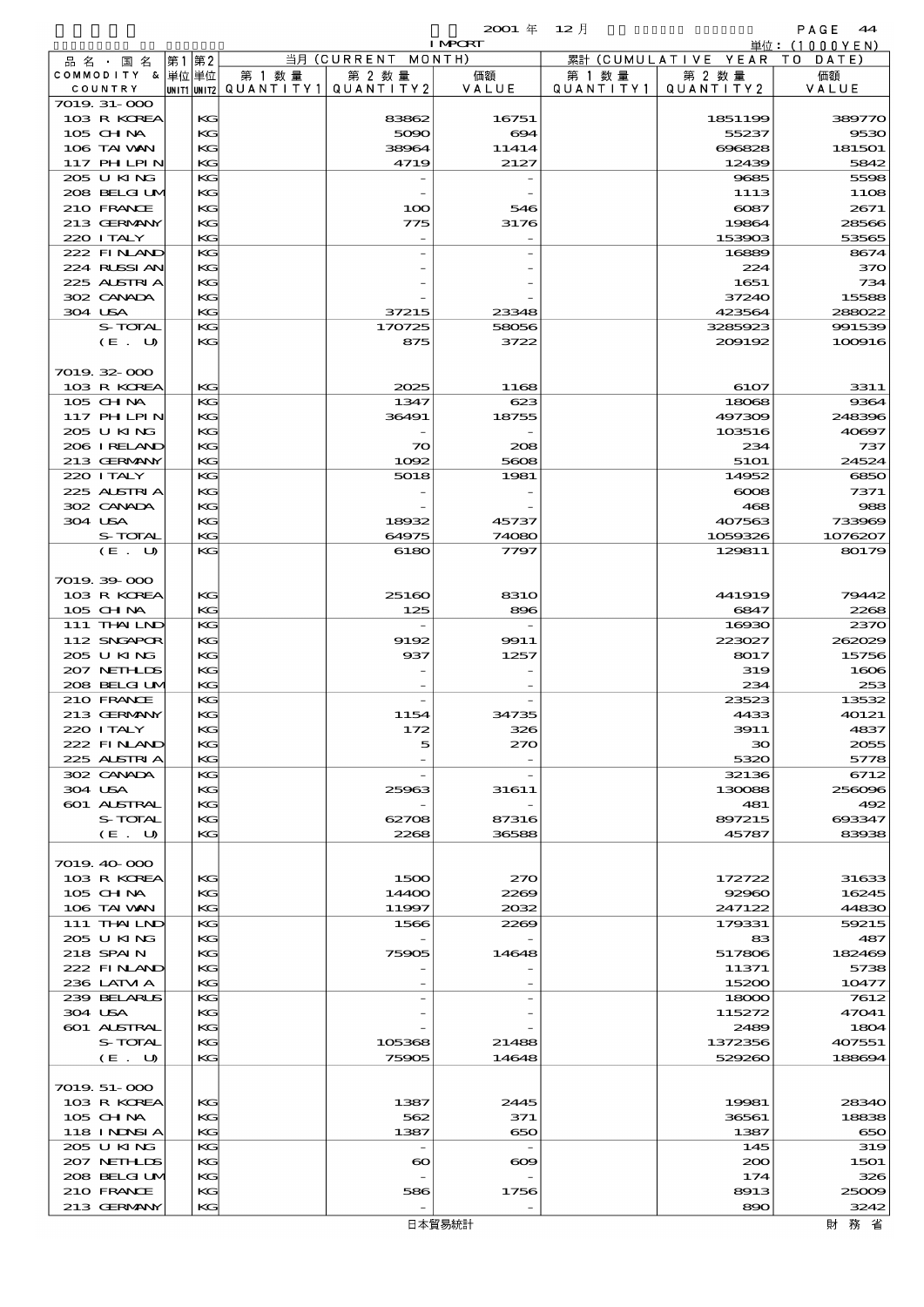# 品別国別表 輸 入 2001 12 確定 (Fixed Annual) 44

|                    |    |       |                                         |                       | <b>I MPORT</b> |           |                     | 単位:(1000YEN)     |
|--------------------|----|-------|-----------------------------------------|-----------------------|----------------|-----------|---------------------|------------------|
| 品 名 ・ 国 名          | 第1 | 第2    |                                         | 当月 (CURRENT MONTH)    |                |           | 累計 (CUMULATIVE YEAR | T O<br>DATE)     |
| COMMODITY & 単位単位   |    |       | 第 1 数 量                                 | 第 2 数量                | 価額             | 第 1 数 量   | 第 2 数量              | 価額               |
| COUNTRY            |    |       | UNIT1 UNIT2   QUANT   TY1   QUANT   TY2 |                       | VALUE          | QUANTITY1 | QUANTITY2           | VALUE            |
| 7019. 31-000       |    |       |                                         |                       |                |           |                     |                  |
| 103 R KOREA        |    | KG    |                                         | 83862                 | 16751          |           | 1851199             | 389770           |
| $105$ CHNA         |    | KG    |                                         | 5090                  | 694            |           | 55237               | 9530             |
| 106 TAI VAN        |    | KG    |                                         | 38964                 | 11414          |           | 696828              | 181501           |
| 117 PHLPIN         |    | KG    |                                         | 4719                  | 2127           |           | 12439               | 5842             |
| 205 U KING         |    | KG    |                                         |                       |                |           | 9685                | 5598             |
| 208 BELGI UM       |    | KG    |                                         |                       |                |           | 1113                | 11O <sub>8</sub> |
|                    |    |       |                                         |                       |                |           | $\cos$              |                  |
| 210 FRANCE         |    | KG    |                                         | 100                   | 546            |           |                     | 2671             |
| 213 GERMANY        |    | KG    |                                         | 775                   | 3176           |           | 19864               | 28566            |
| 220 I TALY         |    | KG    |                                         |                       |                |           | 153903              | 53565            |
| 222 FINAND         |    | KG    |                                         |                       |                |           | 16889               | 8674             |
| 224 RUSSI AN       |    | KG    |                                         |                       |                |           | 224                 | 370              |
| 225 ALSTRIA        |    | KG    |                                         |                       |                |           | 1651                | 734              |
| 302 CANADA         |    | KG    |                                         |                       |                |           | 37240               | 15588            |
| 304 USA            |    | KG    |                                         | 37215                 | 23348          |           | 423564              | 288022           |
| S-TOTAL            |    | KG    |                                         | 170725                | 58056          |           | 3285923             | 991539           |
| (E. U)             |    | KG    |                                         | 875                   | 3722           |           | 200192              | 100916           |
|                    |    |       |                                         |                       |                |           |                     |                  |
| 7019.32-000        |    |       |                                         |                       |                |           |                     |                  |
| 103 R KOREA        |    | KG    |                                         | 2025                  | 1168           |           | 6107                | 3311             |
| 105 CHNA           |    | KG    |                                         | 1347                  | 623            |           | 18068               | 9364             |
| 117 PHLPIN         |    | KG    |                                         | 36491                 | 18755          |           | 497309              | 248396           |
| 205 U KING         |    | KC    |                                         |                       |                |           | 103516              | 40897            |
|                    |    | KG    |                                         |                       |                |           |                     |                  |
| 206 I RELAND       |    |       |                                         | $\infty$              | 208            |           | 234                 | 737              |
| 213 GERMANY        |    | KG    |                                         | 1092                  | 5608           |           | 5101                | 24524            |
| 220 I TALY         |    | KG    |                                         | 5018                  | 1981           |           | 14952               | 6850             |
| 225 ALSTRIA        |    | KG    |                                         |                       |                |           | $\infty$            | 7371             |
| 302 CANADA         |    | KG    |                                         |                       |                |           | 468                 | 988              |
| 304 USA            |    | KG    |                                         | 18932                 | 45737          |           | 407563              | 733969           |
| <b>S-TOTAL</b>     |    | KG    |                                         | 64975                 | 74080          |           | 1059326             | 1076207          |
| (E. U)             |    | KG    |                                         | 6180                  | 7797           |           | 129811              | 80179            |
|                    |    |       |                                         |                       |                |           |                     |                  |
| 7019.39-000        |    |       |                                         |                       |                |           |                     |                  |
| 103 R KOREA        |    | KG    |                                         | 25160                 | <b>8310</b>    |           | 441919              | 79442            |
| $105$ CHNA         |    | KG    |                                         | 125                   | 896            |           | 6847                | 2268             |
| 111 THAILND        |    | KG    |                                         |                       |                |           | 16930               | 2370             |
| 112 SNGAPOR        |    | KG    |                                         | 9192                  | 9911           |           | 223027              | 262029           |
| 205 U KING         |    | KC    |                                         | 937                   | 1257           |           | 8017                | 15756            |
| 207 NETHLIS        |    | KG    |                                         |                       |                |           | 319                 | 1606             |
| 208 BELGI UM       |    | KG    |                                         |                       |                |           | 234                 | 253              |
|                    |    |       |                                         |                       |                |           | 23523               | 13532            |
| 210 FRANCE         |    | KG    |                                         |                       |                |           |                     |                  |
| 213 GERMANY        |    | КC    |                                         | 1154                  | 34735          |           | 4433                | 40121            |
| 220 I TALY         |    | $K$ . |                                         | 172                   | 326            |           | 3911                | 4837             |
| 222 FINAND         |    | KG    |                                         | 5                     | 270            |           | зо                  | 2055             |
| 225 ALSTRIA        |    | KG    |                                         |                       |                |           | 5320                | 5778             |
| 302 CANADA         |    | KG    |                                         |                       |                |           | 32136               | 6712             |
| 304 USA            |    | КC    |                                         | 25963                 | 31611          |           | 130088              | 256096           |
| <b>601 ALSTRAL</b> |    | KG    |                                         |                       |                |           | 481                 | 492              |
| S-TOTAL            |    | KG    |                                         | 62708                 | 87316          |           | 897215              | 693347           |
| (E. U)             |    | КC    |                                         | 2268                  | 36588          |           | 45787               | 83938            |
|                    |    |       |                                         |                       |                |           |                     |                  |
| 7019.40-000        |    |       |                                         |                       |                |           |                     |                  |
| 103 R KOREA        |    | KG    |                                         | 1500                  | 270            |           | 172722              | 31633            |
| 105 CH NA          |    | KC    |                                         | 14400                 | 2269           |           | 92960               | 16245            |
| 106 TAI VAN        |    | КC    |                                         | 11997                 | 2032           |           | 247122              | 44830            |
| 111 THAILND        |    | KG    |                                         | 1566                  | 2269           |           | 179331              | 59215            |
| 205 U KING         |    | KG    |                                         |                       |                |           | 83                  | 487              |
| 218 SPAIN          |    | KG    |                                         | 75905                 | 14648          |           | 517806              | 182469           |
|                    |    |       |                                         |                       |                |           |                     |                  |
| 222 FINAND         |    | KC    |                                         |                       |                |           | 11371               | 5738             |
| 236 LATM A         |    | КC    |                                         |                       |                |           | 15200               | 10477            |
| 239 BELARUS        |    | KG    |                                         |                       |                |           | 18000               | 7612             |
| 304 USA            |    | KG    |                                         |                       |                |           | 115272              | 47041            |
| 601 ALSTRAL        |    | KC    |                                         |                       |                |           | 2489                | 1804             |
| S-TOTAL            |    | KG    |                                         | 105368                | 21488          |           | 1372356             | 407551           |
| (E. U)             |    | КC    |                                         | 75905                 | 14648          |           | 529260              | 188694           |
|                    |    |       |                                         |                       |                |           |                     |                  |
| 7019. 51-000       |    |       |                                         |                       |                |           |                     |                  |
| 103 R KOREA        |    | KG    |                                         | 1387                  | 2445           |           | 19981               | 28340            |
| 105 CH NA          |    | KC    |                                         | 562                   | 371            |           | 36561               | 18838            |
| <b>118 INNSIA</b>  |    | КC    |                                         | 1387                  | 650            |           | 1387                | 650              |
| 205 U KING         |    | KG    |                                         |                       |                |           | 145                 | 319              |
| 207 NETHLIDS       |    | КC    |                                         | $\boldsymbol{\infty}$ | $\infty$       |           | 200                 | 1501             |
| 208 BELGI UM       |    | KC    |                                         |                       |                |           | 174                 | 326              |
| 210 FRANCE         |    | KC    |                                         | 586                   | 1756           |           | 8913                | 25009            |
| 213 GERMANY        |    | KG    |                                         |                       |                |           | 890                 | 3242             |
|                    |    |       |                                         |                       |                |           |                     |                  |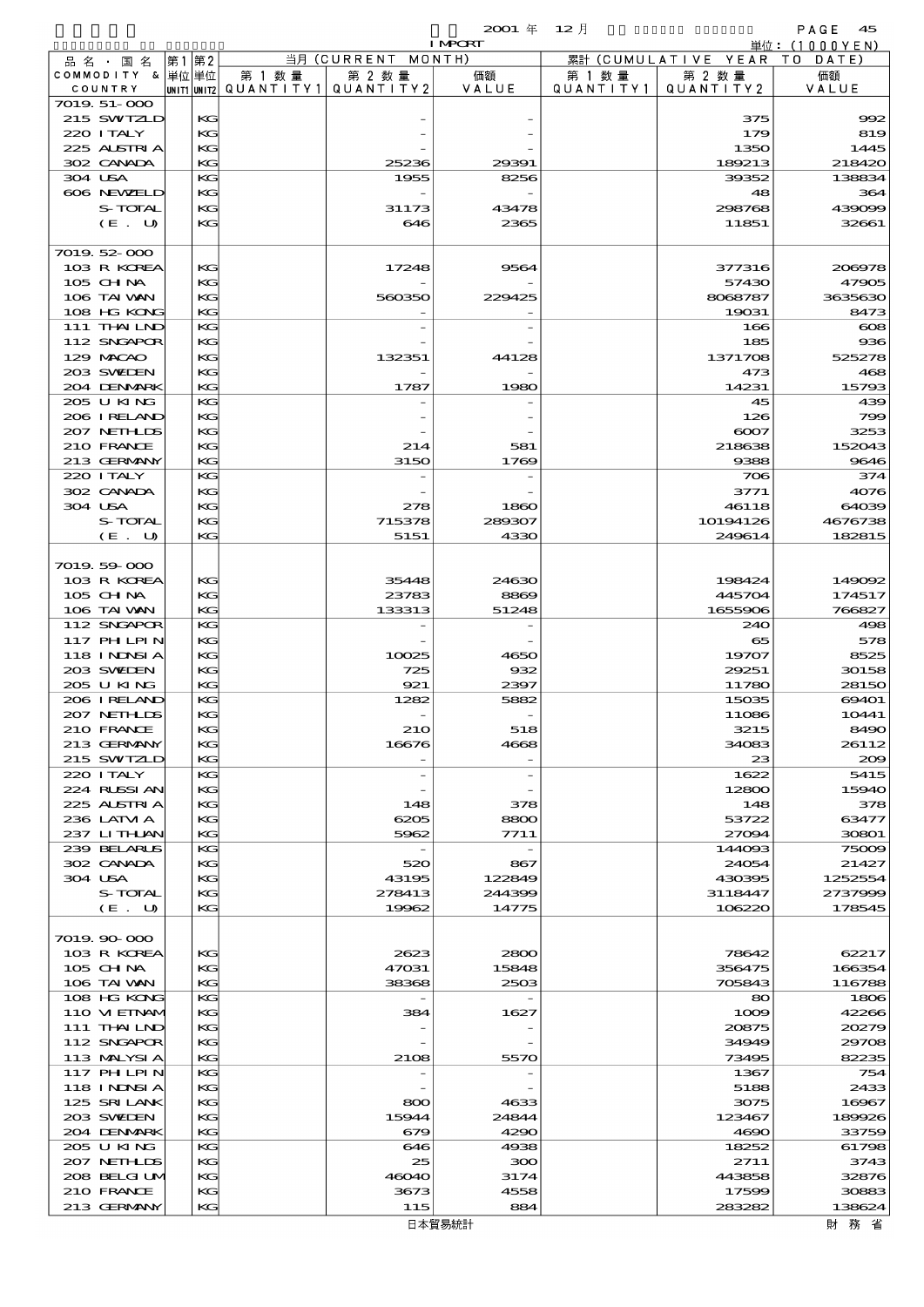|         |                            |    |          |                                          |                    | <b>I MPORT</b> |         |                              | 単位: (1000YEN)    |
|---------|----------------------------|----|----------|------------------------------------------|--------------------|----------------|---------|------------------------------|------------------|
|         | 品名・国名                      | 第1 | 第2       |                                          | 当月 (CURRENT MONTH) |                |         | 累計 (CUMULATIVE YEAR TO DATE) |                  |
|         | COMMODITY & 単位単位           |    |          | 第 1 数量                                   | 第 2 数量             | 価額             | 第 1 数 量 | 第 2 数量                       | 価額               |
|         | COUNTRY                    |    |          | UNIT1  UNIT2   QUANT I TY1   QUANT I TY2 |                    | VALUE          |         | QUANTITY1   QUANTITY2        | VALUE            |
|         | 7019.51-000                |    |          |                                          |                    |                |         |                              |                  |
|         | 215 SWIZLD<br>220 I TALY   |    | КG<br>KG |                                          |                    |                |         | 375<br>179                   | 992<br>819       |
|         | 225 ALSTRIA                |    | KG       |                                          |                    |                |         | 1350                         | 1445             |
|         | 302 CANADA                 |    | KG       |                                          | 25236              | 29391          |         | 189213                       | 218420           |
| 304 USA |                            |    | KG       |                                          | 1955               | 8256           |         | 39352                        | 138834           |
|         | 606 NEWELD                 |    | KG       |                                          |                    |                |         | 48                           | 364              |
|         | S-TOTAL                    |    | KG       |                                          | 31173              | 43478          |         | 298768                       | 439099           |
|         | (E. U)                     |    | KG       |                                          | 646                | 2365           |         | 11851                        | 32661            |
|         |                            |    |          |                                          |                    |                |         |                              |                  |
|         | 7019.52-000<br>103 R KOREA |    | KG       |                                          | 17248              | 9564           |         |                              | 200978           |
|         | 105 CHNA                   |    | KG       |                                          |                    |                |         | 377316<br>57430              | 47905            |
|         | 106 TAI WAN                |    | KG       |                                          | 560350             | 229425         |         | 8068787                      | 3635630          |
|         | 108 HG KONG                |    | KG       |                                          |                    |                |         | 19031                        | 8473             |
|         | 111 THAILND                |    | KG       |                                          |                    |                |         | 166                          | $\cos$           |
|         | 112 SNGAPOR                |    | KG       |                                          |                    |                |         | 185                          | 936              |
|         | 129 MACAO                  |    | KG       |                                          | 132351             | 44128          |         | 1371708                      | 525278           |
|         | 203 SWIEN                  |    | KG       |                                          |                    |                |         | 473                          | 468              |
|         | 204 DENMARK                |    | KG       |                                          | 1787               | 1980           |         | 14231                        | 15793            |
|         | 205 U KING<br>206 IRELAND  |    | KG<br>KG |                                          |                    |                |         | 45<br>126                    | 439<br>799       |
|         | 207 NETHLIS                |    | KG       |                                          |                    |                |         | 6007                         | 3253             |
|         | 210 FRANCE                 |    | KG       |                                          | 214                | 581            |         | 218638                       | 152043           |
|         | 213 GERMANY                |    | KG       |                                          | 3150               | 1769           |         | 9388                         | 9646             |
|         | 220 I TALY                 |    | KG       |                                          |                    |                |         | 706                          | 374              |
|         | 302 CANADA                 |    | KG       |                                          |                    |                |         | 3771                         | 4076             |
| 304 USA |                            |    | KG       |                                          | 278                | 1860           |         | 46118                        | 64039            |
|         | S-TOTAL                    |    | KG       |                                          | 715378             | 289307         |         | 10194126                     | 4676738          |
|         | (E. U)                     |    | KG       |                                          | 5151               | 4330           |         | 249614                       | 182815           |
|         | 7019.59-000                |    |          |                                          |                    |                |         |                              |                  |
|         | 103 R KOREA                |    | KG       |                                          | 35448              | 24630          |         | 198424                       | 149092           |
|         | 105 CH NA                  |    | KG       |                                          | 23783              | 8869           |         | 445704                       | 174517           |
|         | 106 TAI VAN                |    | KG       |                                          | 133313             | 51248          |         | 1655906                      | 766827           |
|         | 112 SNGAPOR                |    | KG       |                                          |                    |                |         | 240                          | 498              |
|         | 117 PHLPIN                 |    | KG       |                                          |                    |                |         | 65                           | 578              |
|         | <b>118 INNSIA</b>          |    | KG       |                                          | 10025              | 4650           |         | 19707                        | 8525             |
|         | 203 SWIDEN                 |    | KG       |                                          | 725                | 932            |         | 29251                        | 30158            |
|         | 205 U KING                 |    | KG       |                                          | 921                | 2397           |         | 11780                        | 28150            |
|         | 206 IRELAND<br>207 NETHLIS |    | KG<br>KG |                                          | 1282               | 5882           |         | 15035<br>11086               | 69401<br>10441   |
|         | 210 FRANCE                 |    | КG       |                                          | 210                | 518            |         | 3215                         | 8490             |
|         | 213 GERMANY                |    | KG       |                                          | 16676              | 4668           |         | 34083                        | 26112            |
|         | 215 SWIZLD                 |    | KG       |                                          |                    |                |         | 23                           | 200              |
|         | 220 I TALY                 |    | KG       |                                          |                    |                |         | 1622                         | 5415             |
|         | 224 RUSSI AN               |    | KG       |                                          |                    |                |         | 12800                        | 15940            |
|         | 225 ALSTRIA                |    | KG       |                                          | 148                | 378            |         | 148                          | 378              |
|         | 236 LATM A                 |    | KG       |                                          | 6205               | 8800           |         | 53722                        | 63477            |
|         | 237 LITHAN<br>239 BELARUS  |    | KG<br>KG |                                          | 5962               | 7711           |         | 27094<br>144093              | 30801<br>75009   |
|         | 302 CANADA                 |    | KG       |                                          | 520                | 867            |         | 24054                        | 21427            |
| 304 USA |                            |    | KG       |                                          | 43195              | 122849         |         | 430395                       | 1252554          |
|         | S-TOTAL                    |    | KG       |                                          | 278413             | 244399         |         | 3118447                      | 2737999          |
|         | (E. U)                     |    | KG       |                                          | 19962              | 14775          |         | 106220                       | 178545           |
|         |                            |    |          |                                          |                    |                |         |                              |                  |
|         | 7019.90-000                |    |          |                                          |                    |                |         |                              |                  |
|         | 103 R KOREA                |    | KG       |                                          | 2623               | 2800           |         | 78642                        | 62217            |
|         | $105$ CHNA<br>106 TAI VAN  |    | KG<br>KG |                                          | 47031<br>38368     | 15848<br>2503  |         | 356475<br>705843             | 166354<br>116788 |
|         | 108 HG KONG                |    | KG       |                                          |                    |                |         | 80                           | 1806             |
|         | 110 VIEINAM                |    | KG       |                                          | 384                | 1627           |         | 1009                         | 42266            |
|         | 111 THAILND                |    | KG       |                                          |                    |                |         | 20875                        | 20279            |
|         | 112 SNGAPOR                |    | KG       |                                          |                    |                |         | 34949                        | 29708            |
|         | 113 MALYSIA                |    | KG       |                                          | 2108               | 5570           |         | 73495                        | 82235            |
|         | 117 PHLPIN                 |    | KG       |                                          |                    |                |         | 1367                         | 754              |
|         | <b>118 INNSIA</b>          |    | KG       |                                          |                    |                |         | 5188                         | 2433             |
|         | 125 SRILANK                |    | KG       |                                          | 800                | 4633           |         | 3075                         | 16967            |
|         | 203 SWIDEN<br>204 DENMARK  |    | KG<br>KG |                                          | 15944<br>679       | 24844<br>4290  |         | 123467<br>4690               | 189926<br>33759  |
|         | 205 U KING                 |    | KG       |                                          | 646                | 4938           |         | 18252                        | 61798            |
|         | 207 NETHLIS                |    | KG       |                                          | 25                 | 300            |         | 2711                         | 3743             |
|         | 208 BELGI UM               |    | KG       |                                          | 46040              | 3174           |         | 443858                       | 32876            |
|         | 210 FRANCE                 |    | KG       |                                          | 3673               | 4558           |         | 17599                        | 30883            |
|         | 213 GERMANY                |    | KG       |                                          | 115                | 884            |         | 283282                       | 138624           |